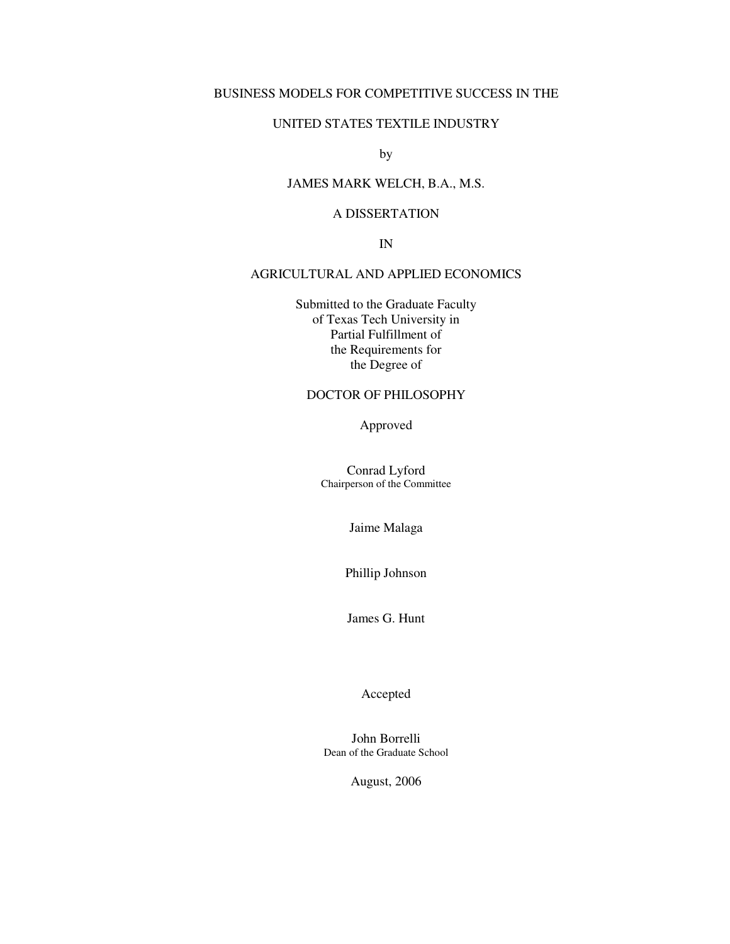# BUSINESS MODELS FOR COMPETITIVE SUCCESS IN THE

### UNITED STATES TEXTILE INDUSTRY

by

# JAMES MARK WELCH, B.A., M.S.

# A DISSERTATION

IN

## AGRICULTURAL AND APPLIED ECONOMICS

Submitted to the Graduate Faculty of Texas Tech University in Partial Fulfillment of the Requirements for the Degree of

# DOCTOR OF PHILOSOPHY

Approved

Conrad Lyford Chairperson of the Committee

Jaime Malaga

Phillip Johnson

James G. Hunt

Accepted

John Borrelli Dean of the Graduate School

August, 2006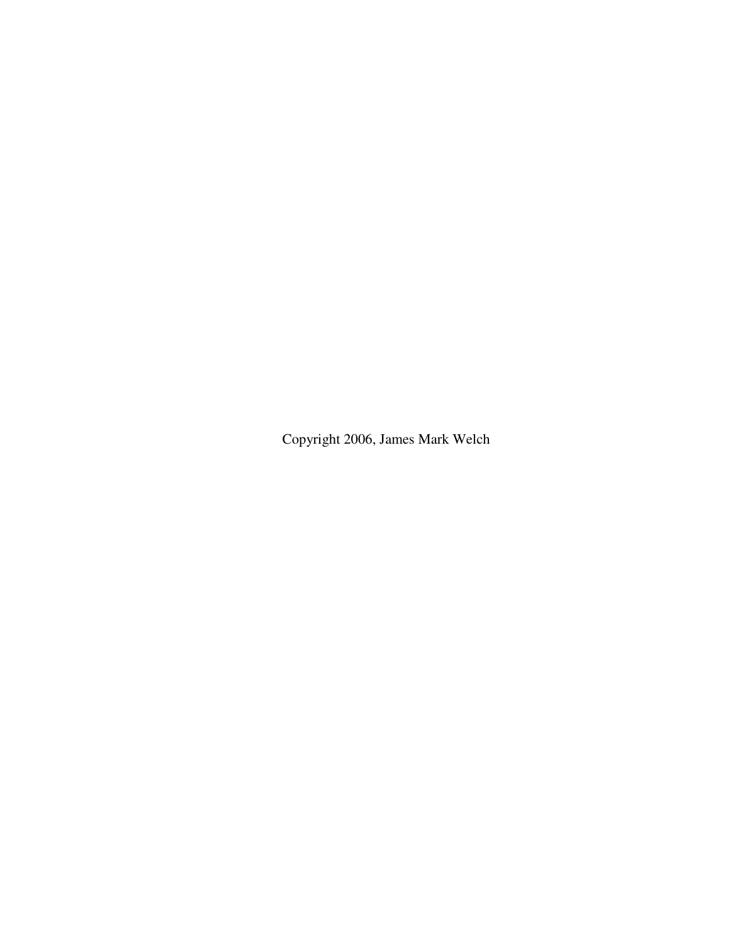Copyright 2006, James Mark Welch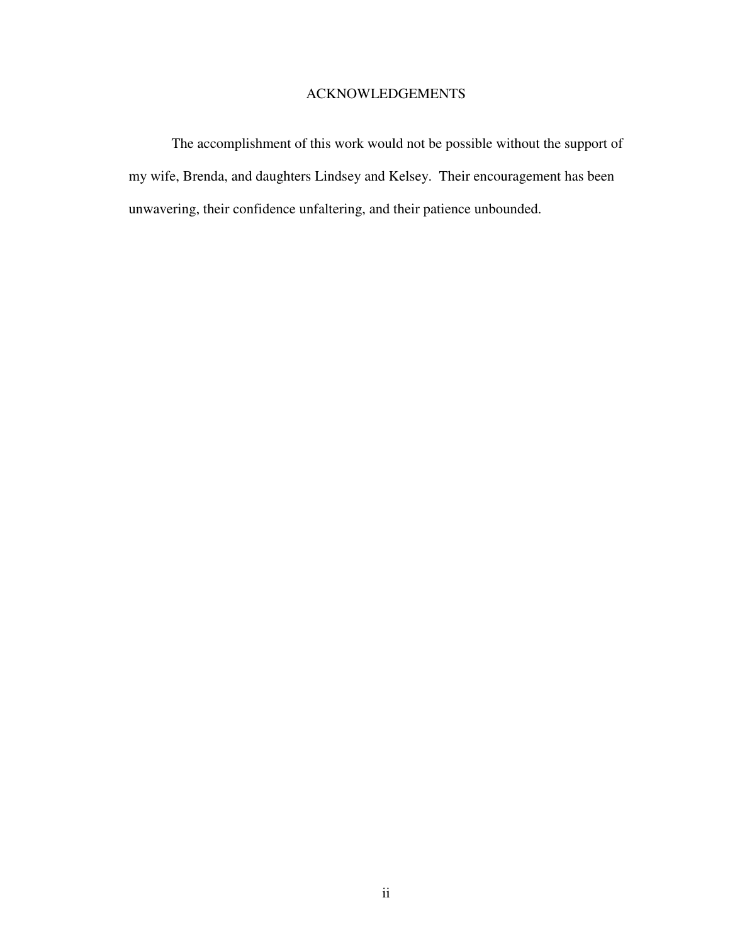# ACKNOWLEDGEMENTS

 The accomplishment of this work would not be possible without the support of my wife, Brenda, and daughters Lindsey and Kelsey. Their encouragement has been unwavering, their confidence unfaltering, and their patience unbounded.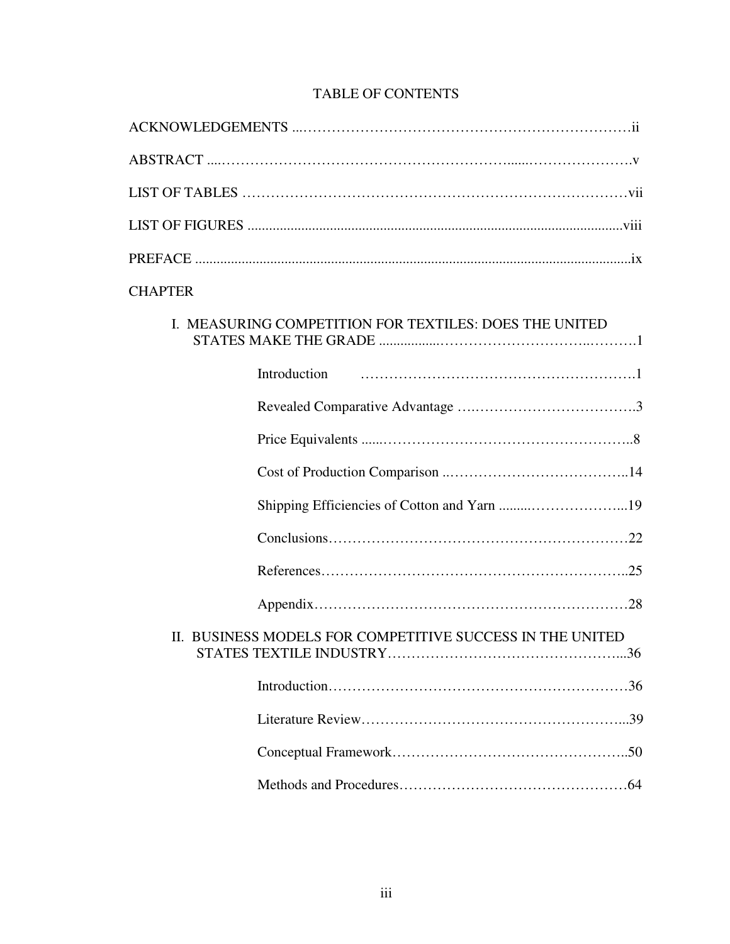# TABLE OF CONTENTS

| <b>CHAPTER</b>                                                  |
|-----------------------------------------------------------------|
| I. MEASURING COMPETITION FOR TEXTILES: DOES THE UNITED          |
| Introduction                                                    |
|                                                                 |
|                                                                 |
|                                                                 |
|                                                                 |
|                                                                 |
|                                                                 |
|                                                                 |
| II. BUSINESS MODELS FOR COMPETITIVE SUCCESS IN THE UNITED<br>36 |
|                                                                 |
|                                                                 |
|                                                                 |
|                                                                 |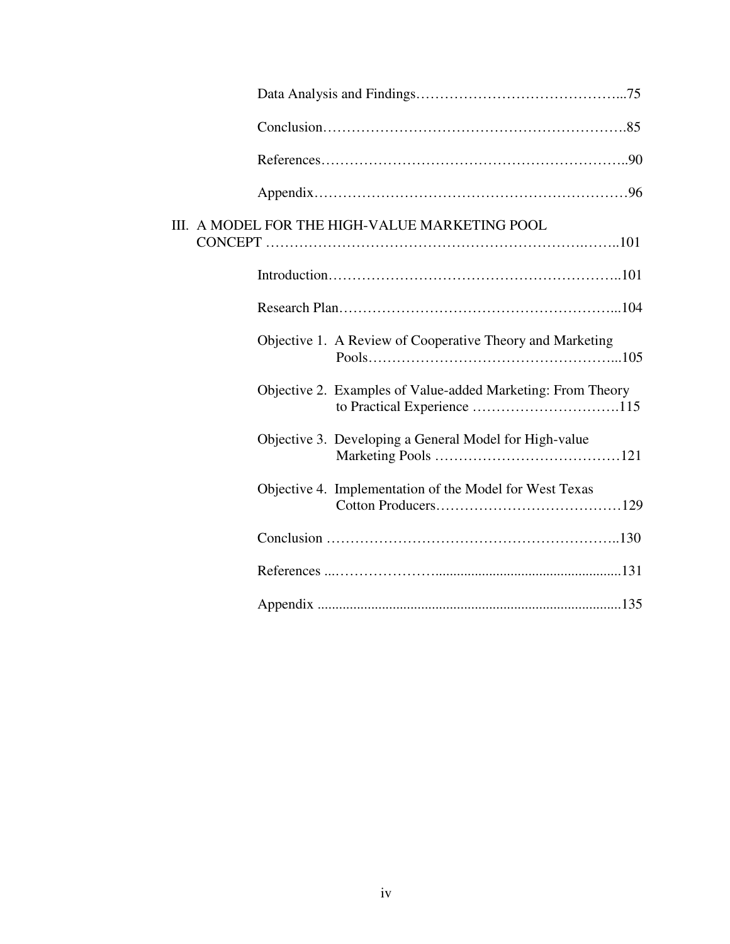| III. A MODEL FOR THE HIGH-VALUE MARKETING POOL              |
|-------------------------------------------------------------|
|                                                             |
|                                                             |
| Objective 1. A Review of Cooperative Theory and Marketing   |
| Objective 2. Examples of Value-added Marketing: From Theory |
| Objective 3. Developing a General Model for High-value      |
| Objective 4. Implementation of the Model for West Texas     |
|                                                             |
|                                                             |
|                                                             |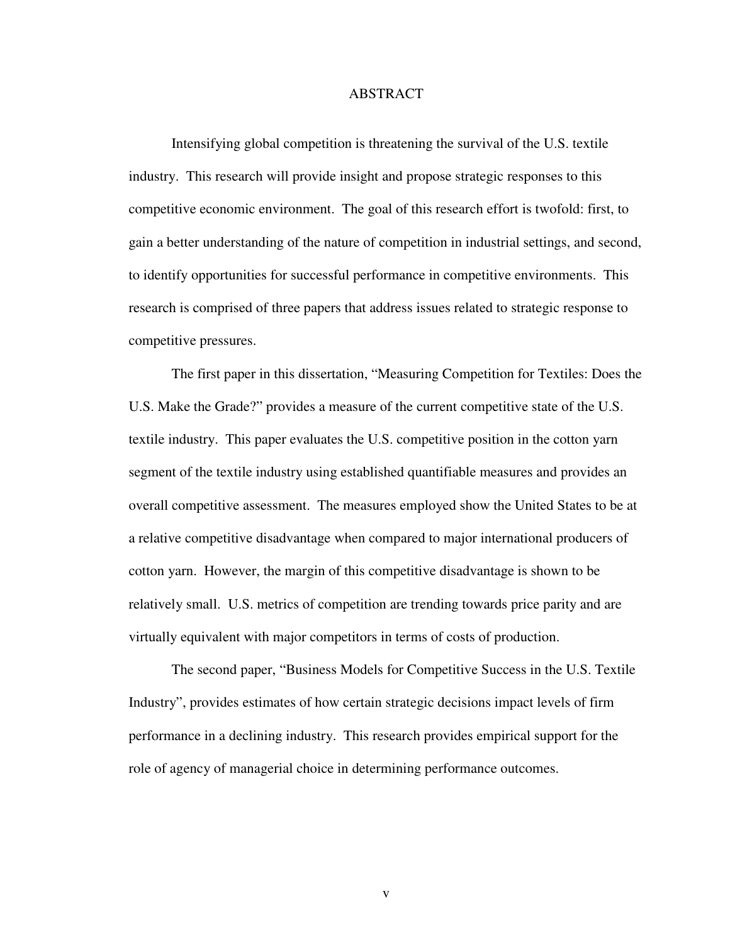# ABSTRACT

Intensifying global competition is threatening the survival of the U.S. textile industry. This research will provide insight and propose strategic responses to this competitive economic environment. The goal of this research effort is twofold: first, to gain a better understanding of the nature of competition in industrial settings, and second, to identify opportunities for successful performance in competitive environments. This research is comprised of three papers that address issues related to strategic response to competitive pressures.

The first paper in this dissertation, "Measuring Competition for Textiles: Does the U.S. Make the Grade?" provides a measure of the current competitive state of the U.S. textile industry. This paper evaluates the U.S. competitive position in the cotton yarn segment of the textile industry using established quantifiable measures and provides an overall competitive assessment. The measures employed show the United States to be at a relative competitive disadvantage when compared to major international producers of cotton yarn. However, the margin of this competitive disadvantage is shown to be relatively small. U.S. metrics of competition are trending towards price parity and are virtually equivalent with major competitors in terms of costs of production.

The second paper, "Business Models for Competitive Success in the U.S. Textile Industry", provides estimates of how certain strategic decisions impact levels of firm performance in a declining industry. This research provides empirical support for the role of agency of managerial choice in determining performance outcomes.

v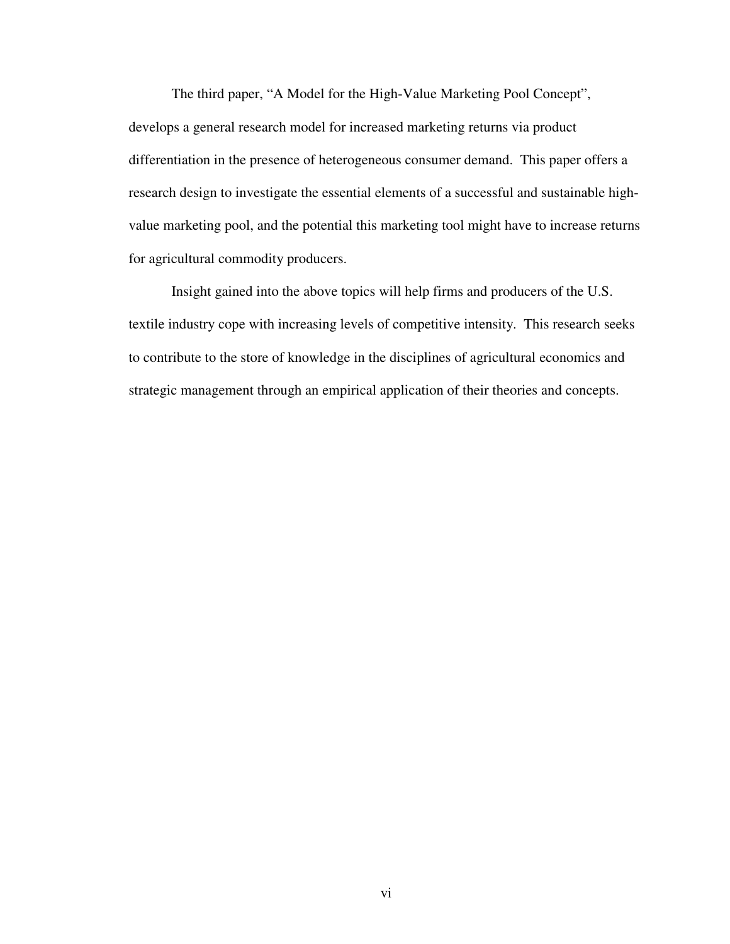The third paper, "A Model for the High-Value Marketing Pool Concept", develops a general research model for increased marketing returns via product differentiation in the presence of heterogeneous consumer demand. This paper offers a research design to investigate the essential elements of a successful and sustainable highvalue marketing pool, and the potential this marketing tool might have to increase returns for agricultural commodity producers.

Insight gained into the above topics will help firms and producers of the U.S. textile industry cope with increasing levels of competitive intensity. This research seeks to contribute to the store of knowledge in the disciplines of agricultural economics and strategic management through an empirical application of their theories and concepts.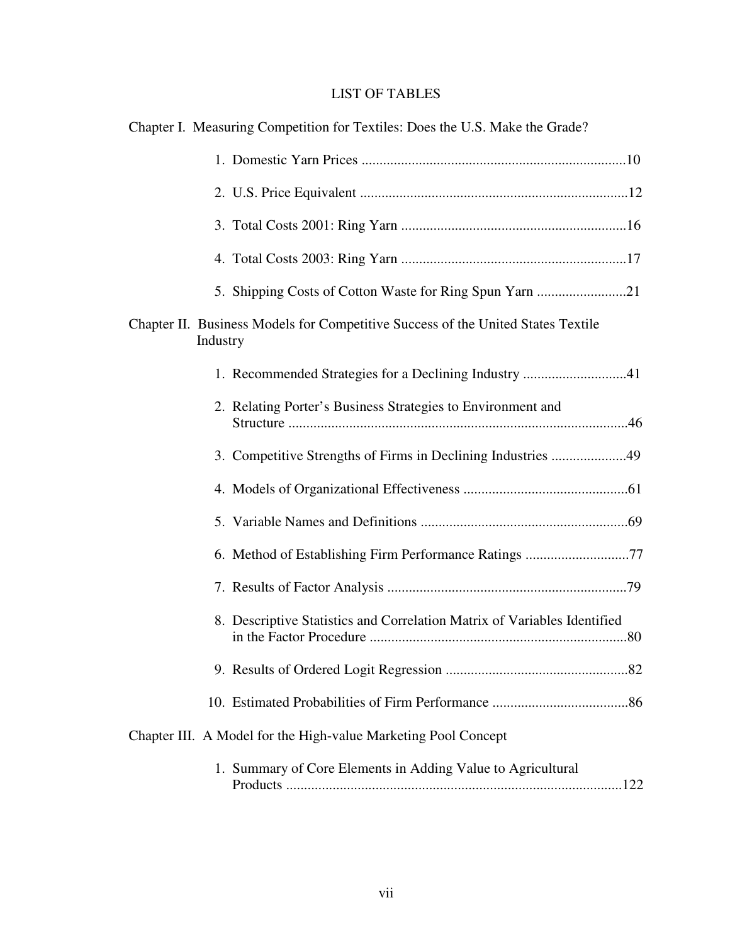# LIST OF TABLES

| Chapter I. Measuring Competition for Textiles: Does the U.S. Make the Grade?                 |
|----------------------------------------------------------------------------------------------|
|                                                                                              |
|                                                                                              |
|                                                                                              |
|                                                                                              |
| 5. Shipping Costs of Cotton Waste for Ring Spun Yarn 21                                      |
| Chapter II. Business Models for Competitive Success of the United States Textile<br>Industry |
| 1. Recommended Strategies for a Declining Industry 41                                        |
| 2. Relating Porter's Business Strategies to Environment and                                  |
| 3. Competitive Strengths of Firms in Declining Industries 49                                 |
|                                                                                              |
|                                                                                              |
| 6. Method of Establishing Firm Performance Ratings 77                                        |
|                                                                                              |
| 8. Descriptive Statistics and Correlation Matrix of Variables Identified                     |
|                                                                                              |
|                                                                                              |
| Chapter III. A Model for the High-value Marketing Pool Concept                               |
| 1. Summary of Core Elements in Adding Value to Agricultural                                  |

Products ..............................................................................................122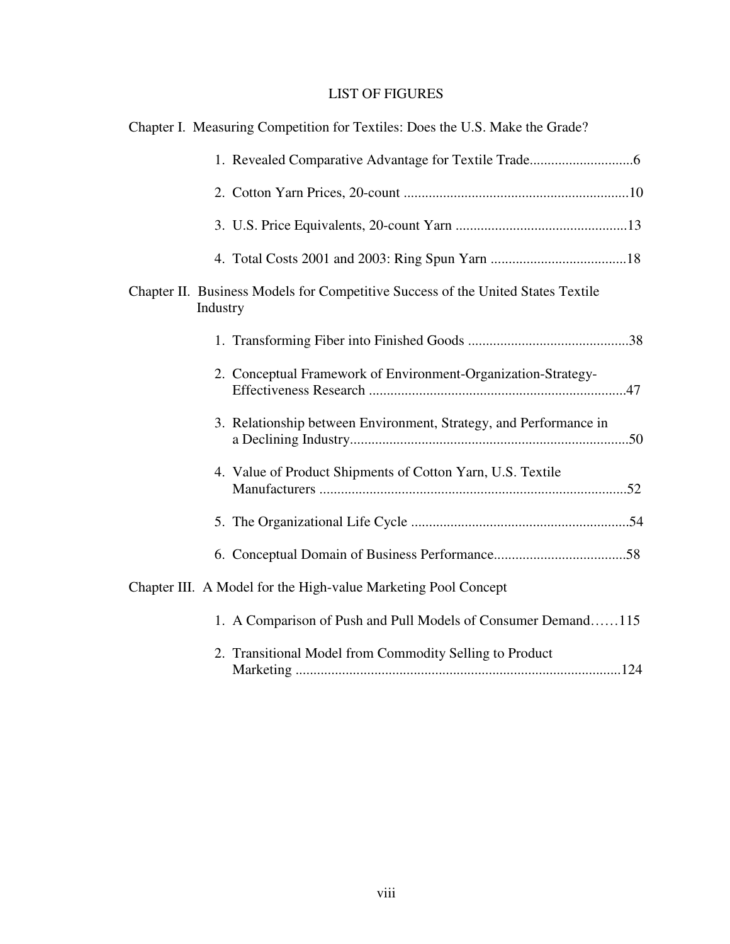# LIST OF FIGURES

| Chapter I. Measuring Competition for Textiles: Does the U.S. Make the Grade?                 |
|----------------------------------------------------------------------------------------------|
|                                                                                              |
|                                                                                              |
|                                                                                              |
|                                                                                              |
| Chapter II. Business Models for Competitive Success of the United States Textile<br>Industry |
|                                                                                              |
| 2. Conceptual Framework of Environment-Organization-Strategy-                                |
| 3. Relationship between Environment, Strategy, and Performance in                            |
| 4. Value of Product Shipments of Cotton Yarn, U.S. Textile                                   |
|                                                                                              |
|                                                                                              |
| Chapter III. A Model for the High-value Marketing Pool Concept                               |
| 1. A Comparison of Push and Pull Models of Consumer Demand115                                |
| 2. Transitional Model from Commodity Selling to Product                                      |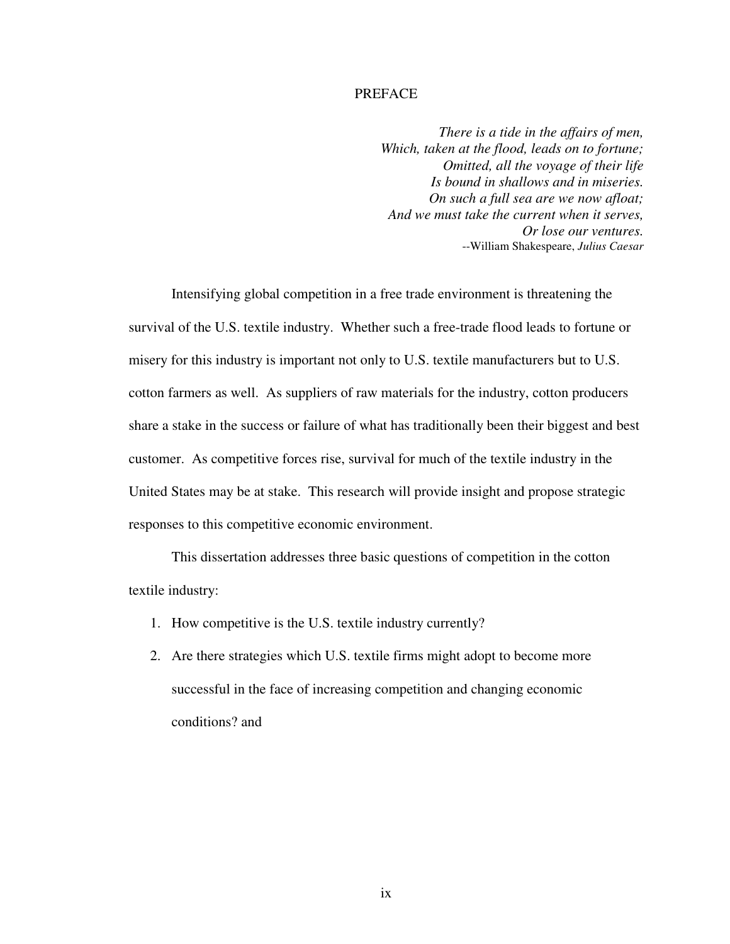# PREFACE

*There is a tide in the affairs of men, Which, taken at the flood, leads on to fortune; Omitted, all the voyage of their life Is bound in shallows and in miseries. On such a full sea are we now afloat; And we must take the current when it serves, Or lose our ventures.*  --William Shakespeare, *Julius Caesar*

Intensifying global competition in a free trade environment is threatening the survival of the U.S. textile industry. Whether such a free-trade flood leads to fortune or misery for this industry is important not only to U.S. textile manufacturers but to U.S. cotton farmers as well. As suppliers of raw materials for the industry, cotton producers share a stake in the success or failure of what has traditionally been their biggest and best customer. As competitive forces rise, survival for much of the textile industry in the United States may be at stake. This research will provide insight and propose strategic responses to this competitive economic environment.

This dissertation addresses three basic questions of competition in the cotton textile industry:

- 1. How competitive is the U.S. textile industry currently?
- 2. Are there strategies which U.S. textile firms might adopt to become more successful in the face of increasing competition and changing economic conditions? and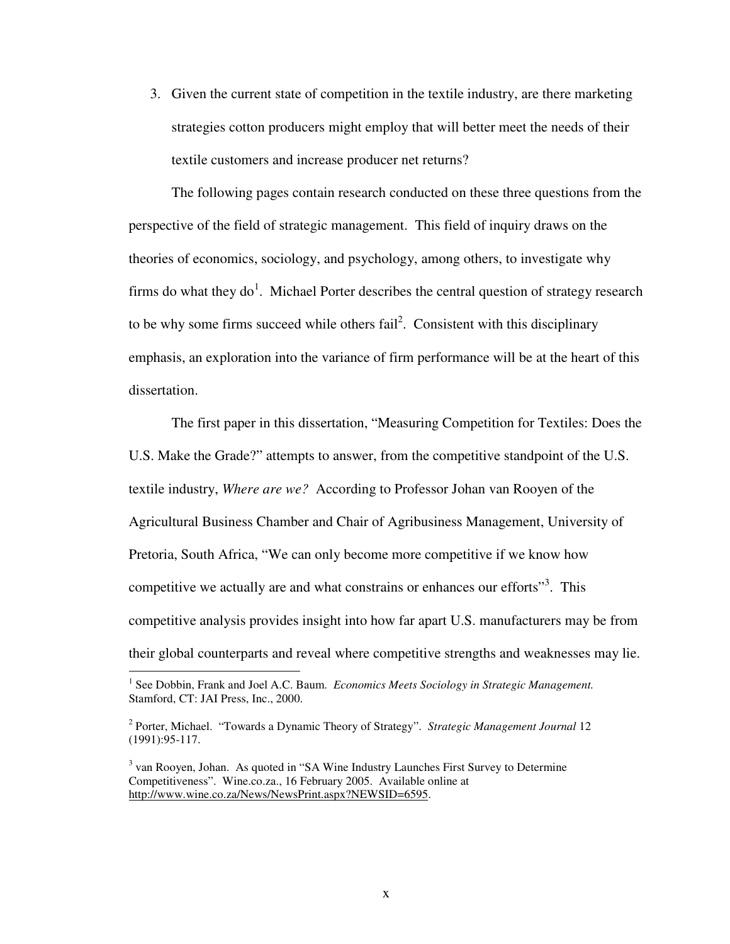3. Given the current state of competition in the textile industry, are there marketing strategies cotton producers might employ that will better meet the needs of their textile customers and increase producer net returns?

The following pages contain research conducted on these three questions from the perspective of the field of strategic management. This field of inquiry draws on the theories of economics, sociology, and psychology, among others, to investigate why firms do what they  $do^1$ . Michael Porter describes the central question of strategy research to be why some firms succeed while others  $fail^2$ . Consistent with this disciplinary emphasis, an exploration into the variance of firm performance will be at the heart of this dissertation.

The first paper in this dissertation, "Measuring Competition for Textiles: Does the U.S. Make the Grade?" attempts to answer, from the competitive standpoint of the U.S. textile industry, *Where are we?* According to Professor Johan van Rooyen of the Agricultural Business Chamber and Chair of Agribusiness Management, University of Pretoria, South Africa, "We can only become more competitive if we know how competitive we actually are and what constrains or enhances our efforts"<sup>3</sup>. This competitive analysis provides insight into how far apart U.S. manufacturers may be from their global counterparts and reveal where competitive strengths and weaknesses may lie.

 $\overline{a}$ 

<sup>&</sup>lt;sup>1</sup> See Dobbin, Frank and Joel A.C. Baum. *Economics Meets Sociology in Strategic Management*. Stamford, CT: JAI Press, Inc., 2000.

<sup>2</sup> Porter, Michael. "Towards a Dynamic Theory of Strategy". *Strategic Management Journal* 12 (1991):95-117.

<sup>&</sup>lt;sup>3</sup> van Rooyen, Johan. As quoted in "SA Wine Industry Launches First Survey to Determine Competitiveness". Wine.co.za., 16 February 2005. Available online at http://www.wine.co.za/News/NewsPrint.aspx?NEWSID=6595.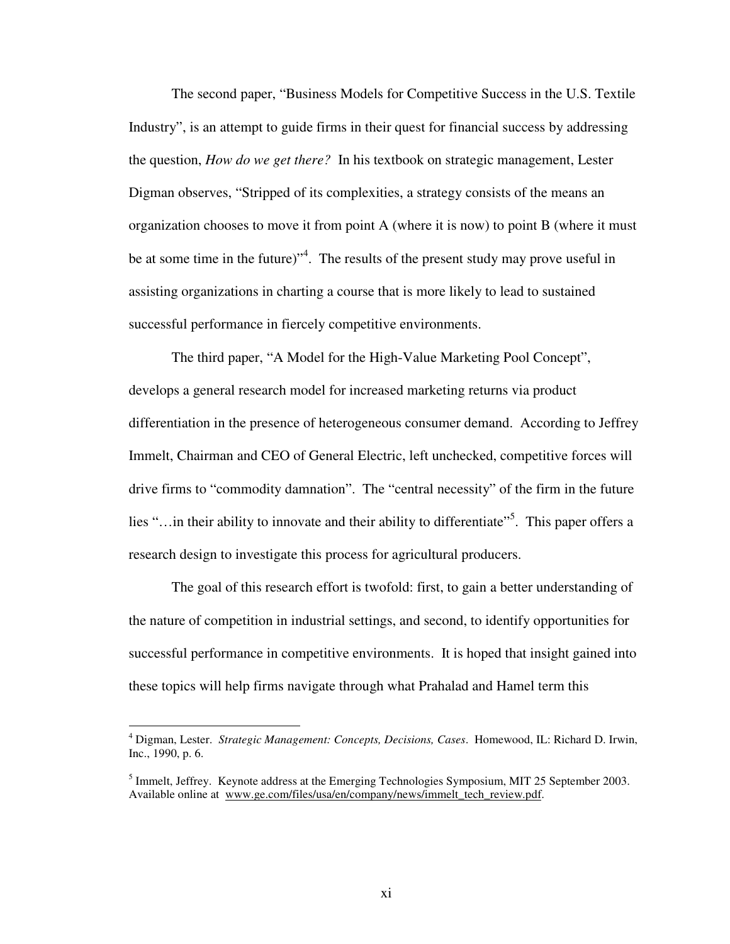The second paper, "Business Models for Competitive Success in the U.S. Textile Industry", is an attempt to guide firms in their quest for financial success by addressing the question, *How do we get there?* In his textbook on strategic management, Lester Digman observes, "Stripped of its complexities, a strategy consists of the means an organization chooses to move it from point A (where it is now) to point B (where it must be at some time in the future)<sup>"4</sup>. The results of the present study may prove useful in assisting organizations in charting a course that is more likely to lead to sustained successful performance in fiercely competitive environments.

The third paper, "A Model for the High-Value Marketing Pool Concept", develops a general research model for increased marketing returns via product differentiation in the presence of heterogeneous consumer demand. According to Jeffrey Immelt, Chairman and CEO of General Electric, left unchecked, competitive forces will drive firms to "commodity damnation". The "central necessity" of the firm in the future lies "... in their ability to innovate and their ability to differentiate". This paper offers a research design to investigate this process for agricultural producers.

The goal of this research effort is twofold: first, to gain a better understanding of the nature of competition in industrial settings, and second, to identify opportunities for successful performance in competitive environments. It is hoped that insight gained into these topics will help firms navigate through what Prahalad and Hamel term this

 $\overline{a}$ 

<sup>4</sup> Digman, Lester. *Strategic Management: Concepts, Decisions, Cases*. Homewood, IL: Richard D. Irwin, Inc., 1990, p. 6.

<sup>&</sup>lt;sup>5</sup> Immelt, Jeffrey. Keynote address at the Emerging Technologies Symposium, MIT 25 September 2003. Available online at www.ge.com/files/usa/en/company/news/immelt\_tech\_review.pdf.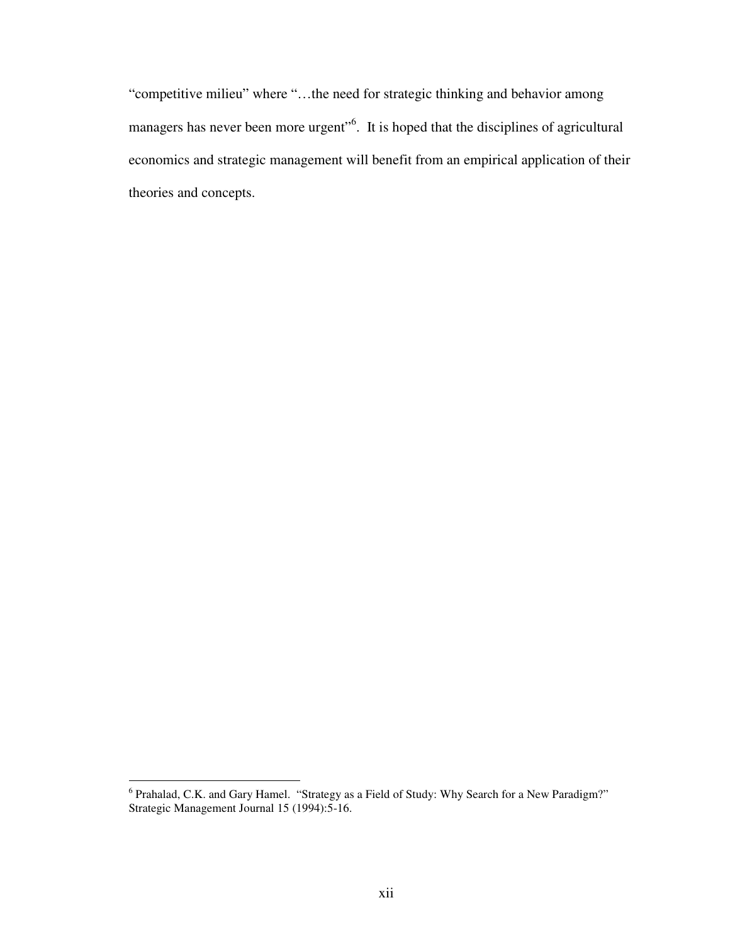"competitive milieu" where "…the need for strategic thinking and behavior among managers has never been more urgent"<sup>6</sup>. It is hoped that the disciplines of agricultural economics and strategic management will benefit from an empirical application of their theories and concepts.

<sup>&</sup>lt;sup>6</sup> Prahalad, C.K. and Gary Hamel. "Strategy as a Field of Study: Why Search for a New Paradigm?" Strategic Management Journal 15 (1994):5-16.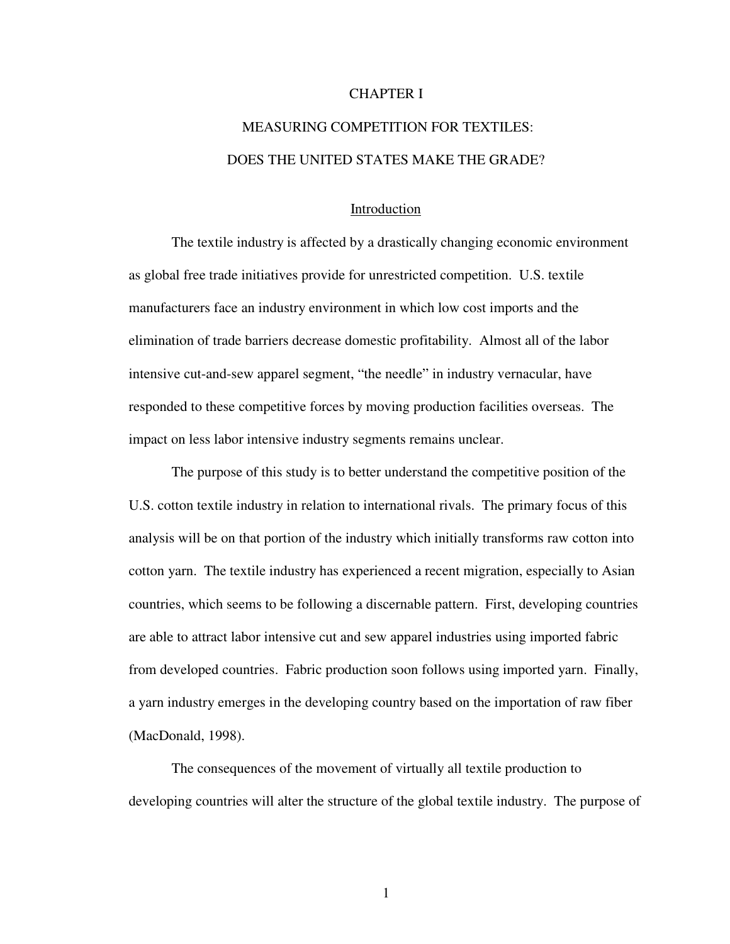# CHAPTER I

# MEASURING COMPETITION FOR TEXTILES: DOES THE UNITED STATES MAKE THE GRADE?

### Introduction

The textile industry is affected by a drastically changing economic environment as global free trade initiatives provide for unrestricted competition. U.S. textile manufacturers face an industry environment in which low cost imports and the elimination of trade barriers decrease domestic profitability. Almost all of the labor intensive cut-and-sew apparel segment, "the needle" in industry vernacular, have responded to these competitive forces by moving production facilities overseas. The impact on less labor intensive industry segments remains unclear.

The purpose of this study is to better understand the competitive position of the U.S. cotton textile industry in relation to international rivals. The primary focus of this analysis will be on that portion of the industry which initially transforms raw cotton into cotton yarn. The textile industry has experienced a recent migration, especially to Asian countries, which seems to be following a discernable pattern. First, developing countries are able to attract labor intensive cut and sew apparel industries using imported fabric from developed countries. Fabric production soon follows using imported yarn. Finally, a yarn industry emerges in the developing country based on the importation of raw fiber (MacDonald, 1998).

The consequences of the movement of virtually all textile production to developing countries will alter the structure of the global textile industry. The purpose of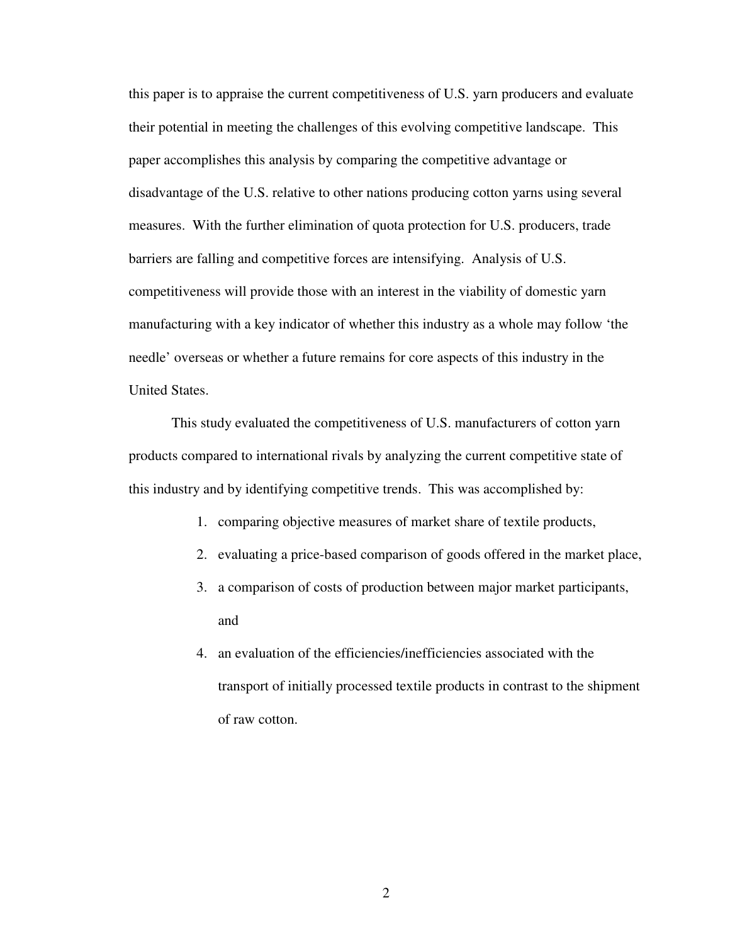this paper is to appraise the current competitiveness of U.S. yarn producers and evaluate their potential in meeting the challenges of this evolving competitive landscape. This paper accomplishes this analysis by comparing the competitive advantage or disadvantage of the U.S. relative to other nations producing cotton yarns using several measures. With the further elimination of quota protection for U.S. producers, trade barriers are falling and competitive forces are intensifying. Analysis of U.S. competitiveness will provide those with an interest in the viability of domestic yarn manufacturing with a key indicator of whether this industry as a whole may follow 'the needle' overseas or whether a future remains for core aspects of this industry in the United States.

This study evaluated the competitiveness of U.S. manufacturers of cotton yarn products compared to international rivals by analyzing the current competitive state of this industry and by identifying competitive trends. This was accomplished by:

- 1. comparing objective measures of market share of textile products,
- 2. evaluating a price-based comparison of goods offered in the market place,
- 3. a comparison of costs of production between major market participants, and
- 4. an evaluation of the efficiencies/inefficiencies associated with the transport of initially processed textile products in contrast to the shipment of raw cotton.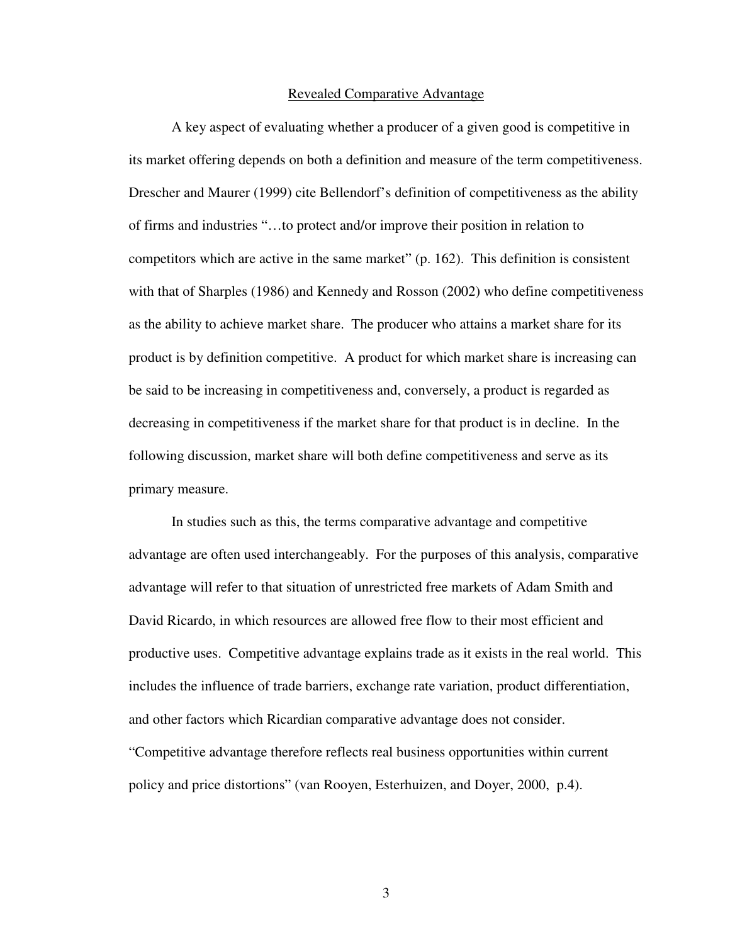#### Revealed Comparative Advantage

A key aspect of evaluating whether a producer of a given good is competitive in its market offering depends on both a definition and measure of the term competitiveness. Drescher and Maurer (1999) cite Bellendorf's definition of competitiveness as the ability of firms and industries "…to protect and/or improve their position in relation to competitors which are active in the same market" (p. 162). This definition is consistent with that of Sharples (1986) and Kennedy and Rosson (2002) who define competitiveness as the ability to achieve market share. The producer who attains a market share for its product is by definition competitive. A product for which market share is increasing can be said to be increasing in competitiveness and, conversely, a product is regarded as decreasing in competitiveness if the market share for that product is in decline. In the following discussion, market share will both define competitiveness and serve as its primary measure.

In studies such as this, the terms comparative advantage and competitive advantage are often used interchangeably. For the purposes of this analysis, comparative advantage will refer to that situation of unrestricted free markets of Adam Smith and David Ricardo, in which resources are allowed free flow to their most efficient and productive uses. Competitive advantage explains trade as it exists in the real world. This includes the influence of trade barriers, exchange rate variation, product differentiation, and other factors which Ricardian comparative advantage does not consider. "Competitive advantage therefore reflects real business opportunities within current policy and price distortions" (van Rooyen, Esterhuizen, and Doyer, 2000, p.4).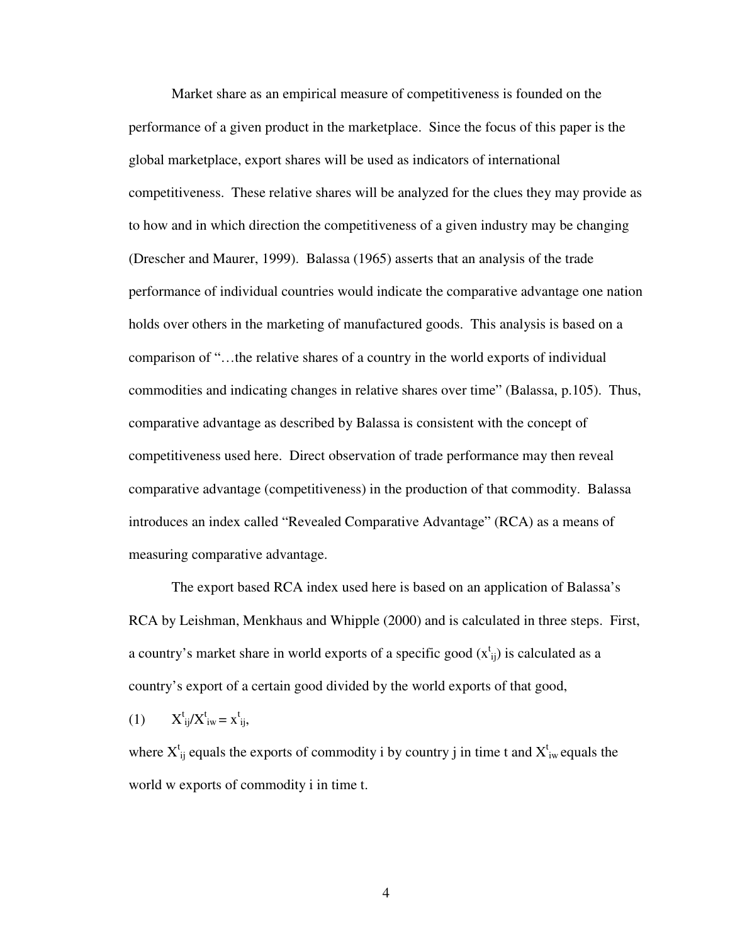Market share as an empirical measure of competitiveness is founded on the performance of a given product in the marketplace. Since the focus of this paper is the global marketplace, export shares will be used as indicators of international competitiveness. These relative shares will be analyzed for the clues they may provide as to how and in which direction the competitiveness of a given industry may be changing (Drescher and Maurer, 1999). Balassa (1965) asserts that an analysis of the trade performance of individual countries would indicate the comparative advantage one nation holds over others in the marketing of manufactured goods. This analysis is based on a comparison of "…the relative shares of a country in the world exports of individual commodities and indicating changes in relative shares over time" (Balassa, p.105). Thus, comparative advantage as described by Balassa is consistent with the concept of competitiveness used here. Direct observation of trade performance may then reveal comparative advantage (competitiveness) in the production of that commodity. Balassa introduces an index called "Revealed Comparative Advantage" (RCA) as a means of measuring comparative advantage.

The export based RCA index used here is based on an application of Balassa's RCA by Leishman, Menkhaus and Whipple (2000) and is calculated in three steps. First, a country's market share in world exports of a specific good  $(x_{ij}^t)$  is calculated as a country's export of a certain good divided by the world exports of that good,

$$
(1) \tX^t_{ij}/X^t_{iw} = x^t_{ij},
$$

where  $X_{ij}^t$  equals the exports of commodity i by country j in time t and  $X_{iw}^t$  equals the world w exports of commodity i in time t.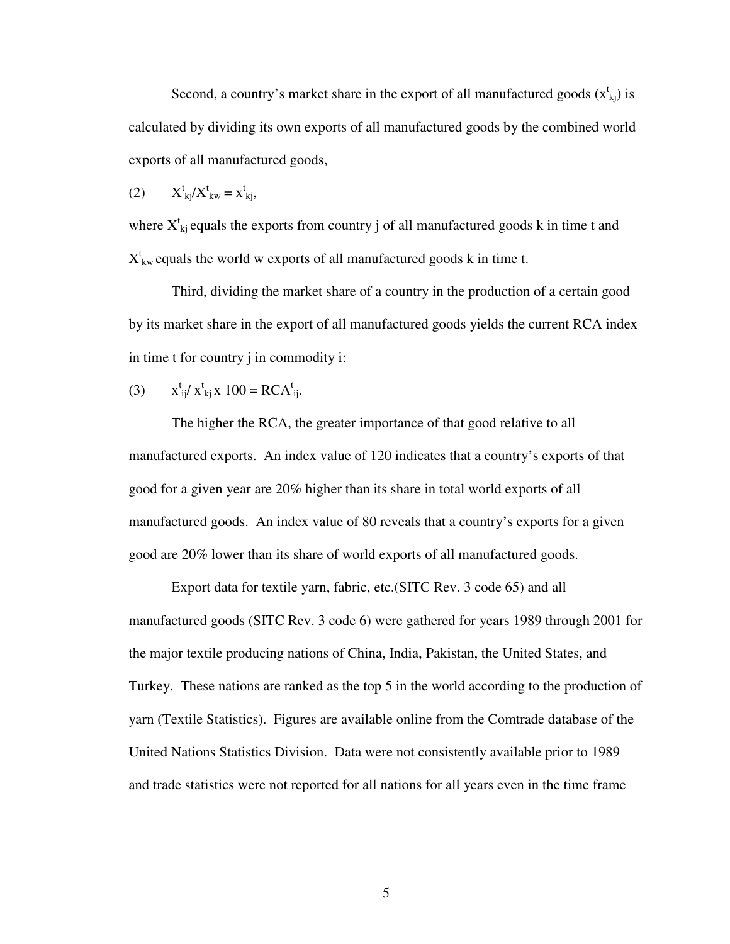Second, a country's market share in the export of all manufactured goods  $(x_{kj}^t)$  is calculated by dividing its own exports of all manufactured goods by the combined world exports of all manufactured goods,

$$
(2) \tXtkj/Xtkw = xtkj,
$$

where  $X_{kj}^t$  equals the exports from country j of all manufactured goods k in time t and  $X_{kw}^t$  equals the world w exports of all manufactured goods k in time t.

Third, dividing the market share of a country in the production of a certain good by its market share in the export of all manufactured goods yields the current RCA index in time t for country j in commodity i:

(3) 
$$
x_{ij}^t / x_{kj}^t x 100 = RCA_{ij}^t
$$
.

The higher the RCA, the greater importance of that good relative to all manufactured exports. An index value of 120 indicates that a country's exports of that good for a given year are 20% higher than its share in total world exports of all manufactured goods. An index value of 80 reveals that a country's exports for a given good are 20% lower than its share of world exports of all manufactured goods.

Export data for textile yarn, fabric, etc.(SITC Rev. 3 code 65) and all manufactured goods (SITC Rev. 3 code 6) were gathered for years 1989 through 2001 for the major textile producing nations of China, India, Pakistan, the United States, and Turkey. These nations are ranked as the top 5 in the world according to the production of yarn (Textile Statistics). Figures are available online from the Comtrade database of the United Nations Statistics Division. Data were not consistently available prior to 1989 and trade statistics were not reported for all nations for all years even in the time frame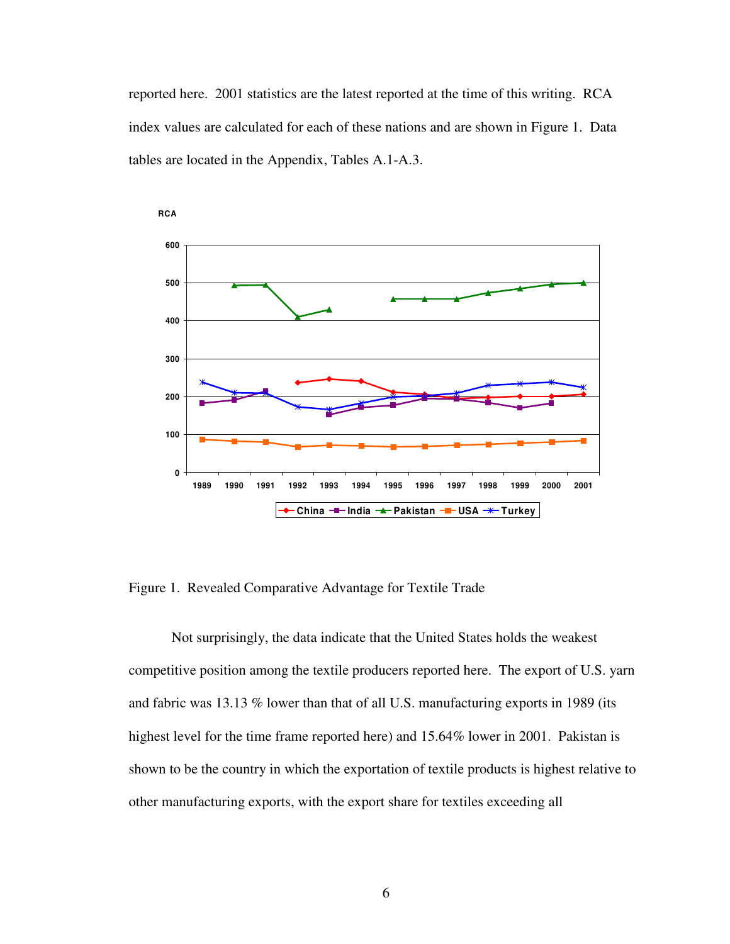reported here. 2001 statistics are the latest reported at the time of this writing. RCA index values are calculated for each of these nations and are shown in Figure 1. Data tables are located in the Appendix, Tables A.1-A.3.



Figure 1. Revealed Comparative Advantage for Textile Trade

Not surprisingly, the data indicate that the United States holds the weakest competitive position among the textile producers reported here. The export of U.S. yarn and fabric was 13.13 % lower than that of all U.S. manufacturing exports in 1989 (its highest level for the time frame reported here) and 15.64% lower in 2001. Pakistan is shown to be the country in which the exportation of textile products is highest relative to other manufacturing exports, with the export share for textiles exceeding all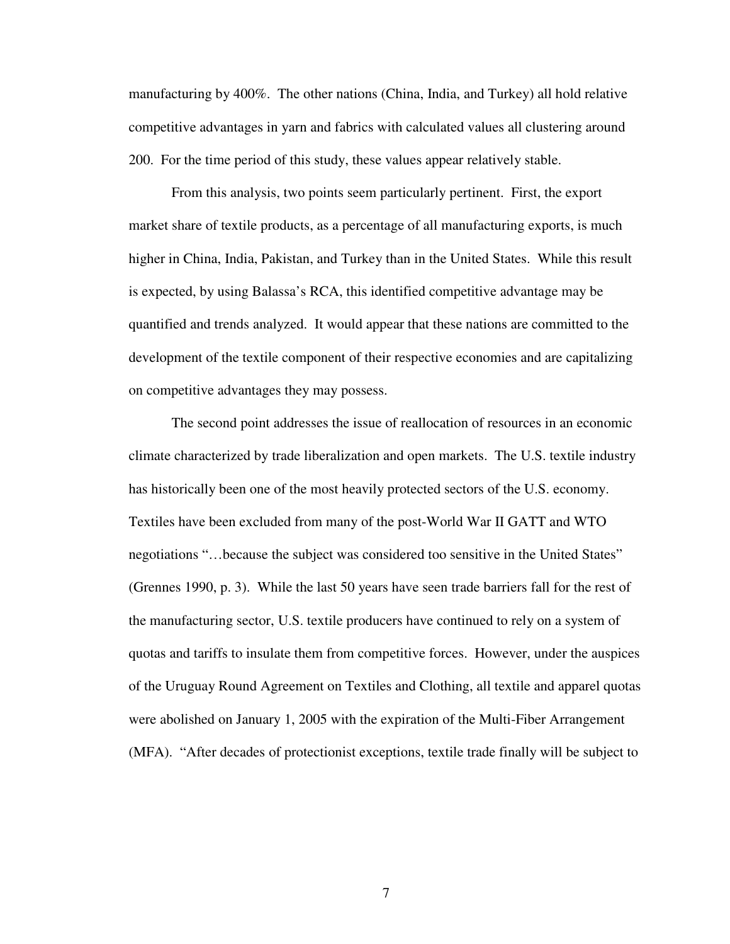manufacturing by 400%. The other nations (China, India, and Turkey) all hold relative competitive advantages in yarn and fabrics with calculated values all clustering around 200. For the time period of this study, these values appear relatively stable.

From this analysis, two points seem particularly pertinent. First, the export market share of textile products, as a percentage of all manufacturing exports, is much higher in China, India, Pakistan, and Turkey than in the United States. While this result is expected, by using Balassa's RCA, this identified competitive advantage may be quantified and trends analyzed. It would appear that these nations are committed to the development of the textile component of their respective economies and are capitalizing on competitive advantages they may possess.

The second point addresses the issue of reallocation of resources in an economic climate characterized by trade liberalization and open markets. The U.S. textile industry has historically been one of the most heavily protected sectors of the U.S. economy. Textiles have been excluded from many of the post-World War II GATT and WTO negotiations "…because the subject was considered too sensitive in the United States" (Grennes 1990, p. 3). While the last 50 years have seen trade barriers fall for the rest of the manufacturing sector, U.S. textile producers have continued to rely on a system of quotas and tariffs to insulate them from competitive forces. However, under the auspices of the Uruguay Round Agreement on Textiles and Clothing, all textile and apparel quotas were abolished on January 1, 2005 with the expiration of the Multi-Fiber Arrangement (MFA). "After decades of protectionist exceptions, textile trade finally will be subject to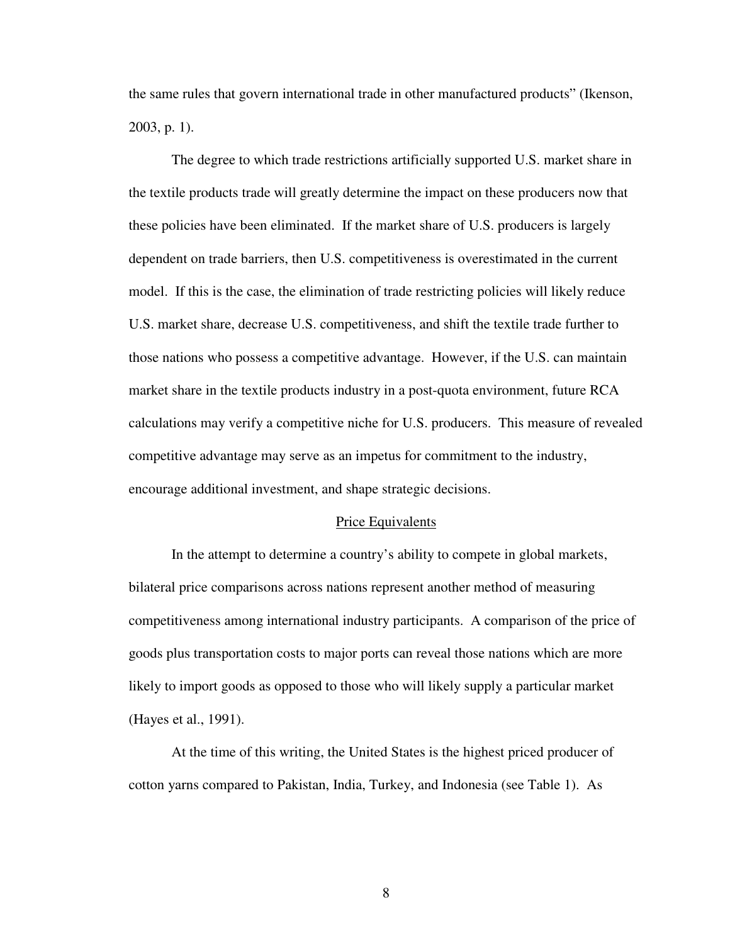the same rules that govern international trade in other manufactured products" (Ikenson, 2003, p. 1).

The degree to which trade restrictions artificially supported U.S. market share in the textile products trade will greatly determine the impact on these producers now that these policies have been eliminated. If the market share of U.S. producers is largely dependent on trade barriers, then U.S. competitiveness is overestimated in the current model. If this is the case, the elimination of trade restricting policies will likely reduce U.S. market share, decrease U.S. competitiveness, and shift the textile trade further to those nations who possess a competitive advantage. However, if the U.S. can maintain market share in the textile products industry in a post-quota environment, future RCA calculations may verify a competitive niche for U.S. producers. This measure of revealed competitive advantage may serve as an impetus for commitment to the industry, encourage additional investment, and shape strategic decisions.

#### Price Equivalents

In the attempt to determine a country's ability to compete in global markets, bilateral price comparisons across nations represent another method of measuring competitiveness among international industry participants. A comparison of the price of goods plus transportation costs to major ports can reveal those nations which are more likely to import goods as opposed to those who will likely supply a particular market (Hayes et al., 1991).

At the time of this writing, the United States is the highest priced producer of cotton yarns compared to Pakistan, India, Turkey, and Indonesia (see Table 1). As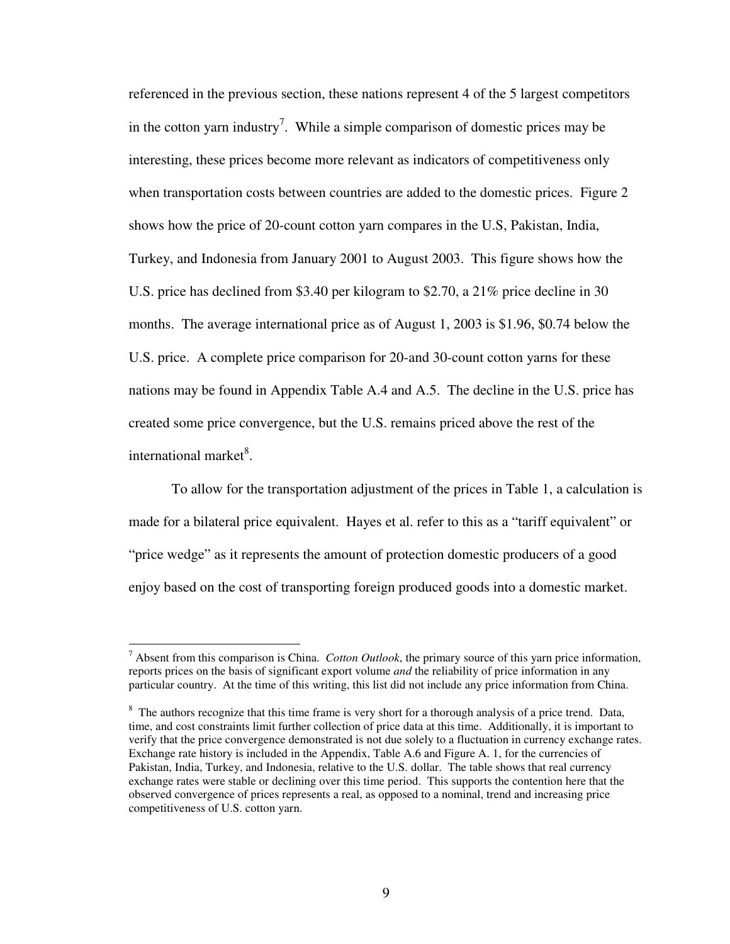referenced in the previous section, these nations represent 4 of the 5 largest competitors in the cotton yarn industry<sup>7</sup>. While a simple comparison of domestic prices may be interesting, these prices become more relevant as indicators of competitiveness only when transportation costs between countries are added to the domestic prices. Figure 2 shows how the price of 20-count cotton yarn compares in the U.S, Pakistan, India, Turkey, and Indonesia from January 2001 to August 2003. This figure shows how the U.S. price has declined from \$3.40 per kilogram to \$2.70, a 21% price decline in 30 months. The average international price as of August 1, 2003 is \$1.96, \$0.74 below the U.S. price. A complete price comparison for 20-and 30-count cotton yarns for these nations may be found in Appendix Table A.4 and A.5. The decline in the U.S. price has created some price convergence, but the U.S. remains priced above the rest of the international market<sup>8</sup>.

To allow for the transportation adjustment of the prices in Table 1, a calculation is made for a bilateral price equivalent. Hayes et al. refer to this as a "tariff equivalent" or "price wedge" as it represents the amount of protection domestic producers of a good enjoy based on the cost of transporting foreign produced goods into a domestic market.

 $\overline{a}$ 

<sup>7</sup> Absent from this comparison is China. *Cotton Outlook*, the primary source of this yarn price information, reports prices on the basis of significant export volume *and* the reliability of price information in any particular country. At the time of this writing, this list did not include any price information from China.

<sup>&</sup>lt;sup>8</sup> The authors recognize that this time frame is very short for a thorough analysis of a price trend. Data, time, and cost constraints limit further collection of price data at this time. Additionally, it is important to verify that the price convergence demonstrated is not due solely to a fluctuation in currency exchange rates. Exchange rate history is included in the Appendix, Table A.6 and Figure A. 1, for the currencies of Pakistan, India, Turkey, and Indonesia, relative to the U.S. dollar. The table shows that real currency exchange rates were stable or declining over this time period. This supports the contention here that the observed convergence of prices represents a real, as opposed to a nominal, trend and increasing price competitiveness of U.S. cotton yarn.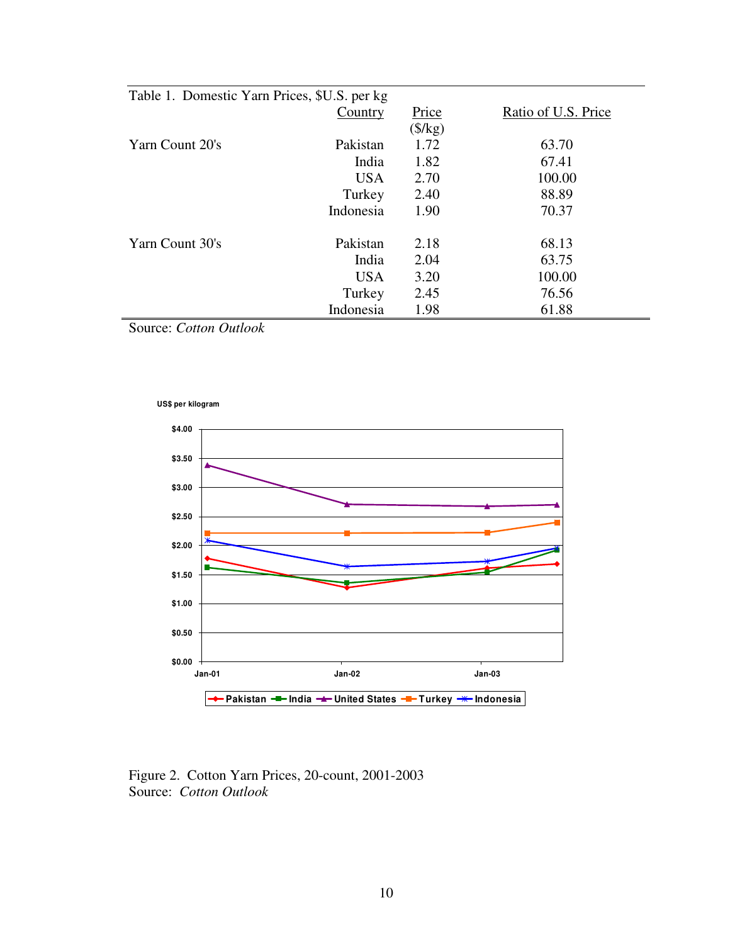| Table 1. Domestic Yarn Prices, \$U.S. per kg |            |                  |                     |  |  |  |
|----------------------------------------------|------------|------------------|---------------------|--|--|--|
|                                              | Country    | Price            | Ratio of U.S. Price |  |  |  |
|                                              |            | $(\frac{8}{kg})$ |                     |  |  |  |
| Yarn Count 20's                              | Pakistan   | 1.72             | 63.70               |  |  |  |
|                                              | India      | 1.82             | 67.41               |  |  |  |
|                                              | <b>USA</b> | 2.70             | 100.00              |  |  |  |
|                                              | Turkey     | 2.40             | 88.89               |  |  |  |
|                                              | Indonesia  | 1.90             | 70.37               |  |  |  |
| Yarn Count 30's                              | Pakistan   | 2.18             | 68.13               |  |  |  |
|                                              | India      | 2.04             | 63.75               |  |  |  |
|                                              | <b>USA</b> | 3.20             | 100.00              |  |  |  |
|                                              | Turkey     | 2.45             | 76.56               |  |  |  |
|                                              | Indonesia  | 1.98             | 61.88               |  |  |  |

Source: *Cotton Outlook*





Figure 2. Cotton Yarn Prices, 20-count, 2001-2003 Source: *Cotton Outlook*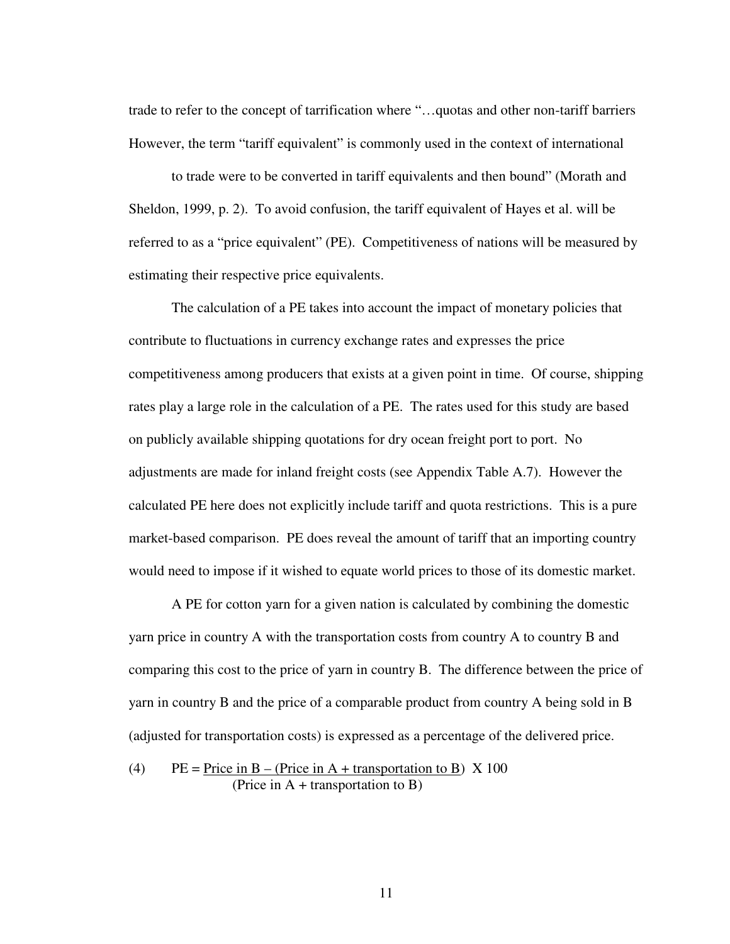trade to refer to the concept of tarrification where "…quotas and other non-tariff barriers However, the term "tariff equivalent" is commonly used in the context of international

to trade were to be converted in tariff equivalents and then bound" (Morath and Sheldon, 1999, p. 2). To avoid confusion, the tariff equivalent of Hayes et al. will be referred to as a "price equivalent" (PE). Competitiveness of nations will be measured by estimating their respective price equivalents.

The calculation of a PE takes into account the impact of monetary policies that contribute to fluctuations in currency exchange rates and expresses the price competitiveness among producers that exists at a given point in time. Of course, shipping rates play a large role in the calculation of a PE. The rates used for this study are based on publicly available shipping quotations for dry ocean freight port to port. No adjustments are made for inland freight costs (see Appendix Table A.7). However the calculated PE here does not explicitly include tariff and quota restrictions. This is a pure market-based comparison. PE does reveal the amount of tariff that an importing country would need to impose if it wished to equate world prices to those of its domestic market.

A PE for cotton yarn for a given nation is calculated by combining the domestic yarn price in country A with the transportation costs from country A to country B and comparing this cost to the price of yarn in country B. The difference between the price of yarn in country B and the price of a comparable product from country A being sold in B (adjusted for transportation costs) is expressed as a percentage of the delivered price.

(4) PE = Price in B – (Price in A + transportation to B)  $X$  100 (Price in A + transportation to B)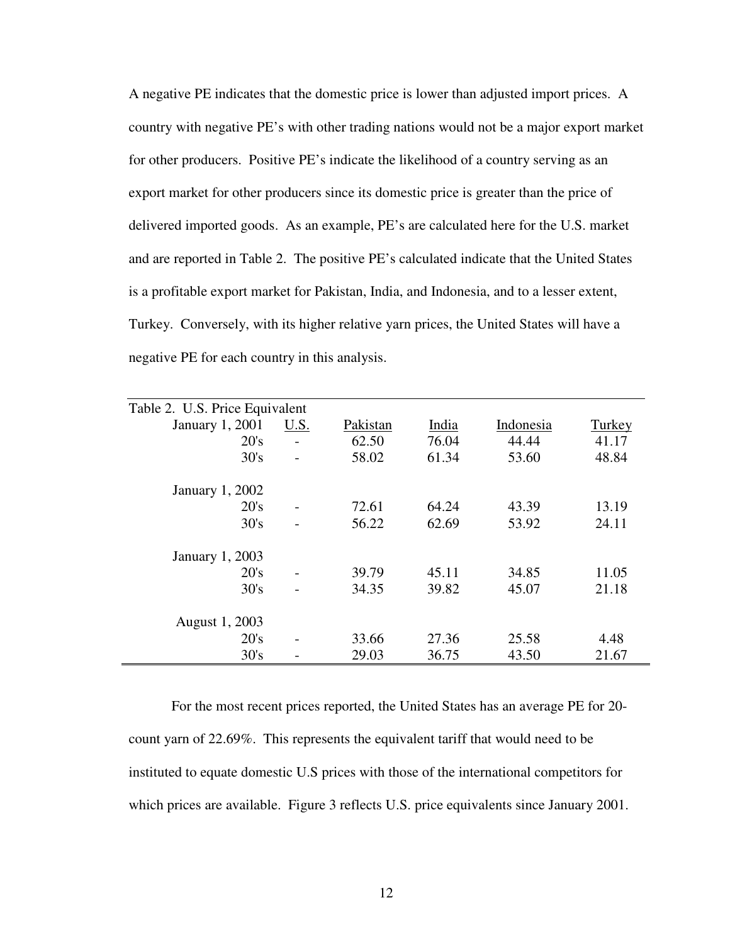A negative PE indicates that the domestic price is lower than adjusted import prices. A country with negative PE's with other trading nations would not be a major export market for other producers. Positive PE's indicate the likelihood of a country serving as an export market for other producers since its domestic price is greater than the price of delivered imported goods. As an example, PE's are calculated here for the U.S. market and are reported in Table 2. The positive PE's calculated indicate that the United States is a profitable export market for Pakistan, India, and Indonesia, and to a lesser extent, Turkey. Conversely, with its higher relative yarn prices, the United States will have a negative PE for each country in this analysis.

| Table 2. U.S. Price Equivalent |      |          |       |           |        |
|--------------------------------|------|----------|-------|-----------|--------|
| January 1, 2001                | U.S. | Pakistan | India | Indonesia | Turkey |
| 20's                           |      | 62.50    | 76.04 | 44.44     | 41.17  |
| 30's                           |      | 58.02    | 61.34 | 53.60     | 48.84  |
|                                |      |          |       |           |        |
| January 1, 2002                |      |          |       |           |        |
| 20's                           |      | 72.61    | 64.24 | 43.39     | 13.19  |
| 30's                           |      | 56.22    | 62.69 | 53.92     | 24.11  |
| January 1, 2003                |      |          |       |           |        |
| 20's                           |      | 39.79    | 45.11 | 34.85     | 11.05  |
| 30's                           |      | 34.35    | 39.82 | 45.07     | 21.18  |
| August 1, 2003                 |      |          |       |           |        |
| 20's                           |      | 33.66    | 27.36 | 25.58     | 4.48   |
| 30's                           |      | 29.03    | 36.75 | 43.50     | 21.67  |

For the most recent prices reported, the United States has an average PE for 20 count yarn of 22.69%. This represents the equivalent tariff that would need to be instituted to equate domestic U.S prices with those of the international competitors for which prices are available. Figure 3 reflects U.S. price equivalents since January 2001.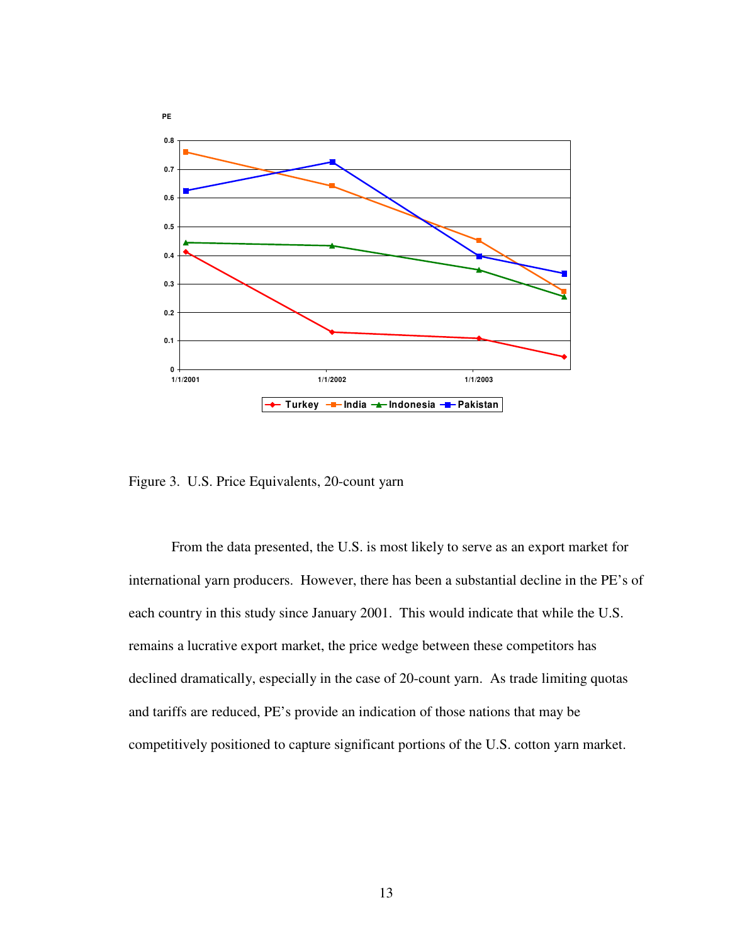

Figure 3. U.S. Price Equivalents, 20-count yarn

From the data presented, the U.S. is most likely to serve as an export market for international yarn producers. However, there has been a substantial decline in the PE's of each country in this study since January 2001. This would indicate that while the U.S. remains a lucrative export market, the price wedge between these competitors has declined dramatically, especially in the case of 20-count yarn. As trade limiting quotas and tariffs are reduced, PE's provide an indication of those nations that may be competitively positioned to capture significant portions of the U.S. cotton yarn market.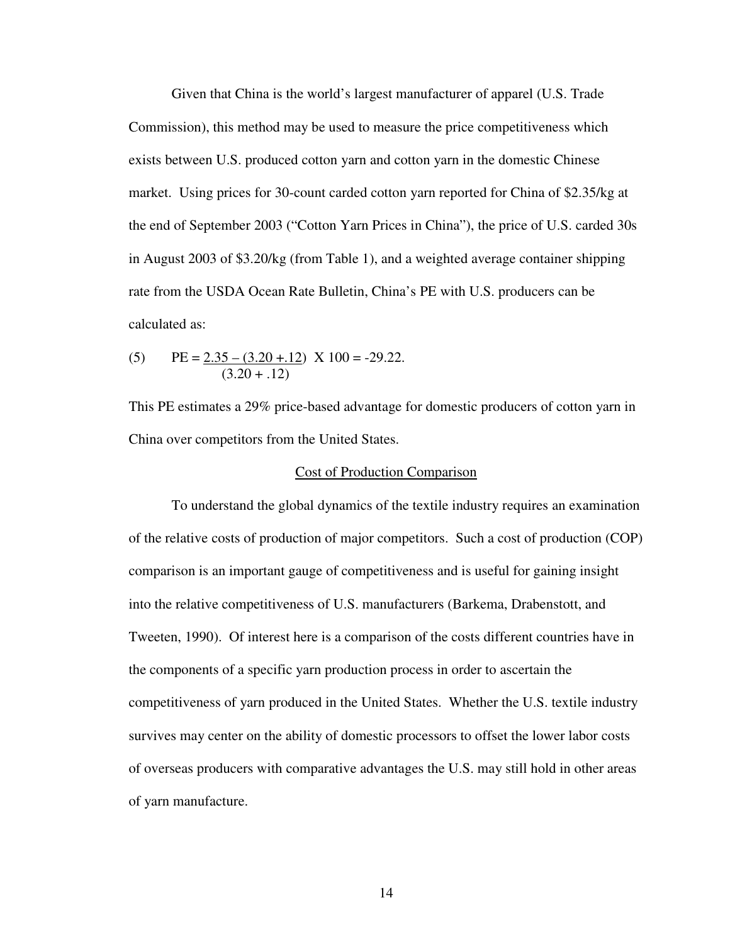Given that China is the world's largest manufacturer of apparel (U.S. Trade Commission), this method may be used to measure the price competitiveness which exists between U.S. produced cotton yarn and cotton yarn in the domestic Chinese market. Using prices for 30-count carded cotton yarn reported for China of \$2.35/kg at the end of September 2003 ("Cotton Yarn Prices in China"), the price of U.S. carded 30s in August 2003 of \$3.20/kg (from Table 1), and a weighted average container shipping rate from the USDA Ocean Rate Bulletin, China's PE with U.S. producers can be calculated as:

(5) 
$$
PE = \underbrace{2.35 - (3.20 + .12)}_{(3.20 + .12)} \times 100 = -29.22.
$$

This PE estimates a 29% price-based advantage for domestic producers of cotton yarn in China over competitors from the United States.

### Cost of Production Comparison

To understand the global dynamics of the textile industry requires an examination of the relative costs of production of major competitors. Such a cost of production (COP) comparison is an important gauge of competitiveness and is useful for gaining insight into the relative competitiveness of U.S. manufacturers (Barkema, Drabenstott, and Tweeten, 1990). Of interest here is a comparison of the costs different countries have in the components of a specific yarn production process in order to ascertain the competitiveness of yarn produced in the United States. Whether the U.S. textile industry survives may center on the ability of domestic processors to offset the lower labor costs of overseas producers with comparative advantages the U.S. may still hold in other areas of yarn manufacture.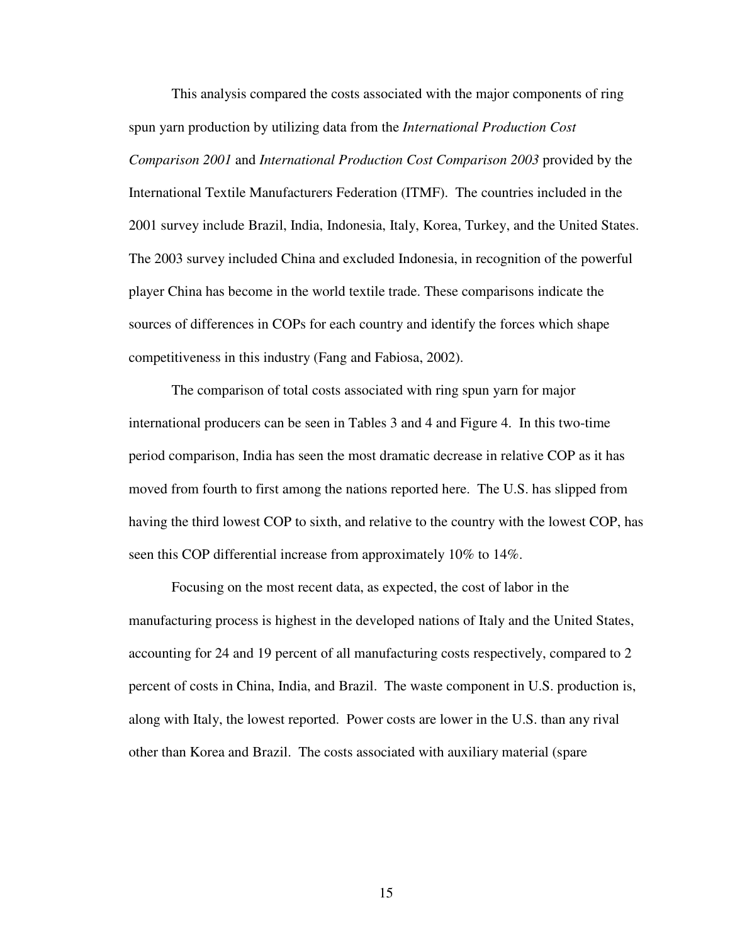This analysis compared the costs associated with the major components of ring spun yarn production by utilizing data from the *International Production Cost Comparison 2001* and *International Production Cost Comparison 2003* provided by the International Textile Manufacturers Federation (ITMF). The countries included in the 2001 survey include Brazil, India, Indonesia, Italy, Korea, Turkey, and the United States. The 2003 survey included China and excluded Indonesia, in recognition of the powerful player China has become in the world textile trade. These comparisons indicate the sources of differences in COPs for each country and identify the forces which shape competitiveness in this industry (Fang and Fabiosa, 2002).

The comparison of total costs associated with ring spun yarn for major international producers can be seen in Tables 3 and 4 and Figure 4. In this two-time period comparison, India has seen the most dramatic decrease in relative COP as it has moved from fourth to first among the nations reported here. The U.S. has slipped from having the third lowest COP to sixth, and relative to the country with the lowest COP, has seen this COP differential increase from approximately 10% to 14%.

Focusing on the most recent data, as expected, the cost of labor in the manufacturing process is highest in the developed nations of Italy and the United States, accounting for 24 and 19 percent of all manufacturing costs respectively, compared to 2 percent of costs in China, India, and Brazil. The waste component in U.S. production is, along with Italy, the lowest reported. Power costs are lower in the U.S. than any rival other than Korea and Brazil. The costs associated with auxiliary material (spare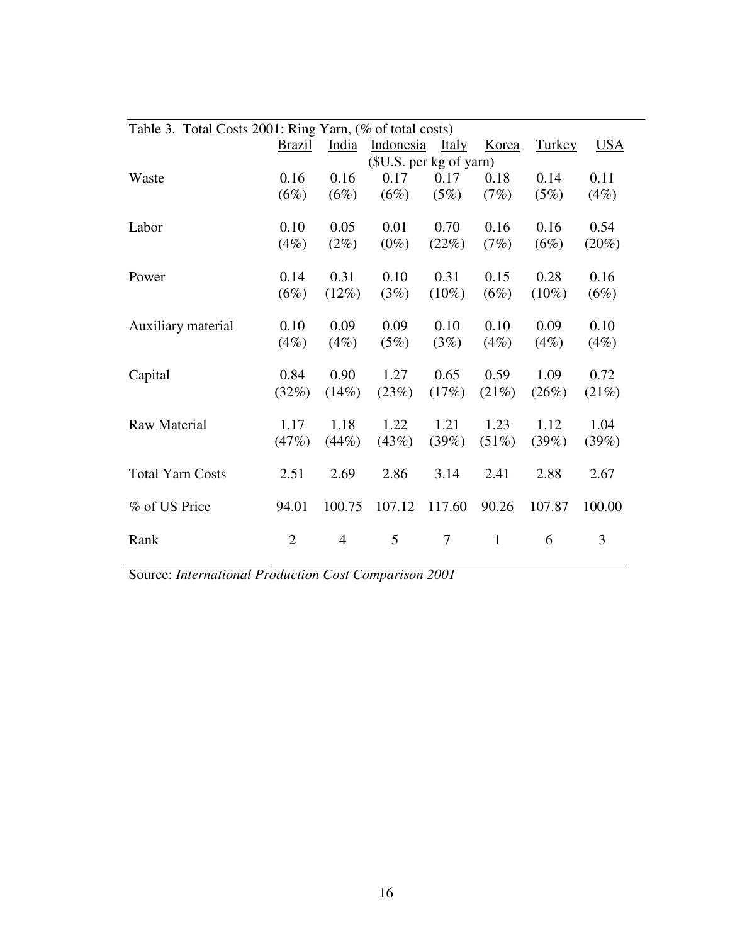| Table 3. Total Costs 2001: Ring Yarn, (% of total costs) |                |                         |           |                |              |               |            |
|----------------------------------------------------------|----------------|-------------------------|-----------|----------------|--------------|---------------|------------|
|                                                          | <b>Brazil</b>  | India                   | Indonesia | <b>Italy</b>   | Korea        | <b>Turkey</b> | <u>USA</u> |
|                                                          |                | (\$U.S. per kg of yarn) |           |                |              |               |            |
| Waste                                                    | 0.16           | 0.16                    | 0.17      | 0.17           | 0.18         | 0.14          | 0.11       |
|                                                          | (6%)           | $(6\%)$                 | (6%)      | (5%)           | (7%)         | (5%)          | (4%)       |
| Labor                                                    | 0.10           | 0.05                    | 0.01      | 0.70           | 0.16         | 0.16          | 0.54       |
|                                                          | (4%)           | $(2\%)$                 | $(0\%)$   | (22%)          | (7%)         | (6%)          | $(20\%)$   |
| Power                                                    | 0.14           | 0.31                    | 0.10      | 0.31           | 0.15         | 0.28          | 0.16       |
|                                                          | (6%)           | (12%)                   | (3%)      | $(10\%)$       | (6%)         | $(10\%)$      | (6%)       |
| Auxiliary material                                       | 0.10           | 0.09                    | 0.09      | 0.10           | 0.10         | 0.09          | 0.10       |
|                                                          | (4%)           | (4%)                    | (5%)      | (3%)           | (4%)         | (4%)          | (4%)       |
| Capital                                                  | 0.84           | 0.90                    | 1.27      | 0.65           | 0.59         | 1.09          | 0.72       |
|                                                          | (32%)          | (14%)                   | (23%)     | (17%)          | (21%)        | (26%)         | (21%)      |
| <b>Raw Material</b>                                      | 1.17           | 1.18                    | 1.22      | 1.21           | 1.23         | 1.12          | 1.04       |
|                                                          | (47%)          | (44%)                   | (43%)     | (39%)          | $(51\%)$     | (39%)         | (39%)      |
| <b>Total Yarn Costs</b>                                  | 2.51           | 2.69                    | 2.86      | 3.14           | 2.41         | 2.88          | 2.67       |
| % of US Price                                            | 94.01          | 100.75                  | 107.12    | 117.60         | 90.26        | 107.87        | 100.00     |
| Rank                                                     | $\overline{2}$ | $\overline{4}$          | 5         | $\overline{7}$ | $\mathbf{1}$ | 6             | 3          |

Source: *International Production Cost Comparison 2001*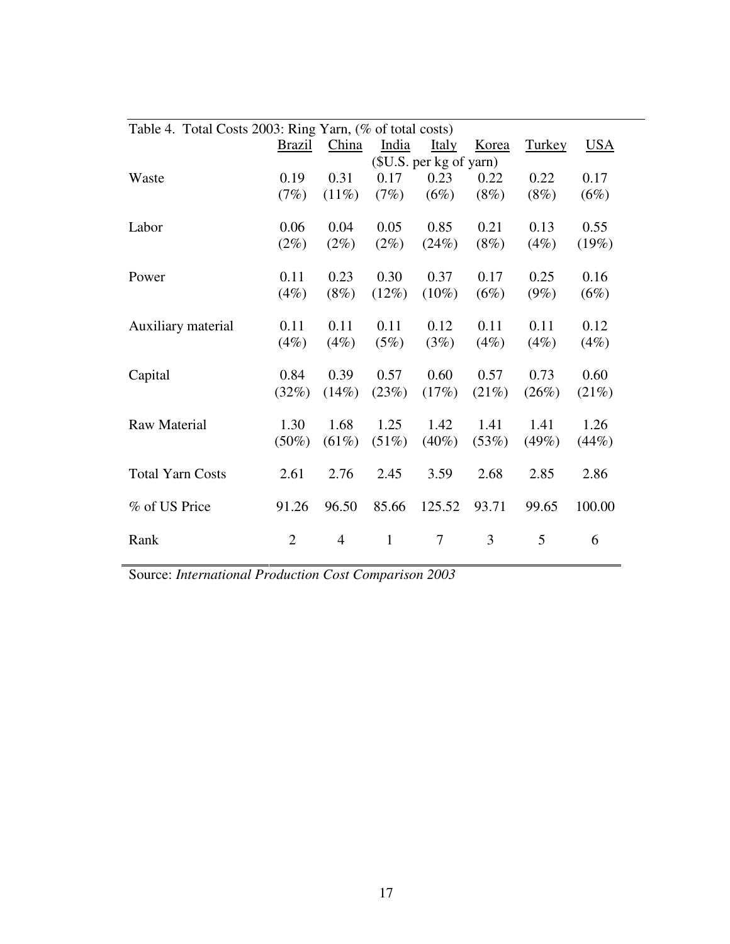| Table 4. Total Costs 2003: Ring Yarn, (% of total costs) |                         |                |              |              |         |               |        |
|----------------------------------------------------------|-------------------------|----------------|--------------|--------------|---------|---------------|--------|
|                                                          | <b>Brazil</b>           | China          | India        | <b>Italy</b> | Korea   | <b>Turkey</b> | USA    |
|                                                          | (\$U.S. per kg of yarn) |                |              |              |         |               |        |
| Waste                                                    | 0.19                    | 0.31           | 0.17         | 0.23         | 0.22    | 0.22          | 0.17   |
|                                                          | (7%)                    | $(11\%)$       | (7%)         | (6%)         | $(8\%)$ | (8%)          | (6%)   |
| Labor                                                    | 0.06                    | 0.04           | 0.05         | 0.85         | 0.21    | 0.13          | 0.55   |
|                                                          | $(2\%)$                 | $(2\%)$        | $(2\%)$      | (24%)        | $(8\%)$ | (4%)          | (19%)  |
| Power                                                    | 0.11                    | 0.23           | 0.30         | 0.37         | 0.17    | 0.25          | 0.16   |
|                                                          | (4%)                    | $(8\%)$        | (12%)        | $(10\%)$     | (6%)    | $(9\%)$       | (6%)   |
| Auxiliary material                                       | 0.11                    | 0.11           | 0.11         | 0.12         | 0.11    | 0.11          | 0.12   |
|                                                          | $(4\%)$                 | (4%)           | (5%)         | (3%)         | $(4\%)$ | (4%)          | (4%)   |
| Capital                                                  | 0.84                    | 0.39           | 0.57         | 0.60         | 0.57    | 0.73          | 0.60   |
|                                                          | (32%)                   | (14%)          | (23%)        | (17%)        | (21%)   | (26%)         | (21%)  |
| <b>Raw Material</b>                                      | 1.30                    | 1.68           | 1.25         | 1.42         | 1.41    | 1.41          | 1.26   |
|                                                          | $(50\%)$                | $(61\%)$       | (51%)        | $(40\%)$     | (53%)   | (49%)         | (44%)  |
| <b>Total Yarn Costs</b>                                  | 2.61                    | 2.76           | 2.45         | 3.59         | 2.68    | 2.85          | 2.86   |
| % of US Price                                            | 91.26                   | 96.50          | 85.66        | 125.52       | 93.71   | 99.65         | 100.00 |
| Rank                                                     | $\overline{2}$          | $\overline{4}$ | $\mathbf{1}$ | 7            | 3       | 5             | 6      |

Source: *International Production Cost Comparison 2003*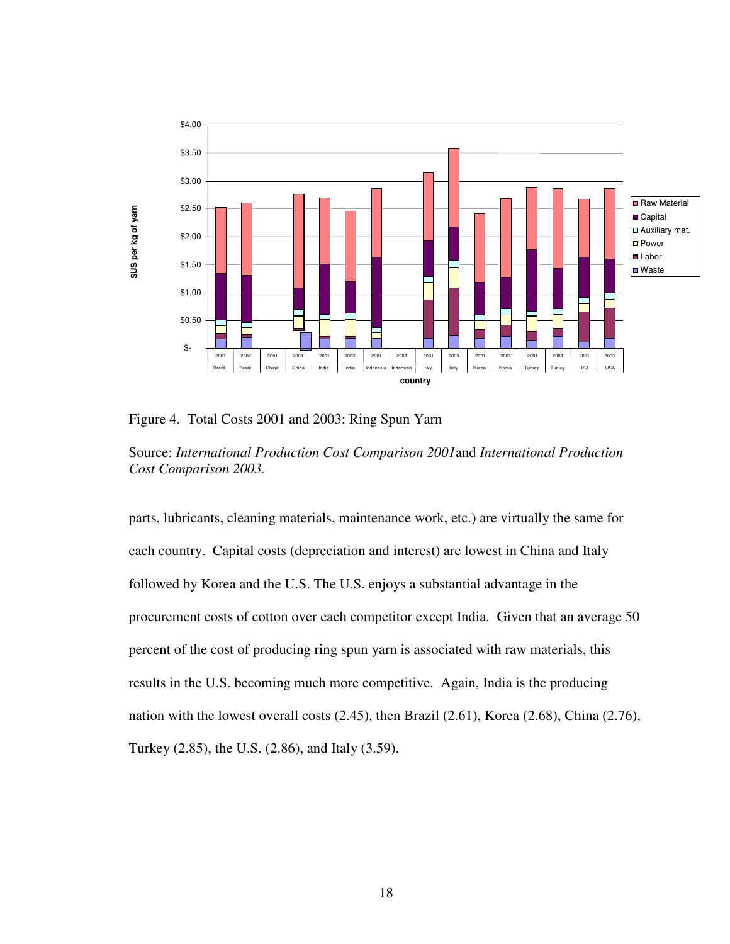

Figure 4. Total Costs 2001 and 2003: Ring Spun Yarn

Source: *International Production Cost Comparison 2001*and *International Production Cost Comparison 2003.* 

parts, lubricants, cleaning materials, maintenance work, etc.) are virtually the same for each country. Capital costs (depreciation and interest) are lowest in China and Italy followed by Korea and the U.S. The U.S. enjoys a substantial advantage in the procurement costs of cotton over each competitor except India. Given that an average 50 percent of the cost of producing ring spun yarn is associated with raw materials, this results in the U.S. becoming much more competitive. Again, India is the producing nation with the lowest overall costs (2.45), then Brazil (2.61), Korea (2.68), China (2.76), Turkey (2.85), the U.S. (2.86), and Italy (3.59).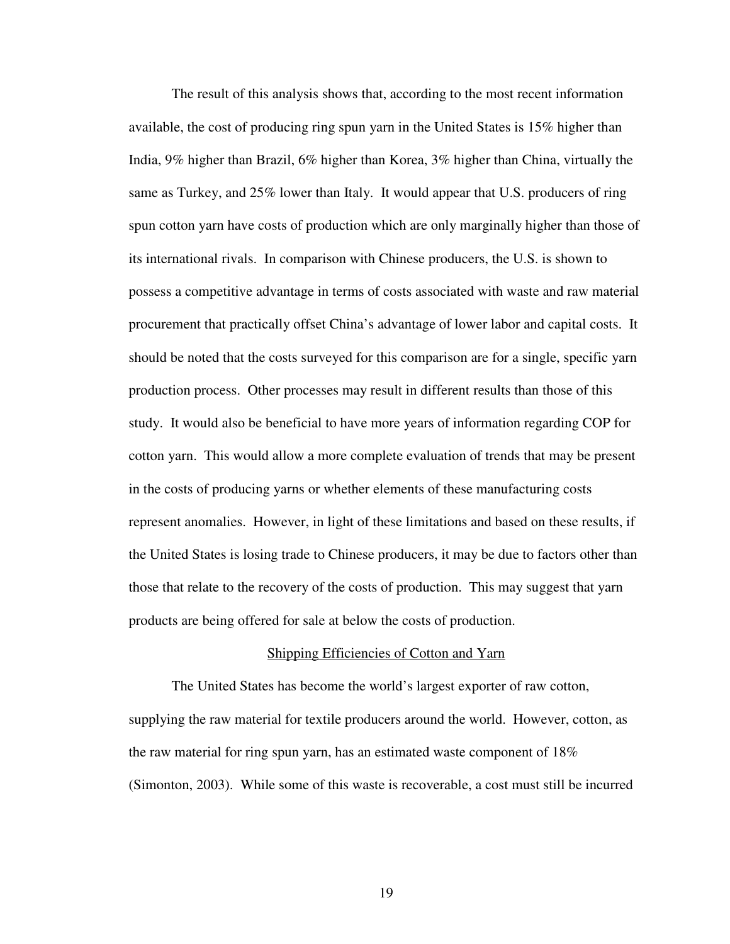The result of this analysis shows that, according to the most recent information available, the cost of producing ring spun yarn in the United States is 15% higher than India, 9% higher than Brazil, 6% higher than Korea, 3% higher than China, virtually the same as Turkey, and 25% lower than Italy. It would appear that U.S. producers of ring spun cotton yarn have costs of production which are only marginally higher than those of its international rivals. In comparison with Chinese producers, the U.S. is shown to possess a competitive advantage in terms of costs associated with waste and raw material procurement that practically offset China's advantage of lower labor and capital costs. It should be noted that the costs surveyed for this comparison are for a single, specific yarn production process. Other processes may result in different results than those of this study. It would also be beneficial to have more years of information regarding COP for cotton yarn. This would allow a more complete evaluation of trends that may be present in the costs of producing yarns or whether elements of these manufacturing costs represent anomalies. However, in light of these limitations and based on these results, if the United States is losing trade to Chinese producers, it may be due to factors other than those that relate to the recovery of the costs of production. This may suggest that yarn products are being offered for sale at below the costs of production.

#### Shipping Efficiencies of Cotton and Yarn

The United States has become the world's largest exporter of raw cotton, supplying the raw material for textile producers around the world. However, cotton, as the raw material for ring spun yarn, has an estimated waste component of 18% (Simonton, 2003). While some of this waste is recoverable, a cost must still be incurred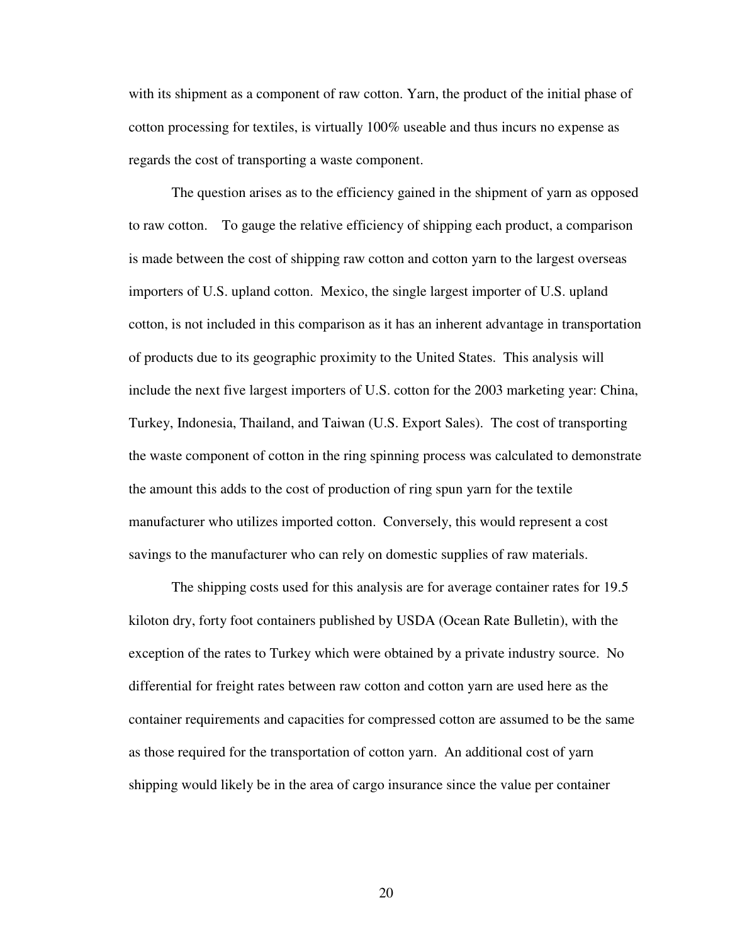with its shipment as a component of raw cotton. Yarn, the product of the initial phase of cotton processing for textiles, is virtually 100% useable and thus incurs no expense as regards the cost of transporting a waste component.

The question arises as to the efficiency gained in the shipment of yarn as opposed to raw cotton. To gauge the relative efficiency of shipping each product, a comparison is made between the cost of shipping raw cotton and cotton yarn to the largest overseas importers of U.S. upland cotton. Mexico, the single largest importer of U.S. upland cotton, is not included in this comparison as it has an inherent advantage in transportation of products due to its geographic proximity to the United States. This analysis will include the next five largest importers of U.S. cotton for the 2003 marketing year: China, Turkey, Indonesia, Thailand, and Taiwan (U.S. Export Sales). The cost of transporting the waste component of cotton in the ring spinning process was calculated to demonstrate the amount this adds to the cost of production of ring spun yarn for the textile manufacturer who utilizes imported cotton. Conversely, this would represent a cost savings to the manufacturer who can rely on domestic supplies of raw materials.

The shipping costs used for this analysis are for average container rates for 19.5 kiloton dry, forty foot containers published by USDA (Ocean Rate Bulletin), with the exception of the rates to Turkey which were obtained by a private industry source. No differential for freight rates between raw cotton and cotton yarn are used here as the container requirements and capacities for compressed cotton are assumed to be the same as those required for the transportation of cotton yarn. An additional cost of yarn shipping would likely be in the area of cargo insurance since the value per container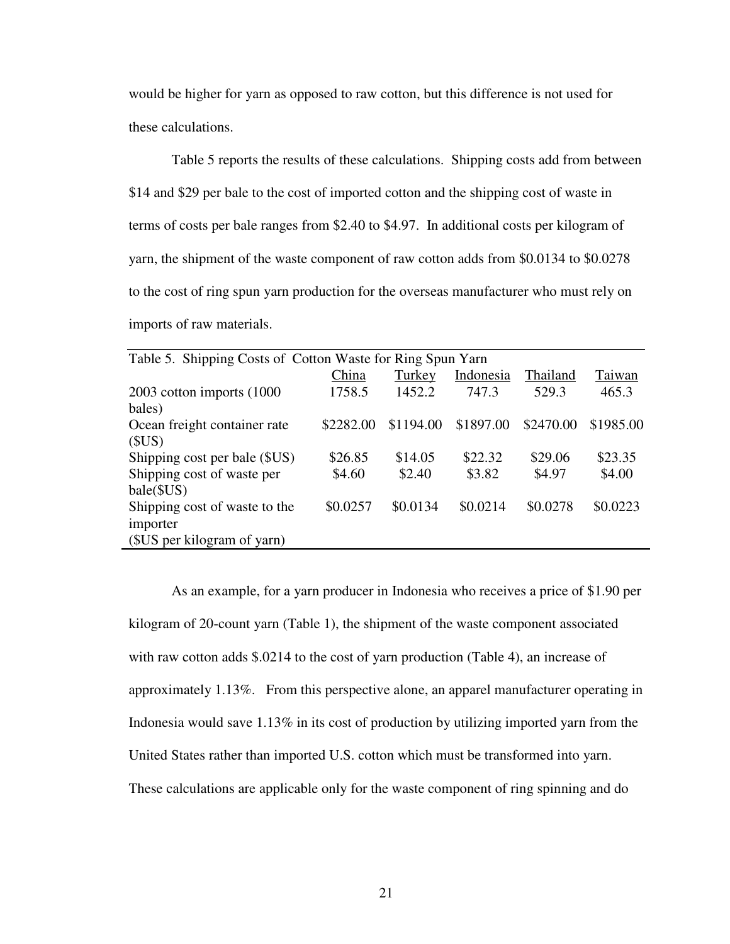would be higher for yarn as opposed to raw cotton, but this difference is not used for these calculations.

Table 5 reports the results of these calculations. Shipping costs add from between \$14 and \$29 per bale to the cost of imported cotton and the shipping cost of waste in terms of costs per bale ranges from \$2.40 to \$4.97. In additional costs per kilogram of yarn, the shipment of the waste component of raw cotton adds from \$0.0134 to \$0.0278 to the cost of ring spun yarn production for the overseas manufacturer who must rely on imports of raw materials.

| Table 5. Shipping Costs of Cotton Waste for Ring Spun Yarn |           |           |           |           |           |  |  |
|------------------------------------------------------------|-----------|-----------|-----------|-----------|-----------|--|--|
|                                                            | China     | Turkey    | Indonesia | Thailand  | Taiwan    |  |  |
| 2003 cotton imports (1000)                                 | 1758.5    | 1452.2    | 747.3     | 529.3     | 465.3     |  |  |
| bales)                                                     |           |           |           |           |           |  |  |
| Ocean freight container rate                               | \$2282.00 | \$1194.00 | \$1897.00 | \$2470.00 | \$1985.00 |  |  |
| (SUS)                                                      |           |           |           |           |           |  |  |
| Shipping cost per bale (\$US)                              | \$26.85   | \$14.05   | \$22.32   | \$29.06   | \$23.35   |  |  |
| Shipping cost of waste per                                 | \$4.60    | \$2.40    | \$3.82    | \$4.97    | \$4.00    |  |  |
| bale(SUS)                                                  |           |           |           |           |           |  |  |
| Shipping cost of waste to the                              | \$0.0257  | \$0.0134  | \$0.0214  | \$0.0278  | \$0.0223  |  |  |
| importer                                                   |           |           |           |           |           |  |  |
| (\$US per kilogram of yarn)                                |           |           |           |           |           |  |  |

As an example, for a yarn producer in Indonesia who receives a price of \$1.90 per kilogram of 20-count yarn (Table 1), the shipment of the waste component associated with raw cotton adds \$.0214 to the cost of yarn production (Table 4), an increase of approximately 1.13%. From this perspective alone, an apparel manufacturer operating in Indonesia would save 1.13% in its cost of production by utilizing imported yarn from the United States rather than imported U.S. cotton which must be transformed into yarn. These calculations are applicable only for the waste component of ring spinning and do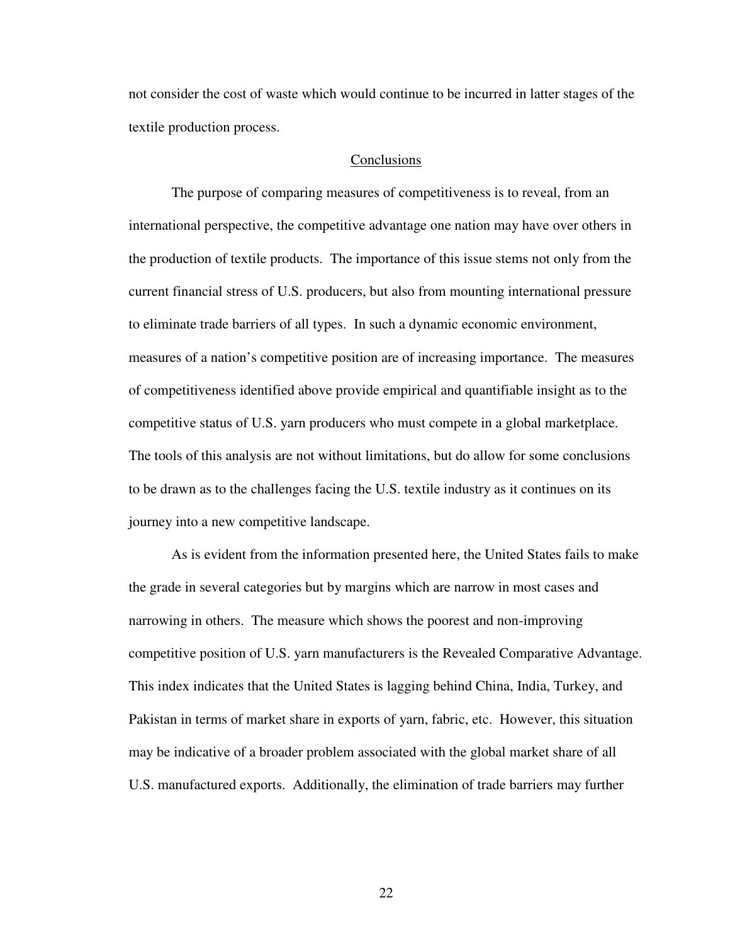not consider the cost of waste which would continue to be incurred in latter stages of the textile production process.

#### **Conclusions**

The purpose of comparing measures of competitiveness is to reveal, from an international perspective, the competitive advantage one nation may have over others in the production of textile products. The importance of this issue stems not only from the current financial stress of U.S. producers, but also from mounting international pressure to eliminate trade barriers of all types. In such a dynamic economic environment, measures of a nation's competitive position are of increasing importance. The measures of competitiveness identified above provide empirical and quantifiable insight as to the competitive status of U.S. yarn producers who must compete in a global marketplace. The tools of this analysis are not without limitations, but do allow for some conclusions to be drawn as to the challenges facing the U.S. textile industry as it continues on its journey into a new competitive landscape.

As is evident from the information presented here, the United States fails to make the grade in several categories but by margins which are narrow in most cases and narrowing in others. The measure which shows the poorest and non-improving competitive position of U.S. yarn manufacturers is the Revealed Comparative Advantage. This index indicates that the United States is lagging behind China, India, Turkey, and Pakistan in terms of market share in exports of yarn, fabric, etc. However, this situation may be indicative of a broader problem associated with the global market share of all U.S. manufactured exports. Additionally, the elimination of trade barriers may further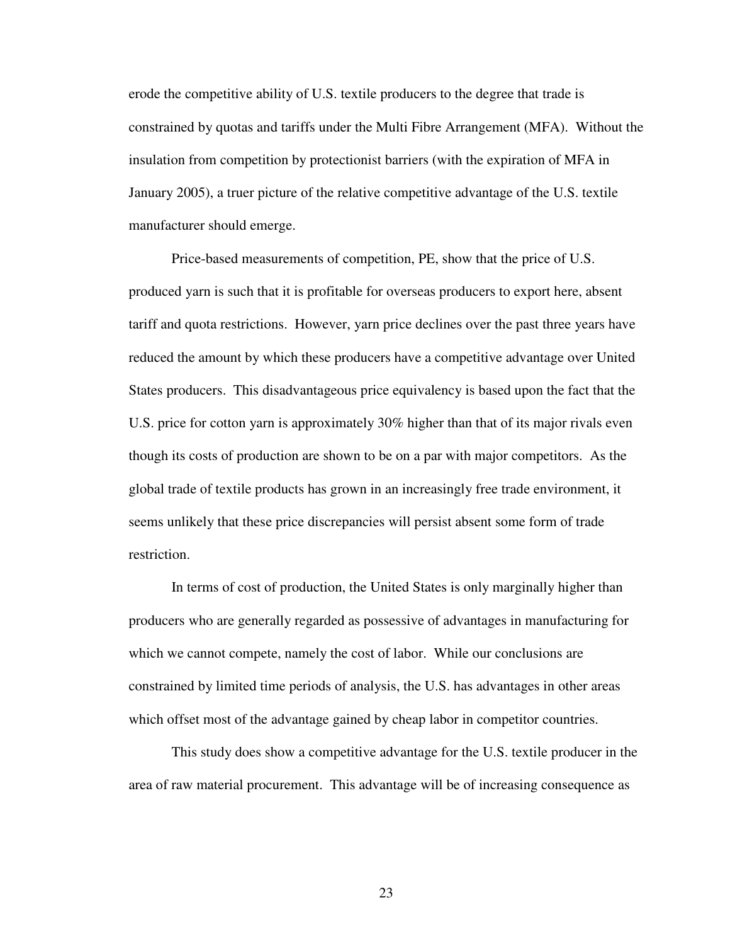erode the competitive ability of U.S. textile producers to the degree that trade is constrained by quotas and tariffs under the Multi Fibre Arrangement (MFA). Without the insulation from competition by protectionist barriers (with the expiration of MFA in January 2005), a truer picture of the relative competitive advantage of the U.S. textile manufacturer should emerge.

Price-based measurements of competition, PE, show that the price of U.S. produced yarn is such that it is profitable for overseas producers to export here, absent tariff and quota restrictions. However, yarn price declines over the past three years have reduced the amount by which these producers have a competitive advantage over United States producers. This disadvantageous price equivalency is based upon the fact that the U.S. price for cotton yarn is approximately 30% higher than that of its major rivals even though its costs of production are shown to be on a par with major competitors. As the global trade of textile products has grown in an increasingly free trade environment, it seems unlikely that these price discrepancies will persist absent some form of trade restriction.

In terms of cost of production, the United States is only marginally higher than producers who are generally regarded as possessive of advantages in manufacturing for which we cannot compete, namely the cost of labor. While our conclusions are constrained by limited time periods of analysis, the U.S. has advantages in other areas which offset most of the advantage gained by cheap labor in competitor countries.

This study does show a competitive advantage for the U.S. textile producer in the area of raw material procurement. This advantage will be of increasing consequence as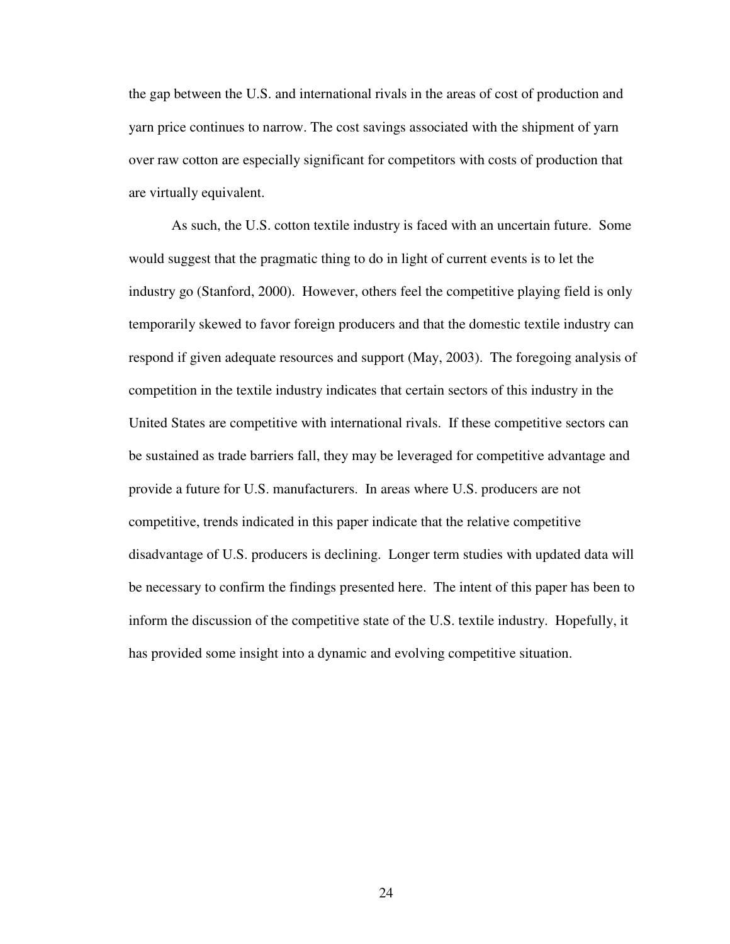the gap between the U.S. and international rivals in the areas of cost of production and yarn price continues to narrow. The cost savings associated with the shipment of yarn over raw cotton are especially significant for competitors with costs of production that are virtually equivalent.

As such, the U.S. cotton textile industry is faced with an uncertain future. Some would suggest that the pragmatic thing to do in light of current events is to let the industry go (Stanford, 2000). However, others feel the competitive playing field is only temporarily skewed to favor foreign producers and that the domestic textile industry can respond if given adequate resources and support (May, 2003). The foregoing analysis of competition in the textile industry indicates that certain sectors of this industry in the United States are competitive with international rivals. If these competitive sectors can be sustained as trade barriers fall, they may be leveraged for competitive advantage and provide a future for U.S. manufacturers. In areas where U.S. producers are not competitive, trends indicated in this paper indicate that the relative competitive disadvantage of U.S. producers is declining. Longer term studies with updated data will be necessary to confirm the findings presented here. The intent of this paper has been to inform the discussion of the competitive state of the U.S. textile industry. Hopefully, it has provided some insight into a dynamic and evolving competitive situation.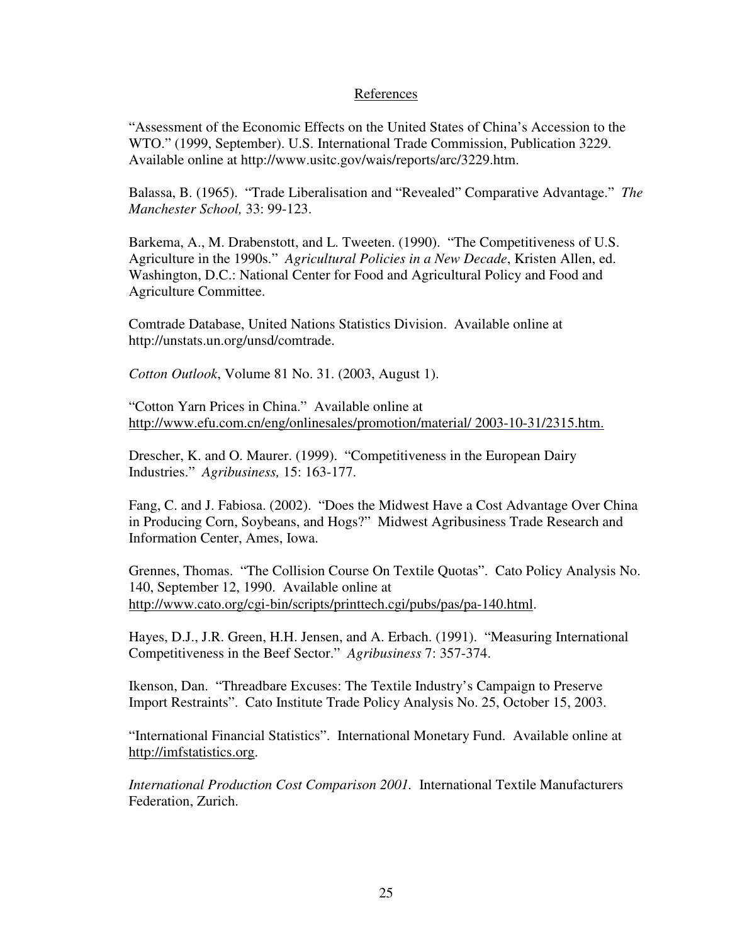### References

"Assessment of the Economic Effects on the United States of China's Accession to the WTO." (1999, September). U.S. International Trade Commission, Publication 3229. Available online at http://www.usitc.gov/wais/reports/arc/3229.htm.

Balassa, B. (1965). "Trade Liberalisation and "Revealed" Comparative Advantage." *The Manchester School,* 33: 99-123.

Barkema, A., M. Drabenstott, and L. Tweeten. (1990). "The Competitiveness of U.S. Agriculture in the 1990s." *Agricultural Policies in a New Decade*, Kristen Allen, ed. Washington, D.C.: National Center for Food and Agricultural Policy and Food and Agriculture Committee.

Comtrade Database, United Nations Statistics Division. Available online at http://unstats.un.org/unsd/comtrade.

*Cotton Outlook*, Volume 81 No. 31. (2003, August 1).

"Cotton Yarn Prices in China." Available online at http://www.efu.com.cn/eng/onlinesales/promotion/material/ 2003-10-31/2315.htm.

Drescher, K. and O. Maurer. (1999). "Competitiveness in the European Dairy Industries." *Agribusiness,* 15: 163-177.

Fang, C. and J. Fabiosa. (2002). "Does the Midwest Have a Cost Advantage Over China in Producing Corn, Soybeans, and Hogs?" Midwest Agribusiness Trade Research and Information Center, Ames, Iowa.

Grennes, Thomas. "The Collision Course On Textile Quotas". Cato Policy Analysis No. 140, September 12, 1990. Available online at http://www.cato.org/cgi-bin/scripts/printtech.cgi/pubs/pas/pa-140.html.

Hayes, D.J., J.R. Green, H.H. Jensen, and A. Erbach. (1991). "Measuring International Competitiveness in the Beef Sector." *Agribusiness* 7: 357-374.

Ikenson, Dan. "Threadbare Excuses: The Textile Industry's Campaign to Preserve Import Restraints". Cato Institute Trade Policy Analysis No. 25, October 15, 2003.

"International Financial Statistics". International Monetary Fund. Available online at http://imfstatistics.org.

*International Production Cost Comparison 2001.* International Textile Manufacturers Federation, Zurich.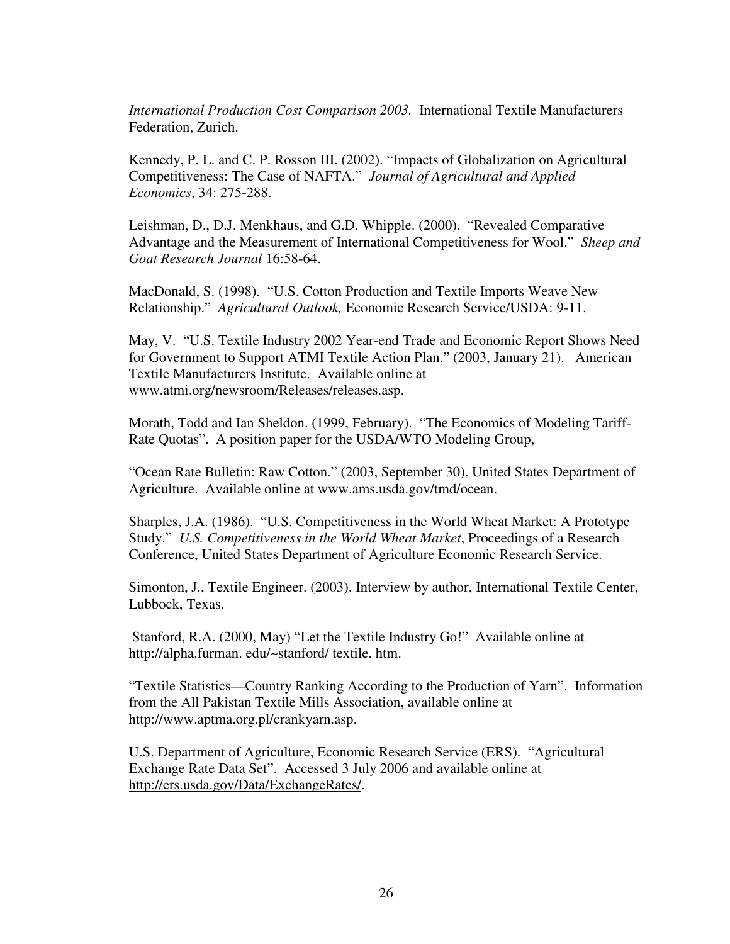*International Production Cost Comparison 2003.* International Textile Manufacturers Federation, Zurich.

Kennedy, P. L. and C. P. Rosson III. (2002). "Impacts of Globalization on Agricultural Competitiveness: The Case of NAFTA." *Journal of Agricultural and Applied Economics*, 34: 275-288.

Leishman, D., D.J. Menkhaus, and G.D. Whipple. (2000). "Revealed Comparative Advantage and the Measurement of International Competitiveness for Wool." *Sheep and Goat Research Journal* 16:58-64.

MacDonald, S. (1998). "U.S. Cotton Production and Textile Imports Weave New Relationship." *Agricultural Outlook,* Economic Research Service/USDA: 9-11.

May, V. "U.S. Textile Industry 2002 Year-end Trade and Economic Report Shows Need for Government to Support ATMI Textile Action Plan." (2003, January 21). American Textile Manufacturers Institute. Available online at www.atmi.org/newsroom/Releases/releases.asp.

Morath, Todd and Ian Sheldon. (1999, February). "The Economics of Modeling Tariff-Rate Quotas". A position paper for the USDA/WTO Modeling Group,

"Ocean Rate Bulletin: Raw Cotton." (2003, September 30). United States Department of Agriculture. Available online at www.ams.usda.gov/tmd/ocean.

Sharples, J.A. (1986). "U.S. Competitiveness in the World Wheat Market: A Prototype Study." *U.S. Competitiveness in the World Wheat Market*, Proceedings of a Research Conference, United States Department of Agriculture Economic Research Service.

Simonton, J., Textile Engineer. (2003). Interview by author, International Textile Center, Lubbock, Texas.

 Stanford, R.A. (2000, May) "Let the Textile Industry Go!" Available online at http://alpha.furman. edu/~stanford/ textile. htm.

"Textile Statistics—Country Ranking According to the Production of Yarn". Information from the All Pakistan Textile Mills Association, available online at http://www.aptma.org.pl/crankyarn.asp.

U.S. Department of Agriculture, Economic Research Service (ERS). "Agricultural Exchange Rate Data Set". Accessed 3 July 2006 and available online at http://ers.usda.gov/Data/ExchangeRates/.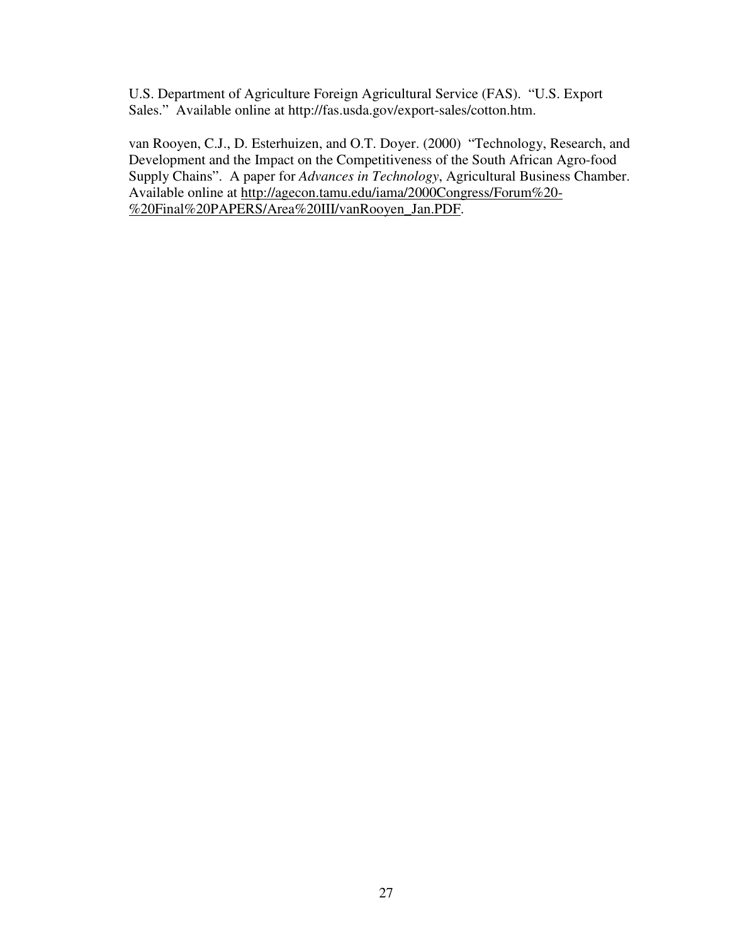U.S. Department of Agriculture Foreign Agricultural Service (FAS). "U.S. Export Sales." Available online at http://fas.usda.gov/export-sales/cotton.htm.

van Rooyen, C.J., D. Esterhuizen, and O.T. Doyer. (2000) "Technology, Research, and Development and the Impact on the Competitiveness of the South African Agro-food Supply Chains". A paper for *Advances in Technology*, Agricultural Business Chamber. Available online at http://agecon.tamu.edu/iama/2000Congress/Forum%20- %20Final%20PAPERS/Area%20III/vanRooyen\_Jan.PDF.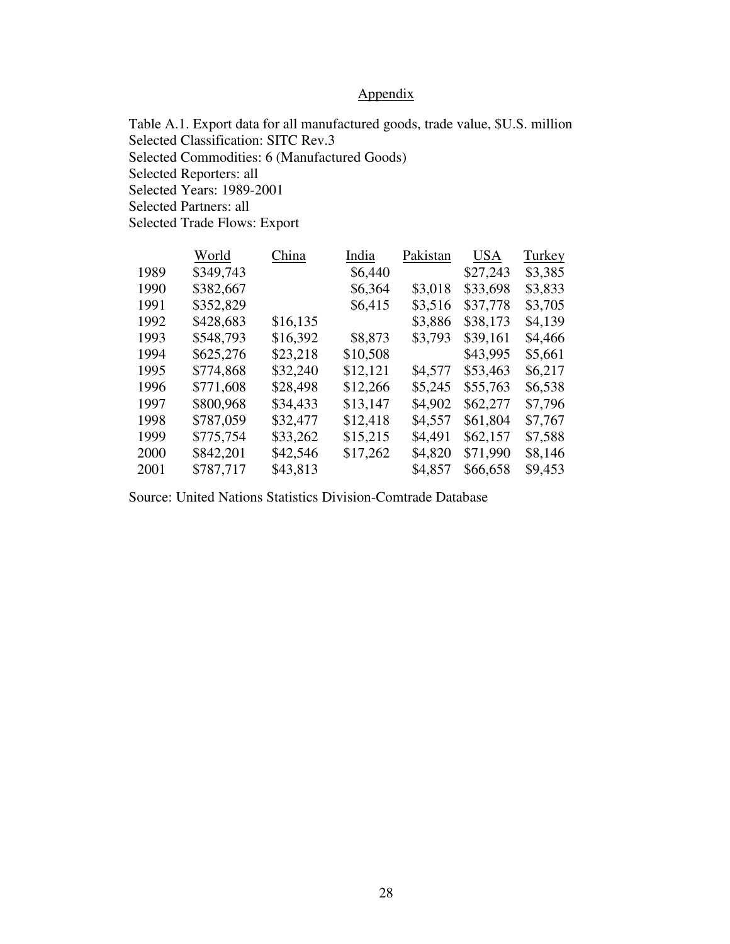# Appendix

Table A.1. Export data for all manufactured goods, trade value, \$U.S. million Selected Classification: SITC Rev.3 Selected Commodities: 6 (Manufactured Goods) Selected Reporters: all Selected Years: 1989-2001 Selected Partners: all Selected Trade Flows: Export

|      | World     | China    | India    | Pakistan | <b>USA</b> | Turkey  |
|------|-----------|----------|----------|----------|------------|---------|
| 1989 | \$349,743 |          | \$6,440  |          | \$27,243   | \$3,385 |
| 1990 | \$382,667 |          | \$6,364  | \$3,018  | \$33,698   | \$3,833 |
| 1991 | \$352,829 |          | \$6,415  | \$3,516  | \$37,778   | \$3,705 |
| 1992 | \$428,683 | \$16,135 |          | \$3,886  | \$38,173   | \$4,139 |
| 1993 | \$548,793 | \$16,392 | \$8,873  | \$3,793  | \$39,161   | \$4,466 |
| 1994 | \$625,276 | \$23,218 | \$10,508 |          | \$43,995   | \$5,661 |
| 1995 | \$774,868 | \$32,240 | \$12,121 | \$4,577  | \$53,463   | \$6,217 |
| 1996 | \$771,608 | \$28,498 | \$12,266 | \$5,245  | \$55,763   | \$6,538 |
| 1997 | \$800,968 | \$34,433 | \$13,147 | \$4,902  | \$62,277   | \$7,796 |
| 1998 | \$787,059 | \$32,477 | \$12,418 | \$4,557  | \$61,804   | \$7,767 |
| 1999 | \$775,754 | \$33,262 | \$15,215 | \$4,491  | \$62,157   | \$7,588 |
| 2000 | \$842,201 | \$42,546 | \$17,262 | \$4,820  | \$71,990   | \$8,146 |
| 2001 | \$787,717 | \$43,813 |          | \$4,857  | \$66,658   | \$9,453 |
|      |           |          |          |          |            |         |

Source: United Nations Statistics Division-Comtrade Database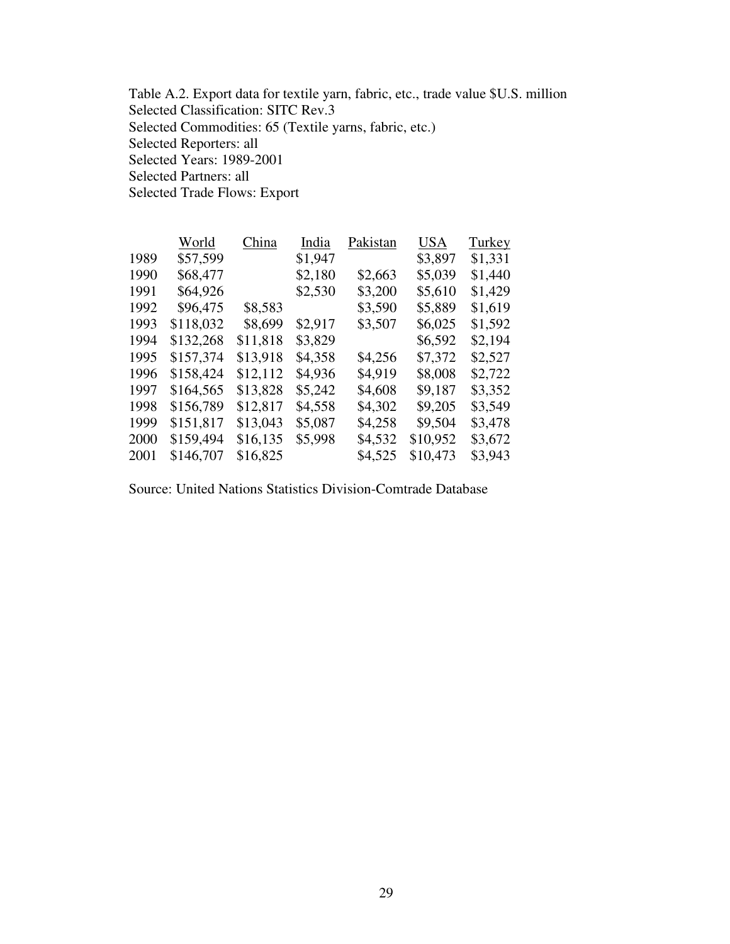Table A.2. Export data for textile yarn, fabric, etc., trade value \$U.S. million Selected Classification: SITC Rev.3 Selected Commodities: 65 (Textile yarns, fabric, etc.) Selected Reporters: all Selected Years: 1989-2001 Selected Partners: all Selected Trade Flows: Export

|      | World     | China    | India   | Pakistan | <b>USA</b> | Turkey  |
|------|-----------|----------|---------|----------|------------|---------|
| 1989 | \$57,599  |          | \$1,947 |          | \$3,897    | \$1,331 |
| 1990 | \$68,477  |          | \$2,180 | \$2,663  | \$5,039    | \$1,440 |
| 1991 | \$64,926  |          | \$2,530 | \$3,200  | \$5,610    | \$1,429 |
| 1992 | \$96,475  | \$8,583  |         | \$3,590  | \$5,889    | \$1,619 |
| 1993 | \$118,032 | \$8,699  | \$2,917 | \$3,507  | \$6,025    | \$1,592 |
| 1994 | \$132,268 | \$11,818 | \$3,829 |          | \$6,592    | \$2,194 |
| 1995 | \$157,374 | \$13,918 | \$4,358 | \$4,256  | \$7,372    | \$2,527 |
| 1996 | \$158,424 | \$12,112 | \$4,936 | \$4,919  | \$8,008    | \$2,722 |
| 1997 | \$164,565 | \$13,828 | \$5,242 | \$4,608  | \$9,187    | \$3,352 |
| 1998 | \$156,789 | \$12,817 | \$4,558 | \$4,302  | \$9,205    | \$3,549 |
| 1999 | \$151,817 | \$13,043 | \$5,087 | \$4,258  | \$9,504    | \$3,478 |
| 2000 | \$159,494 | \$16,135 | \$5,998 | \$4,532  | \$10,952   | \$3,672 |
| 2001 | \$146,707 | \$16,825 |         | \$4,525  | \$10,473   | \$3,943 |

Source: United Nations Statistics Division-Comtrade Database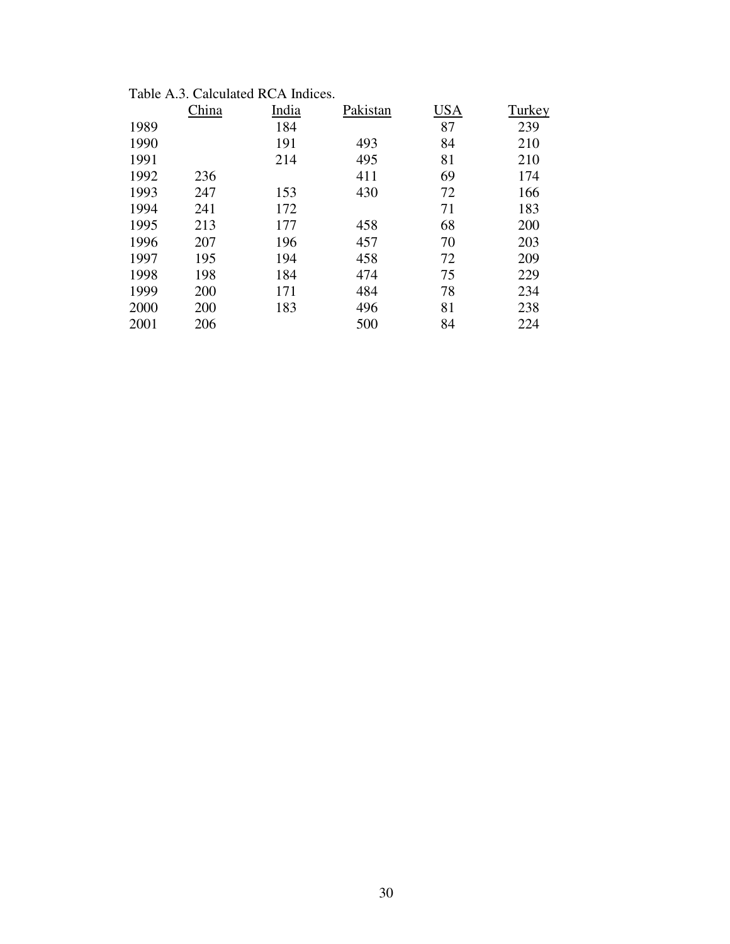|      | China | India | Pakistan | <b>USA</b> | Turkey |
|------|-------|-------|----------|------------|--------|
| 1989 |       | 184   |          | 87         | 239    |
| 1990 |       | 191   | 493      | 84         | 210    |
| 1991 |       | 214   | 495      | 81         | 210    |
| 1992 | 236   |       | 411      | 69         | 174    |
| 1993 | 247   | 153   | 430      | 72         | 166    |
| 1994 | 241   | 172   |          | 71         | 183    |
| 1995 | 213   | 177   | 458      | 68         | 200    |
| 1996 | 207   | 196   | 457      | 70         | 203    |
| 1997 | 195   | 194   | 458      | 72         | 209    |
| 1998 | 198   | 184   | 474      | 75         | 229    |
| 1999 | 200   | 171   | 484      | 78         | 234    |
| 2000 | 200   | 183   | 496      | 81         | 238    |
| 2001 | 206   |       | 500      | 84         | 224    |

# Table A.3. Calculated RCA Indices.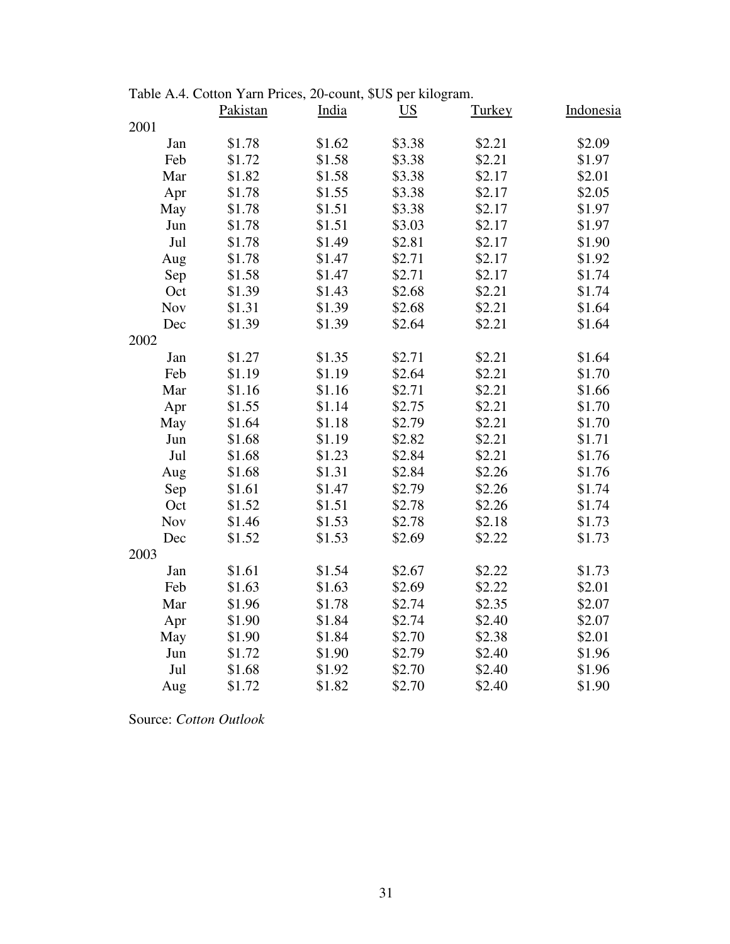|            | radic $A.7.$ Contoin Farm Frices, 20-count, $\phi$ OS per Knogram.<br>Pakistan | India  | $\underline{\mathbf{U}}\underline{\mathbf{S}}$ | <b>Turkey</b> | <b>Indonesia</b> |
|------------|--------------------------------------------------------------------------------|--------|------------------------------------------------|---------------|------------------|
| 2001       |                                                                                |        |                                                |               |                  |
| Jan        | \$1.78                                                                         | \$1.62 | \$3.38                                         | \$2.21        | \$2.09           |
| Feb        | \$1.72                                                                         | \$1.58 | \$3.38                                         | \$2.21        | \$1.97           |
| Mar        | \$1.82                                                                         | \$1.58 | \$3.38                                         | \$2.17        | \$2.01           |
| Apr        | \$1.78                                                                         | \$1.55 | \$3.38                                         | \$2.17        | \$2.05           |
| May        | \$1.78                                                                         | \$1.51 | \$3.38                                         | \$2.17        | \$1.97           |
| Jun        | \$1.78                                                                         | \$1.51 | \$3.03                                         | \$2.17        | \$1.97           |
| Jul        | \$1.78                                                                         | \$1.49 | \$2.81                                         | \$2.17        | \$1.90           |
| Aug        | \$1.78                                                                         | \$1.47 | \$2.71                                         | \$2.17        | \$1.92           |
| Sep        | \$1.58                                                                         | \$1.47 | \$2.71                                         | \$2.17        | \$1.74           |
| Oct        | \$1.39                                                                         | \$1.43 | \$2.68                                         | \$2.21        | \$1.74           |
| <b>Nov</b> | \$1.31                                                                         | \$1.39 | \$2.68                                         | \$2.21        | \$1.64           |
| Dec        | \$1.39                                                                         | \$1.39 | \$2.64                                         | \$2.21        | \$1.64           |
| 2002       |                                                                                |        |                                                |               |                  |
| Jan        | \$1.27                                                                         | \$1.35 | \$2.71                                         | \$2.21        | \$1.64           |
| Feb        | \$1.19                                                                         | \$1.19 | \$2.64                                         | \$2.21        | \$1.70           |
| Mar        | \$1.16                                                                         | \$1.16 | \$2.71                                         | \$2.21        | \$1.66           |
| Apr        | \$1.55                                                                         | \$1.14 | \$2.75                                         | \$2.21        | \$1.70           |
| May        | \$1.64                                                                         | \$1.18 | \$2.79                                         | \$2.21        | \$1.70           |
| Jun        | \$1.68                                                                         | \$1.19 | \$2.82                                         | \$2.21        | \$1.71           |
| Jul        | \$1.68                                                                         | \$1.23 | \$2.84                                         | \$2.21        | \$1.76           |
| Aug        | \$1.68                                                                         | \$1.31 | \$2.84                                         | \$2.26        | \$1.76           |
| Sep        | \$1.61                                                                         | \$1.47 | \$2.79                                         | \$2.26        | \$1.74           |
| Oct        | \$1.52                                                                         | \$1.51 | \$2.78                                         | \$2.26        | \$1.74           |
| <b>Nov</b> | \$1.46                                                                         | \$1.53 | \$2.78                                         | \$2.18        | \$1.73           |
| Dec        | \$1.52                                                                         | \$1.53 | \$2.69                                         | \$2.22        | \$1.73           |
| 2003       |                                                                                |        |                                                |               |                  |
| Jan        | \$1.61                                                                         | \$1.54 | \$2.67                                         | \$2.22        | \$1.73           |
| Feb        | \$1.63                                                                         | \$1.63 | \$2.69                                         | \$2.22        | \$2.01           |
| Mar        | \$1.96                                                                         | \$1.78 | \$2.74                                         | \$2.35        | \$2.07           |
| Apr        | \$1.90                                                                         | \$1.84 | \$2.74                                         | \$2.40        | \$2.07           |
| May        | \$1.90                                                                         | \$1.84 | \$2.70                                         | \$2.38        | \$2.01           |
| Jun        | \$1.72                                                                         | \$1.90 | \$2.79                                         | \$2.40        | \$1.96           |
| Jul        | \$1.68                                                                         | \$1.92 | \$2.70                                         | \$2.40        | \$1.96           |
| Aug        | \$1.72                                                                         | \$1.82 | \$2.70                                         | \$2.40        | \$1.90           |

Table A.4. Cotton Yarn Prices, 20-count, \$US per kilogram.

Source: *Cotton Outlook*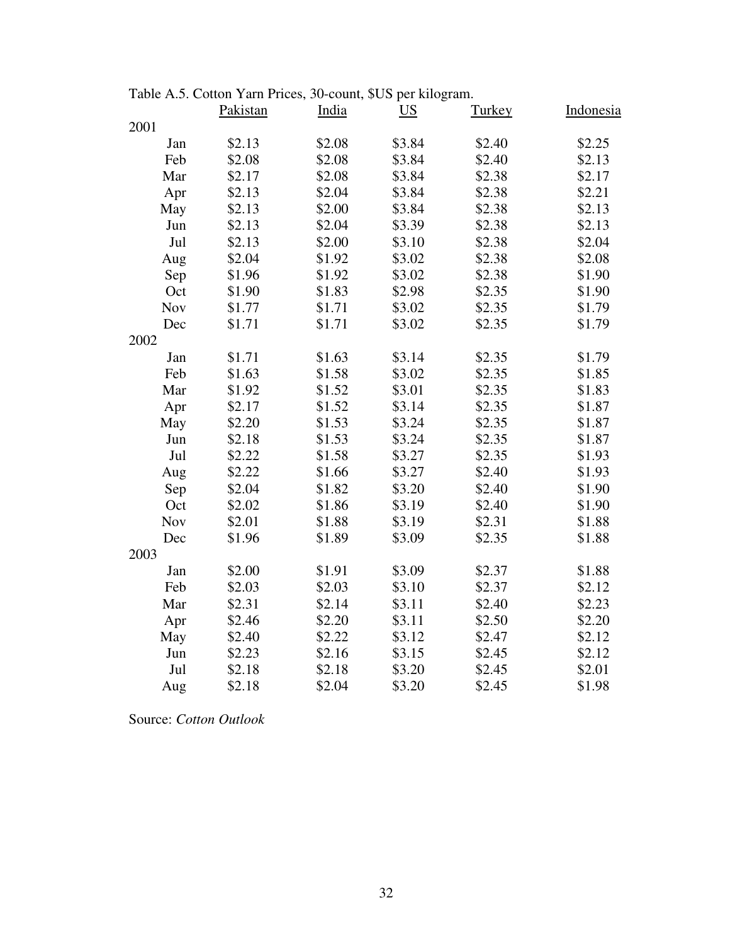|            | $\alpha$ contomed and the ratio $\beta$ count, $\phi$ corporation of $\alpha$<br>Pakistan | India  | $\overline{US}$ | <b>Turkey</b> | Indonesia |
|------------|-------------------------------------------------------------------------------------------|--------|-----------------|---------------|-----------|
| 2001       |                                                                                           |        |                 |               |           |
| Jan        | \$2.13                                                                                    | \$2.08 | \$3.84          | \$2.40        | \$2.25    |
| Feb        | \$2.08                                                                                    | \$2.08 | \$3.84          | \$2.40        | \$2.13    |
| Mar        | \$2.17                                                                                    | \$2.08 | \$3.84          | \$2.38        | \$2.17    |
| Apr        | \$2.13                                                                                    | \$2.04 | \$3.84          | \$2.38        | \$2.21    |
| May        | \$2.13                                                                                    | \$2.00 | \$3.84          | \$2.38        | \$2.13    |
| Jun        | \$2.13                                                                                    | \$2.04 | \$3.39          | \$2.38        | \$2.13    |
| Jul        | \$2.13                                                                                    | \$2.00 | \$3.10          | \$2.38        | \$2.04    |
| Aug        | \$2.04                                                                                    | \$1.92 | \$3.02          | \$2.38        | \$2.08    |
| Sep        | \$1.96                                                                                    | \$1.92 | \$3.02          | \$2.38        | \$1.90    |
| Oct        | \$1.90                                                                                    | \$1.83 | \$2.98          | \$2.35        | \$1.90    |
| <b>Nov</b> | \$1.77                                                                                    | \$1.71 | \$3.02          | \$2.35        | \$1.79    |
| Dec        | \$1.71                                                                                    | \$1.71 | \$3.02          | \$2.35        | \$1.79    |
| 2002       |                                                                                           |        |                 |               |           |
| Jan        | \$1.71                                                                                    | \$1.63 | \$3.14          | \$2.35        | \$1.79    |
| Feb        | \$1.63                                                                                    | \$1.58 | \$3.02          | \$2.35        | \$1.85    |
| Mar        | \$1.92                                                                                    | \$1.52 | \$3.01          | \$2.35        | \$1.83    |
| Apr        | \$2.17                                                                                    | \$1.52 | \$3.14          | \$2.35        | \$1.87    |
| May        | \$2.20                                                                                    | \$1.53 | \$3.24          | \$2.35        | \$1.87    |
| Jun        | \$2.18                                                                                    | \$1.53 | \$3.24          | \$2.35        | \$1.87    |
| Jul        | \$2.22                                                                                    | \$1.58 | \$3.27          | \$2.35        | \$1.93    |
| Aug        | \$2.22                                                                                    | \$1.66 | \$3.27          | \$2.40        | \$1.93    |
| Sep        | \$2.04                                                                                    | \$1.82 | \$3.20          | \$2.40        | \$1.90    |
| Oct        | \$2.02                                                                                    | \$1.86 | \$3.19          | \$2.40        | \$1.90    |
| <b>Nov</b> | \$2.01                                                                                    | \$1.88 | \$3.19          | \$2.31        | \$1.88    |
| Dec        | \$1.96                                                                                    | \$1.89 | \$3.09          | \$2.35        | \$1.88    |
| 2003       |                                                                                           |        |                 |               |           |
| Jan        | \$2.00                                                                                    | \$1.91 | \$3.09          | \$2.37        | \$1.88    |
| Feb        | \$2.03                                                                                    | \$2.03 | \$3.10          | \$2.37        | \$2.12    |
| Mar        | \$2.31                                                                                    | \$2.14 | \$3.11          | \$2.40        | \$2.23    |
| Apr        | \$2.46                                                                                    | \$2.20 | \$3.11          | \$2.50        | \$2.20    |
| May        | \$2.40                                                                                    | \$2.22 | \$3.12          | \$2.47        | \$2.12    |
| Jun        | \$2.23                                                                                    | \$2.16 | \$3.15          | \$2.45        | \$2.12    |
| Jul        | \$2.18                                                                                    | \$2.18 | \$3.20          | \$2.45        | \$2.01    |
| Aug        | \$2.18                                                                                    | \$2.04 | \$3.20          | \$2.45        | \$1.98    |

Table A.5. Cotton Yarn Prices, 30-count, \$US per kilogram.

Source: *Cotton Outlook*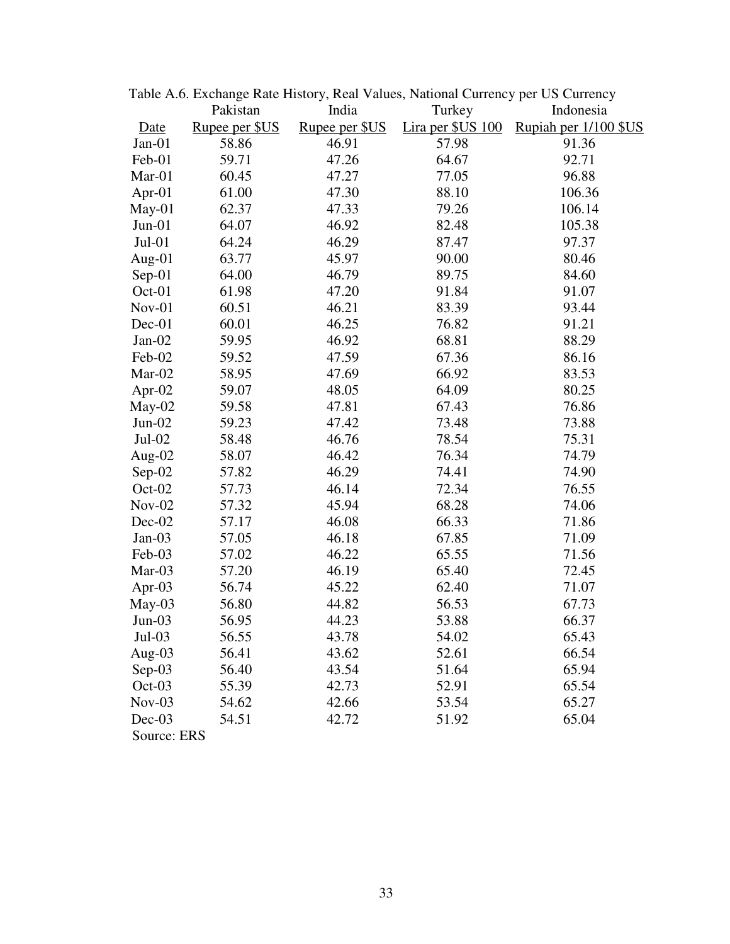|             |                |                | Table A.O. Exchange Rate History, Real Values, National Currency per US Currency |                       |
|-------------|----------------|----------------|----------------------------------------------------------------------------------|-----------------------|
|             | Pakistan       | India          | Turkey                                                                           | Indonesia             |
| Date        | Rupee per \$US | Rupee per \$US | Lira per \$US 100                                                                | Rupiah per 1/100 \$US |
| $Jan-01$    | 58.86          | 46.91          | 57.98                                                                            | 91.36                 |
| Feb-01      | 59.71          | 47.26          | 64.67                                                                            | 92.71                 |
| Mar-01      | 60.45          | 47.27          | 77.05                                                                            | 96.88                 |
| Apr- $01$   | 61.00          | 47.30          | 88.10                                                                            | 106.36                |
| $May-01$    | 62.37          | 47.33          | 79.26                                                                            | 106.14                |
| $Jun-01$    | 64.07          | 46.92          | 82.48                                                                            | 105.38                |
| $Jul-01$    | 64.24          | 46.29          | 87.47                                                                            | 97.37                 |
| Aug-01      | 63.77          | 45.97          | 90.00                                                                            | 80.46                 |
| Sep-01      | 64.00          | 46.79          | 89.75                                                                            | 84.60                 |
| Oct-01      | 61.98          | 47.20          | 91.84                                                                            | 91.07                 |
| Nov-01      | 60.51          | 46.21          | 83.39                                                                            | 93.44                 |
| Dec-01      | 60.01          | 46.25          | 76.82                                                                            | 91.21                 |
| $Jan-02$    | 59.95          | 46.92          | 68.81                                                                            | 88.29                 |
| Feb-02      | 59.52          | 47.59          | 67.36                                                                            | 86.16                 |
| Mar-02      | 58.95          | 47.69          | 66.92                                                                            | 83.53                 |
| Apr-02      | 59.07          | 48.05          | 64.09                                                                            | 80.25                 |
| May-02      | 59.58          | 47.81          | 67.43                                                                            | 76.86                 |
| $Jun-02$    | 59.23          | 47.42          | 73.48                                                                            | 73.88                 |
| $Jul-02$    | 58.48          | 46.76          | 78.54                                                                            | 75.31                 |
| Aug-02      | 58.07          | 46.42          | 76.34                                                                            | 74.79                 |
| Sep-02      | 57.82          | 46.29          | 74.41                                                                            | 74.90                 |
| Oct-02      | 57.73          | 46.14          | 72.34                                                                            | 76.55                 |
| $Nov-02$    | 57.32          | 45.94          | 68.28                                                                            | 74.06                 |
| Dec-02      | 57.17          | 46.08          | 66.33                                                                            | 71.86                 |
| $Jan-03$    | 57.05          | 46.18          | 67.85                                                                            | 71.09                 |
| Feb-03      | 57.02          | 46.22          | 65.55                                                                            | 71.56                 |
| Mar-03      | 57.20          | 46.19          | 65.40                                                                            | 72.45                 |
| Apr-03      | 56.74          | 45.22          | 62.40                                                                            | 71.07                 |
| $May-03$    | 56.80          | 44.82          | 56.53                                                                            | 67.73                 |
| $Jun-03$    | 56.95          | 44.23          | 53.88                                                                            | 66.37                 |
| $Jul-03$    | 56.55          | 43.78          | 54.02                                                                            | 65.43                 |
| Aug- $03$   | 56.41          | 43.62          | 52.61                                                                            | 66.54                 |
| $Sep-03$    | 56.40          | 43.54          | 51.64                                                                            | 65.94                 |
| Oct-03      | 55.39          | 42.73          | 52.91                                                                            | 65.54                 |
| $Nov-03$    | 54.62          | 42.66          | 53.54                                                                            | 65.27                 |
| $Dec-03$    | 54.51          | 42.72          | 51.92                                                                            | 65.04                 |
| Source: ERS |                |                |                                                                                  |                       |

Table A.6. Exchange Rate History, Real Values, National Currency per US Currency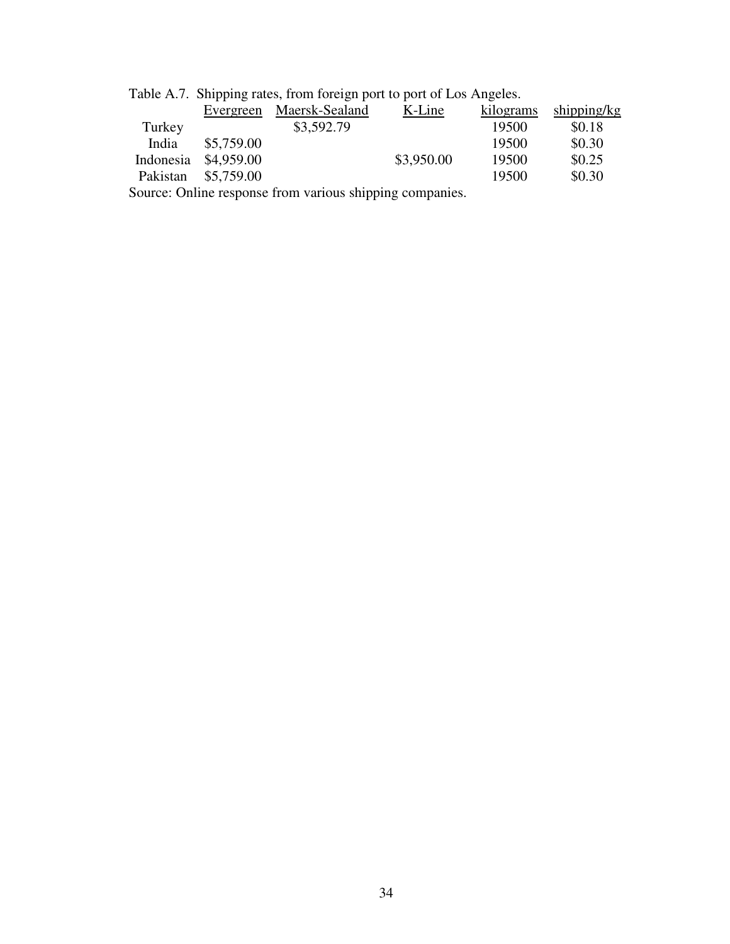| Table A.7. Shipping rates, from foreign port to port of Los Angeles. |            |                |            |           |             |  |
|----------------------------------------------------------------------|------------|----------------|------------|-----------|-------------|--|
|                                                                      | Evergreen  | Maersk-Sealand | K-Line     | kilograms | shipping/kg |  |
| Turkey                                                               |            | \$3,592.79     |            | 19500     | \$0.18      |  |
| India                                                                | \$5,759.00 |                |            | 19500     | \$0.30      |  |
| Indonesia                                                            | \$4,959.00 |                | \$3,950.00 | 19500     | \$0.25      |  |
| Pakistan                                                             | \$5,759.00 |                |            | 19500     | \$0.30      |  |
| Source: Online response from various shipping companies.             |            |                |            |           |             |  |

Table A.7. Shipping rates, from foreign port to port of Los Angeles.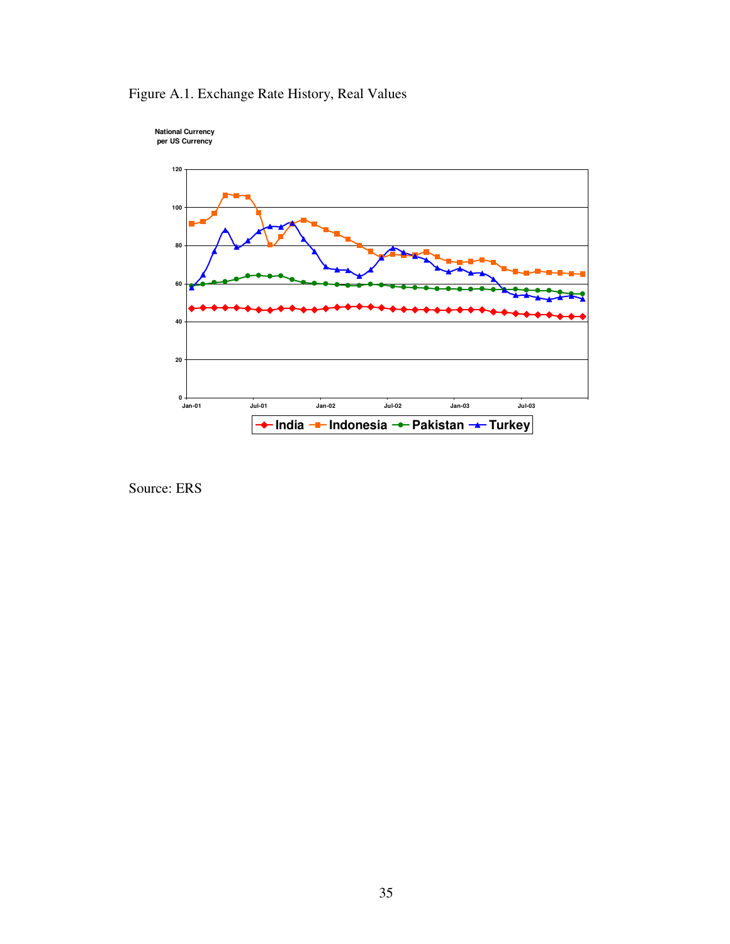

Figure A.1. Exchange Rate History, Real Values

Source: ERS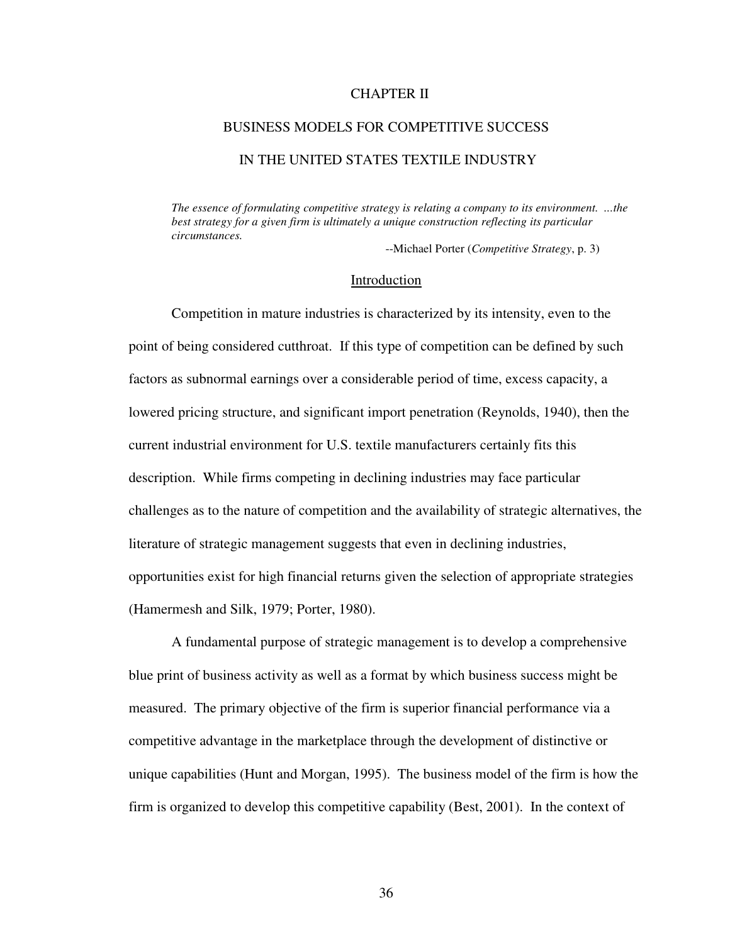### CHAPTER II

## BUSINESS MODELS FOR COMPETITIVE SUCCESS

## IN THE UNITED STATES TEXTILE INDUSTRY

*The essence of formulating competitive strategy is relating a company to its environment. ...the best strategy for a given firm is ultimately a unique construction reflecting its particular circumstances.* 

--Michael Porter (*Competitive Strategy*, p. 3)

#### **Introduction**

Competition in mature industries is characterized by its intensity, even to the point of being considered cutthroat. If this type of competition can be defined by such factors as subnormal earnings over a considerable period of time, excess capacity, a lowered pricing structure, and significant import penetration (Reynolds, 1940), then the current industrial environment for U.S. textile manufacturers certainly fits this description. While firms competing in declining industries may face particular challenges as to the nature of competition and the availability of strategic alternatives, the literature of strategic management suggests that even in declining industries, opportunities exist for high financial returns given the selection of appropriate strategies (Hamermesh and Silk, 1979; Porter, 1980).

A fundamental purpose of strategic management is to develop a comprehensive blue print of business activity as well as a format by which business success might be measured. The primary objective of the firm is superior financial performance via a competitive advantage in the marketplace through the development of distinctive or unique capabilities (Hunt and Morgan, 1995). The business model of the firm is how the firm is organized to develop this competitive capability (Best, 2001). In the context of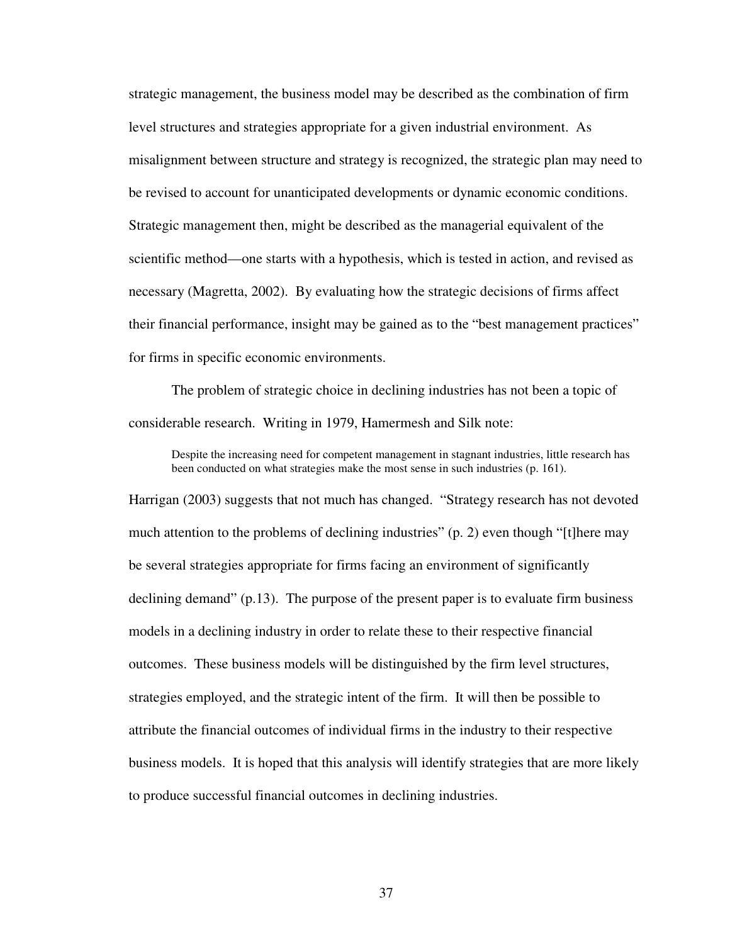strategic management, the business model may be described as the combination of firm level structures and strategies appropriate for a given industrial environment. As misalignment between structure and strategy is recognized, the strategic plan may need to be revised to account for unanticipated developments or dynamic economic conditions. Strategic management then, might be described as the managerial equivalent of the scientific method—one starts with a hypothesis, which is tested in action, and revised as necessary (Magretta, 2002). By evaluating how the strategic decisions of firms affect their financial performance, insight may be gained as to the "best management practices" for firms in specific economic environments.

The problem of strategic choice in declining industries has not been a topic of considerable research. Writing in 1979, Hamermesh and Silk note:

Despite the increasing need for competent management in stagnant industries, little research has been conducted on what strategies make the most sense in such industries (p. 161).

Harrigan (2003) suggests that not much has changed. "Strategy research has not devoted much attention to the problems of declining industries" (p. 2) even though "[t]here may be several strategies appropriate for firms facing an environment of significantly declining demand" (p.13). The purpose of the present paper is to evaluate firm business models in a declining industry in order to relate these to their respective financial outcomes. These business models will be distinguished by the firm level structures, strategies employed, and the strategic intent of the firm. It will then be possible to attribute the financial outcomes of individual firms in the industry to their respective business models. It is hoped that this analysis will identify strategies that are more likely to produce successful financial outcomes in declining industries.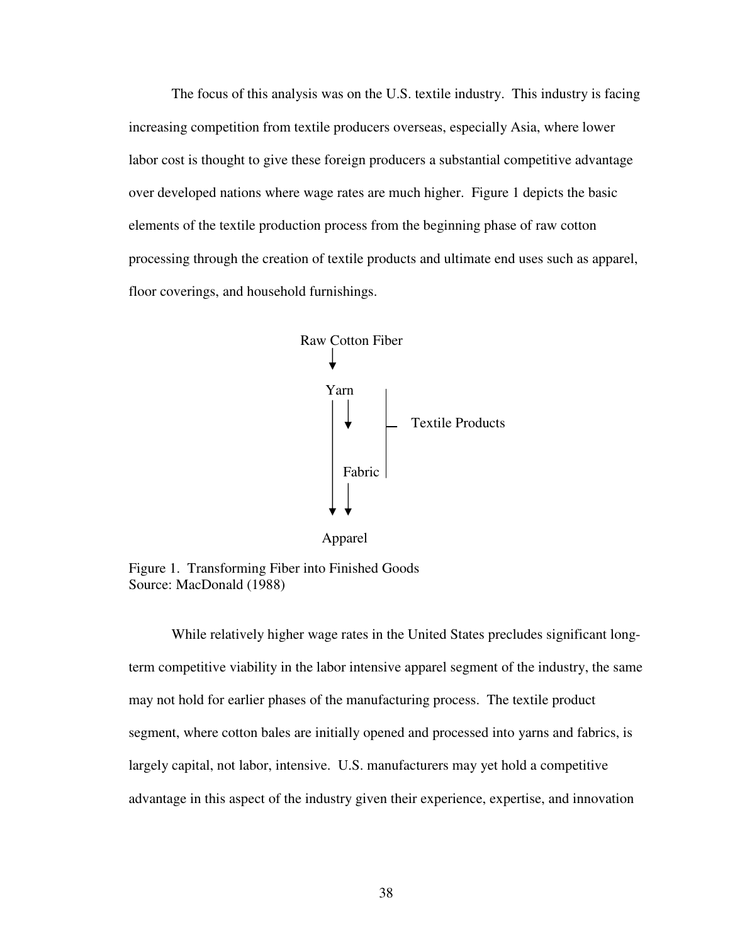The focus of this analysis was on the U.S. textile industry. This industry is facing increasing competition from textile producers overseas, especially Asia, where lower labor cost is thought to give these foreign producers a substantial competitive advantage over developed nations where wage rates are much higher. Figure 1 depicts the basic elements of the textile production process from the beginning phase of raw cotton processing through the creation of textile products and ultimate end uses such as apparel, floor coverings, and household furnishings.



Figure 1. Transforming Fiber into Finished Goods Source: MacDonald (1988)

While relatively higher wage rates in the United States precludes significant longterm competitive viability in the labor intensive apparel segment of the industry, the same may not hold for earlier phases of the manufacturing process. The textile product segment, where cotton bales are initially opened and processed into yarns and fabrics, is largely capital, not labor, intensive. U.S. manufacturers may yet hold a competitive advantage in this aspect of the industry given their experience, expertise, and innovation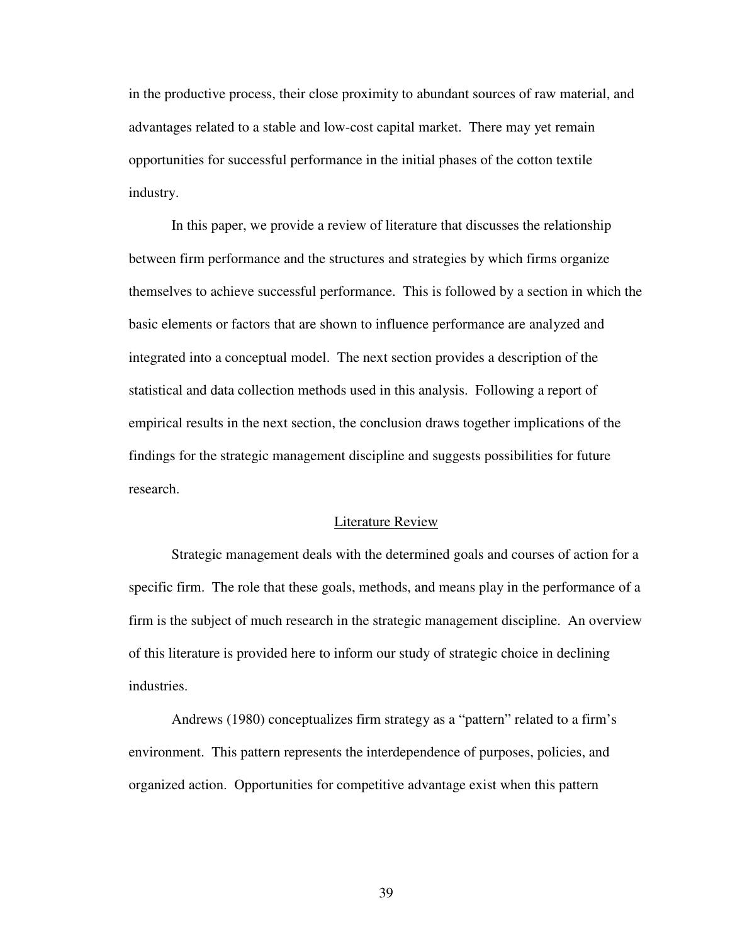in the productive process, their close proximity to abundant sources of raw material, and advantages related to a stable and low-cost capital market. There may yet remain opportunities for successful performance in the initial phases of the cotton textile industry.

In this paper, we provide a review of literature that discusses the relationship between firm performance and the structures and strategies by which firms organize themselves to achieve successful performance. This is followed by a section in which the basic elements or factors that are shown to influence performance are analyzed and integrated into a conceptual model. The next section provides a description of the statistical and data collection methods used in this analysis. Following a report of empirical results in the next section, the conclusion draws together implications of the findings for the strategic management discipline and suggests possibilities for future research.

#### Literature Review

Strategic management deals with the determined goals and courses of action for a specific firm. The role that these goals, methods, and means play in the performance of a firm is the subject of much research in the strategic management discipline. An overview of this literature is provided here to inform our study of strategic choice in declining industries.

Andrews (1980) conceptualizes firm strategy as a "pattern" related to a firm's environment. This pattern represents the interdependence of purposes, policies, and organized action. Opportunities for competitive advantage exist when this pattern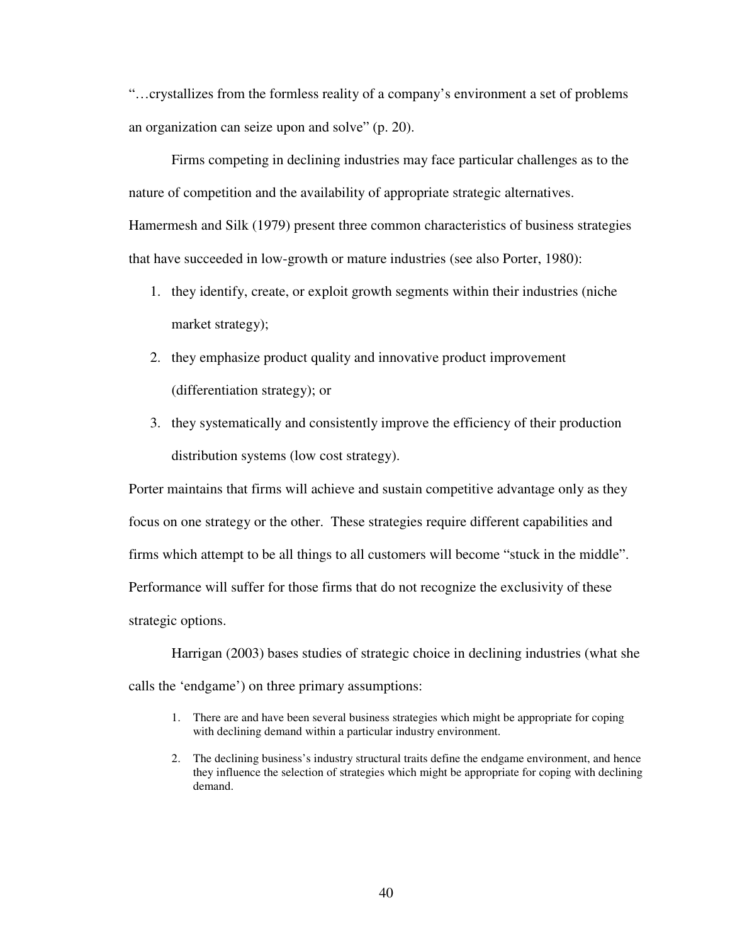"…crystallizes from the formless reality of a company's environment a set of problems an organization can seize upon and solve" (p. 20).

Firms competing in declining industries may face particular challenges as to the nature of competition and the availability of appropriate strategic alternatives. Hamermesh and Silk (1979) present three common characteristics of business strategies that have succeeded in low-growth or mature industries (see also Porter, 1980):

- 1. they identify, create, or exploit growth segments within their industries (niche market strategy);
- 2. they emphasize product quality and innovative product improvement (differentiation strategy); or
- 3. they systematically and consistently improve the efficiency of their production distribution systems (low cost strategy).

Porter maintains that firms will achieve and sustain competitive advantage only as they focus on one strategy or the other. These strategies require different capabilities and firms which attempt to be all things to all customers will become "stuck in the middle". Performance will suffer for those firms that do not recognize the exclusivity of these strategic options.

Harrigan (2003) bases studies of strategic choice in declining industries (what she calls the 'endgame') on three primary assumptions:

- 1. There are and have been several business strategies which might be appropriate for coping with declining demand within a particular industry environment.
- 2. The declining business's industry structural traits define the endgame environment, and hence they influence the selection of strategies which might be appropriate for coping with declining demand.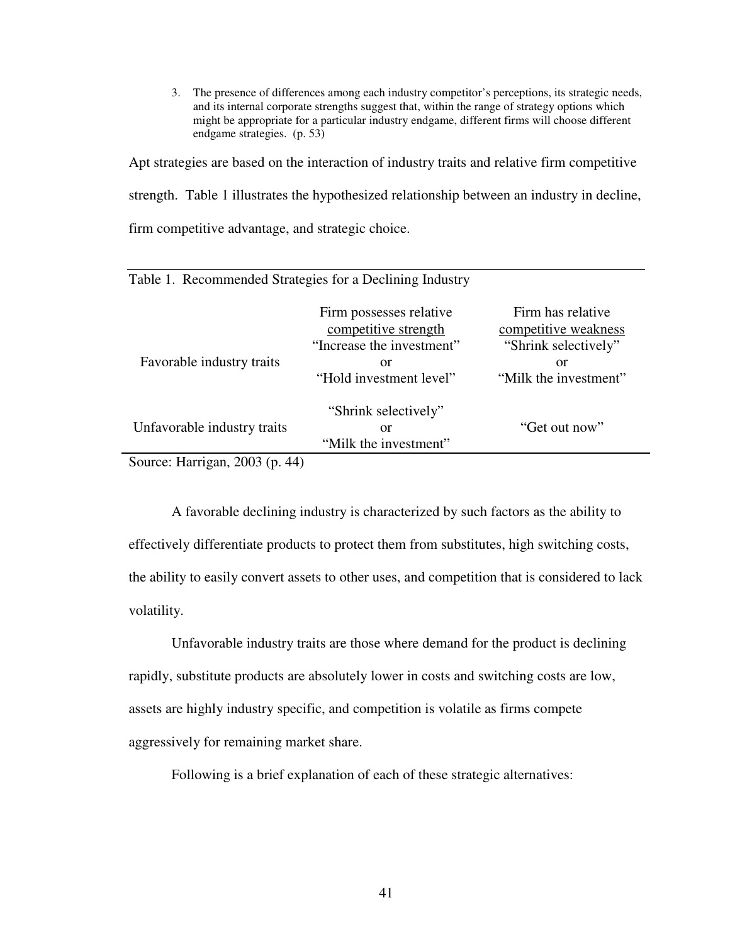3. The presence of differences among each industry competitor's perceptions, its strategic needs, and its internal corporate strengths suggest that, within the range of strategy options which might be appropriate for a particular industry endgame, different firms will choose different endgame strategies. (p. 53)

Apt strategies are based on the interaction of industry traits and relative firm competitive strength. Table 1 illustrates the hypothesized relationship between an industry in decline, firm competitive advantage, and strategic choice.

|                                               | Firm possesses relative   | Firm has relative     |
|-----------------------------------------------|---------------------------|-----------------------|
|                                               | competitive strength      | competitive weakness  |
|                                               | "Increase the investment" | "Shrink selectively"  |
| Favorable industry traits                     | or                        | or                    |
|                                               | "Hold investment level"   | "Milk the investment" |
|                                               | "Shrink selectively"      |                       |
| Unfavorable industry traits                   | or                        | "Get out now"         |
|                                               | "Milk the investment"     |                       |
| $\text{Source: Harrison}$ $2003(n \text{ A})$ |                           |                       |

Table 1. Recommended Strategies for a Declining Industry

Source: Harrigan, 2003 (p. 44)

A favorable declining industry is characterized by such factors as the ability to effectively differentiate products to protect them from substitutes, high switching costs, the ability to easily convert assets to other uses, and competition that is considered to lack volatility.

Unfavorable industry traits are those where demand for the product is declining rapidly, substitute products are absolutely lower in costs and switching costs are low, assets are highly industry specific, and competition is volatile as firms compete aggressively for remaining market share.

Following is a brief explanation of each of these strategic alternatives: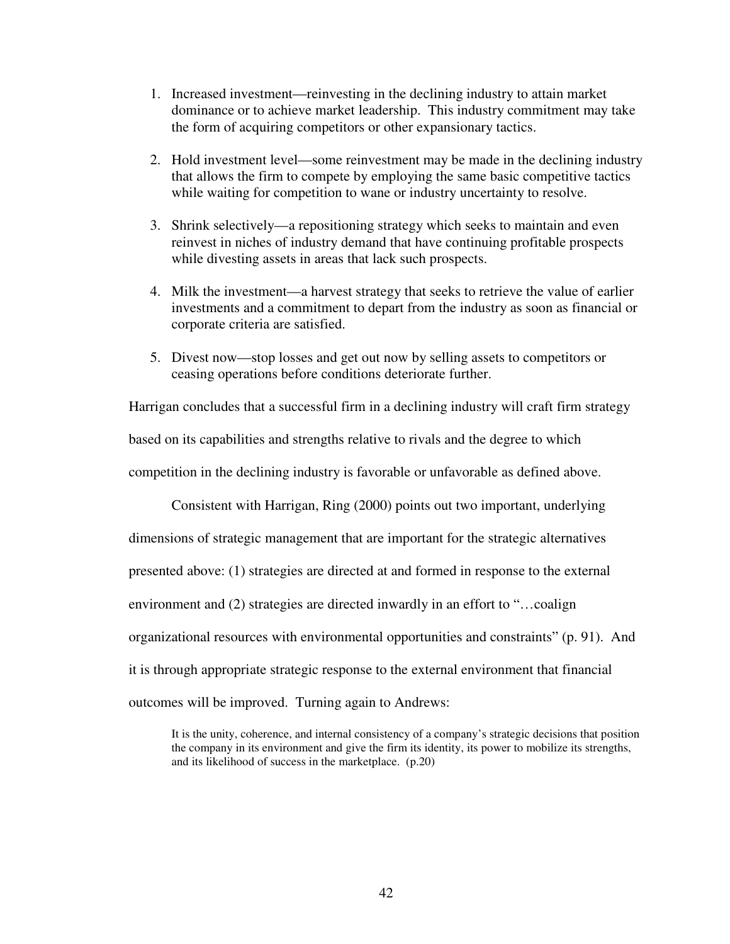- 1. Increased investment—reinvesting in the declining industry to attain market dominance or to achieve market leadership. This industry commitment may take the form of acquiring competitors or other expansionary tactics.
- 2. Hold investment level—some reinvestment may be made in the declining industry that allows the firm to compete by employing the same basic competitive tactics while waiting for competition to wane or industry uncertainty to resolve.
- 3. Shrink selectively—a repositioning strategy which seeks to maintain and even reinvest in niches of industry demand that have continuing profitable prospects while divesting assets in areas that lack such prospects.
- 4. Milk the investment—a harvest strategy that seeks to retrieve the value of earlier investments and a commitment to depart from the industry as soon as financial or corporate criteria are satisfied.
- 5. Divest now—stop losses and get out now by selling assets to competitors or ceasing operations before conditions deteriorate further.

Harrigan concludes that a successful firm in a declining industry will craft firm strategy

based on its capabilities and strengths relative to rivals and the degree to which

competition in the declining industry is favorable or unfavorable as defined above.

Consistent with Harrigan, Ring (2000) points out two important, underlying

dimensions of strategic management that are important for the strategic alternatives

presented above: (1) strategies are directed at and formed in response to the external

environment and (2) strategies are directed inwardly in an effort to "…coalign

organizational resources with environmental opportunities and constraints" (p. 91). And

it is through appropriate strategic response to the external environment that financial

outcomes will be improved. Turning again to Andrews:

It is the unity, coherence, and internal consistency of a company's strategic decisions that position the company in its environment and give the firm its identity, its power to mobilize its strengths, and its likelihood of success in the marketplace. (p.20)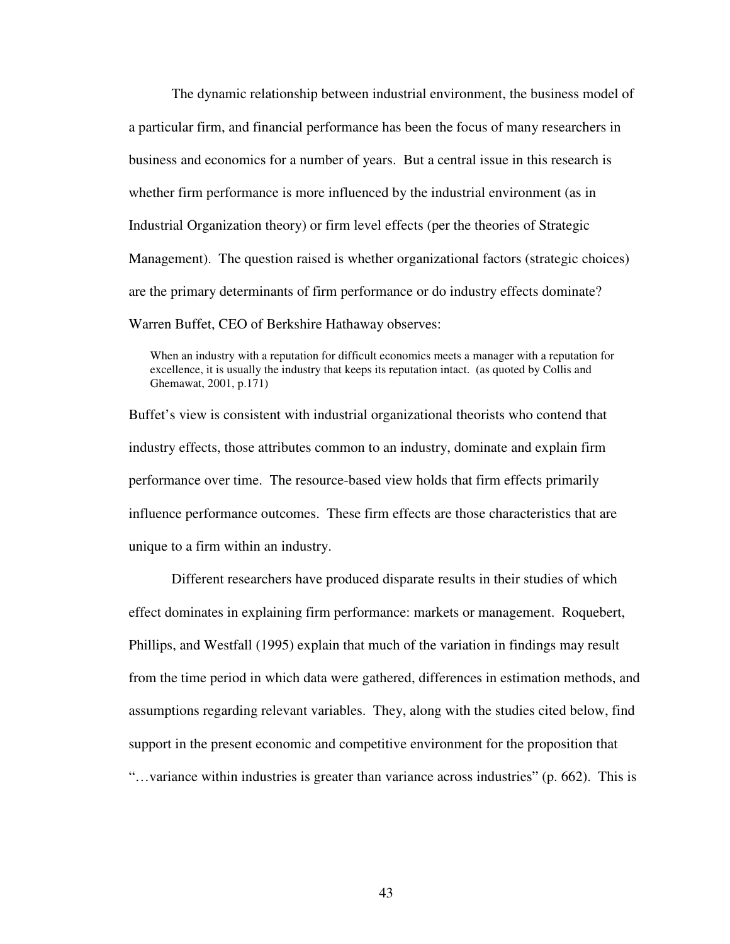The dynamic relationship between industrial environment, the business model of a particular firm, and financial performance has been the focus of many researchers in business and economics for a number of years. But a central issue in this research is whether firm performance is more influenced by the industrial environment (as in Industrial Organization theory) or firm level effects (per the theories of Strategic Management). The question raised is whether organizational factors (strategic choices) are the primary determinants of firm performance or do industry effects dominate? Warren Buffet, CEO of Berkshire Hathaway observes:

When an industry with a reputation for difficult economics meets a manager with a reputation for excellence, it is usually the industry that keeps its reputation intact. (as quoted by Collis and Ghemawat, 2001, p.171)

Buffet's view is consistent with industrial organizational theorists who contend that industry effects, those attributes common to an industry, dominate and explain firm performance over time. The resource-based view holds that firm effects primarily influence performance outcomes. These firm effects are those characteristics that are unique to a firm within an industry.

 Different researchers have produced disparate results in their studies of which effect dominates in explaining firm performance: markets or management. Roquebert, Phillips, and Westfall (1995) explain that much of the variation in findings may result from the time period in which data were gathered, differences in estimation methods, and assumptions regarding relevant variables. They, along with the studies cited below, find support in the present economic and competitive environment for the proposition that "…variance within industries is greater than variance across industries" (p. 662). This is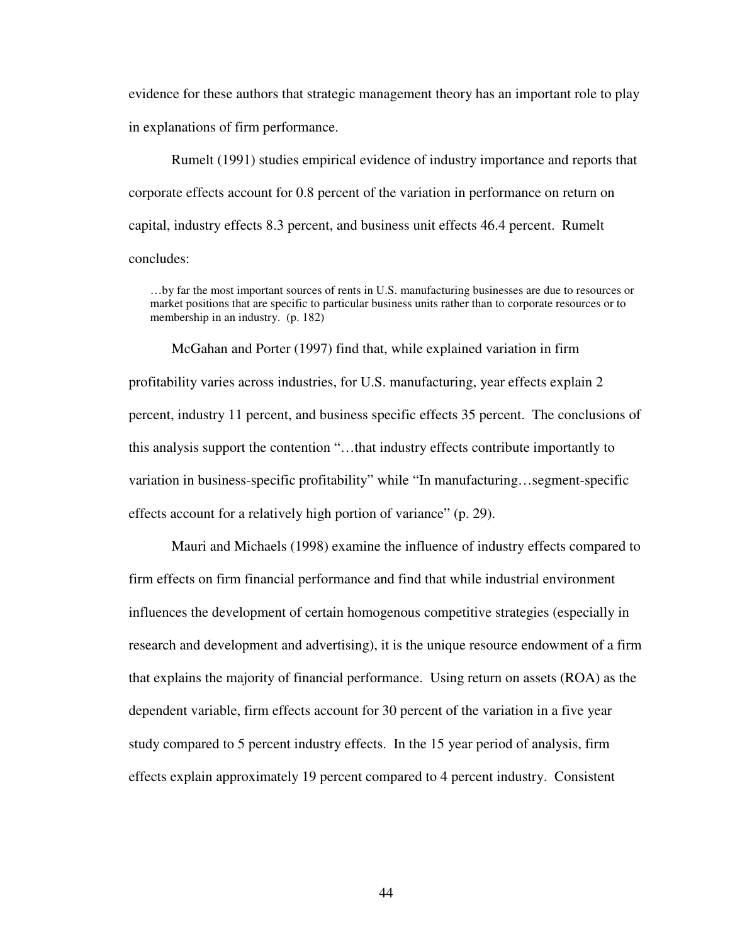evidence for these authors that strategic management theory has an important role to play in explanations of firm performance.

Rumelt (1991) studies empirical evidence of industry importance and reports that corporate effects account for 0.8 percent of the variation in performance on return on capital, industry effects 8.3 percent, and business unit effects 46.4 percent. Rumelt concludes:

…by far the most important sources of rents in U.S. manufacturing businesses are due to resources or market positions that are specific to particular business units rather than to corporate resources or to membership in an industry. (p. 182)

McGahan and Porter (1997) find that, while explained variation in firm profitability varies across industries, for U.S. manufacturing, year effects explain 2 percent, industry 11 percent, and business specific effects 35 percent. The conclusions of this analysis support the contention "…that industry effects contribute importantly to variation in business-specific profitability" while "In manufacturing…segment-specific effects account for a relatively high portion of variance" (p. 29).

Mauri and Michaels (1998) examine the influence of industry effects compared to firm effects on firm financial performance and find that while industrial environment influences the development of certain homogenous competitive strategies (especially in research and development and advertising), it is the unique resource endowment of a firm that explains the majority of financial performance. Using return on assets (ROA) as the dependent variable, firm effects account for 30 percent of the variation in a five year study compared to 5 percent industry effects. In the 15 year period of analysis, firm effects explain approximately 19 percent compared to 4 percent industry. Consistent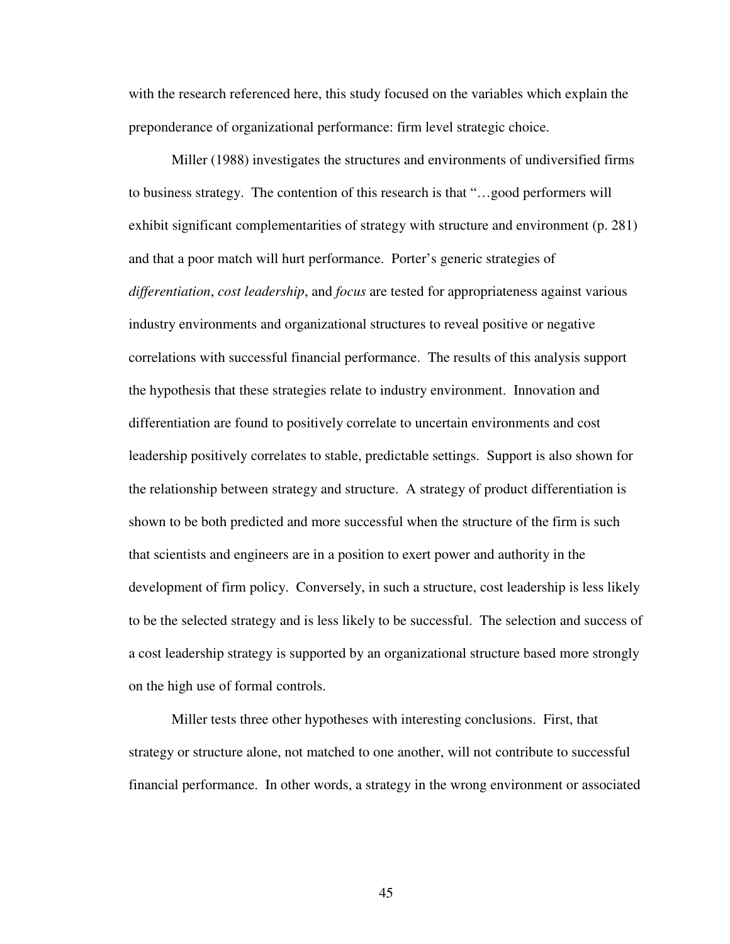with the research referenced here, this study focused on the variables which explain the preponderance of organizational performance: firm level strategic choice.

Miller (1988) investigates the structures and environments of undiversified firms to business strategy. The contention of this research is that "…good performers will exhibit significant complementarities of strategy with structure and environment (p. 281) and that a poor match will hurt performance. Porter's generic strategies of *differentiation*, *cost leadership*, and *focus* are tested for appropriateness against various industry environments and organizational structures to reveal positive or negative correlations with successful financial performance. The results of this analysis support the hypothesis that these strategies relate to industry environment. Innovation and differentiation are found to positively correlate to uncertain environments and cost leadership positively correlates to stable, predictable settings. Support is also shown for the relationship between strategy and structure. A strategy of product differentiation is shown to be both predicted and more successful when the structure of the firm is such that scientists and engineers are in a position to exert power and authority in the development of firm policy. Conversely, in such a structure, cost leadership is less likely to be the selected strategy and is less likely to be successful. The selection and success of a cost leadership strategy is supported by an organizational structure based more strongly on the high use of formal controls.

Miller tests three other hypotheses with interesting conclusions. First, that strategy or structure alone, not matched to one another, will not contribute to successful financial performance. In other words, a strategy in the wrong environment or associated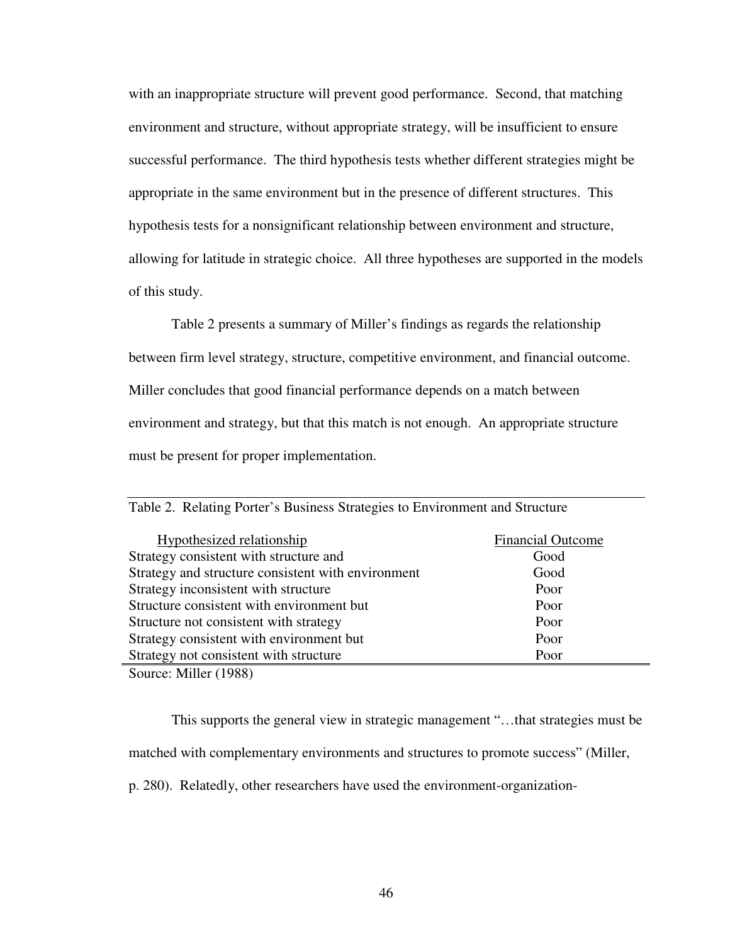with an inappropriate structure will prevent good performance. Second, that matching environment and structure, without appropriate strategy, will be insufficient to ensure successful performance. The third hypothesis tests whether different strategies might be appropriate in the same environment but in the presence of different structures. This hypothesis tests for a nonsignificant relationship between environment and structure, allowing for latitude in strategic choice. All three hypotheses are supported in the models of this study.

Table 2 presents a summary of Miller's findings as regards the relationship between firm level strategy, structure, competitive environment, and financial outcome. Miller concludes that good financial performance depends on a match between environment and strategy, but that this match is not enough. An appropriate structure must be present for proper implementation.

| Hypothesized relationship                          | <b>Financial Outcome</b> |
|----------------------------------------------------|--------------------------|
| Strategy consistent with structure and             | Good                     |
| Strategy and structure consistent with environment | Good                     |
| Strategy inconsistent with structure               | Poor                     |
| Structure consistent with environment but          | Poor                     |
| Structure not consistent with strategy             | Poor                     |
| Strategy consistent with environment but           | Poor                     |
| Strategy not consistent with structure             | Poor                     |

Table 2. Relating Porter's Business Strategies to Environment and Structure

Source: Miller (1988)

This supports the general view in strategic management "…that strategies must be matched with complementary environments and structures to promote success" (Miller,

p. 280). Relatedly, other researchers have used the environment-organization-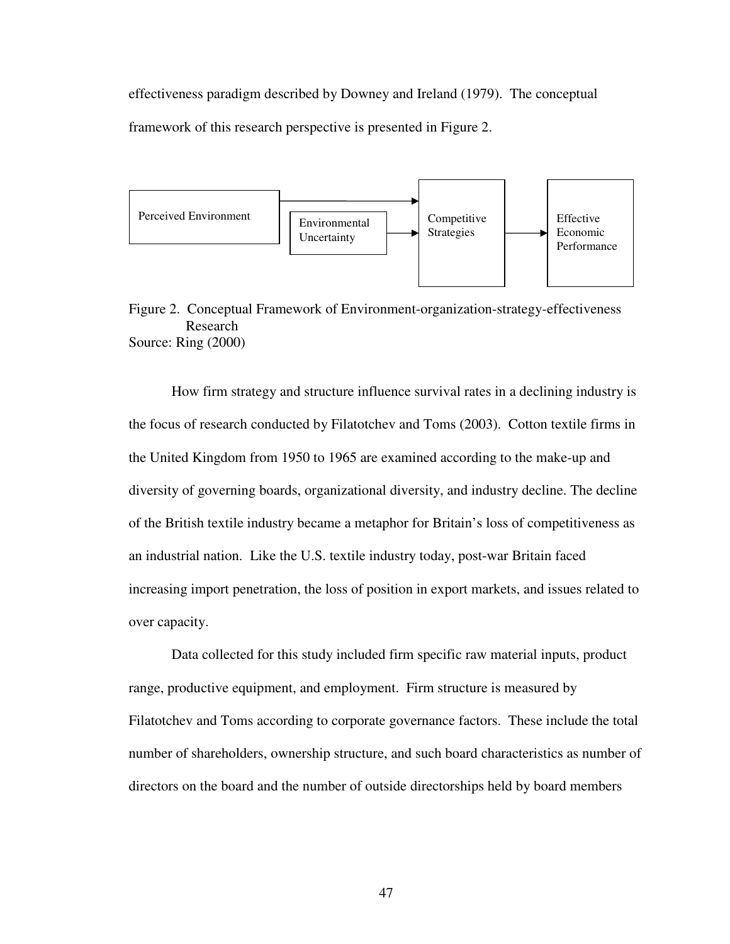effectiveness paradigm described by Downey and Ireland (1979). The conceptual framework of this research perspective is presented in Figure 2.



Figure 2. Conceptual Framework of Environment-organization-strategy-effectiveness Research Source: Ring (2000)

How firm strategy and structure influence survival rates in a declining industry is the focus of research conducted by Filatotchev and Toms (2003). Cotton textile firms in the United Kingdom from 1950 to 1965 are examined according to the make-up and diversity of governing boards, organizational diversity, and industry decline. The decline of the British textile industry became a metaphor for Britain's loss of competitiveness as an industrial nation. Like the U.S. textile industry today, post-war Britain faced increasing import penetration, the loss of position in export markets, and issues related to over capacity.

Data collected for this study included firm specific raw material inputs, product range, productive equipment, and employment. Firm structure is measured by Filatotchev and Toms according to corporate governance factors. These include the total number of shareholders, ownership structure, and such board characteristics as number of directors on the board and the number of outside directorships held by board members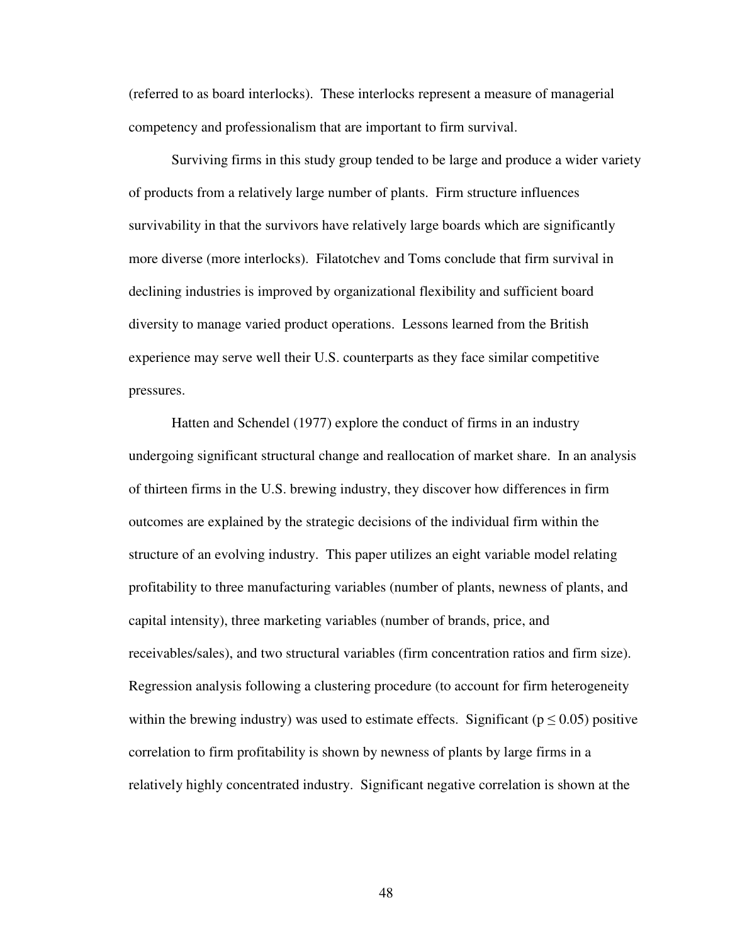(referred to as board interlocks). These interlocks represent a measure of managerial competency and professionalism that are important to firm survival.

Surviving firms in this study group tended to be large and produce a wider variety of products from a relatively large number of plants. Firm structure influences survivability in that the survivors have relatively large boards which are significantly more diverse (more interlocks). Filatotchev and Toms conclude that firm survival in declining industries is improved by organizational flexibility and sufficient board diversity to manage varied product operations. Lessons learned from the British experience may serve well their U.S. counterparts as they face similar competitive pressures.

Hatten and Schendel (1977) explore the conduct of firms in an industry undergoing significant structural change and reallocation of market share. In an analysis of thirteen firms in the U.S. brewing industry, they discover how differences in firm outcomes are explained by the strategic decisions of the individual firm within the structure of an evolving industry. This paper utilizes an eight variable model relating profitability to three manufacturing variables (number of plants, newness of plants, and capital intensity), three marketing variables (number of brands, price, and receivables/sales), and two structural variables (firm concentration ratios and firm size). Regression analysis following a clustering procedure (to account for firm heterogeneity within the brewing industry) was used to estimate effects. Significant ( $p \le 0.05$ ) positive correlation to firm profitability is shown by newness of plants by large firms in a relatively highly concentrated industry. Significant negative correlation is shown at the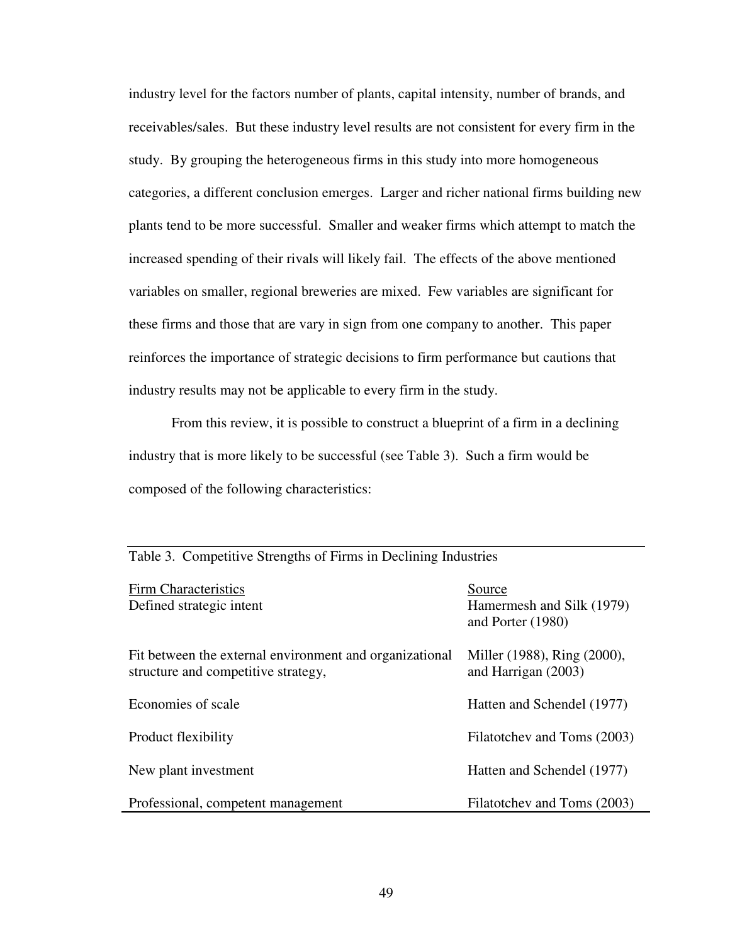industry level for the factors number of plants, capital intensity, number of brands, and receivables/sales. But these industry level results are not consistent for every firm in the study. By grouping the heterogeneous firms in this study into more homogeneous categories, a different conclusion emerges. Larger and richer national firms building new plants tend to be more successful. Smaller and weaker firms which attempt to match the increased spending of their rivals will likely fail. The effects of the above mentioned variables on smaller, regional breweries are mixed. Few variables are significant for these firms and those that are vary in sign from one company to another. This paper reinforces the importance of strategic decisions to firm performance but cautions that industry results may not be applicable to every firm in the study.

From this review, it is possible to construct a blueprint of a firm in a declining industry that is more likely to be successful (see Table 3). Such a firm would be composed of the following characteristics:

| Firm Characteristics<br>Defined strategic intent                                               | Source<br>Hamermesh and Silk (1979)<br>and Porter (1980) |
|------------------------------------------------------------------------------------------------|----------------------------------------------------------|
| Fit between the external environment and organizational<br>structure and competitive strategy, | Miller (1988), Ring (2000),<br>and Harrigan $(2003)$     |
| Economies of scale                                                                             | Hatten and Schendel (1977)                               |
| Product flexibility                                                                            | Filatotchev and Toms (2003)                              |
| New plant investment                                                                           | Hatten and Schendel (1977)                               |
| Professional, competent management                                                             | Filatotchev and Toms (2003)                              |

Table 3. Competitive Strengths of Firms in Declining Industries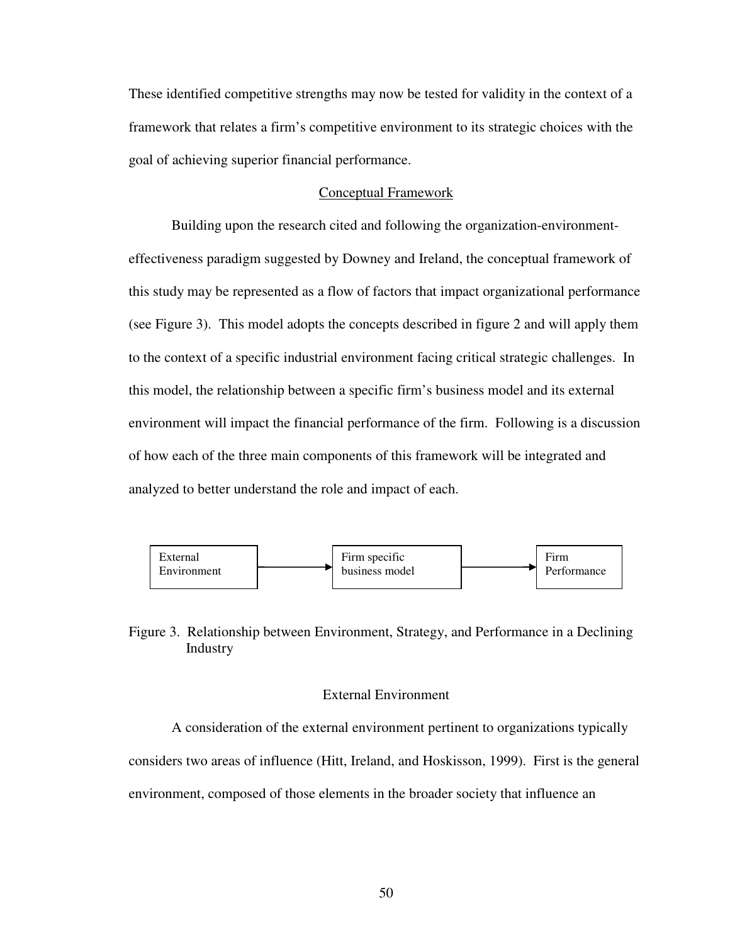These identified competitive strengths may now be tested for validity in the context of a framework that relates a firm's competitive environment to its strategic choices with the goal of achieving superior financial performance.

### Conceptual Framework

Building upon the research cited and following the organization-environmenteffectiveness paradigm suggested by Downey and Ireland, the conceptual framework of this study may be represented as a flow of factors that impact organizational performance (see Figure 3). This model adopts the concepts described in figure 2 and will apply them to the context of a specific industrial environment facing critical strategic challenges. In this model, the relationship between a specific firm's business model and its external environment will impact the financial performance of the firm. Following is a discussion of how each of the three main components of this framework will be integrated and analyzed to better understand the role and impact of each.



Figure 3. Relationship between Environment, Strategy, and Performance in a Declining Industry

## External Environment

A consideration of the external environment pertinent to organizations typically considers two areas of influence (Hitt, Ireland, and Hoskisson, 1999). First is the general environment, composed of those elements in the broader society that influence an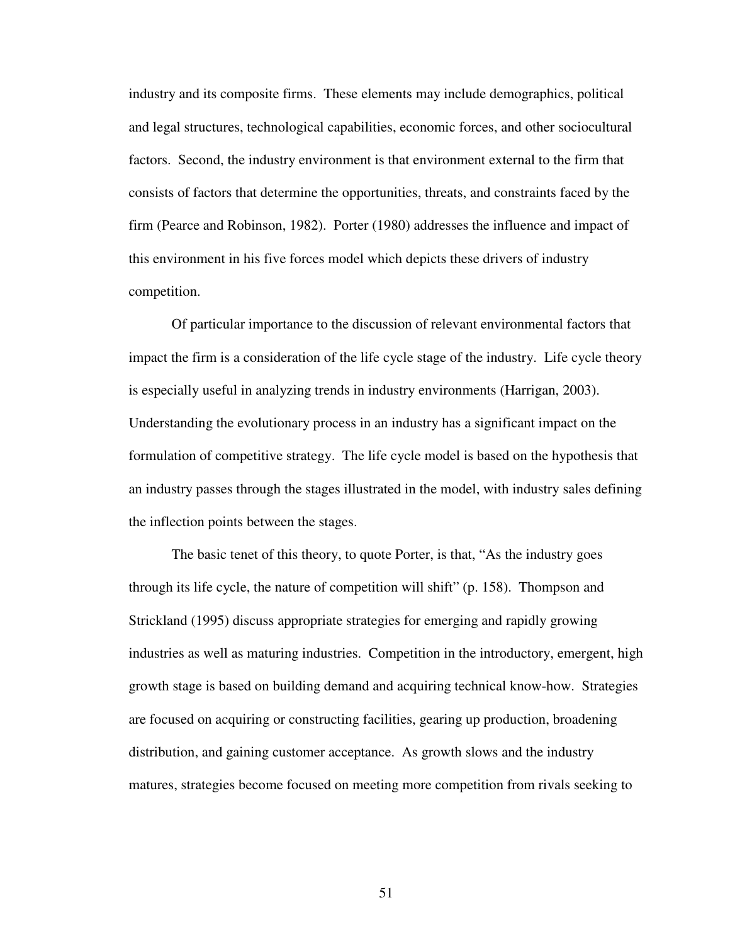industry and its composite firms. These elements may include demographics, political and legal structures, technological capabilities, economic forces, and other sociocultural factors. Second, the industry environment is that environment external to the firm that consists of factors that determine the opportunities, threats, and constraints faced by the firm (Pearce and Robinson, 1982). Porter (1980) addresses the influence and impact of this environment in his five forces model which depicts these drivers of industry competition.

Of particular importance to the discussion of relevant environmental factors that impact the firm is a consideration of the life cycle stage of the industry. Life cycle theory is especially useful in analyzing trends in industry environments (Harrigan, 2003). Understanding the evolutionary process in an industry has a significant impact on the formulation of competitive strategy. The life cycle model is based on the hypothesis that an industry passes through the stages illustrated in the model, with industry sales defining the inflection points between the stages.

The basic tenet of this theory, to quote Porter, is that, "As the industry goes through its life cycle, the nature of competition will shift" (p. 158). Thompson and Strickland (1995) discuss appropriate strategies for emerging and rapidly growing industries as well as maturing industries. Competition in the introductory, emergent, high growth stage is based on building demand and acquiring technical know-how. Strategies are focused on acquiring or constructing facilities, gearing up production, broadening distribution, and gaining customer acceptance. As growth slows and the industry matures, strategies become focused on meeting more competition from rivals seeking to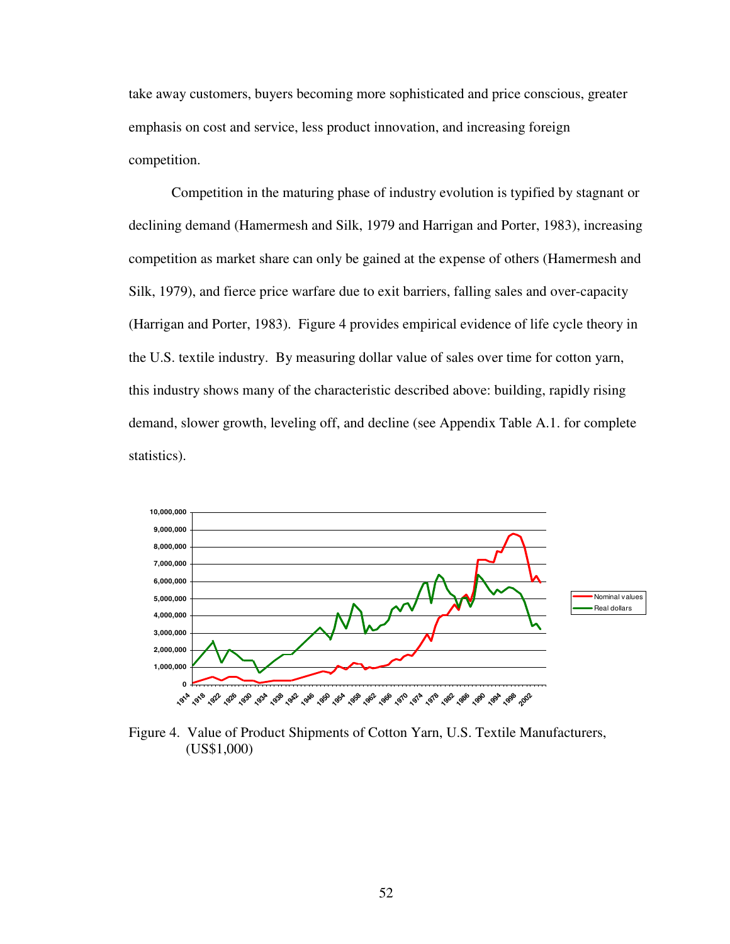take away customers, buyers becoming more sophisticated and price conscious, greater emphasis on cost and service, less product innovation, and increasing foreign competition.

Competition in the maturing phase of industry evolution is typified by stagnant or declining demand (Hamermesh and Silk, 1979 and Harrigan and Porter, 1983), increasing competition as market share can only be gained at the expense of others (Hamermesh and Silk, 1979), and fierce price warfare due to exit barriers, falling sales and over-capacity (Harrigan and Porter, 1983). Figure 4 provides empirical evidence of life cycle theory in the U.S. textile industry. By measuring dollar value of sales over time for cotton yarn, this industry shows many of the characteristic described above: building, rapidly rising demand, slower growth, leveling off, and decline (see Appendix Table A.1. for complete statistics).



Figure 4. Value of Product Shipments of Cotton Yarn, U.S. Textile Manufacturers, (US\$1,000)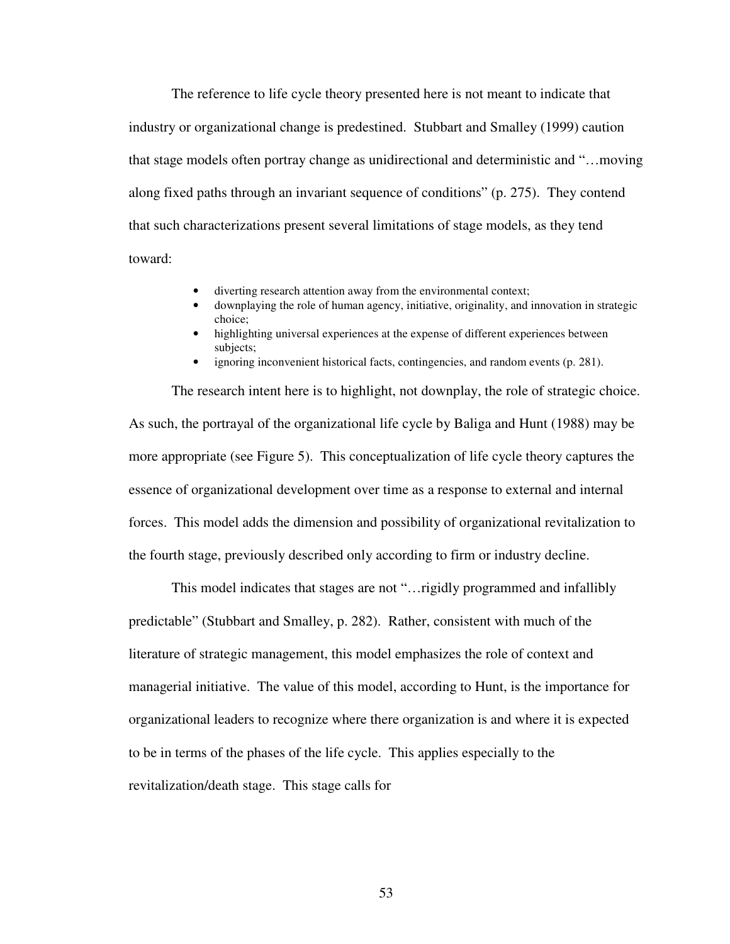The reference to life cycle theory presented here is not meant to indicate that industry or organizational change is predestined. Stubbart and Smalley (1999) caution that stage models often portray change as unidirectional and deterministic and "…moving along fixed paths through an invariant sequence of conditions" (p. 275). They contend that such characterizations present several limitations of stage models, as they tend toward:

- diverting research attention away from the environmental context;
- downplaying the role of human agency, initiative, originality, and innovation in strategic choice;
- highlighting universal experiences at the expense of different experiences between subjects;
- ignoring inconvenient historical facts, contingencies, and random events (p. 281).

The research intent here is to highlight, not downplay, the role of strategic choice. As such, the portrayal of the organizational life cycle by Baliga and Hunt (1988) may be more appropriate (see Figure 5). This conceptualization of life cycle theory captures the essence of organizational development over time as a response to external and internal forces. This model adds the dimension and possibility of organizational revitalization to the fourth stage, previously described only according to firm or industry decline.

This model indicates that stages are not "…rigidly programmed and infallibly predictable" (Stubbart and Smalley, p. 282). Rather, consistent with much of the literature of strategic management, this model emphasizes the role of context and managerial initiative. The value of this model, according to Hunt, is the importance for organizational leaders to recognize where there organization is and where it is expected to be in terms of the phases of the life cycle. This applies especially to the revitalization/death stage. This stage calls for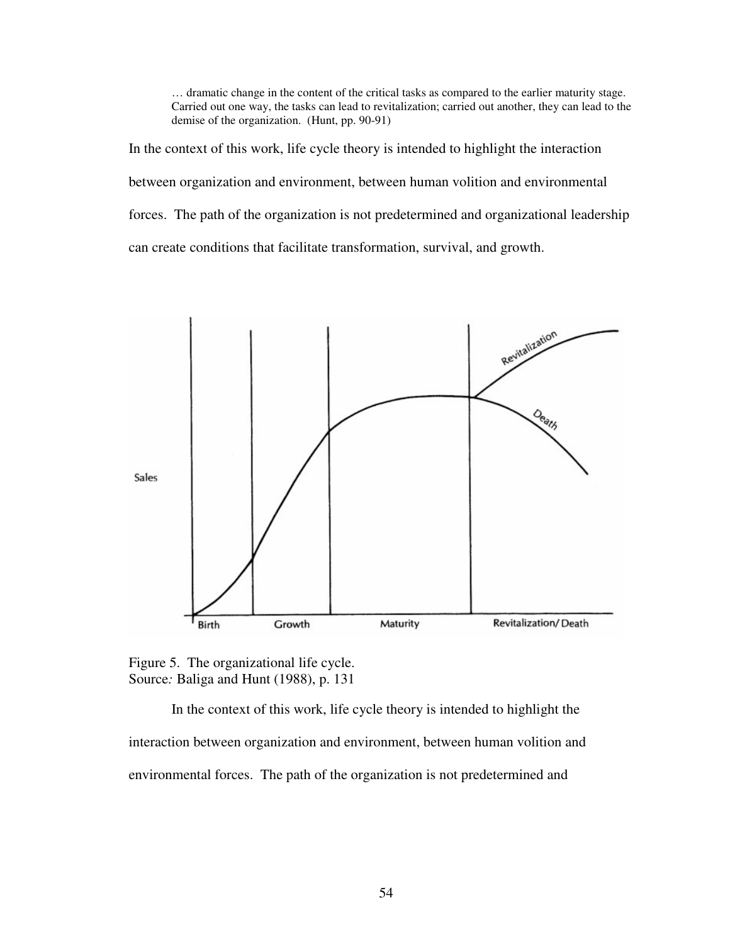… dramatic change in the content of the critical tasks as compared to the earlier maturity stage. Carried out one way, the tasks can lead to revitalization; carried out another, they can lead to the demise of the organization. (Hunt, pp. 90-91)

In the context of this work, life cycle theory is intended to highlight the interaction between organization and environment, between human volition and environmental forces. The path of the organization is not predetermined and organizational leadership can create conditions that facilitate transformation, survival, and growth.



Figure 5. The organizational life cycle. Source*:* Baliga and Hunt (1988), p. 131

In the context of this work, life cycle theory is intended to highlight the interaction between organization and environment, between human volition and environmental forces. The path of the organization is not predetermined and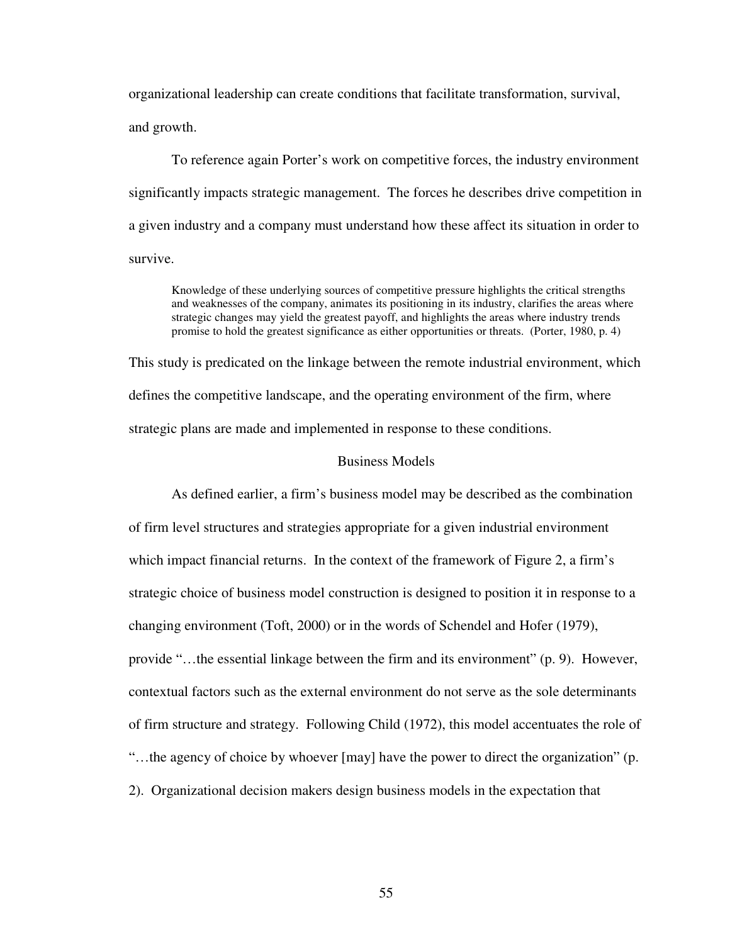organizational leadership can create conditions that facilitate transformation, survival, and growth.

To reference again Porter's work on competitive forces, the industry environment significantly impacts strategic management. The forces he describes drive competition in a given industry and a company must understand how these affect its situation in order to survive.

Knowledge of these underlying sources of competitive pressure highlights the critical strengths and weaknesses of the company, animates its positioning in its industry, clarifies the areas where strategic changes may yield the greatest payoff, and highlights the areas where industry trends promise to hold the greatest significance as either opportunities or threats.(Porter, 1980, p. 4)

This study is predicated on the linkage between the remote industrial environment, which defines the competitive landscape, and the operating environment of the firm, where strategic plans are made and implemented in response to these conditions.

## Business Models

As defined earlier, a firm's business model may be described as the combination of firm level structures and strategies appropriate for a given industrial environment which impact financial returns. In the context of the framework of Figure 2, a firm's strategic choice of business model construction is designed to position it in response to a changing environment (Toft, 2000) or in the words of Schendel and Hofer (1979), provide "…the essential linkage between the firm and its environment" (p. 9). However, contextual factors such as the external environment do not serve as the sole determinants of firm structure and strategy. Following Child (1972), this model accentuates the role of "…the agency of choice by whoever [may] have the power to direct the organization" (p. 2). Organizational decision makers design business models in the expectation that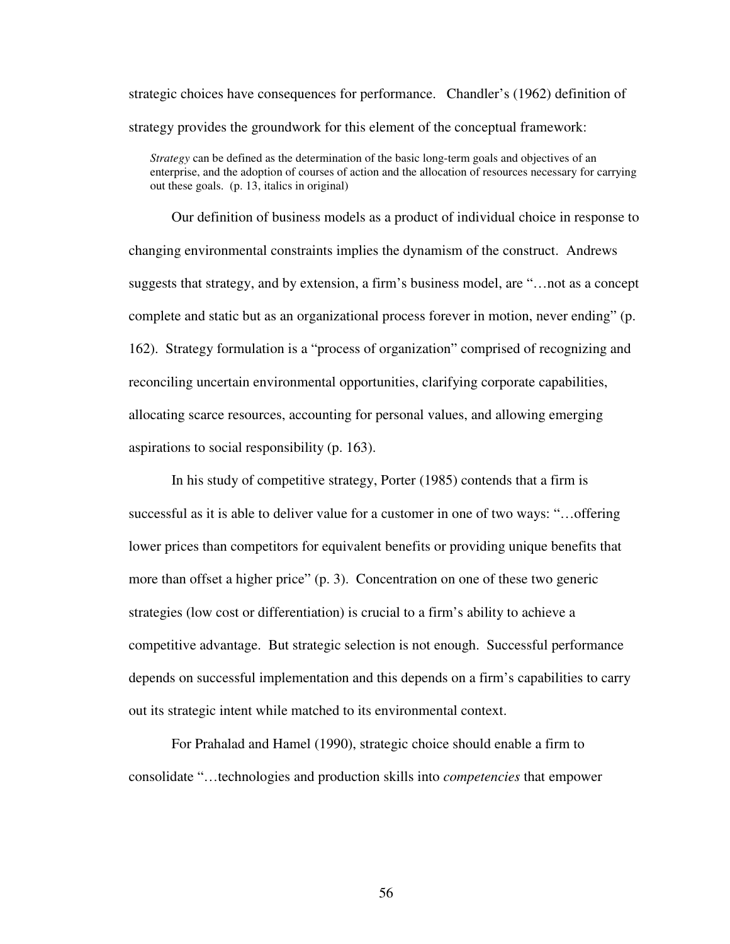strategic choices have consequences for performance. Chandler's (1962) definition of strategy provides the groundwork for this element of the conceptual framework:

*Strategy* can be defined as the determination of the basic long-term goals and objectives of an enterprise, and the adoption of courses of action and the allocation of resources necessary for carrying out these goals. (p. 13, italics in original)

Our definition of business models as a product of individual choice in response to changing environmental constraints implies the dynamism of the construct. Andrews suggests that strategy, and by extension, a firm's business model, are "…not as a concept complete and static but as an organizational process forever in motion, never ending" (p. 162). Strategy formulation is a "process of organization" comprised of recognizing and reconciling uncertain environmental opportunities, clarifying corporate capabilities, allocating scarce resources, accounting for personal values, and allowing emerging aspirations to social responsibility (p. 163).

In his study of competitive strategy, Porter (1985) contends that a firm is successful as it is able to deliver value for a customer in one of two ways: "…offering lower prices than competitors for equivalent benefits or providing unique benefits that more than offset a higher price" (p. 3). Concentration on one of these two generic strategies (low cost or differentiation) is crucial to a firm's ability to achieve a competitive advantage. But strategic selection is not enough. Successful performance depends on successful implementation and this depends on a firm's capabilities to carry out its strategic intent while matched to its environmental context.

For Prahalad and Hamel (1990), strategic choice should enable a firm to consolidate "…technologies and production skills into *competencies* that empower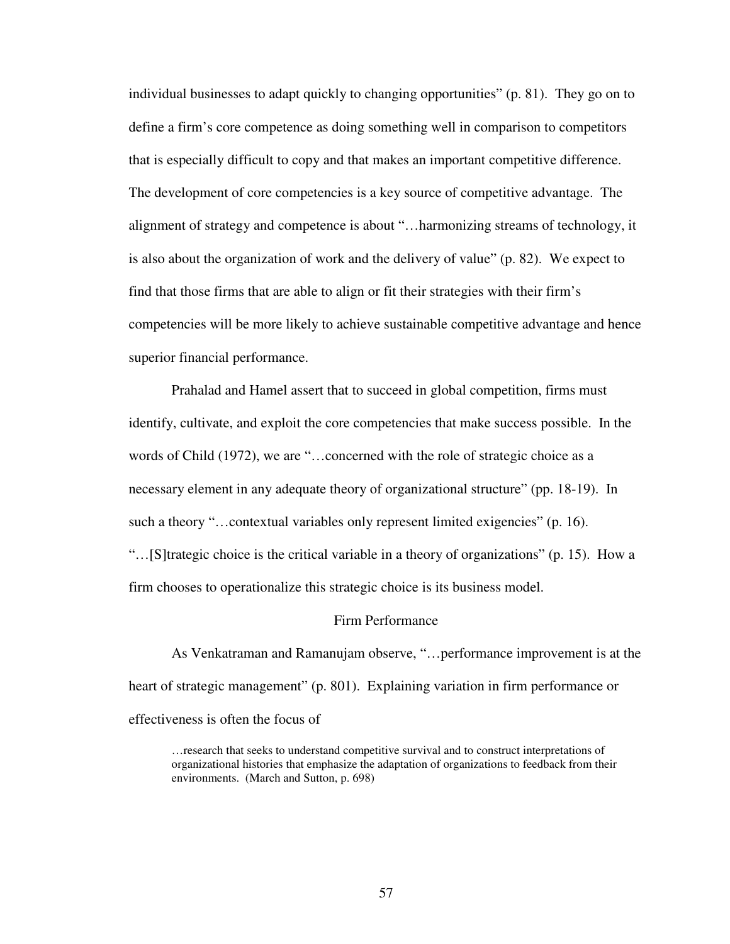individual businesses to adapt quickly to changing opportunities" (p. 81). They go on to define a firm's core competence as doing something well in comparison to competitors that is especially difficult to copy and that makes an important competitive difference. The development of core competencies is a key source of competitive advantage. The alignment of strategy and competence is about "…harmonizing streams of technology, it is also about the organization of work and the delivery of value" (p. 82). We expect to find that those firms that are able to align or fit their strategies with their firm's competencies will be more likely to achieve sustainable competitive advantage and hence superior financial performance.

Prahalad and Hamel assert that to succeed in global competition, firms must identify, cultivate, and exploit the core competencies that make success possible. In the words of Child (1972), we are "…concerned with the role of strategic choice as a necessary element in any adequate theory of organizational structure" (pp. 18-19). In such a theory "…contextual variables only represent limited exigencies" (p. 16). "…[S]trategic choice is the critical variable in a theory of organizations" (p. 15). How a firm chooses to operationalize this strategic choice is its business model.

#### Firm Performance

As Venkatraman and Ramanujam observe, "…performance improvement is at the heart of strategic management" (p. 801). Explaining variation in firm performance or effectiveness is often the focus of

…research that seeks to understand competitive survival and to construct interpretations of organizational histories that emphasize the adaptation of organizations to feedback from their environments. (March and Sutton, p. 698)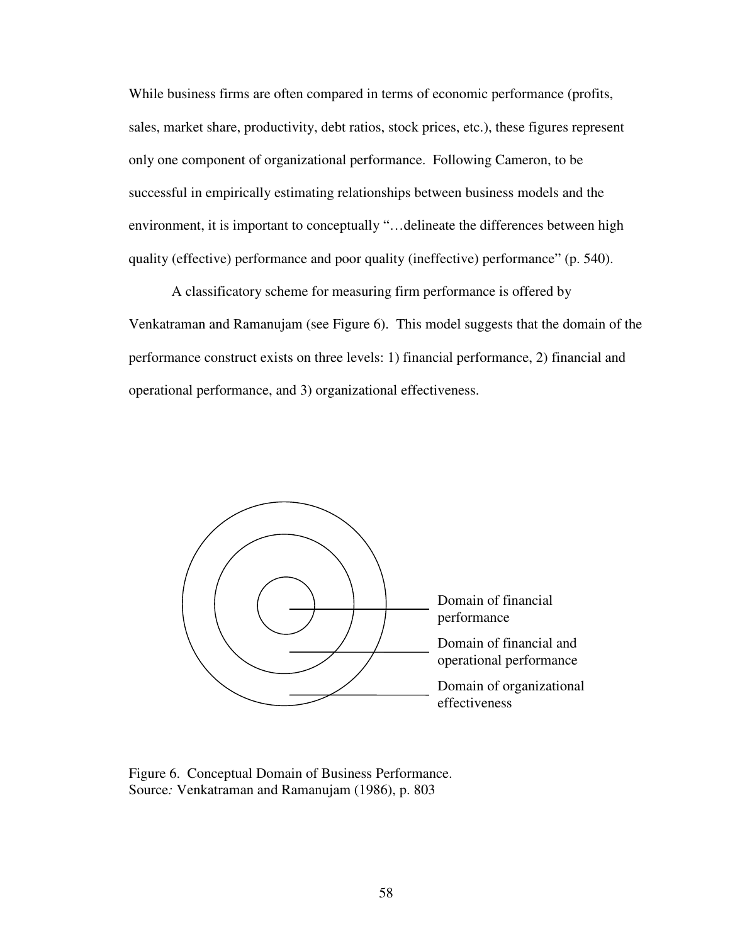While business firms are often compared in terms of economic performance (profits, sales, market share, productivity, debt ratios, stock prices, etc.), these figures represent only one component of organizational performance. Following Cameron, to be successful in empirically estimating relationships between business models and the environment, it is important to conceptually "…delineate the differences between high quality (effective) performance and poor quality (ineffective) performance" (p. 540).

A classificatory scheme for measuring firm performance is offered by Venkatraman and Ramanujam (see Figure 6). This model suggests that the domain of the performance construct exists on three levels: 1) financial performance, 2) financial and operational performance, and 3) organizational effectiveness.



Figure 6. Conceptual Domain of Business Performance. Source*:* Venkatraman and Ramanujam (1986), p. 803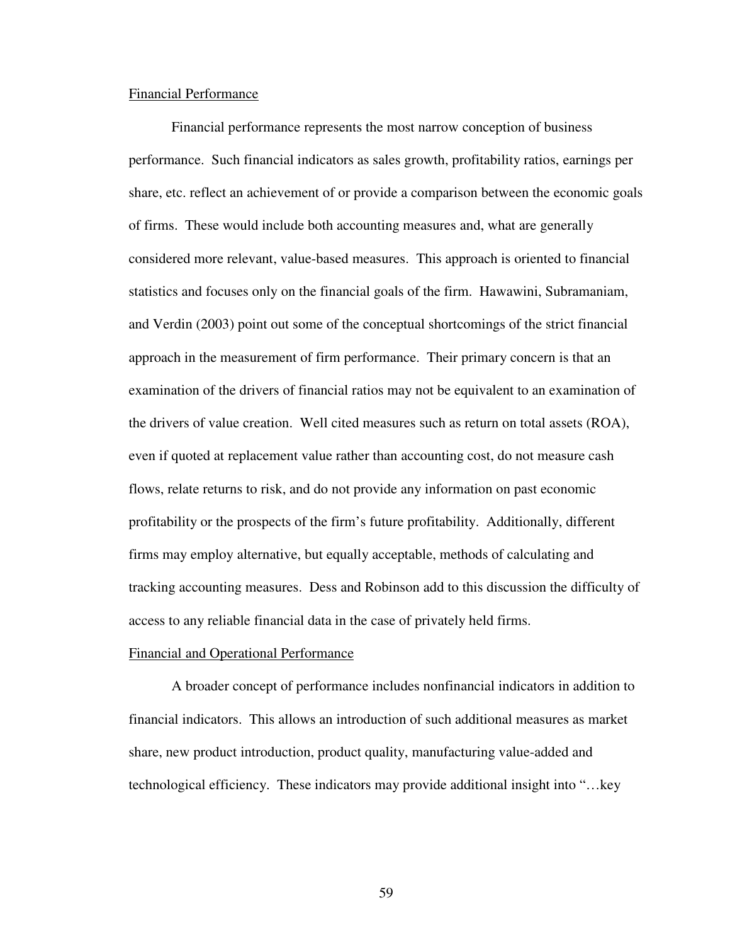#### Financial Performance

Financial performance represents the most narrow conception of business performance. Such financial indicators as sales growth, profitability ratios, earnings per share, etc. reflect an achievement of or provide a comparison between the economic goals of firms. These would include both accounting measures and, what are generally considered more relevant, value-based measures. This approach is oriented to financial statistics and focuses only on the financial goals of the firm. Hawawini, Subramaniam, and Verdin (2003) point out some of the conceptual shortcomings of the strict financial approach in the measurement of firm performance. Their primary concern is that an examination of the drivers of financial ratios may not be equivalent to an examination of the drivers of value creation. Well cited measures such as return on total assets (ROA), even if quoted at replacement value rather than accounting cost, do not measure cash flows, relate returns to risk, and do not provide any information on past economic profitability or the prospects of the firm's future profitability. Additionally, different firms may employ alternative, but equally acceptable, methods of calculating and tracking accounting measures. Dess and Robinson add to this discussion the difficulty of access to any reliable financial data in the case of privately held firms.

#### Financial and Operational Performance

A broader concept of performance includes nonfinancial indicators in addition to financial indicators. This allows an introduction of such additional measures as market share, new product introduction, product quality, manufacturing value-added and technological efficiency. These indicators may provide additional insight into "…key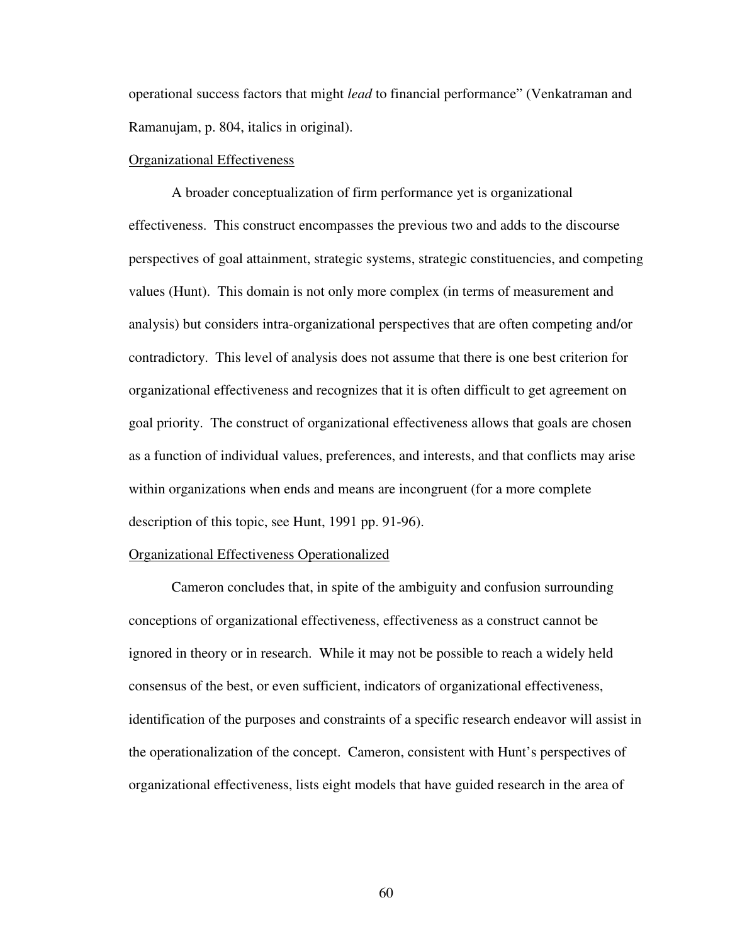operational success factors that might *lead* to financial performance" (Venkatraman and Ramanujam, p. 804, italics in original).

### Organizational Effectiveness

A broader conceptualization of firm performance yet is organizational effectiveness. This construct encompasses the previous two and adds to the discourse perspectives of goal attainment, strategic systems, strategic constituencies, and competing values (Hunt). This domain is not only more complex (in terms of measurement and analysis) but considers intra-organizational perspectives that are often competing and/or contradictory. This level of analysis does not assume that there is one best criterion for organizational effectiveness and recognizes that it is often difficult to get agreement on goal priority. The construct of organizational effectiveness allows that goals are chosen as a function of individual values, preferences, and interests, and that conflicts may arise within organizations when ends and means are incongruent (for a more complete description of this topic, see Hunt, 1991 pp. 91-96).

#### Organizational Effectiveness Operationalized

 Cameron concludes that, in spite of the ambiguity and confusion surrounding conceptions of organizational effectiveness, effectiveness as a construct cannot be ignored in theory or in research. While it may not be possible to reach a widely held consensus of the best, or even sufficient, indicators of organizational effectiveness, identification of the purposes and constraints of a specific research endeavor will assist in the operationalization of the concept. Cameron, consistent with Hunt's perspectives of organizational effectiveness, lists eight models that have guided research in the area of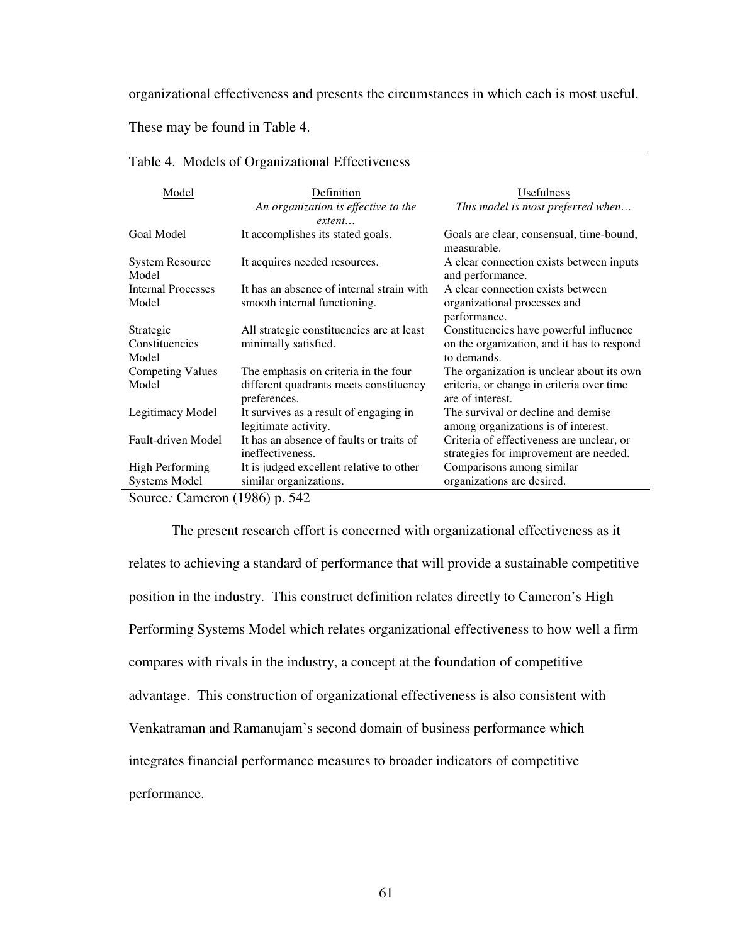organizational effectiveness and presents the circumstances in which each is most useful.

These may be found in Table 4.

| Model                           | Definition                                | Usefulness                                                   |
|---------------------------------|-------------------------------------------|--------------------------------------------------------------|
|                                 | An organization is effective to the       | This model is most preferred when                            |
|                                 | extent                                    |                                                              |
| Goal Model                      | It accomplishes its stated goals.         | Goals are clear, consensual, time-bound,<br>measurable.      |
| <b>System Resource</b><br>Model | It acquires needed resources.             | A clear connection exists between inputs<br>and performance. |
| <b>Internal Processes</b>       | It has an absence of internal strain with | A clear connection exists between                            |
| Model                           | smooth internal functioning.              | organizational processes and                                 |
|                                 |                                           | performance.                                                 |
| Strategic                       | All strategic constituencies are at least | Constituencies have powerful influence                       |
| Constituencies                  | minimally satisfied.                      | on the organization, and it has to respond                   |
| Model                           |                                           | to demands.                                                  |
| <b>Competing Values</b>         | The emphasis on criteria in the four      | The organization is unclear about its own                    |
| Model                           | different quadrants meets constituency    | criteria, or change in criteria over time                    |
|                                 | preferences.                              | are of interest.                                             |
| Legitimacy Model                | It survives as a result of engaging in    | The survival or decline and demise                           |
|                                 | legitimate activity.                      | among organizations is of interest.                          |
| Fault-driven Model              | It has an absence of faults or traits of  | Criteria of effectiveness are unclear, or                    |
|                                 | ineffectiveness.                          | strategies for improvement are needed.                       |
| <b>High Performing</b>          | It is judged excellent relative to other  | Comparisons among similar                                    |
| <b>Systems Model</b>            | similar organizations.                    | organizations are desired.                                   |
| $\alpha$ $\alpha$               | $(100C)$ $\mathbb{Z}$ 10                  |                                                              |

### Table 4. Models of Organizational Effectiveness

Source*:* Cameron (1986) p. 542

The present research effort is concerned with organizational effectiveness as it relates to achieving a standard of performance that will provide a sustainable competitive position in the industry. This construct definition relates directly to Cameron's High Performing Systems Model which relates organizational effectiveness to how well a firm compares with rivals in the industry, a concept at the foundation of competitive advantage. This construction of organizational effectiveness is also consistent with Venkatraman and Ramanujam's second domain of business performance which integrates financial performance measures to broader indicators of competitive performance.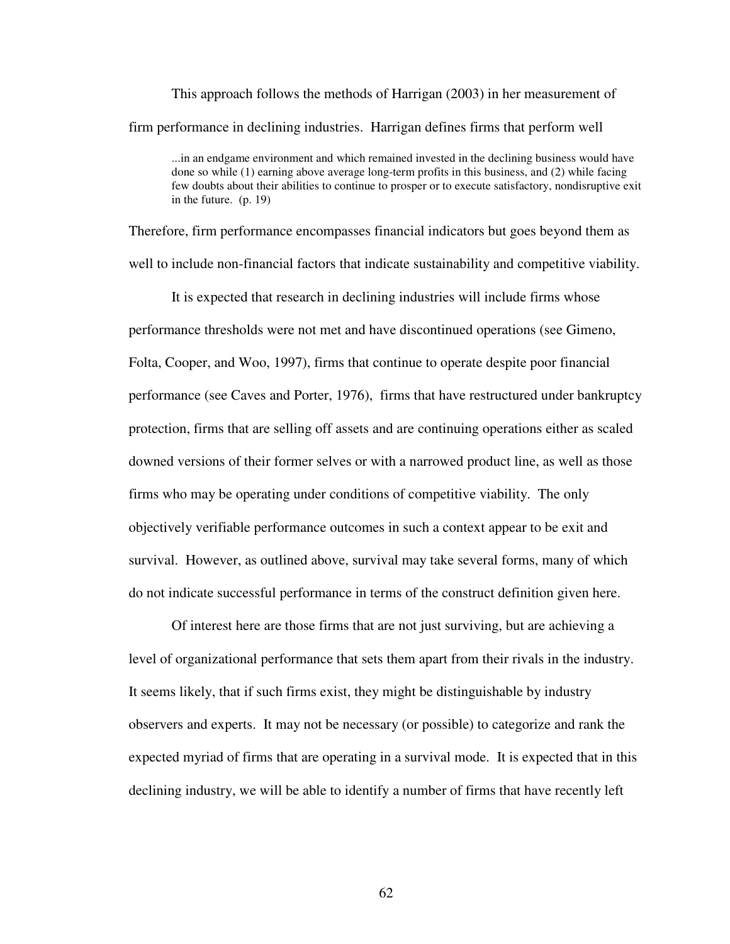This approach follows the methods of Harrigan (2003) in her measurement of firm performance in declining industries. Harrigan defines firms that perform well

...in an endgame environment and which remained invested in the declining business would have done so while (1) earning above average long-term profits in this business, and (2) while facing few doubts about their abilities to continue to prosper or to execute satisfactory, nondisruptive exit in the future. (p. 19)

Therefore, firm performance encompasses financial indicators but goes beyond them as well to include non-financial factors that indicate sustainability and competitive viability.

It is expected that research in declining industries will include firms whose performance thresholds were not met and have discontinued operations (see Gimeno, Folta, Cooper, and Woo, 1997), firms that continue to operate despite poor financial performance (see Caves and Porter, 1976), firms that have restructured under bankruptcy protection, firms that are selling off assets and are continuing operations either as scaled downed versions of their former selves or with a narrowed product line, as well as those firms who may be operating under conditions of competitive viability. The only objectively verifiable performance outcomes in such a context appear to be exit and survival. However, as outlined above, survival may take several forms, many of which do not indicate successful performance in terms of the construct definition given here.

Of interest here are those firms that are not just surviving, but are achieving a level of organizational performance that sets them apart from their rivals in the industry. It seems likely, that if such firms exist, they might be distinguishable by industry observers and experts. It may not be necessary (or possible) to categorize and rank the expected myriad of firms that are operating in a survival mode. It is expected that in this declining industry, we will be able to identify a number of firms that have recently left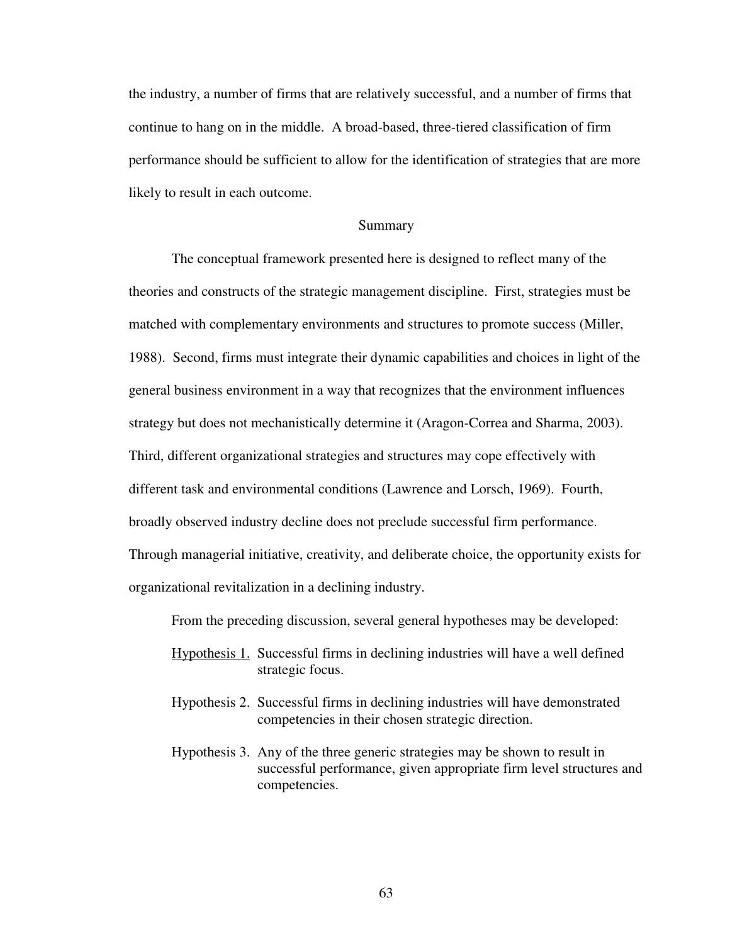the industry, a number of firms that are relatively successful, and a number of firms that continue to hang on in the middle. A broad-based, three-tiered classification of firm performance should be sufficient to allow for the identification of strategies that are more likely to result in each outcome.

### Summary

The conceptual framework presented here is designed to reflect many of the theories and constructs of the strategic management discipline. First, strategies must be matched with complementary environments and structures to promote success (Miller, 1988). Second, firms must integrate their dynamic capabilities and choices in light of the general business environment in a way that recognizes that the environment influences strategy but does not mechanistically determine it (Aragon-Correa and Sharma, 2003). Third, different organizational strategies and structures may cope effectively with different task and environmental conditions (Lawrence and Lorsch, 1969). Fourth, broadly observed industry decline does not preclude successful firm performance. Through managerial initiative, creativity, and deliberate choice, the opportunity exists for organizational revitalization in a declining industry.

From the preceding discussion, several general hypotheses may be developed:

- Hypothesis 1. Successful firms in declining industries will have a well defined strategic focus.
- Hypothesis 2. Successful firms in declining industries will have demonstrated competencies in their chosen strategic direction.
- Hypothesis 3. Any of the three generic strategies may be shown to result in successful performance, given appropriate firm level structures and competencies.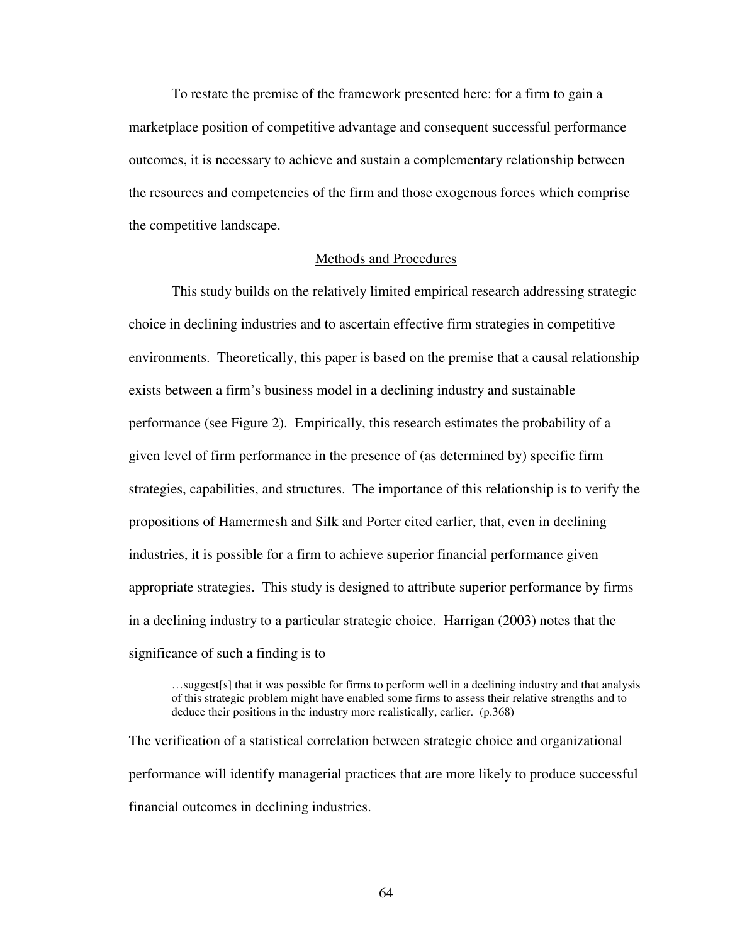To restate the premise of the framework presented here: for a firm to gain a marketplace position of competitive advantage and consequent successful performance outcomes, it is necessary to achieve and sustain a complementary relationship between the resources and competencies of the firm and those exogenous forces which comprise the competitive landscape.

#### Methods and Procedures

This study builds on the relatively limited empirical research addressing strategic choice in declining industries and to ascertain effective firm strategies in competitive environments. Theoretically, this paper is based on the premise that a causal relationship exists between a firm's business model in a declining industry and sustainable performance (see Figure 2). Empirically, this research estimates the probability of a given level of firm performance in the presence of (as determined by) specific firm strategies, capabilities, and structures. The importance of this relationship is to verify the propositions of Hamermesh and Silk and Porter cited earlier, that, even in declining industries, it is possible for a firm to achieve superior financial performance given appropriate strategies. This study is designed to attribute superior performance by firms in a declining industry to a particular strategic choice. Harrigan (2003) notes that the significance of such a finding is to

…suggest[s] that it was possible for firms to perform well in a declining industry and that analysis of this strategic problem might have enabled some firms to assess their relative strengths and to deduce their positions in the industry more realistically, earlier. (p.368)

The verification of a statistical correlation between strategic choice and organizational performance will identify managerial practices that are more likely to produce successful financial outcomes in declining industries.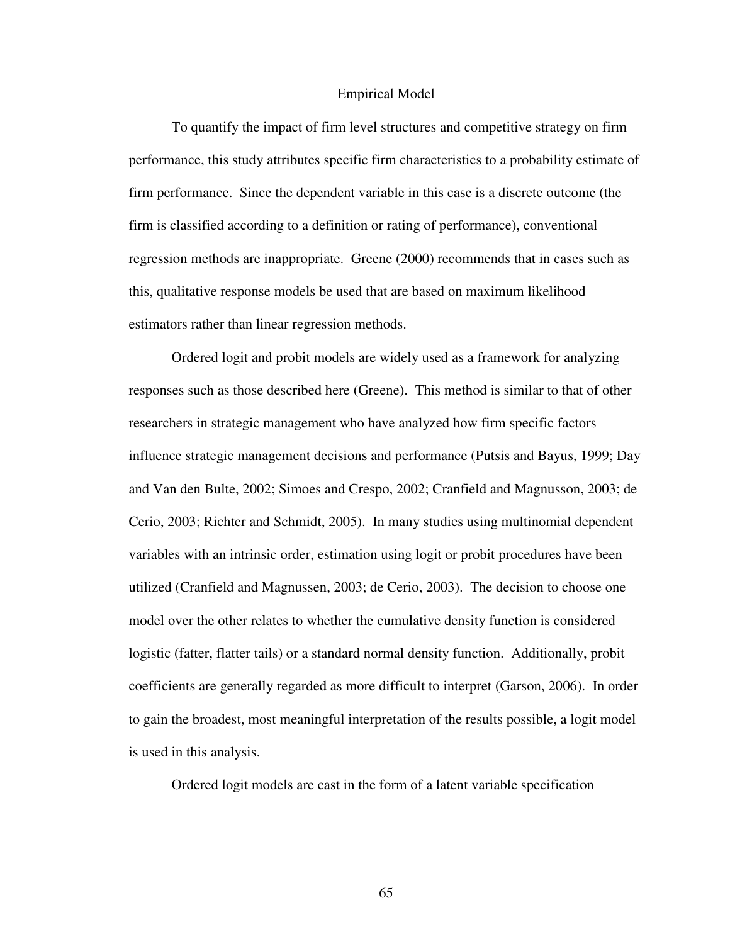#### Empirical Model

To quantify the impact of firm level structures and competitive strategy on firm performance, this study attributes specific firm characteristics to a probability estimate of firm performance. Since the dependent variable in this case is a discrete outcome (the firm is classified according to a definition or rating of performance), conventional regression methods are inappropriate. Greene (2000) recommends that in cases such as this, qualitative response models be used that are based on maximum likelihood estimators rather than linear regression methods.

Ordered logit and probit models are widely used as a framework for analyzing responses such as those described here (Greene). This method is similar to that of other researchers in strategic management who have analyzed how firm specific factors influence strategic management decisions and performance (Putsis and Bayus, 1999; Day and Van den Bulte, 2002; Simoes and Crespo, 2002; Cranfield and Magnusson, 2003; de Cerio, 2003; Richter and Schmidt, 2005). In many studies using multinomial dependent variables with an intrinsic order, estimation using logit or probit procedures have been utilized (Cranfield and Magnussen, 2003; de Cerio, 2003). The decision to choose one model over the other relates to whether the cumulative density function is considered logistic (fatter, flatter tails) or a standard normal density function. Additionally, probit coefficients are generally regarded as more difficult to interpret (Garson, 2006). In order to gain the broadest, most meaningful interpretation of the results possible, a logit model is used in this analysis.

Ordered logit models are cast in the form of a latent variable specification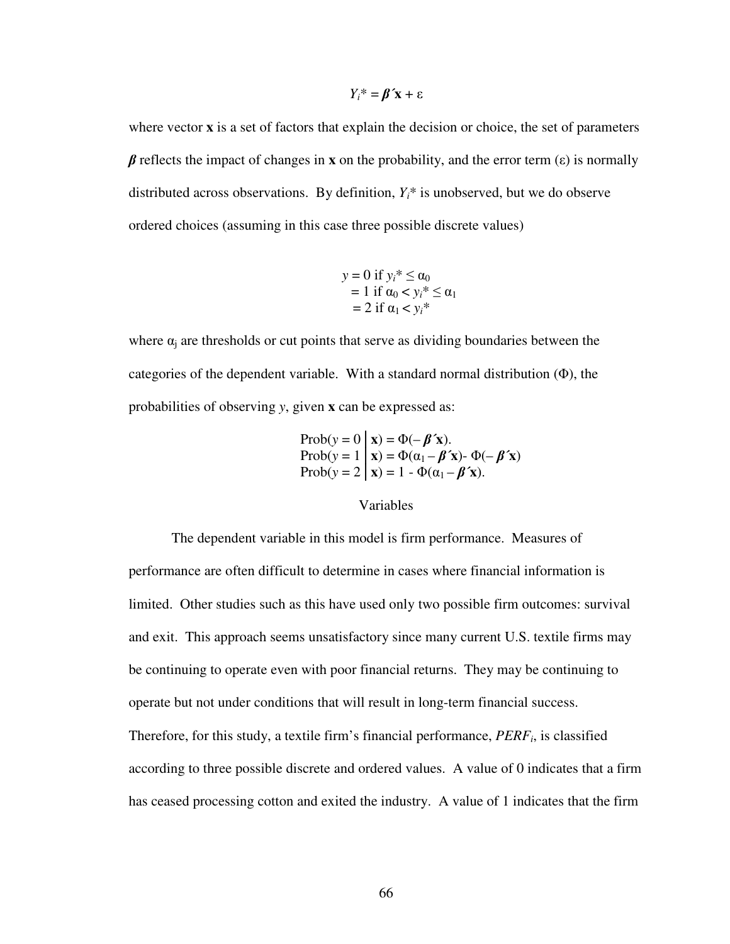$$
Y_i^* = \beta' \mathbf{x} + \varepsilon
$$

where vector **x** is a set of factors that explain the decision or choice, the set of parameters  $β$  reflects the impact of changes in **x** on the probability, and the error term (ε) is normally distributed across observations. By definition,  $Y_i^*$  is unobserved, but we do observe ordered choices (assuming in this case three possible discrete values)

$$
y = 0 \text{ if } y_i^* \le \alpha_0
$$
  
= 1 if  $\alpha_0 < y_i^* \le \alpha_1$   
= 2 if  $\alpha_1 < y_i^*$ 

where  $\alpha_j$  are thresholds or cut points that serve as dividing boundaries between the categories of the dependent variable. With a standard normal distribution (Φ), the probabilities of observing *y*, given **x** can be expressed as:

Prob(y = 0 | x) = 
$$
\Phi(-\beta' x)
$$
.  
Prob(y = 1 | x) =  $\Phi(\alpha_1 - \beta' x)$ -  $\Phi(-\beta' x)$   
Prob(y = 2 | x) = 1 -  $\Phi(\alpha_1 - \beta' x)$ .

# Variables

The dependent variable in this model is firm performance. Measures of performance are often difficult to determine in cases where financial information is limited. Other studies such as this have used only two possible firm outcomes: survival and exit. This approach seems unsatisfactory since many current U.S. textile firms may be continuing to operate even with poor financial returns. They may be continuing to operate but not under conditions that will result in long-term financial success. Therefore, for this study, a textile firm's financial performance, *PERF<sup>i</sup>* , is classified according to three possible discrete and ordered values. A value of 0 indicates that a firm has ceased processing cotton and exited the industry. A value of 1 indicates that the firm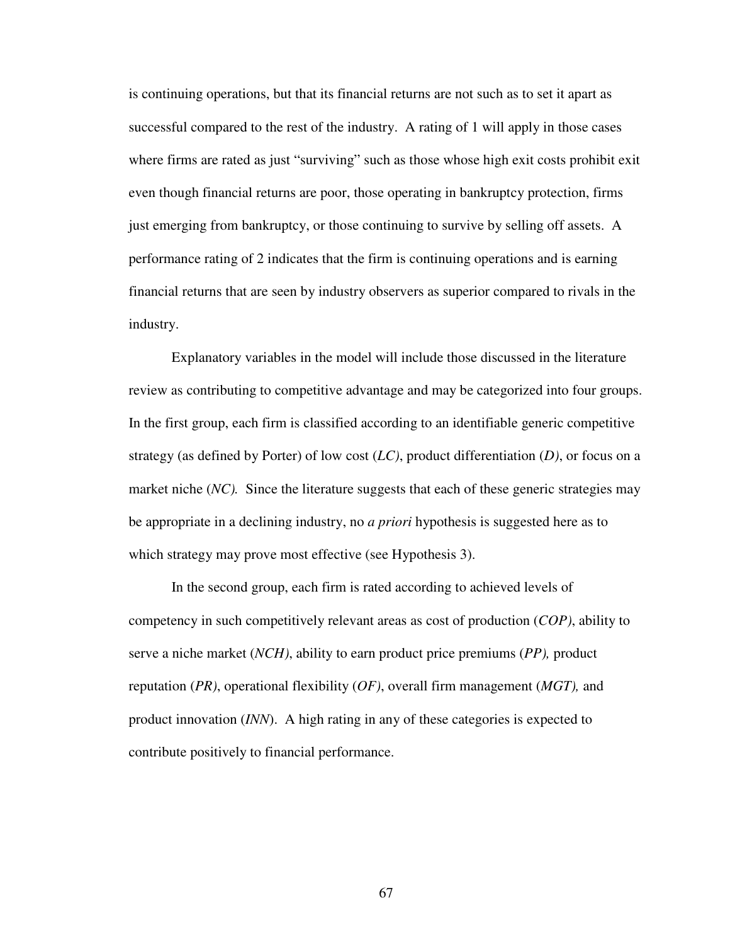is continuing operations, but that its financial returns are not such as to set it apart as successful compared to the rest of the industry. A rating of 1 will apply in those cases where firms are rated as just "surviving" such as those whose high exit costs prohibit exit even though financial returns are poor, those operating in bankruptcy protection, firms just emerging from bankruptcy, or those continuing to survive by selling off assets. A performance rating of 2 indicates that the firm is continuing operations and is earning financial returns that are seen by industry observers as superior compared to rivals in the industry.

Explanatory variables in the model will include those discussed in the literature review as contributing to competitive advantage and may be categorized into four groups. In the first group, each firm is classified according to an identifiable generic competitive strategy (as defined by Porter) of low cost (*LC)*, product differentiation (*D)*, or focus on a market niche (*NC*). Since the literature suggests that each of these generic strategies may be appropriate in a declining industry, no *a priori* hypothesis is suggested here as to which strategy may prove most effective (see Hypothesis 3).

In the second group, each firm is rated according to achieved levels of competency in such competitively relevant areas as cost of production (*COP)*, ability to serve a niche market (*NCH)*, ability to earn product price premiums (*PP),* product reputation (*PR)*, operational flexibility (*OF)*, overall firm management (*MGT),* and product innovation (*INN*). A high rating in any of these categories is expected to contribute positively to financial performance.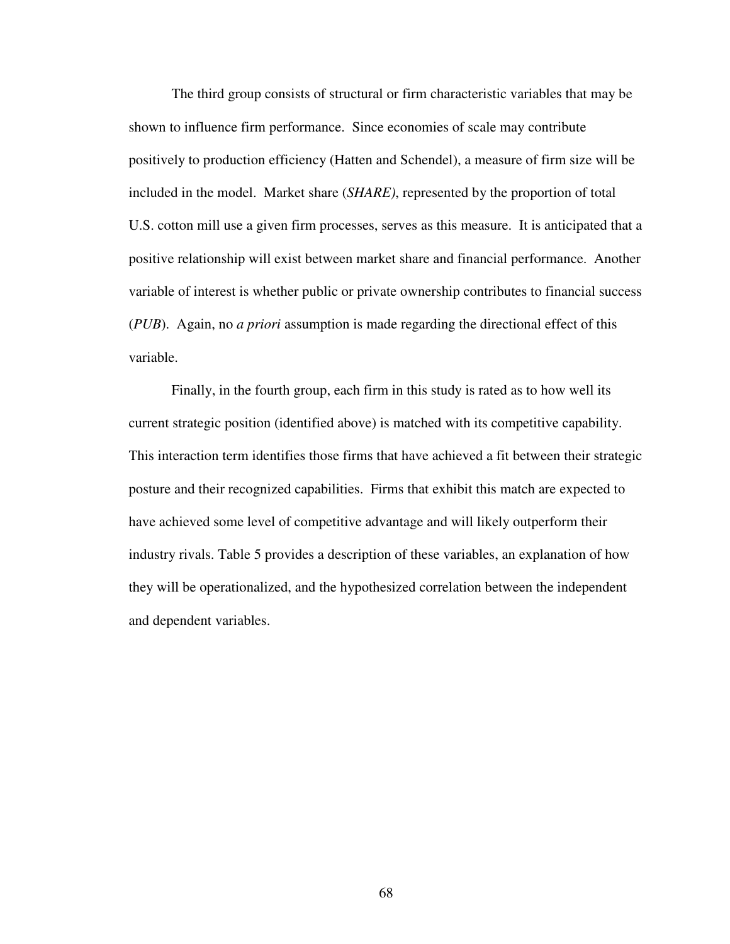The third group consists of structural or firm characteristic variables that may be shown to influence firm performance. Since economies of scale may contribute positively to production efficiency (Hatten and Schendel), a measure of firm size will be included in the model. Market share (*SHARE)*, represented by the proportion of total U.S. cotton mill use a given firm processes, serves as this measure. It is anticipated that a positive relationship will exist between market share and financial performance. Another variable of interest is whether public or private ownership contributes to financial success (*PUB*). Again, no *a priori* assumption is made regarding the directional effect of this variable.

Finally, in the fourth group, each firm in this study is rated as to how well its current strategic position (identified above) is matched with its competitive capability. This interaction term identifies those firms that have achieved a fit between their strategic posture and their recognized capabilities. Firms that exhibit this match are expected to have achieved some level of competitive advantage and will likely outperform their industry rivals. Table 5 provides a description of these variables, an explanation of how they will be operationalized, and the hypothesized correlation between the independent and dependent variables.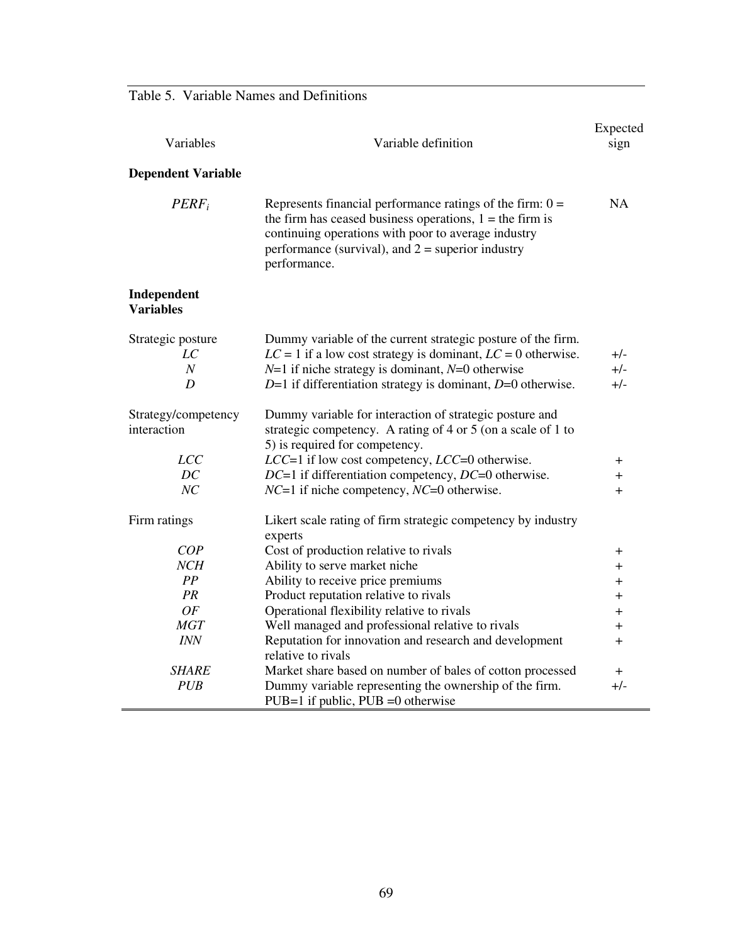Table 5. Variable Names and Definitions

| Variables<br>Variable definition   |                                                                                                                                                                                                                                                         | Expected<br>sign |
|------------------------------------|---------------------------------------------------------------------------------------------------------------------------------------------------------------------------------------------------------------------------------------------------------|------------------|
| <b>Dependent Variable</b>          |                                                                                                                                                                                                                                                         |                  |
| $PERF_i$                           | Represents financial performance ratings of the firm: $0 =$<br>the firm has ceased business operations, $1 =$ the firm is<br>continuing operations with poor to average industry<br>performance (survival), and $2$ = superior industry<br>performance. | <b>NA</b>        |
| Independent<br><b>Variables</b>    |                                                                                                                                                                                                                                                         |                  |
| Strategic posture                  | Dummy variable of the current strategic posture of the firm.                                                                                                                                                                                            |                  |
| LC                                 | $LC = 1$ if a low cost strategy is dominant, $LC = 0$ otherwise.                                                                                                                                                                                        | $+/-$            |
| $\boldsymbol{N}$                   | $N=1$ if niche strategy is dominant, $N=0$ otherwise                                                                                                                                                                                                    | $+/-$            |
| $\boldsymbol{D}$                   | $D=1$ if differentiation strategy is dominant, $D=0$ otherwise.                                                                                                                                                                                         | $+/-$            |
| Strategy/competency<br>interaction | Dummy variable for interaction of strategic posture and<br>strategic competency. A rating of 4 or 5 (on a scale of 1 to<br>5) is required for competency.                                                                                               |                  |
| <b>LCC</b>                         | LCC=1 if low cost competency, LCC=0 otherwise.                                                                                                                                                                                                          | $^+$             |
| DC                                 | DC=1 if differentiation competency, DC=0 otherwise.                                                                                                                                                                                                     | $\overline{+}$   |
| NC                                 | $NC=1$ if niche competency, $NC=0$ otherwise.                                                                                                                                                                                                           | $+$              |
| Firm ratings                       | Likert scale rating of firm strategic competency by industry<br>experts                                                                                                                                                                                 |                  |
| COP                                | Cost of production relative to rivals                                                                                                                                                                                                                   | $\pm$            |
| NCH                                | Ability to serve market niche                                                                                                                                                                                                                           | $\overline{+}$   |
| PP                                 | Ability to receive price premiums                                                                                                                                                                                                                       | $\pm$            |
| PR                                 | Product reputation relative to rivals                                                                                                                                                                                                                   | $^+$             |
| OF                                 | Operational flexibility relative to rivals                                                                                                                                                                                                              | $\pm$            |
| <b>MGT</b>                         | Well managed and professional relative to rivals                                                                                                                                                                                                        | $^+$             |
| <b>INN</b>                         | Reputation for innovation and research and development<br>relative to rivals                                                                                                                                                                            | $^{+}$           |
| <b>SHARE</b>                       | Market share based on number of bales of cotton processed                                                                                                                                                                                               | $^+$             |
| <b>PUB</b>                         | Dummy variable representing the ownership of the firm.<br>$PUB=1$ if public, $PUB = 0$ otherwise                                                                                                                                                        | +/-              |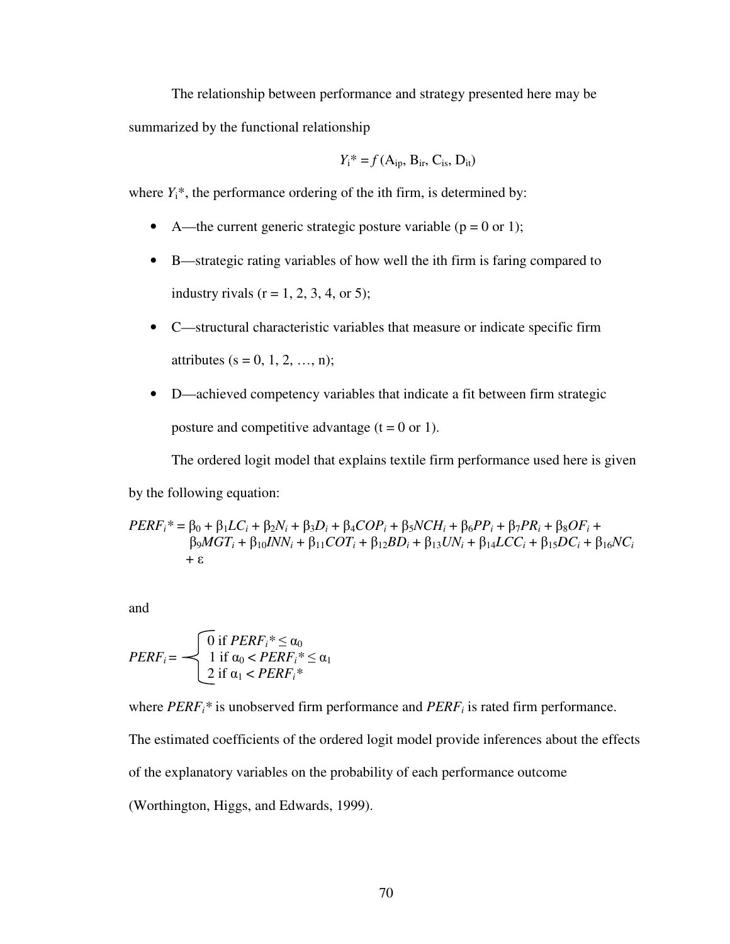The relationship between performance and strategy presented here may be summarized by the functional relationship

$$
Y_i^* = f(A_{ip}, B_{ir}, C_{is}, D_{it})
$$

where  $Y_i^*$ , the performance ordering of the ith firm, is determined by:

- A—the current generic strategic posture variable  $(p = 0 \text{ or } 1)$ ;
- B—strategic rating variables of how well the ith firm is faring compared to industry rivals  $(r = 1, 2, 3, 4, or 5)$ ;
- C—structural characteristic variables that measure or indicate specific firm attributes (s = 0, 1, 2, ..., n);
- D—achieved competency variables that indicate a fit between firm strategic posture and competitive advantage  $(t = 0 \text{ or } 1)$ .

The ordered logit model that explains textile firm performance used here is given by the following equation:

$$
PERF_i^* = \beta_0 + \beta_1 LC_i + \beta_2 N_i + \beta_3 D_i + \beta_4 COP_i + \beta_5 NCH_i + \beta_6 PP_i + \beta_7 PR_i + \beta_8 OF_i + \n\beta_9 MGT_i + \beta_{10} NNN_i + \beta_{11} COT_i + \beta_{12} BD_i + \beta_{13} UN_i + \beta_{14} LCC_i + \beta_{15} DC_i + \beta_{16} NC_i \n+ ε
$$

and

$$
PERF_i = \begin{cases} 0 \text{ if } PERF_i^* \leq \alpha_0 \\ 1 \text{ if } \alpha_0 < PERF_i^* \leq \alpha_1 \\ 2 \text{ if } \alpha_1 < PERF_i^* \end{cases}
$$

where *PERFi\** is unobserved firm performance and *PERF<sup>i</sup>* is rated firm performance.

The estimated coefficients of the ordered logit model provide inferences about the effects

of the explanatory variables on the probability of each performance outcome

(Worthington, Higgs, and Edwards, 1999).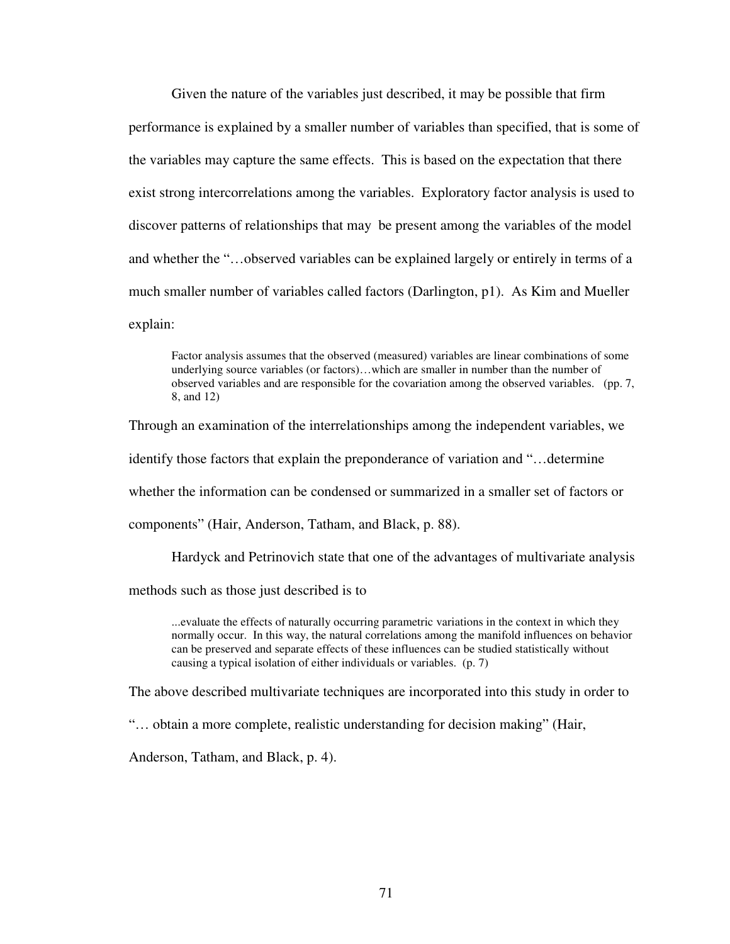Given the nature of the variables just described, it may be possible that firm performance is explained by a smaller number of variables than specified, that is some of the variables may capture the same effects. This is based on the expectation that there exist strong intercorrelations among the variables. Exploratory factor analysis is used to discover patterns of relationships that may be present among the variables of the model and whether the "…observed variables can be explained largely or entirely in terms of a much smaller number of variables called factors (Darlington, p1). As Kim and Mueller explain:

Factor analysis assumes that the observed (measured) variables are linear combinations of some underlying source variables (or factors)…which are smaller in number than the number of observed variables and are responsible for the covariation among the observed variables. (pp. 7, 8, and 12)

Through an examination of the interrelationships among the independent variables, we identify those factors that explain the preponderance of variation and "…determine whether the information can be condensed or summarized in a smaller set of factors or components" (Hair, Anderson, Tatham, and Black, p. 88).

Hardyck and Petrinovich state that one of the advantages of multivariate analysis

methods such as those just described is to

...evaluate the effects of naturally occurring parametric variations in the context in which they normally occur. In this way, the natural correlations among the manifold influences on behavior can be preserved and separate effects of these influences can be studied statistically without causing a typical isolation of either individuals or variables. (p. 7)

The above described multivariate techniques are incorporated into this study in order to

"… obtain a more complete, realistic understanding for decision making" (Hair,

Anderson, Tatham, and Black, p. 4).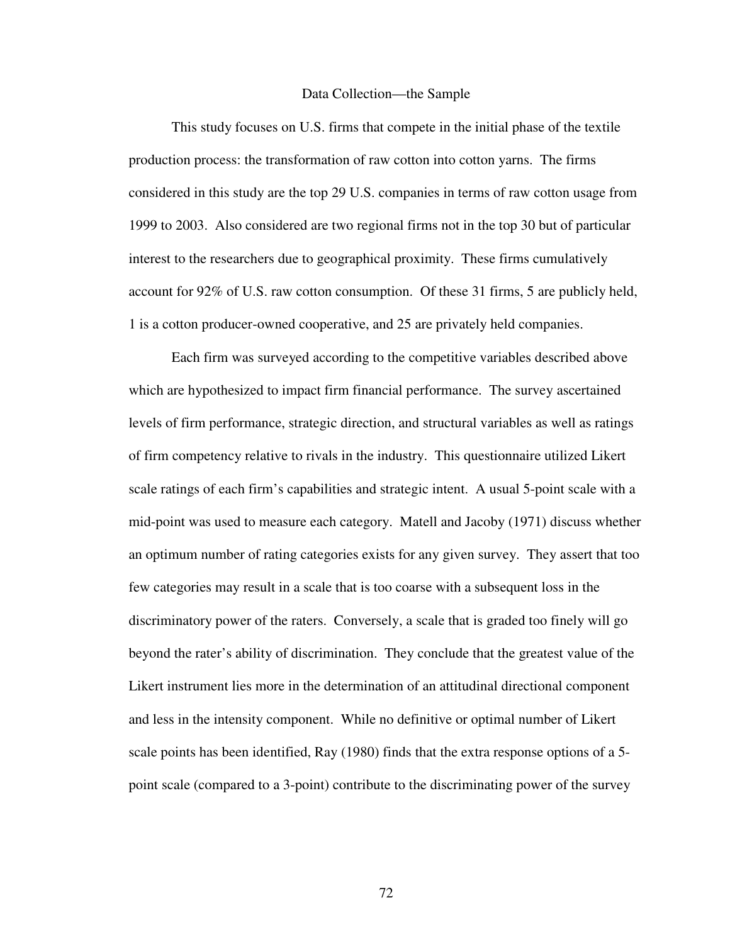#### Data Collection—the Sample

This study focuses on U.S. firms that compete in the initial phase of the textile production process: the transformation of raw cotton into cotton yarns. The firms considered in this study are the top 29 U.S. companies in terms of raw cotton usage from 1999 to 2003. Also considered are two regional firms not in the top 30 but of particular interest to the researchers due to geographical proximity. These firms cumulatively account for 92% of U.S. raw cotton consumption. Of these 31 firms, 5 are publicly held, 1 is a cotton producer-owned cooperative, and 25 are privately held companies.

Each firm was surveyed according to the competitive variables described above which are hypothesized to impact firm financial performance. The survey ascertained levels of firm performance, strategic direction, and structural variables as well as ratings of firm competency relative to rivals in the industry. This questionnaire utilized Likert scale ratings of each firm's capabilities and strategic intent. A usual 5-point scale with a mid-point was used to measure each category. Matell and Jacoby (1971) discuss whether an optimum number of rating categories exists for any given survey. They assert that too few categories may result in a scale that is too coarse with a subsequent loss in the discriminatory power of the raters. Conversely, a scale that is graded too finely will go beyond the rater's ability of discrimination. They conclude that the greatest value of the Likert instrument lies more in the determination of an attitudinal directional component and less in the intensity component. While no definitive or optimal number of Likert scale points has been identified, Ray (1980) finds that the extra response options of a 5 point scale (compared to a 3-point) contribute to the discriminating power of the survey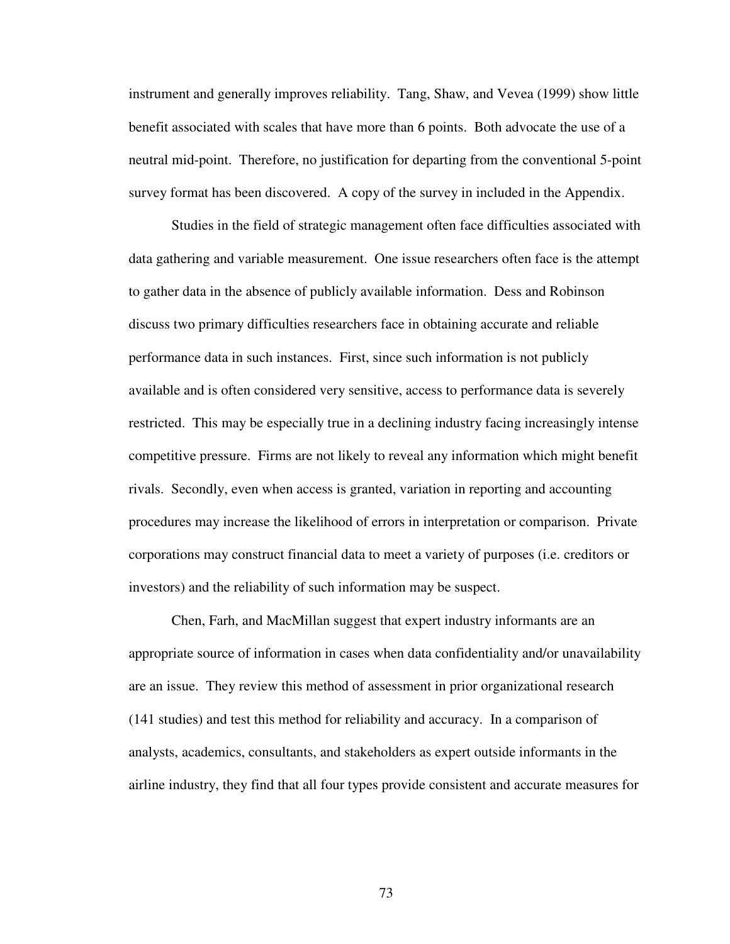instrument and generally improves reliability. Tang, Shaw, and Vevea (1999) show little benefit associated with scales that have more than 6 points. Both advocate the use of a neutral mid-point. Therefore, no justification for departing from the conventional 5-point survey format has been discovered. A copy of the survey in included in the Appendix.

Studies in the field of strategic management often face difficulties associated with data gathering and variable measurement. One issue researchers often face is the attempt to gather data in the absence of publicly available information. Dess and Robinson discuss two primary difficulties researchers face in obtaining accurate and reliable performance data in such instances. First, since such information is not publicly available and is often considered very sensitive, access to performance data is severely restricted. This may be especially true in a declining industry facing increasingly intense competitive pressure. Firms are not likely to reveal any information which might benefit rivals. Secondly, even when access is granted, variation in reporting and accounting procedures may increase the likelihood of errors in interpretation or comparison. Private corporations may construct financial data to meet a variety of purposes (i.e. creditors or investors) and the reliability of such information may be suspect.

Chen, Farh, and MacMillan suggest that expert industry informants are an appropriate source of information in cases when data confidentiality and/or unavailability are an issue. They review this method of assessment in prior organizational research (141 studies) and test this method for reliability and accuracy. In a comparison of analysts, academics, consultants, and stakeholders as expert outside informants in the airline industry, they find that all four types provide consistent and accurate measures for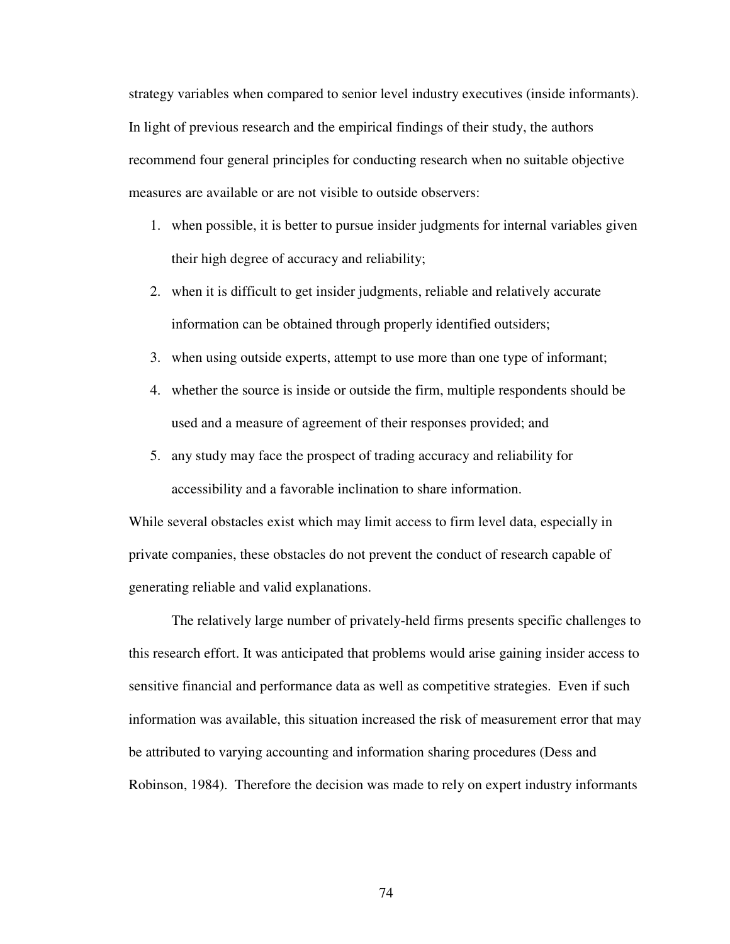strategy variables when compared to senior level industry executives (inside informants). In light of previous research and the empirical findings of their study, the authors recommend four general principles for conducting research when no suitable objective measures are available or are not visible to outside observers:

- 1. when possible, it is better to pursue insider judgments for internal variables given their high degree of accuracy and reliability;
- 2. when it is difficult to get insider judgments, reliable and relatively accurate information can be obtained through properly identified outsiders;
- 3. when using outside experts, attempt to use more than one type of informant;
- 4. whether the source is inside or outside the firm, multiple respondents should be used and a measure of agreement of their responses provided; and
- 5. any study may face the prospect of trading accuracy and reliability for accessibility and a favorable inclination to share information.

While several obstacles exist which may limit access to firm level data, especially in private companies, these obstacles do not prevent the conduct of research capable of generating reliable and valid explanations.

The relatively large number of privately-held firms presents specific challenges to this research effort. It was anticipated that problems would arise gaining insider access to sensitive financial and performance data as well as competitive strategies. Even if such information was available, this situation increased the risk of measurement error that may be attributed to varying accounting and information sharing procedures (Dess and Robinson, 1984). Therefore the decision was made to rely on expert industry informants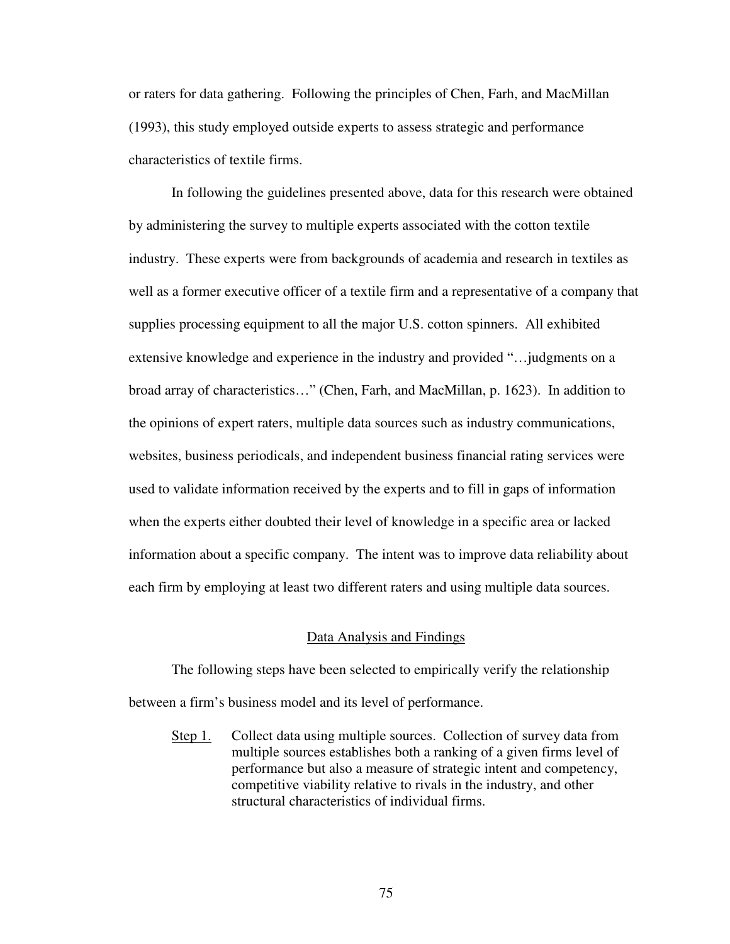or raters for data gathering. Following the principles of Chen, Farh, and MacMillan (1993), this study employed outside experts to assess strategic and performance characteristics of textile firms.

In following the guidelines presented above, data for this research were obtained by administering the survey to multiple experts associated with the cotton textile industry. These experts were from backgrounds of academia and research in textiles as well as a former executive officer of a textile firm and a representative of a company that supplies processing equipment to all the major U.S. cotton spinners. All exhibited extensive knowledge and experience in the industry and provided "…judgments on a broad array of characteristics…" (Chen, Farh, and MacMillan, p. 1623). In addition to the opinions of expert raters, multiple data sources such as industry communications, websites, business periodicals, and independent business financial rating services were used to validate information received by the experts and to fill in gaps of information when the experts either doubted their level of knowledge in a specific area or lacked information about a specific company. The intent was to improve data reliability about each firm by employing at least two different raters and using multiple data sources.

## Data Analysis and Findings

The following steps have been selected to empirically verify the relationship between a firm's business model and its level of performance.

Step 1. Collect data using multiple sources. Collection of survey data from multiple sources establishes both a ranking of a given firms level of performance but also a measure of strategic intent and competency, competitive viability relative to rivals in the industry, and other structural characteristics of individual firms.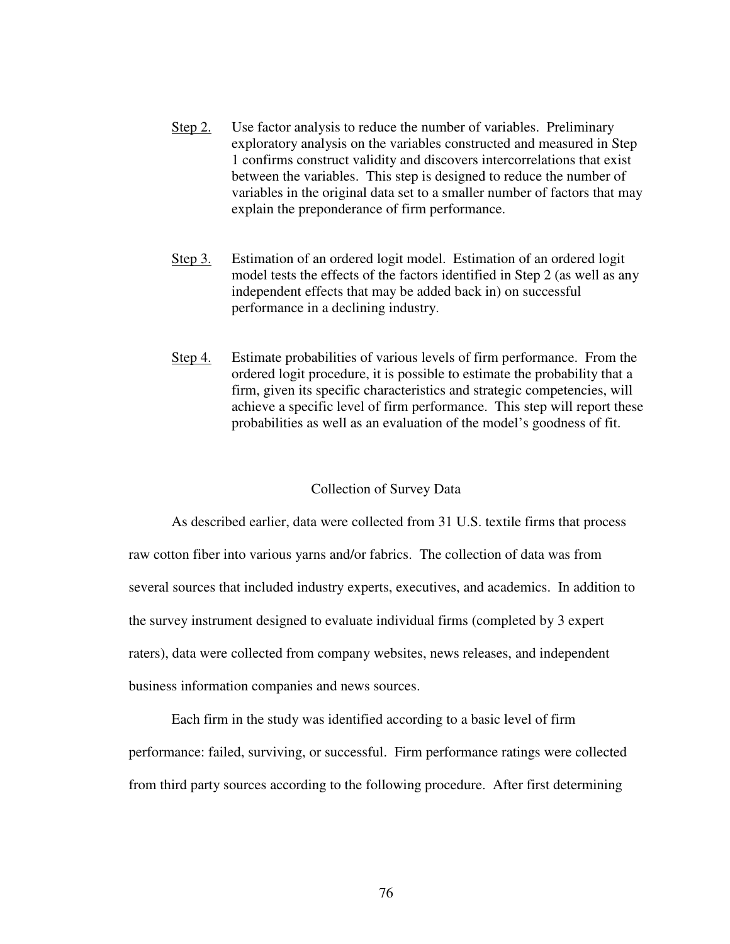- Step 2. Use factor analysis to reduce the number of variables. Preliminary exploratory analysis on the variables constructed and measured in Step 1 confirms construct validity and discovers intercorrelations that exist between the variables. This step is designed to reduce the number of variables in the original data set to a smaller number of factors that may explain the preponderance of firm performance.
- Step 3. Estimation of an ordered logit model. Estimation of an ordered logit model tests the effects of the factors identified in Step 2 (as well as any independent effects that may be added back in) on successful performance in a declining industry.
- Step 4. Estimate probabilities of various levels of firm performance. From the ordered logit procedure, it is possible to estimate the probability that a firm, given its specific characteristics and strategic competencies, will achieve a specific level of firm performance. This step will report these probabilities as well as an evaluation of the model's goodness of fit.

## Collection of Survey Data

As described earlier, data were collected from 31 U.S. textile firms that process raw cotton fiber into various yarns and/or fabrics. The collection of data was from several sources that included industry experts, executives, and academics. In addition to the survey instrument designed to evaluate individual firms (completed by 3 expert raters), data were collected from company websites, news releases, and independent business information companies and news sources.

Each firm in the study was identified according to a basic level of firm performance: failed, surviving, or successful. Firm performance ratings were collected from third party sources according to the following procedure. After first determining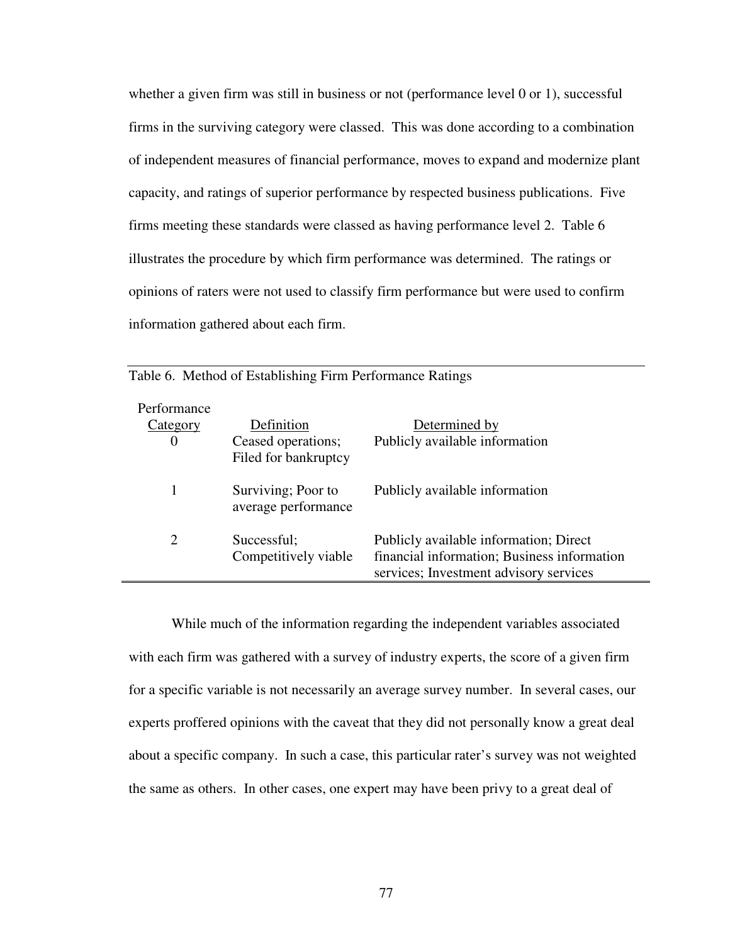whether a given firm was still in business or not (performance level 0 or 1), successful firms in the surviving category were classed. This was done according to a combination of independent measures of financial performance, moves to expand and modernize plant capacity, and ratings of superior performance by respected business publications. Five firms meeting these standards were classed as having performance level 2. Table 6 illustrates the procedure by which firm performance was determined. The ratings or opinions of raters were not used to classify firm performance but were used to confirm information gathered about each firm.

| Performance<br>Category<br>$\theta$ | Definition<br>Ceased operations;<br>Filed for bankruptcy | Determined by<br>Publicly available information                                                                                 |
|-------------------------------------|----------------------------------------------------------|---------------------------------------------------------------------------------------------------------------------------------|
|                                     | Surviving; Poor to<br>average performance                | Publicly available information                                                                                                  |
| 2                                   | Successful;<br>Competitively viable                      | Publicly available information; Direct<br>financial information; Business information<br>services; Investment advisory services |

Table 6. Method of Establishing Firm Performance Ratings

While much of the information regarding the independent variables associated with each firm was gathered with a survey of industry experts, the score of a given firm for a specific variable is not necessarily an average survey number. In several cases, our experts proffered opinions with the caveat that they did not personally know a great deal about a specific company. In such a case, this particular rater's survey was not weighted the same as others. In other cases, one expert may have been privy to a great deal of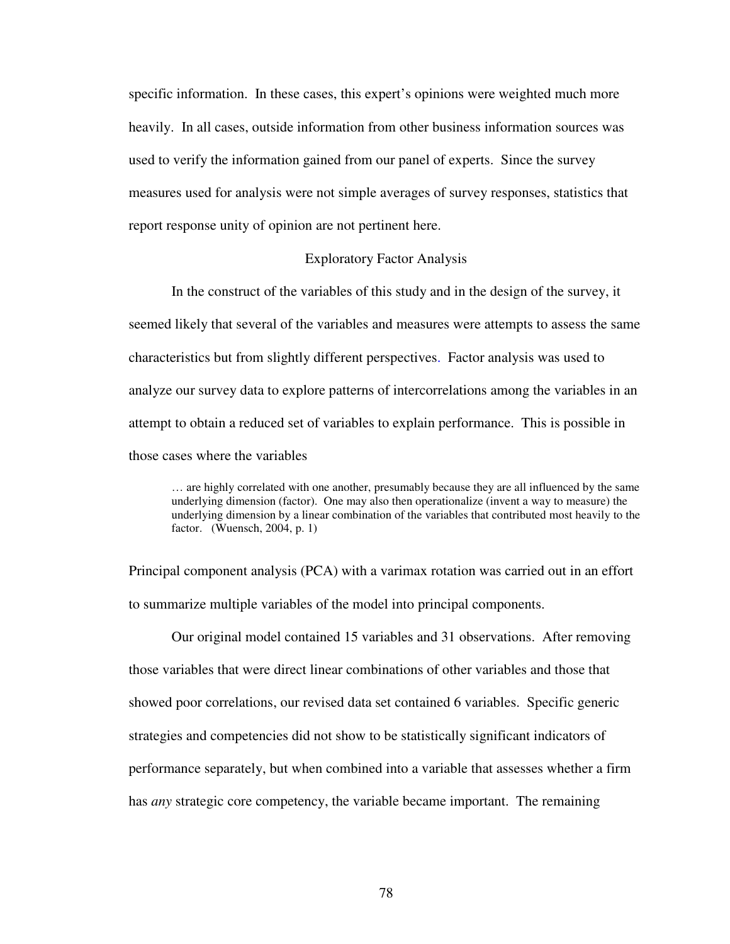specific information. In these cases, this expert's opinions were weighted much more heavily. In all cases, outside information from other business information sources was used to verify the information gained from our panel of experts. Since the survey measures used for analysis were not simple averages of survey responses, statistics that report response unity of opinion are not pertinent here.

#### Exploratory Factor Analysis

In the construct of the variables of this study and in the design of the survey, it seemed likely that several of the variables and measures were attempts to assess the same characteristics but from slightly different perspectives. Factor analysis was used to analyze our survey data to explore patterns of intercorrelations among the variables in an attempt to obtain a reduced set of variables to explain performance. This is possible in those cases where the variables

… are highly correlated with one another, presumably because they are all influenced by the same underlying dimension (factor). One may also then operationalize (invent a way to measure) the underlying dimension by a linear combination of the variables that contributed most heavily to the factor. (Wuensch, 2004, p. 1)

Principal component analysis (PCA) with a varimax rotation was carried out in an effort to summarize multiple variables of the model into principal components.

Our original model contained 15 variables and 31 observations. After removing those variables that were direct linear combinations of other variables and those that showed poor correlations, our revised data set contained 6 variables. Specific generic strategies and competencies did not show to be statistically significant indicators of performance separately, but when combined into a variable that assesses whether a firm has *any* strategic core competency, the variable became important. The remaining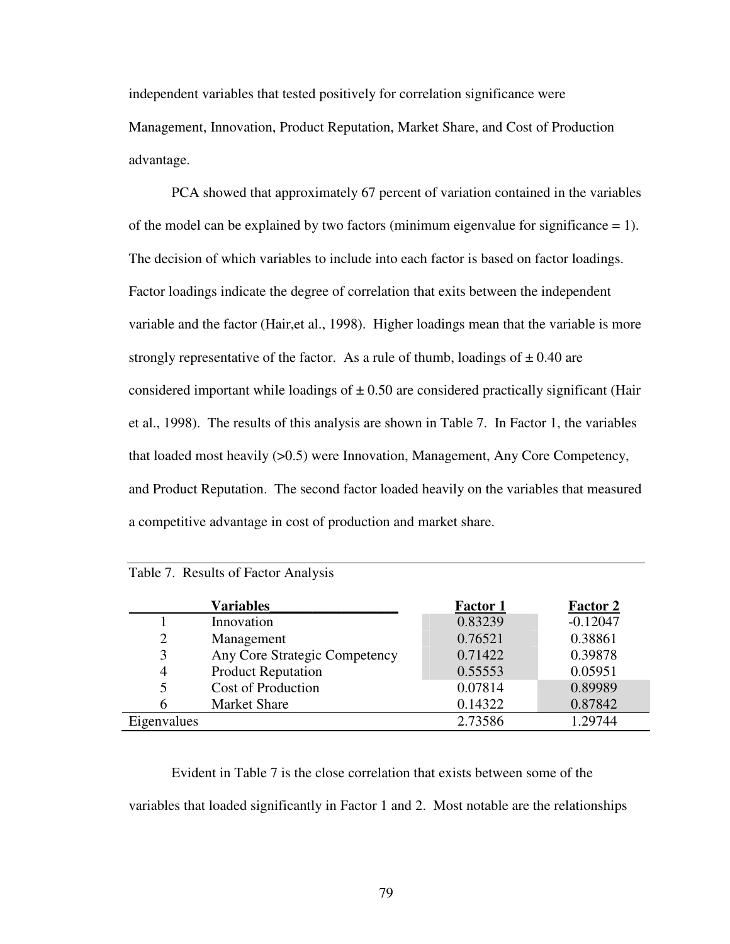independent variables that tested positively for correlation significance were Management, Innovation, Product Reputation, Market Share, and Cost of Production advantage.

PCA showed that approximately 67 percent of variation contained in the variables of the model can be explained by two factors (minimum eigenvalue for significance  $= 1$ ). The decision of which variables to include into each factor is based on factor loadings. Factor loadings indicate the degree of correlation that exits between the independent variable and the factor (Hair,et al., 1998). Higher loadings mean that the variable is more strongly representative of the factor. As a rule of thumb, loadings of  $\pm$  0.40 are considered important while loadings of  $\pm$  0.50 are considered practically significant (Hair et al., 1998). The results of this analysis are shown in Table 7. In Factor 1, the variables that loaded most heavily (>0.5) were Innovation, Management, Any Core Competency, and Product Reputation. The second factor loaded heavily on the variables that measured a competitive advantage in cost of production and market share.

|                | <b>Variables</b>              | <b>Factor 1</b> | <b>Factor 2</b> |
|----------------|-------------------------------|-----------------|-----------------|
|                | Innovation                    | 0.83239         | $-0.12047$      |
| $\overline{2}$ | Management                    | 0.76521         | 0.38861         |
| 3              | Any Core Strategic Competency | 0.71422         | 0.39878         |
| 4              | <b>Product Reputation</b>     | 0.55553         | 0.05951         |
| 5              | <b>Cost of Production</b>     | 0.07814         | 0.89989         |
| 6              | <b>Market Share</b>           | 0.14322         | 0.87842         |
| Eigenvalues    |                               | 2.73586         | 1.29744         |

|  |  |  | Table 7. Results of Factor Analysis |
|--|--|--|-------------------------------------|
|--|--|--|-------------------------------------|

Evident in Table 7 is the close correlation that exists between some of the variables that loaded significantly in Factor 1 and 2. Most notable are the relationships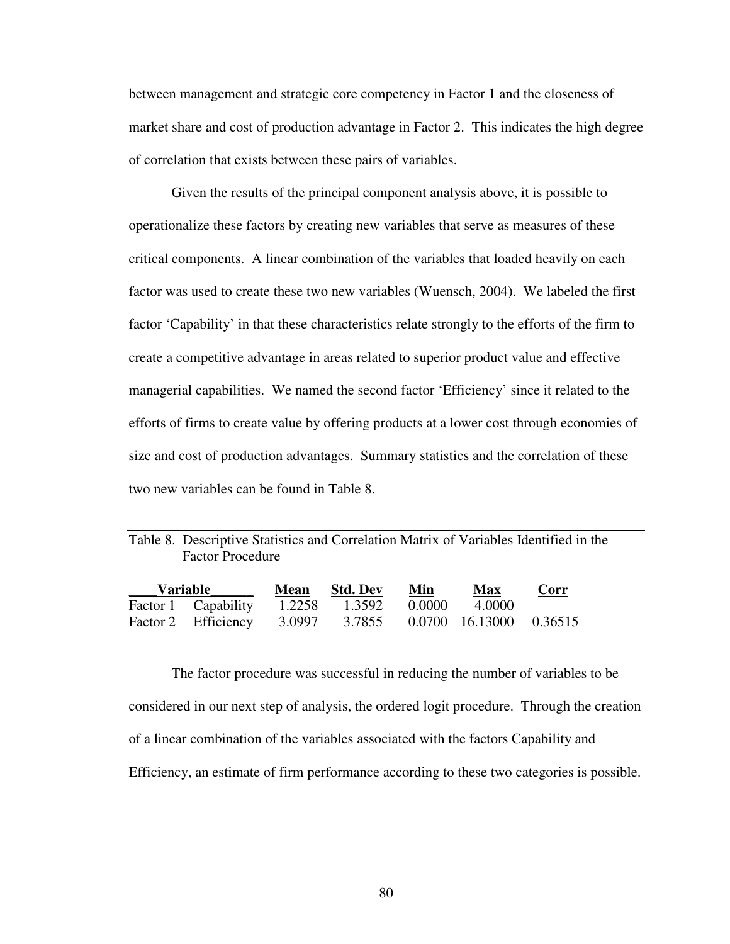between management and strategic core competency in Factor 1 and the closeness of market share and cost of production advantage in Factor 2. This indicates the high degree of correlation that exists between these pairs of variables.

Given the results of the principal component analysis above, it is possible to operationalize these factors by creating new variables that serve as measures of these critical components. A linear combination of the variables that loaded heavily on each factor was used to create these two new variables (Wuensch, 2004). We labeled the first factor 'Capability' in that these characteristics relate strongly to the efforts of the firm to create a competitive advantage in areas related to superior product value and effective managerial capabilities. We named the second factor 'Efficiency' since it related to the efforts of firms to create value by offering products at a lower cost through economies of size and cost of production advantages. Summary statistics and the correlation of these two new variables can be found in Table 8.

| Table 8. Descriptive Statistics and Correlation Matrix of Variables Identified in the |  |  |  |
|---------------------------------------------------------------------------------------|--|--|--|
| <b>Factor Procedure</b>                                                               |  |  |  |

| Variable |                     | <b>Mean</b> | <b>Std. Dev</b> | Min    | <b>Max</b>                     | Corr |
|----------|---------------------|-------------|-----------------|--------|--------------------------------|------|
|          | Factor 1 Capability | 1.2258      | 1.3592          | 0.0000 | -4.0000                        |      |
|          | Factor 2 Efficiency | 3.0997      |                 |        | 3.7855 0.0700 16.13000 0.36515 |      |

 The factor procedure was successful in reducing the number of variables to be considered in our next step of analysis, the ordered logit procedure. Through the creation of a linear combination of the variables associated with the factors Capability and Efficiency, an estimate of firm performance according to these two categories is possible.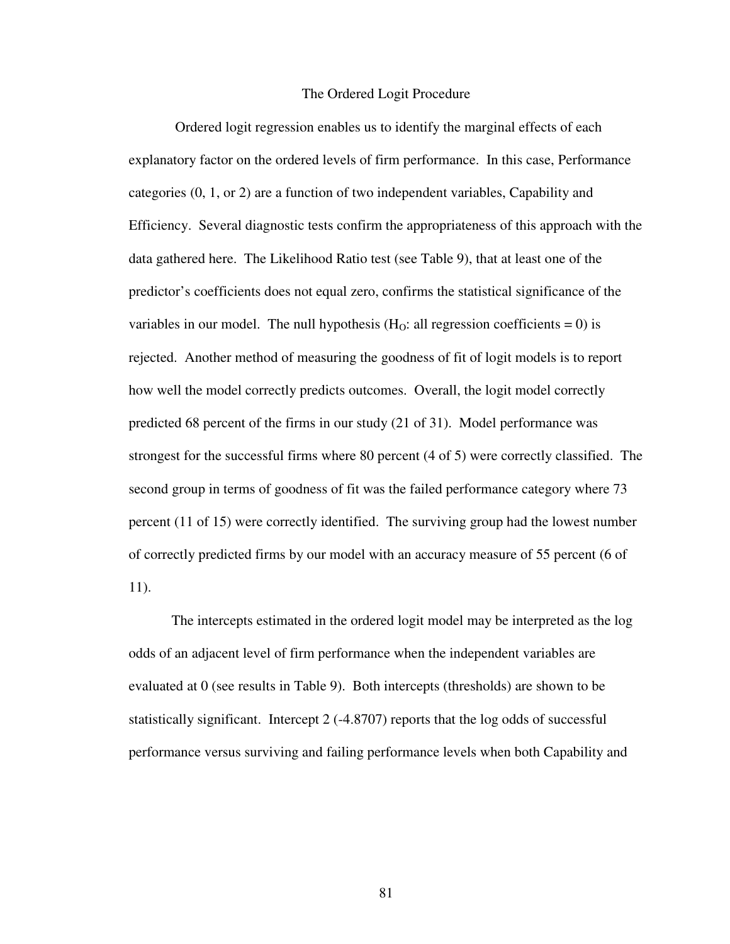#### The Ordered Logit Procedure

 Ordered logit regression enables us to identify the marginal effects of each explanatory factor on the ordered levels of firm performance. In this case, Performance categories (0, 1, or 2) are a function of two independent variables, Capability and Efficiency. Several diagnostic tests confirm the appropriateness of this approach with the data gathered here. The Likelihood Ratio test (see Table 9), that at least one of the predictor's coefficients does not equal zero, confirms the statistical significance of the variables in our model. The null hypothesis  $(H<sub>O</sub>:$  all regression coefficients = 0) is rejected. Another method of measuring the goodness of fit of logit models is to report how well the model correctly predicts outcomes. Overall, the logit model correctly predicted 68 percent of the firms in our study (21 of 31). Model performance was strongest for the successful firms where 80 percent (4 of 5) were correctly classified. The second group in terms of goodness of fit was the failed performance category where 73 percent (11 of 15) were correctly identified. The surviving group had the lowest number of correctly predicted firms by our model with an accuracy measure of 55 percent (6 of 11).

 The intercepts estimated in the ordered logit model may be interpreted as the log odds of an adjacent level of firm performance when the independent variables are evaluated at 0 (see results in Table 9). Both intercepts (thresholds) are shown to be statistically significant. Intercept 2 (-4.8707) reports that the log odds of successful performance versus surviving and failing performance levels when both Capability and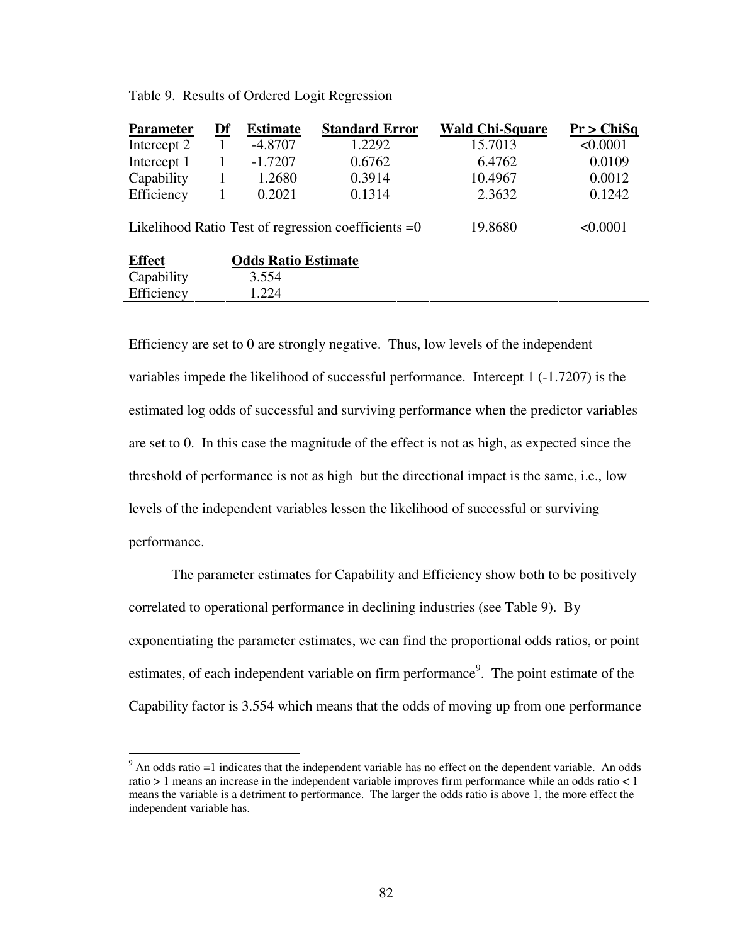|  |  |  | Table 9. Results of Ordered Logit Regression |  |
|--|--|--|----------------------------------------------|--|
|--|--|--|----------------------------------------------|--|

 $\overline{a}$ 

| <b>Parameter</b> | Df | <b>Estimate</b>            | <b>Standard Error</b>                                 | <b>Wald Chi-Square</b> | Pr > ChiSq |
|------------------|----|----------------------------|-------------------------------------------------------|------------------------|------------|
| Intercept 2      |    | $-4.8707$                  | 1.2292                                                | 15.7013                | < 0.0001   |
| Intercept 1      | 1  | $-1.7207$                  | 0.6762                                                | 6.4762                 | 0.0109     |
| Capability       | 1  | 1.2680                     | 0.3914                                                | 10.4967                | 0.0012     |
| Efficiency       | 1  | 0.2021                     | 0.1314                                                | 2.3632                 | 0.1242     |
|                  |    |                            | Likelihood Ratio Test of regression coefficients $=0$ | 19.8680                | < 0.0001   |
| <b>Effect</b>    |    | <b>Odds Ratio Estimate</b> |                                                       |                        |            |
| Capability       |    | 3.554                      |                                                       |                        |            |
| Efficiency       |    | 1.224                      |                                                       |                        |            |

Efficiency are set to 0 are strongly negative. Thus, low levels of the independent variables impede the likelihood of successful performance. Intercept 1 (-1.7207) is the estimated log odds of successful and surviving performance when the predictor variables are set to 0. In this case the magnitude of the effect is not as high, as expected since the threshold of performance is not as high but the directional impact is the same, i.e., low levels of the independent variables lessen the likelihood of successful or surviving performance.

The parameter estimates for Capability and Efficiency show both to be positively correlated to operational performance in declining industries (see Table 9). By exponentiating the parameter estimates, we can find the proportional odds ratios, or point estimates, of each independent variable on firm performance<sup>9</sup>. The point estimate of the Capability factor is 3.554 which means that the odds of moving up from one performance

 $9$  An odds ratio =1 indicates that the independent variable has no effect on the dependent variable. An odds ratio > 1 means an increase in the independent variable improves firm performance while an odds ratio < 1 means the variable is a detriment to performance. The larger the odds ratio is above 1, the more effect the independent variable has.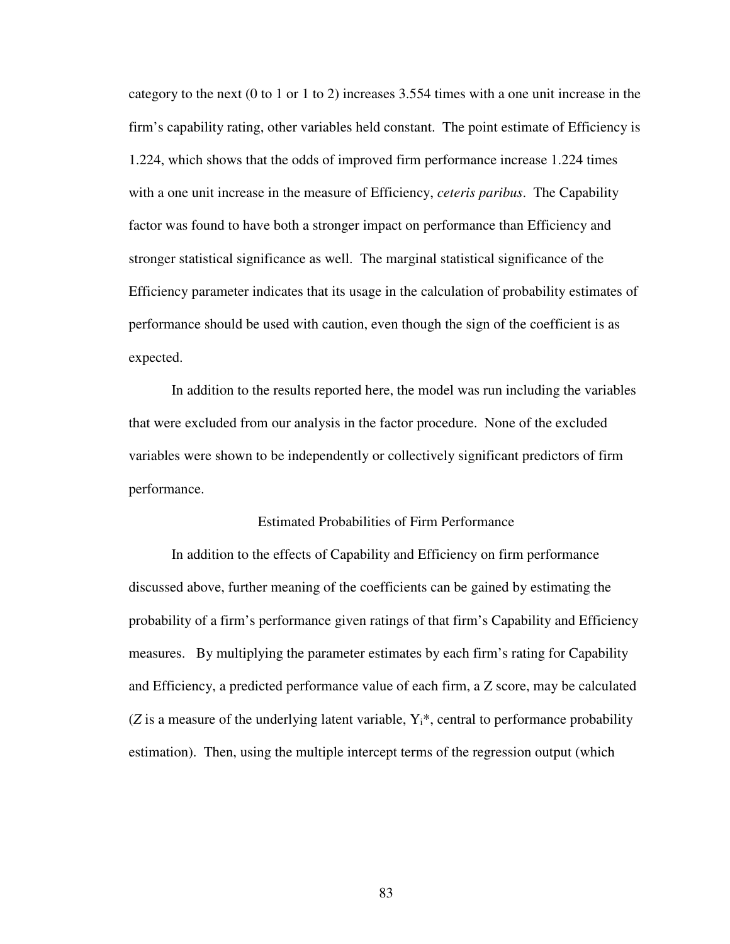category to the next (0 to 1 or 1 to 2) increases 3.554 times with a one unit increase in the firm's capability rating, other variables held constant. The point estimate of Efficiency is 1.224, which shows that the odds of improved firm performance increase 1.224 times with a one unit increase in the measure of Efficiency, *ceteris paribus*. The Capability factor was found to have both a stronger impact on performance than Efficiency and stronger statistical significance as well. The marginal statistical significance of the Efficiency parameter indicates that its usage in the calculation of probability estimates of performance should be used with caution, even though the sign of the coefficient is as expected.

In addition to the results reported here, the model was run including the variables that were excluded from our analysis in the factor procedure. None of the excluded variables were shown to be independently or collectively significant predictors of firm performance.

## Estimated Probabilities of Firm Performance

In addition to the effects of Capability and Efficiency on firm performance discussed above, further meaning of the coefficients can be gained by estimating the probability of a firm's performance given ratings of that firm's Capability and Efficiency measures. By multiplying the parameter estimates by each firm's rating for Capability and Efficiency, a predicted performance value of each firm, a Z score, may be calculated ( $Z$  is a measure of the underlying latent variable,  $Y_i^*$ , central to performance probability estimation). Then, using the multiple intercept terms of the regression output (which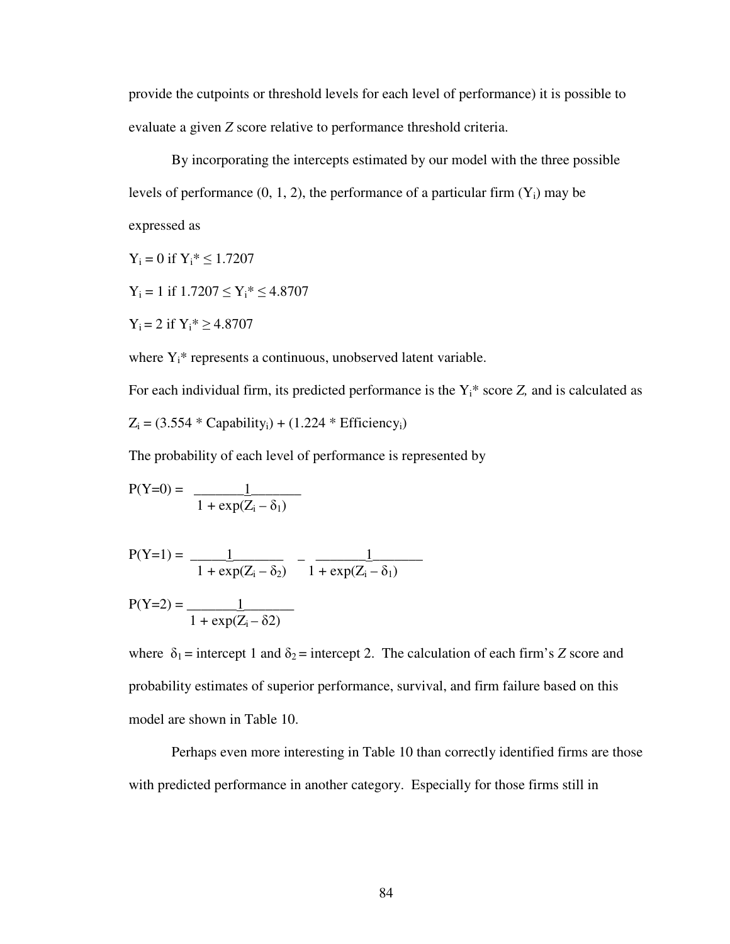provide the cutpoints or threshold levels for each level of performance) it is possible to evaluate a given *Z* score relative to performance threshold criteria.

By incorporating the intercepts estimated by our model with the three possible levels of performance  $(0, 1, 2)$ , the performance of a particular firm  $(Y_i)$  may be expressed as

 $Y_i = 0$  if  $Y_i^* \le 1.7207$ 

 $Y_i = 1$  if  $1.7207 \le Y_i^* \le 4.8707$ 

 $Y_i = 2$  if  $Y_i^* \ge 4.8707$ 

where  $Y_i^*$  represents a continuous, unobserved latent variable.

For each individual firm, its predicted performance is the  $Y_i^*$  score  $Z$ , and is calculated as  $Z_i = (3.554 * Capacity_i) + (1.224 * Efficiency_i)$ 

The probability of each level of performance is represented by

$$
P(Y=0) = \frac{1}{1 + \exp(Z_i - \delta_1)}
$$

$$
P(Y=1) = \frac{1}{1 + \exp(Z_i - \delta_2)} - \frac{1}{1 + \exp(Z_i - \delta_1)}
$$

$$
P(Y=2) = \frac{1}{1 + \exp(Z_i - \delta 2)}
$$

where  $\delta_1$  = intercept 1 and  $\delta_2$  = intercept 2. The calculation of each firm's *Z* score and probability estimates of superior performance, survival, and firm failure based on this model are shown in Table 10.

Perhaps even more interesting in Table 10 than correctly identified firms are those with predicted performance in another category. Especially for those firms still in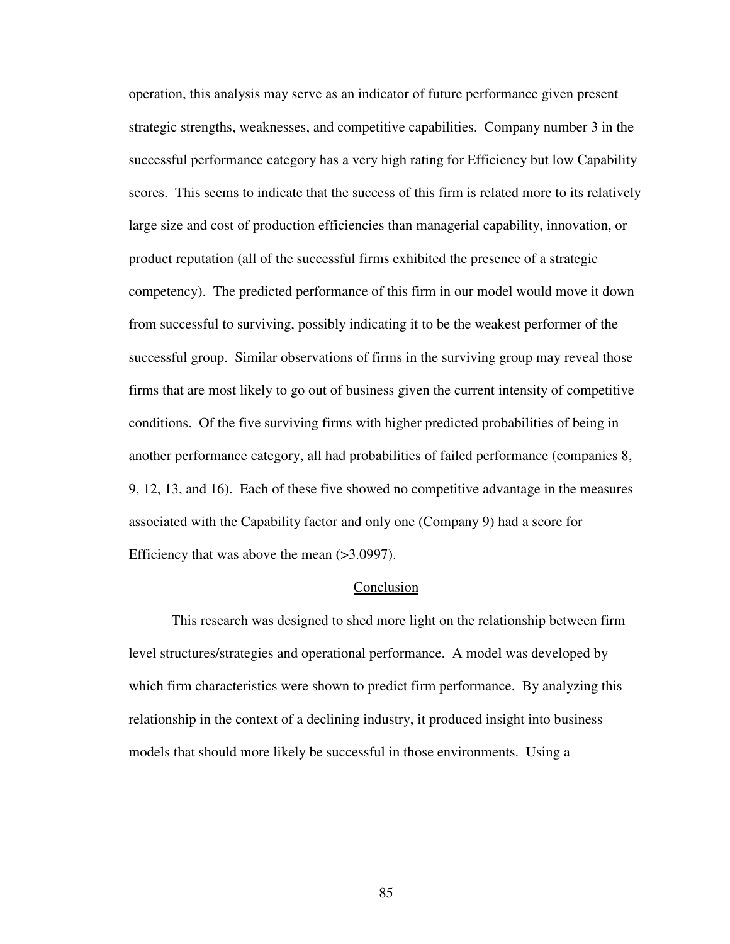operation, this analysis may serve as an indicator of future performance given present strategic strengths, weaknesses, and competitive capabilities. Company number 3 in the successful performance category has a very high rating for Efficiency but low Capability scores. This seems to indicate that the success of this firm is related more to its relatively large size and cost of production efficiencies than managerial capability, innovation, or product reputation (all of the successful firms exhibited the presence of a strategic competency). The predicted performance of this firm in our model would move it down from successful to surviving, possibly indicating it to be the weakest performer of the successful group. Similar observations of firms in the surviving group may reveal those firms that are most likely to go out of business given the current intensity of competitive conditions. Of the five surviving firms with higher predicted probabilities of being in another performance category, all had probabilities of failed performance (companies 8, 9, 12, 13, and 16). Each of these five showed no competitive advantage in the measures associated with the Capability factor and only one (Company 9) had a score for Efficiency that was above the mean (>3.0997).

# Conclusion

 This research was designed to shed more light on the relationship between firm level structures/strategies and operational performance. A model was developed by which firm characteristics were shown to predict firm performance. By analyzing this relationship in the context of a declining industry, it produced insight into business models that should more likely be successful in those environments. Using a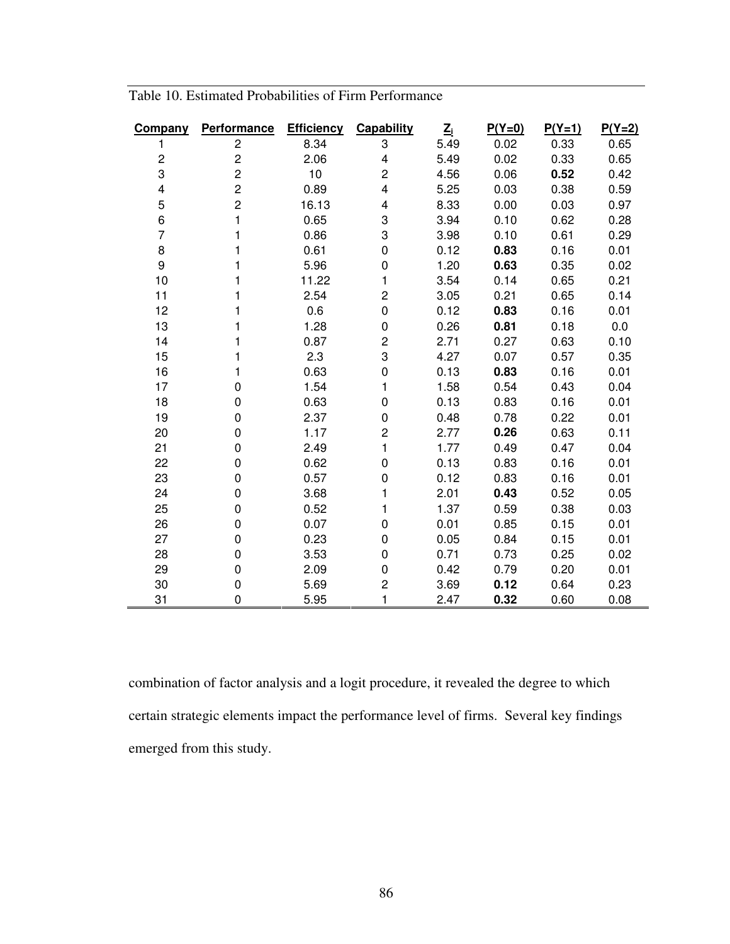| Company        | <b>Performance</b>      | <b>Efficiency</b> | Capability              | $\underline{\mathsf{Z}}_i$ | $P(Y=0)$ | $P(Y=1)$ | $P(Y=2)$ |
|----------------|-------------------------|-------------------|-------------------------|----------------------------|----------|----------|----------|
| 1              | $\overline{c}$          | 8.34              | 3                       | 5.49                       | 0.02     | 0.33     | 0.65     |
| $\overline{c}$ | 2                       | 2.06              | $\overline{\mathbf{4}}$ | 5.49                       | 0.02     | 0.33     | 0.65     |
| 3              | $\overline{\mathbf{c}}$ | 10 <sub>1</sub>   | $\overline{c}$          | 4.56                       | 0.06     | 0.52     | 0.42     |
| 4              | $\overline{c}$          | 0.89              | 4                       | 5.25                       | 0.03     | 0.38     | 0.59     |
| 5              | 2                       | 16.13             | 4                       | 8.33                       | 0.00     | 0.03     | 0.97     |
| 6              | 1                       | 0.65              | 3                       | 3.94                       | 0.10     | 0.62     | 0.28     |
| $\overline{7}$ | 1                       | 0.86              | 3                       | 3.98                       | 0.10     | 0.61     | 0.29     |
| 8              | 1                       | 0.61              | $\mathbf 0$             | 0.12                       | 0.83     | 0.16     | 0.01     |
| 9              | 1                       | 5.96              | 0                       | 1.20                       | 0.63     | 0.35     | 0.02     |
| 10             | 1                       | 11.22             | 1                       | 3.54                       | 0.14     | 0.65     | 0.21     |
| 11             | 1                       | 2.54              | $\overline{c}$          | 3.05                       | 0.21     | 0.65     | 0.14     |
| 12             | 1                       | 0.6               | 0                       | 0.12                       | 0.83     | 0.16     | 0.01     |
| 13             | 1                       | 1.28              | 0                       | 0.26                       | 0.81     | 0.18     | 0.0      |
| 14             | 1                       | 0.87              | 2                       | 2.71                       | 0.27     | 0.63     | 0.10     |
| 15             | 1                       | 2.3               | 3                       | 4.27                       | 0.07     | 0.57     | 0.35     |
| 16             | 1                       | 0.63              | $\overline{0}$          | 0.13                       | 0.83     | 0.16     | 0.01     |
| 17             | 0                       | 1.54              | 1                       | 1.58                       | 0.54     | 0.43     | 0.04     |
| 18             | 0                       | 0.63              | 0                       | 0.13                       | 0.83     | 0.16     | 0.01     |
| 19             | 0                       | 2.37              | 0                       | 0.48                       | 0.78     | 0.22     | 0.01     |
| 20             | 0                       | 1.17              | $\overline{c}$          | 2.77                       | 0.26     | 0.63     | 0.11     |
| 21             | 0                       | 2.49              | 1                       | 1.77                       | 0.49     | 0.47     | 0.04     |
| 22             | 0                       | 0.62              | $\mathbf 0$             | 0.13                       | 0.83     | 0.16     | 0.01     |
| 23             | 0                       | 0.57              | 0                       | 0.12                       | 0.83     | 0.16     | 0.01     |
| 24             | 0                       | 3.68              | 1                       | 2.01                       | 0.43     | 0.52     | 0.05     |
| 25             | 0                       | 0.52              | 1                       | 1.37                       | 0.59     | 0.38     | 0.03     |
| 26             | 0                       | 0.07              | 0                       | 0.01                       | 0.85     | 0.15     | 0.01     |
| 27             | 0                       | 0.23              | 0                       | 0.05                       | 0.84     | 0.15     | 0.01     |
| 28             | 0                       | 3.53              | 0                       | 0.71                       | 0.73     | 0.25     | 0.02     |
| 29             | 0                       | 2.09              | 0                       | 0.42                       | 0.79     | 0.20     | 0.01     |
| 30             | 0                       | 5.69              | $\overline{c}$          | 3.69                       | 0.12     | 0.64     | 0.23     |
| 31             | 0                       | 5.95              | 1                       | 2.47                       | 0.32     | 0.60     | 0.08     |

Table 10. Estimated Probabilities of Firm Performance

combination of factor analysis and a logit procedure, it revealed the degree to which certain strategic elements impact the performance level of firms. Several key findings emerged from this study.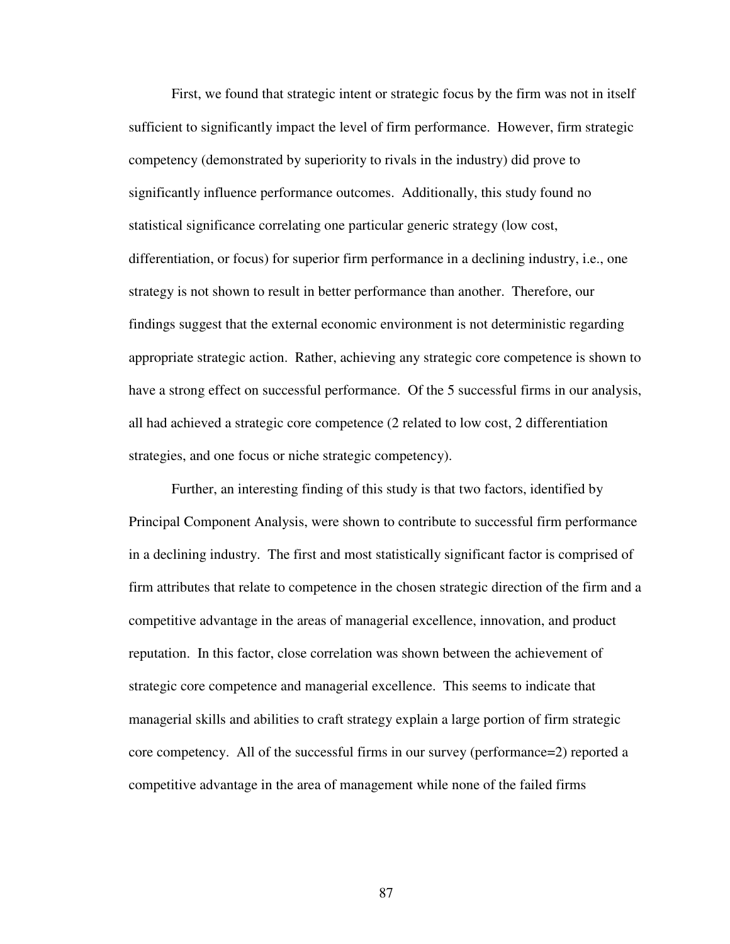First, we found that strategic intent or strategic focus by the firm was not in itself sufficient to significantly impact the level of firm performance. However, firm strategic competency (demonstrated by superiority to rivals in the industry) did prove to significantly influence performance outcomes. Additionally, this study found no statistical significance correlating one particular generic strategy (low cost, differentiation, or focus) for superior firm performance in a declining industry, i.e., one strategy is not shown to result in better performance than another. Therefore, our findings suggest that the external economic environment is not deterministic regarding appropriate strategic action. Rather, achieving any strategic core competence is shown to have a strong effect on successful performance. Of the 5 successful firms in our analysis, all had achieved a strategic core competence (2 related to low cost, 2 differentiation strategies, and one focus or niche strategic competency).

Further, an interesting finding of this study is that two factors, identified by Principal Component Analysis, were shown to contribute to successful firm performance in a declining industry. The first and most statistically significant factor is comprised of firm attributes that relate to competence in the chosen strategic direction of the firm and a competitive advantage in the areas of managerial excellence, innovation, and product reputation. In this factor, close correlation was shown between the achievement of strategic core competence and managerial excellence. This seems to indicate that managerial skills and abilities to craft strategy explain a large portion of firm strategic core competency. All of the successful firms in our survey (performance=2) reported a competitive advantage in the area of management while none of the failed firms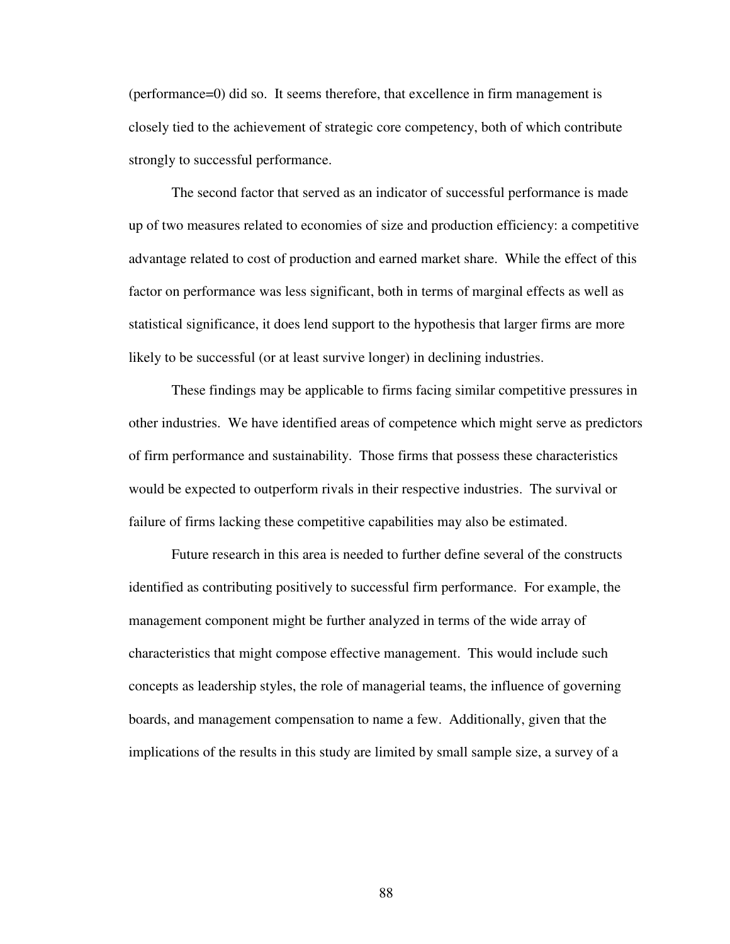(performance=0) did so. It seems therefore, that excellence in firm management is closely tied to the achievement of strategic core competency, both of which contribute strongly to successful performance.

The second factor that served as an indicator of successful performance is made up of two measures related to economies of size and production efficiency: a competitive advantage related to cost of production and earned market share. While the effect of this factor on performance was less significant, both in terms of marginal effects as well as statistical significance, it does lend support to the hypothesis that larger firms are more likely to be successful (or at least survive longer) in declining industries.

These findings may be applicable to firms facing similar competitive pressures in other industries. We have identified areas of competence which might serve as predictors of firm performance and sustainability. Those firms that possess these characteristics would be expected to outperform rivals in their respective industries. The survival or failure of firms lacking these competitive capabilities may also be estimated.

Future research in this area is needed to further define several of the constructs identified as contributing positively to successful firm performance. For example, the management component might be further analyzed in terms of the wide array of characteristics that might compose effective management. This would include such concepts as leadership styles, the role of managerial teams, the influence of governing boards, and management compensation to name a few. Additionally, given that the implications of the results in this study are limited by small sample size, a survey of a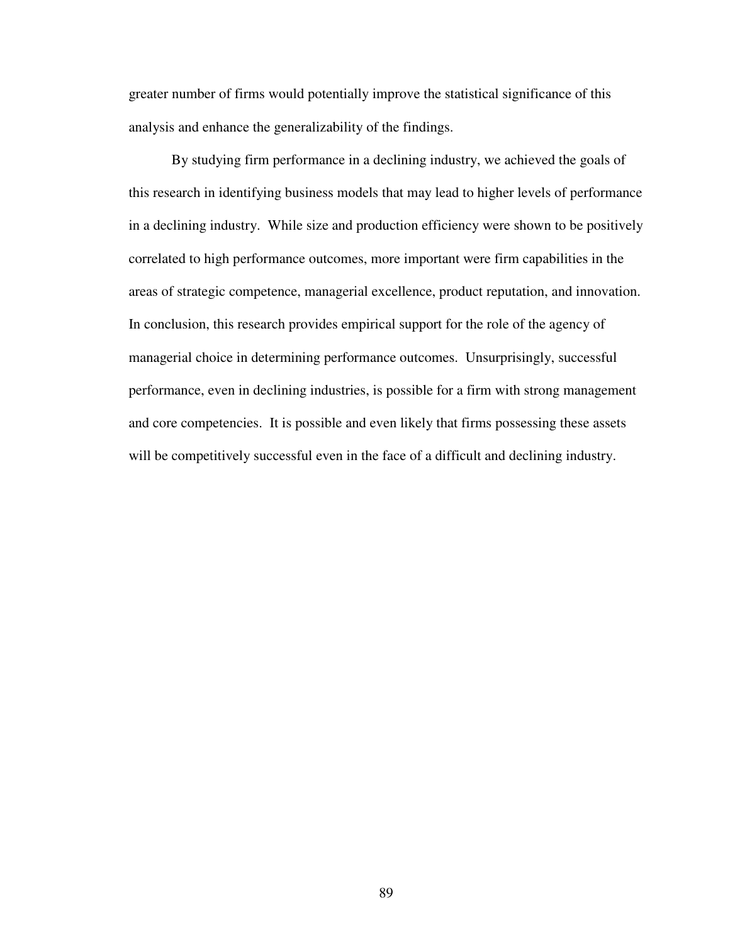greater number of firms would potentially improve the statistical significance of this analysis and enhance the generalizability of the findings.

By studying firm performance in a declining industry, we achieved the goals of this research in identifying business models that may lead to higher levels of performance in a declining industry. While size and production efficiency were shown to be positively correlated to high performance outcomes, more important were firm capabilities in the areas of strategic competence, managerial excellence, product reputation, and innovation. In conclusion, this research provides empirical support for the role of the agency of managerial choice in determining performance outcomes. Unsurprisingly, successful performance, even in declining industries, is possible for a firm with strong management and core competencies. It is possible and even likely that firms possessing these assets will be competitively successful even in the face of a difficult and declining industry.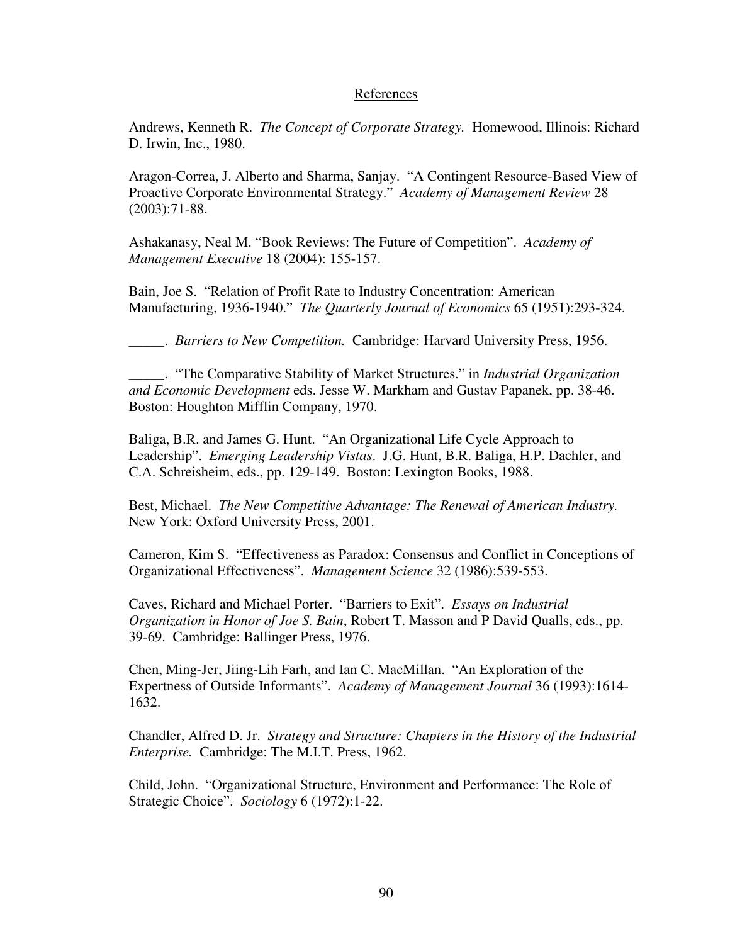## References

Andrews, Kenneth R. *The Concept of Corporate Strategy.* Homewood, Illinois: Richard D. Irwin, Inc., 1980.

Aragon-Correa, J. Alberto and Sharma, Sanjay. "A Contingent Resource-Based View of Proactive Corporate Environmental Strategy." *Academy of Management Review* 28 (2003):71-88.

Ashakanasy, Neal M. "Book Reviews: The Future of Competition". *Academy of Management Executive* 18 (2004): 155-157.

Bain, Joe S. "Relation of Profit Rate to Industry Concentration: American Manufacturing, 1936-1940." *The Quarterly Journal of Economics* 65 (1951):293-324.

\_\_\_\_\_. *Barriers to New Competition.* Cambridge: Harvard University Press, 1956.

\_\_\_\_\_. "The Comparative Stability of Market Structures." in *Industrial Organization and Economic Development* eds. Jesse W. Markham and Gustav Papanek, pp. 38-46. Boston: Houghton Mifflin Company, 1970.

Baliga, B.R. and James G. Hunt. "An Organizational Life Cycle Approach to Leadership". *Emerging Leadership Vistas*. J.G. Hunt, B.R. Baliga, H.P. Dachler, and C.A. Schreisheim, eds., pp. 129-149. Boston: Lexington Books, 1988.

Best, Michael. *The New Competitive Advantage: The Renewal of American Industry.* New York: Oxford University Press, 2001.

Cameron, Kim S. "Effectiveness as Paradox: Consensus and Conflict in Conceptions of Organizational Effectiveness". *Management Science* 32 (1986):539-553.

Caves, Richard and Michael Porter. "Barriers to Exit". *Essays on Industrial Organization in Honor of Joe S. Bain*, Robert T. Masson and P David Qualls, eds., pp. 39-69. Cambridge: Ballinger Press, 1976.

Chen, Ming-Jer, Jiing-Lih Farh, and Ian C. MacMillan. "An Exploration of the Expertness of Outside Informants". *Academy of Management Journal* 36 (1993):1614- 1632.

Chandler, Alfred D. Jr. *Strategy and Structure: Chapters in the History of the Industrial Enterprise.* Cambridge: The M.I.T. Press, 1962.

Child, John. "Organizational Structure, Environment and Performance: The Role of Strategic Choice". *Sociology* 6 (1972):1-22.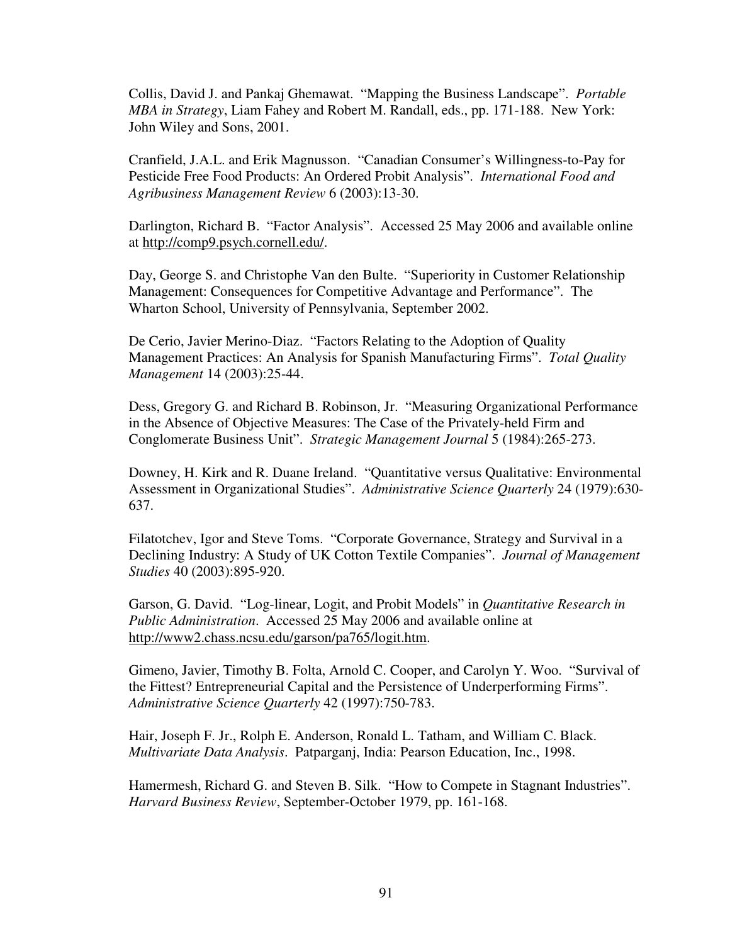Collis, David J. and Pankaj Ghemawat. "Mapping the Business Landscape". *Portable MBA in Strategy*, Liam Fahey and Robert M. Randall, eds., pp. 171-188. New York: John Wiley and Sons, 2001.

Cranfield, J.A.L. and Erik Magnusson. "Canadian Consumer's Willingness-to-Pay for Pesticide Free Food Products: An Ordered Probit Analysis". *International Food and Agribusiness Management Review* 6 (2003):13-30.

Darlington, Richard B. "Factor Analysis". Accessed 25 May 2006 and available online at http://comp9.psych.cornell.edu/.

Day, George S. and Christophe Van den Bulte. "Superiority in Customer Relationship Management: Consequences for Competitive Advantage and Performance". The Wharton School, University of Pennsylvania, September 2002.

De Cerio, Javier Merino-Diaz. "Factors Relating to the Adoption of Quality Management Practices: An Analysis for Spanish Manufacturing Firms". *Total Quality Management* 14 (2003):25-44.

Dess, Gregory G. and Richard B. Robinson, Jr. "Measuring Organizational Performance in the Absence of Objective Measures: The Case of the Privately-held Firm and Conglomerate Business Unit". *Strategic Management Journal* 5 (1984):265-273.

Downey, H. Kirk and R. Duane Ireland. "Quantitative versus Qualitative: Environmental Assessment in Organizational Studies". *Administrative Science Quarterly* 24 (1979):630- 637.

Filatotchev, Igor and Steve Toms. "Corporate Governance, Strategy and Survival in a Declining Industry: A Study of UK Cotton Textile Companies". *Journal of Management Studies* 40 (2003):895-920.

Garson, G. David. "Log-linear, Logit, and Probit Models" in *Quantitative Research in Public Administration*. Accessed 25 May 2006 and available online at http://www2.chass.ncsu.edu/garson/pa765/logit.htm.

Gimeno, Javier, Timothy B. Folta, Arnold C. Cooper, and Carolyn Y. Woo. "Survival of the Fittest? Entrepreneurial Capital and the Persistence of Underperforming Firms". *Administrative Science Quarterly* 42 (1997):750-783.

Hair, Joseph F. Jr., Rolph E. Anderson, Ronald L. Tatham, and William C. Black. *Multivariate Data Analysis*. Patparganj, India: Pearson Education, Inc., 1998.

Hamermesh, Richard G. and Steven B. Silk. "How to Compete in Stagnant Industries". *Harvard Business Review*, September-October 1979, pp. 161-168.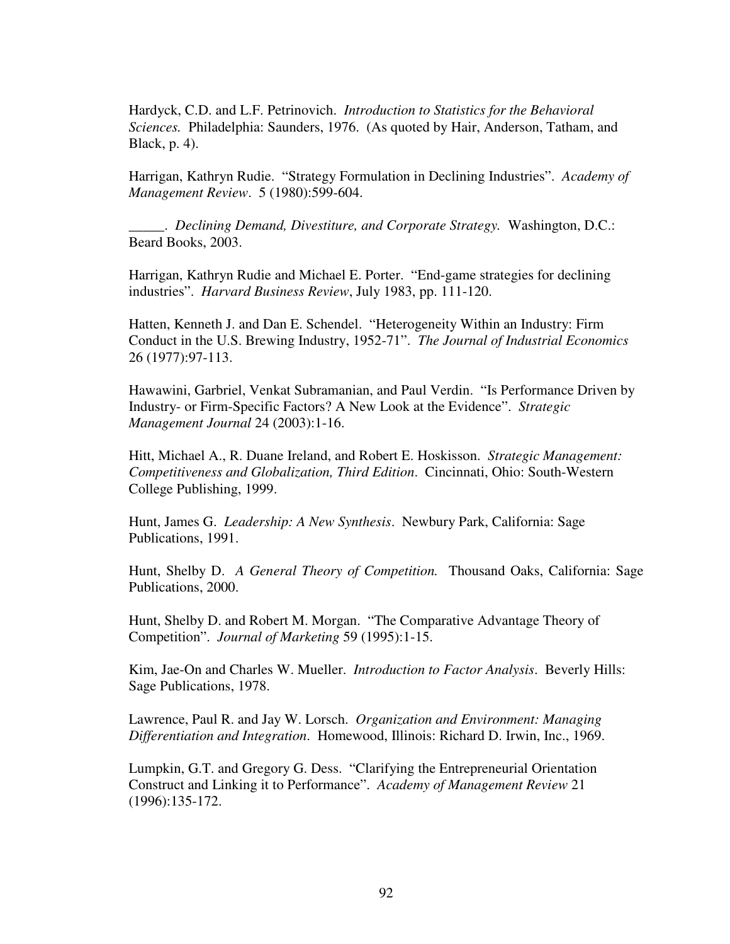Hardyck, C.D. and L.F. Petrinovich. *Introduction to Statistics for the Behavioral Sciences.* Philadelphia: Saunders, 1976. (As quoted by Hair, Anderson, Tatham, and Black, p. 4).

Harrigan, Kathryn Rudie. "Strategy Formulation in Declining Industries". *Academy of Management Review*. 5 (1980):599-604.

\_\_\_\_\_. *Declining Demand, Divestiture, and Corporate Strategy.* Washington, D.C.: Beard Books, 2003.

Harrigan, Kathryn Rudie and Michael E. Porter. "End-game strategies for declining industries". *Harvard Business Review*, July 1983, pp. 111-120.

Hatten, Kenneth J. and Dan E. Schendel. "Heterogeneity Within an Industry: Firm Conduct in the U.S. Brewing Industry, 1952-71". *The Journal of Industrial Economics*  26 (1977):97-113.

Hawawini, Garbriel, Venkat Subramanian, and Paul Verdin. "Is Performance Driven by Industry- or Firm-Specific Factors? A New Look at the Evidence". *Strategic Management Journal* 24 (2003):1-16.

Hitt, Michael A., R. Duane Ireland, and Robert E. Hoskisson. *Strategic Management: Competitiveness and Globalization, Third Edition*. Cincinnati, Ohio: South-Western College Publishing, 1999.

Hunt, James G. *Leadership: A New Synthesis*. Newbury Park, California: Sage Publications, 1991.

Hunt, Shelby D. *A General Theory of Competition.* Thousand Oaks, California: Sage Publications, 2000.

Hunt, Shelby D. and Robert M. Morgan. "The Comparative Advantage Theory of Competition". *Journal of Marketing* 59 (1995):1-15.

Kim, Jae-On and Charles W. Mueller. *Introduction to Factor Analysis*. Beverly Hills: Sage Publications, 1978.

Lawrence, Paul R. and Jay W. Lorsch. *Organization and Environment: Managing Differentiation and Integration*. Homewood, Illinois: Richard D. Irwin, Inc., 1969.

Lumpkin, G.T. and Gregory G. Dess. "Clarifying the Entrepreneurial Orientation Construct and Linking it to Performance". *Academy of Management Review* 21 (1996):135-172.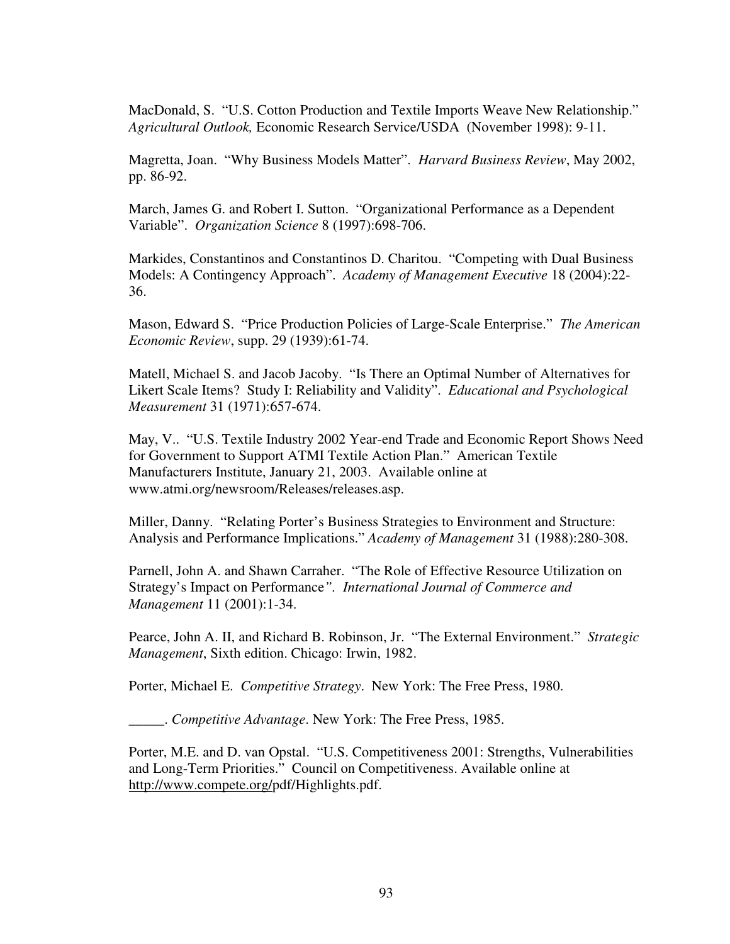MacDonald, S. "U.S. Cotton Production and Textile Imports Weave New Relationship." *Agricultural Outlook,* Economic Research Service/USDA(November 1998): 9-11.

Magretta, Joan. "Why Business Models Matter". *Harvard Business Review*, May 2002, pp. 86-92.

March, James G. and Robert I. Sutton. "Organizational Performance as a Dependent Variable". *Organization Science* 8 (1997):698-706.

Markides, Constantinos and Constantinos D. Charitou. "Competing with Dual Business Models: A Contingency Approach". *Academy of Management Executive* 18 (2004):22- 36.

Mason, Edward S. "Price Production Policies of Large-Scale Enterprise." *The American Economic Review*, supp. 29 (1939):61-74.

Matell, Michael S. and Jacob Jacoby. "Is There an Optimal Number of Alternatives for Likert Scale Items? Study I: Reliability and Validity". *Educational and Psychological Measurement* 31 (1971):657-674.

May, V.. "U.S. Textile Industry 2002 Year-end Trade and Economic Report Shows Need for Government to Support ATMI Textile Action Plan." American Textile Manufacturers Institute, January 21, 2003. Available online at www.atmi.org/newsroom/Releases/releases.asp.

Miller, Danny. "Relating Porter's Business Strategies to Environment and Structure: Analysis and Performance Implications." *Academy of Management* 31 (1988):280-308.

Parnell, John A. and Shawn Carraher. "The Role of Effective Resource Utilization on Strategy's Impact on Performance*". International Journal of Commerce and Management* 11 (2001):1-34.

Pearce, John A. II, and Richard B. Robinson, Jr. "The External Environment." *Strategic Management*, Sixth edition. Chicago: Irwin, 1982.

Porter, Michael E. *Competitive Strategy*. New York: The Free Press, 1980.

\_\_\_\_\_. *Competitive Advantage*. New York: The Free Press, 1985.

Porter, M.E. and D. van Opstal. "U.S. Competitiveness 2001: Strengths, Vulnerabilities and Long-Term Priorities." Council on Competitiveness. Available online at http://www.compete.org/pdf/Highlights.pdf.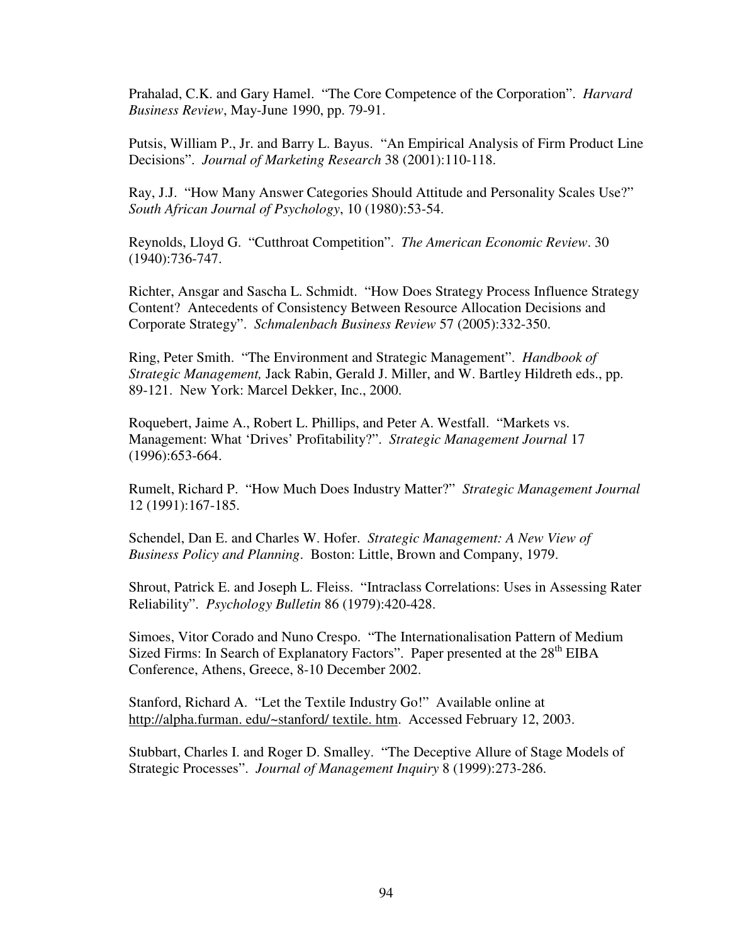Prahalad, C.K. and Gary Hamel. "The Core Competence of the Corporation". *Harvard Business Review*, May-June 1990, pp. 79-91.

Putsis, William P., Jr. and Barry L. Bayus. "An Empirical Analysis of Firm Product Line Decisions". *Journal of Marketing Research* 38 (2001):110-118.

Ray, J.J. "How Many Answer Categories Should Attitude and Personality Scales Use?" *South African Journal of Psychology*, 10 (1980):53-54.

Reynolds, Lloyd G. "Cutthroat Competition". *The American Economic Review*. 30 (1940):736-747.

Richter, Ansgar and Sascha L. Schmidt. "How Does Strategy Process Influence Strategy Content? Antecedents of Consistency Between Resource Allocation Decisions and Corporate Strategy". *Schmalenbach Business Review* 57 (2005):332-350.

Ring, Peter Smith. "The Environment and Strategic Management". *Handbook of Strategic Management,* Jack Rabin, Gerald J. Miller, and W. Bartley Hildreth eds., pp. 89-121. New York: Marcel Dekker, Inc., 2000.

Roquebert, Jaime A., Robert L. Phillips, and Peter A. Westfall. "Markets vs. Management: What 'Drives' Profitability?". *Strategic Management Journal* 17 (1996):653-664.

Rumelt, Richard P. "How Much Does Industry Matter?" *Strategic Management Journal* 12 (1991):167-185.

Schendel, Dan E. and Charles W. Hofer. *Strategic Management: A New View of Business Policy and Planning*. Boston: Little, Brown and Company, 1979.

Shrout, Patrick E. and Joseph L. Fleiss. "Intraclass Correlations: Uses in Assessing Rater Reliability". *Psychology Bulletin* 86 (1979):420-428.

Simoes, Vitor Corado and Nuno Crespo. "The Internationalisation Pattern of Medium Sized Firms: In Search of Explanatory Factors". Paper presented at the 28<sup>th</sup> EIBA Conference, Athens, Greece, 8-10 December 2002.

Stanford, Richard A. "Let the Textile Industry Go!" Available online at http://alpha.furman. edu/~stanford/ textile. htm. Accessed February 12, 2003.

Stubbart, Charles I. and Roger D. Smalley. "The Deceptive Allure of Stage Models of Strategic Processes". *Journal of Management Inquiry* 8 (1999):273-286.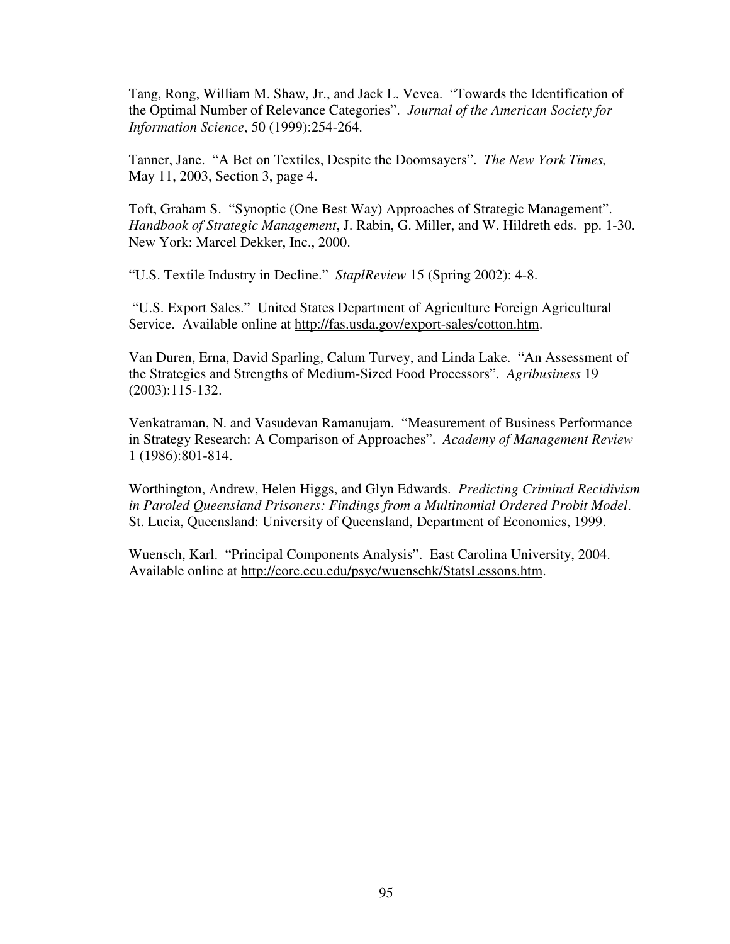Tang, Rong, William M. Shaw, Jr., and Jack L. Vevea. "Towards the Identification of the Optimal Number of Relevance Categories". *Journal of the American Society for Information Science*, 50 (1999):254-264.

Tanner, Jane. "A Bet on Textiles, Despite the Doomsayers". *The New York Times,* May 11, 2003, Section 3, page 4.

Toft, Graham S. "Synoptic (One Best Way) Approaches of Strategic Management". *Handbook of Strategic Management*, J. Rabin, G. Miller, and W. Hildreth eds. pp. 1-30. New York: Marcel Dekker, Inc., 2000.

"U.S. Textile Industry in Decline." *StaplReview* 15 (Spring 2002): 4-8.

 "U.S. Export Sales." United States Department of Agriculture Foreign Agricultural Service. Available online at http://fas.usda.gov/export-sales/cotton.htm.

Van Duren, Erna, David Sparling, Calum Turvey, and Linda Lake. "An Assessment of the Strategies and Strengths of Medium-Sized Food Processors". *Agribusiness* 19 (2003):115-132.

Venkatraman, N. and Vasudevan Ramanujam. "Measurement of Business Performance in Strategy Research: A Comparison of Approaches". *Academy of Management Review* 1 (1986):801-814.

Worthington, Andrew, Helen Higgs, and Glyn Edwards. *Predicting Criminal Recidivism in Paroled Queensland Prisoners: Findings from a Multinomial Ordered Probit Model*. St. Lucia, Queensland: University of Queensland, Department of Economics, 1999.

Wuensch, Karl. "Principal Components Analysis". East Carolina University, 2004. Available online at http://core.ecu.edu/psyc/wuenschk/StatsLessons.htm.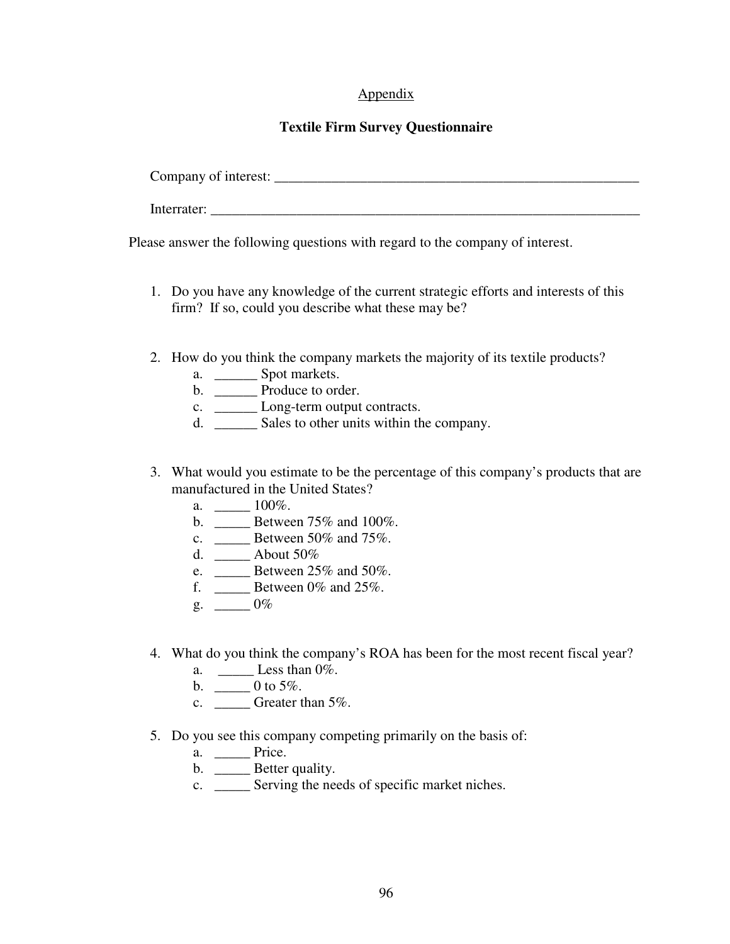# Appendix

# **Textile Firm Survey Questionnaire**

| Company of interest: |  |
|----------------------|--|
| Interrater:          |  |

Please answer the following questions with regard to the company of interest.

- 1. Do you have any knowledge of the current strategic efforts and interests of this firm? If so, could you describe what these may be?
- 2. How do you think the company markets the majority of its textile products?
	- a. \_\_\_\_\_\_\_\_\_ Spot markets.
	- b. \_\_\_\_\_\_\_\_ Produce to order.
	- c. \_\_\_\_\_\_ Long-term output contracts.
	- d. \_\_\_\_\_\_ Sales to other units within the company.
- 3. What would you estimate to be the percentage of this company's products that are manufactured in the United States?
	- a.  $100\%$ .
	- b. \_\_\_\_\_ Between 75% and 100%.
	- c. \_\_\_\_\_ Between 50% and 75%.
	- d. \_\_\_\_\_ About 50%
	- e. \_\_\_\_\_ Between 25% and 50%.
	- f.  $\frac{1}{25\%}$ .
	- $g. \quad \underline{\hspace{1cm}} 0\%$
- 4. What do you think the company's ROA has been for the most recent fiscal year?
	- a.  $\_\_\_\_\_\_\_\$  Less than  $0\%$ .
	- b.  $\_\_0$  0 to 5%.
	- c.  $\qquad \qquad$  Greater than 5%.
- 5. Do you see this company competing primarily on the basis of:
	- a. \_\_\_\_\_\_\_ Price.
	- b. \_\_\_\_\_\_ Better quality.
	- c. \_\_\_\_\_ Serving the needs of specific market niches.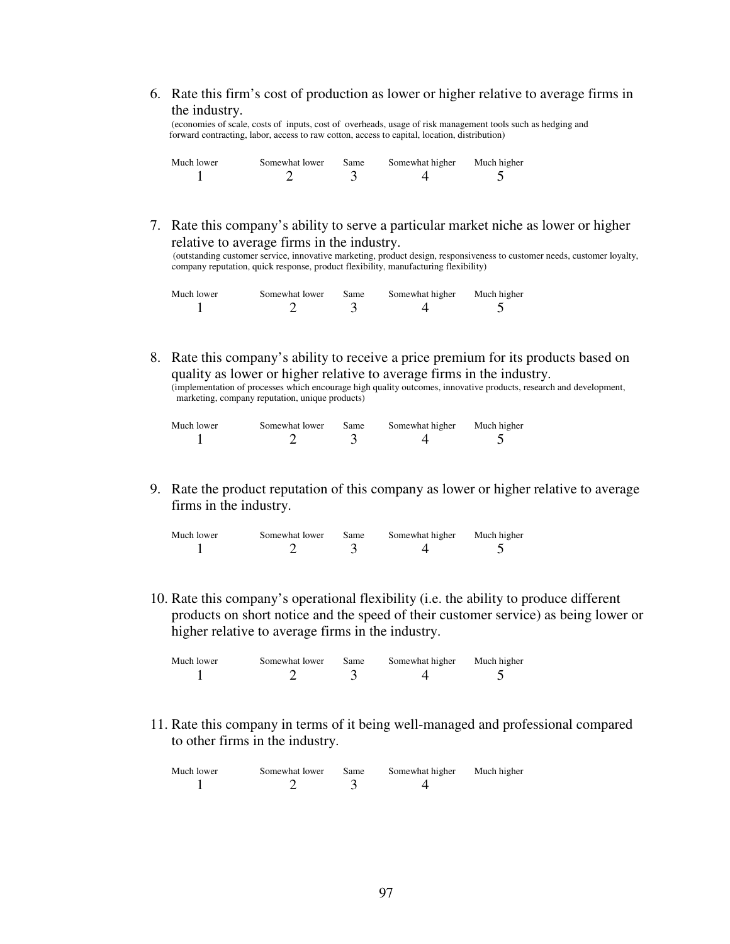6. Rate this firm's cost of production as lower or higher relative to average firms in the industry.

 (economies of scale, costs of inputs, cost of overheads, usage of risk management tools such as hedging and forward contracting, labor, access to raw cotton, access to capital, location, distribution)

| Much lower | Somewhat lower | Same | Somewhat higher | Much higher |
|------------|----------------|------|-----------------|-------------|
|            |                |      |                 |             |

7. Rate this company's ability to serve a particular market niche as lower or higher relative to average firms in the industry.

 (outstanding customer service, innovative marketing, product design, responsiveness to customer needs, customer loyalty, company reputation, quick response, product flexibility, manufacturing flexibility)

| Much lower | Somewhat lower | Same | Somewhat higher | Much higher |
|------------|----------------|------|-----------------|-------------|
|            |                |      |                 |             |

8. Rate this company's ability to receive a price premium for its products based on quality as lower or higher relative to average firms in the industry. (implementation of processes which encourage high quality outcomes, innovative products, research and development, marketing, company reputation, unique products)

| Much lower | Somewhat lower | Same | Somewhat higher | Much higher |
|------------|----------------|------|-----------------|-------------|
|            |                |      |                 |             |

9. Rate the product reputation of this company as lower or higher relative to average firms in the industry.

| Much lower | Somewhat lower | Same | Somewhat higher | Much higher |
|------------|----------------|------|-----------------|-------------|
|            |                |      |                 |             |

10. Rate this company's operational flexibility (i.e. the ability to produce different products on short notice and the speed of their customer service) as being lower or higher relative to average firms in the industry.

| Much lower | Somewhat lower | Same | Somewhat higher | Much higher |
|------------|----------------|------|-----------------|-------------|
|            |                |      |                 |             |

11. Rate this company in terms of it being well-managed and professional compared to other firms in the industry.

| Much lower | Somewhat lower | Same | Somewhat higher | Much higher |
|------------|----------------|------|-----------------|-------------|
|            |                |      |                 |             |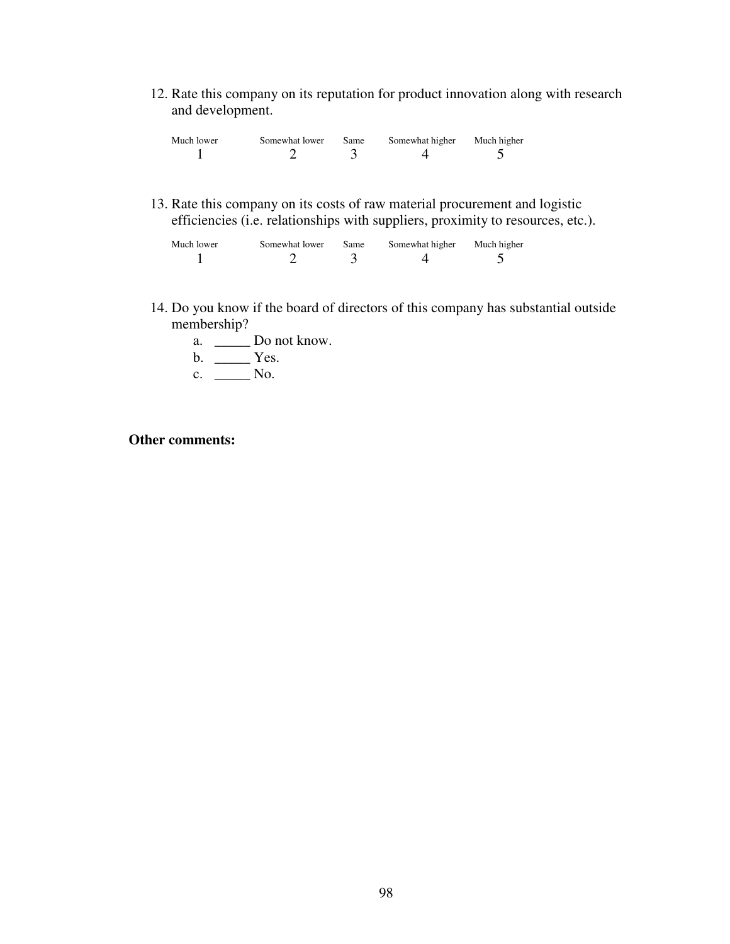12. Rate this company on its reputation for product innovation along with research and development.

| Much lower | Somewhat lower | Same | Somewhat higher | Much higher |
|------------|----------------|------|-----------------|-------------|
|            |                |      |                 |             |

13. Rate this company on its costs of raw material procurement and logistic efficiencies (i.e. relationships with suppliers, proximity to resources, etc.).

| Much lower | Somewhat lower | Same | Somewhat higher | Much higher |
|------------|----------------|------|-----------------|-------------|
|            |                |      |                 |             |

- 14. Do you know if the board of directors of this company has substantial outside membership?
	- a. \_\_\_\_\_ Do not know.
	- $b. \quad \underline{\qquad}$  Yes.
	- c.  $\_\_\_\_\_\$  No.

## **Other comments:**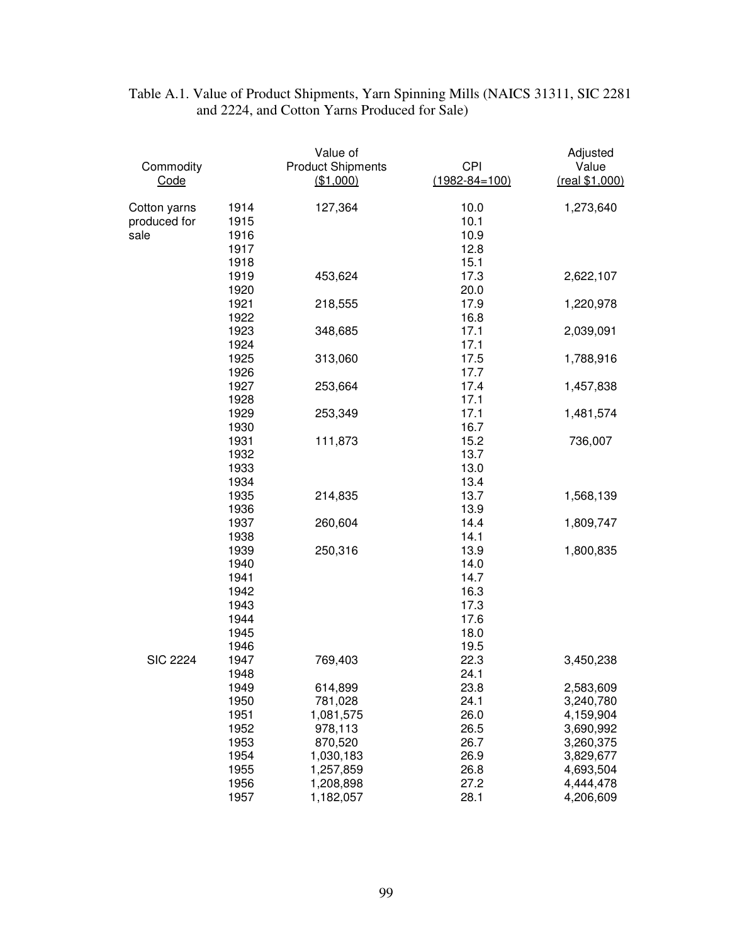| Commodity<br>Code                    |                                                              | Value of<br><b>Product Shipments</b><br>(\$1,000)                                            | <b>CPI</b><br>$(1982 - 84 = 100)$                            | Adjusted<br>Value<br>(real \$1,000)                                                                  |
|--------------------------------------|--------------------------------------------------------------|----------------------------------------------------------------------------------------------|--------------------------------------------------------------|------------------------------------------------------------------------------------------------------|
| Cotton yarns<br>produced for<br>sale | 1914<br>1915<br>1916<br>1917<br>1918                         | 127,364                                                                                      | 10.0<br>10.1<br>10.9<br>12.8<br>15.1                         | 1,273,640                                                                                            |
|                                      | 1919<br>1920                                                 | 453,624                                                                                      | 17.3<br>20.0                                                 | 2,622,107                                                                                            |
|                                      | 1921<br>1922                                                 | 218,555                                                                                      | 17.9<br>16.8                                                 | 1,220,978                                                                                            |
|                                      | 1923<br>1924                                                 | 348,685                                                                                      | 17.1<br>17.1                                                 | 2,039,091                                                                                            |
|                                      | 1925<br>1926                                                 | 313,060                                                                                      | 17.5<br>17.7                                                 | 1,788,916                                                                                            |
|                                      | 1927<br>1928                                                 | 253,664                                                                                      | 17.4<br>17.1                                                 | 1,457,838                                                                                            |
|                                      | 1929<br>1930                                                 | 253,349                                                                                      | 17.1<br>16.7                                                 | 1,481,574                                                                                            |
|                                      | 1931<br>1932<br>1933<br>1934                                 | 111,873                                                                                      | 15.2<br>13.7<br>13.0<br>13.4                                 | 736,007                                                                                              |
|                                      | 1935<br>1936                                                 | 214,835                                                                                      | 13.7<br>13.9                                                 | 1,568,139                                                                                            |
|                                      | 1937<br>1938                                                 | 260,604                                                                                      | 14.4<br>14.1                                                 | 1,809,747                                                                                            |
|                                      | 1939<br>1940<br>1941<br>1942<br>1943<br>1944<br>1945<br>1946 | 250,316                                                                                      | 13.9<br>14.0<br>14.7<br>16.3<br>17.3<br>17.6<br>18.0<br>19.5 | 1,800,835                                                                                            |
| <b>SIC 2224</b>                      | 1947<br>1948                                                 | 769,403                                                                                      | 22.3<br>24.1                                                 | 3,450,238                                                                                            |
|                                      | 1949<br>1950<br>1951<br>1952<br>1953<br>1954<br>1955<br>1956 | 614,899<br>781,028<br>1,081,575<br>978,113<br>870,520<br>1,030,183<br>1,257,859<br>1,208,898 | 23.8<br>24.1<br>26.0<br>26.5<br>26.7<br>26.9<br>26.8<br>27.2 | 2,583,609<br>3,240,780<br>4,159,904<br>3,690,992<br>3,260,375<br>3,829,677<br>4,693,504<br>4,444,478 |
|                                      | 1957                                                         | 1,182,057                                                                                    | 28.1                                                         | 4,206,609                                                                                            |

## Table A.1. Value of Product Shipments, Yarn Spinning Mills (NAICS 31311, SIC 2281 and 2224, and Cotton Yarns Produced for Sale)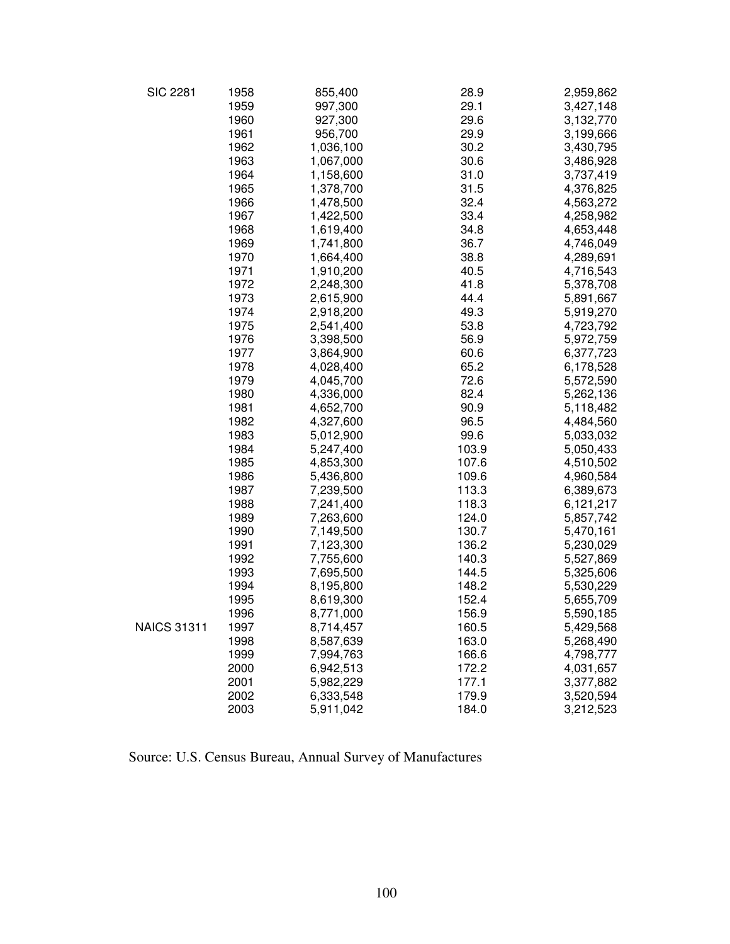| <b>SIC 2281</b>    | 1958 | 855,400   | 28.9  | 2,959,862 |
|--------------------|------|-----------|-------|-----------|
|                    | 1959 | 997,300   | 29.1  | 3,427,148 |
|                    | 1960 | 927,300   | 29.6  | 3,132,770 |
|                    | 1961 | 956,700   | 29.9  | 3,199,666 |
|                    | 1962 | 1,036,100 | 30.2  | 3,430,795 |
|                    | 1963 | 1,067,000 | 30.6  | 3,486,928 |
|                    | 1964 | 1,158,600 | 31.0  | 3,737,419 |
|                    | 1965 | 1,378,700 | 31.5  | 4,376,825 |
|                    | 1966 | 1,478,500 | 32.4  | 4,563,272 |
|                    | 1967 | 1,422,500 | 33.4  | 4,258,982 |
|                    | 1968 | 1,619,400 | 34.8  | 4,653,448 |
|                    | 1969 | 1,741,800 | 36.7  | 4,746,049 |
|                    | 1970 | 1,664,400 | 38.8  | 4,289,691 |
|                    | 1971 | 1,910,200 | 40.5  | 4,716,543 |
|                    | 1972 | 2,248,300 | 41.8  | 5,378,708 |
|                    | 1973 | 2,615,900 | 44.4  | 5,891,667 |
|                    | 1974 | 2,918,200 | 49.3  | 5,919,270 |
|                    | 1975 | 2,541,400 | 53.8  | 4,723,792 |
|                    | 1976 | 3,398,500 | 56.9  | 5,972,759 |
|                    | 1977 | 3,864,900 | 60.6  | 6,377,723 |
|                    | 1978 | 4,028,400 | 65.2  | 6,178,528 |
|                    | 1979 | 4,045,700 | 72.6  | 5,572,590 |
|                    | 1980 | 4,336,000 | 82.4  | 5,262,136 |
|                    | 1981 | 4,652,700 | 90.9  | 5,118,482 |
|                    | 1982 | 4,327,600 | 96.5  | 4,484,560 |
|                    | 1983 | 5,012,900 | 99.6  | 5,033,032 |
|                    | 1984 | 5,247,400 | 103.9 | 5,050,433 |
|                    | 1985 | 4,853,300 | 107.6 | 4,510,502 |
|                    | 1986 | 5,436,800 | 109.6 | 4,960,584 |
|                    | 1987 | 7,239,500 | 113.3 | 6,389,673 |
|                    | 1988 | 7,241,400 | 118.3 | 6,121,217 |
|                    | 1989 | 7,263,600 | 124.0 | 5,857,742 |
|                    | 1990 | 7,149,500 | 130.7 | 5,470,161 |
|                    | 1991 | 7,123,300 | 136.2 | 5,230,029 |
|                    | 1992 | 7,755,600 | 140.3 | 5,527,869 |
|                    | 1993 | 7,695,500 | 144.5 | 5,325,606 |
|                    | 1994 | 8,195,800 | 148.2 | 5,530,229 |
|                    | 1995 | 8,619,300 | 152.4 | 5,655,709 |
|                    | 1996 | 8,771,000 | 156.9 | 5,590,185 |
| <b>NAICS 31311</b> | 1997 | 8,714,457 | 160.5 | 5,429,568 |
|                    | 1998 | 8,587,639 | 163.0 | 5,268,490 |
|                    | 1999 | 7,994,763 | 166.6 | 4,798,777 |
|                    | 2000 | 6,942,513 | 172.2 | 4,031,657 |
|                    | 2001 | 5,982,229 | 177.1 | 3,377,882 |
|                    | 2002 | 6,333,548 | 179.9 | 3,520,594 |
|                    | 2003 | 5,911,042 | 184.0 | 3,212,523 |

Source: U.S. Census Bureau, Annual Survey of Manufactures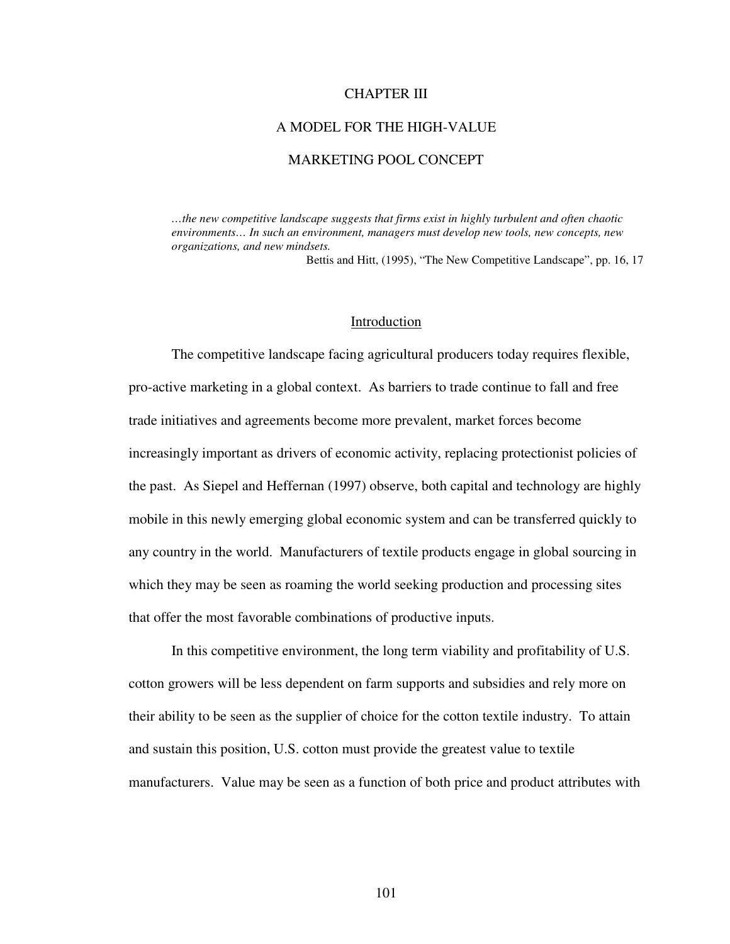### CHAPTER III

### A MODEL FOR THE HIGH-VALUE

## MARKETING POOL CONCEPT

*…the new competitive landscape suggests that firms exist in highly turbulent and often chaotic environments… In such an environment, managers must develop new tools, new concepts, new organizations, and new mindsets.* 

Bettis and Hitt, (1995), "The New Competitive Landscape", pp. 16, 17

### Introduction

 The competitive landscape facing agricultural producers today requires flexible, pro-active marketing in a global context. As barriers to trade continue to fall and free trade initiatives and agreements become more prevalent, market forces become increasingly important as drivers of economic activity, replacing protectionist policies of the past. As Siepel and Heffernan (1997) observe, both capital and technology are highly mobile in this newly emerging global economic system and can be transferred quickly to any country in the world. Manufacturers of textile products engage in global sourcing in which they may be seen as roaming the world seeking production and processing sites that offer the most favorable combinations of productive inputs.

In this competitive environment, the long term viability and profitability of U.S. cotton growers will be less dependent on farm supports and subsidies and rely more on their ability to be seen as the supplier of choice for the cotton textile industry. To attain and sustain this position, U.S. cotton must provide the greatest value to textile manufacturers. Value may be seen as a function of both price and product attributes with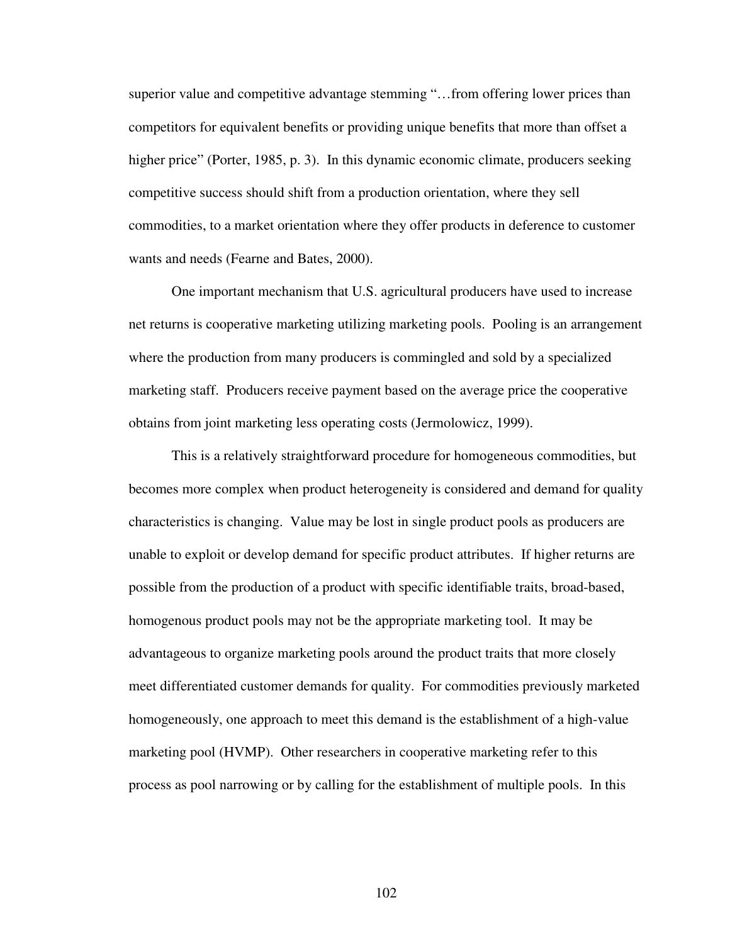superior value and competitive advantage stemming "…from offering lower prices than competitors for equivalent benefits or providing unique benefits that more than offset a higher price" (Porter, 1985, p. 3). In this dynamic economic climate, producers seeking competitive success should shift from a production orientation, where they sell commodities, to a market orientation where they offer products in deference to customer wants and needs (Fearne and Bates, 2000).

One important mechanism that U.S. agricultural producers have used to increase net returns is cooperative marketing utilizing marketing pools. Pooling is an arrangement where the production from many producers is commingled and sold by a specialized marketing staff. Producers receive payment based on the average price the cooperative obtains from joint marketing less operating costs (Jermolowicz, 1999).

This is a relatively straightforward procedure for homogeneous commodities, but becomes more complex when product heterogeneity is considered and demand for quality characteristics is changing. Value may be lost in single product pools as producers are unable to exploit or develop demand for specific product attributes. If higher returns are possible from the production of a product with specific identifiable traits, broad-based, homogenous product pools may not be the appropriate marketing tool. It may be advantageous to organize marketing pools around the product traits that more closely meet differentiated customer demands for quality. For commodities previously marketed homogeneously, one approach to meet this demand is the establishment of a high-value marketing pool (HVMP). Other researchers in cooperative marketing refer to this process as pool narrowing or by calling for the establishment of multiple pools. In this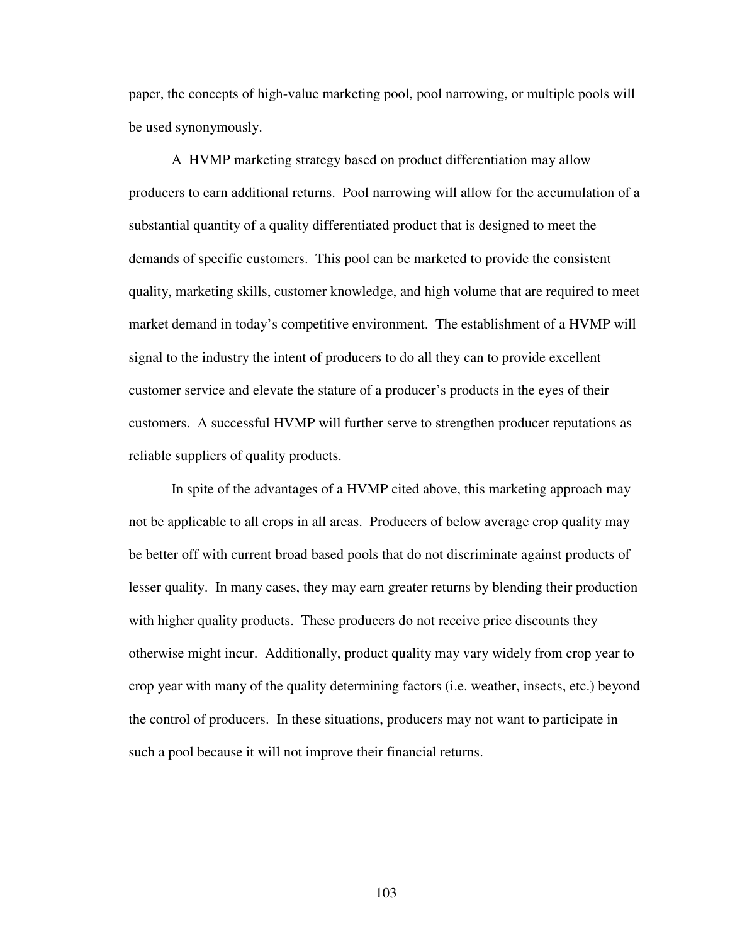paper, the concepts of high-value marketing pool, pool narrowing, or multiple pools will be used synonymously.

A HVMP marketing strategy based on product differentiation may allow producers to earn additional returns. Pool narrowing will allow for the accumulation of a substantial quantity of a quality differentiated product that is designed to meet the demands of specific customers. This pool can be marketed to provide the consistent quality, marketing skills, customer knowledge, and high volume that are required to meet market demand in today's competitive environment. The establishment of a HVMP will signal to the industry the intent of producers to do all they can to provide excellent customer service and elevate the stature of a producer's products in the eyes of their customers. A successful HVMP will further serve to strengthen producer reputations as reliable suppliers of quality products.

In spite of the advantages of a HVMP cited above, this marketing approach may not be applicable to all crops in all areas. Producers of below average crop quality may be better off with current broad based pools that do not discriminate against products of lesser quality. In many cases, they may earn greater returns by blending their production with higher quality products. These producers do not receive price discounts they otherwise might incur. Additionally, product quality may vary widely from crop year to crop year with many of the quality determining factors (i.e. weather, insects, etc.) beyond the control of producers. In these situations, producers may not want to participate in such a pool because it will not improve their financial returns.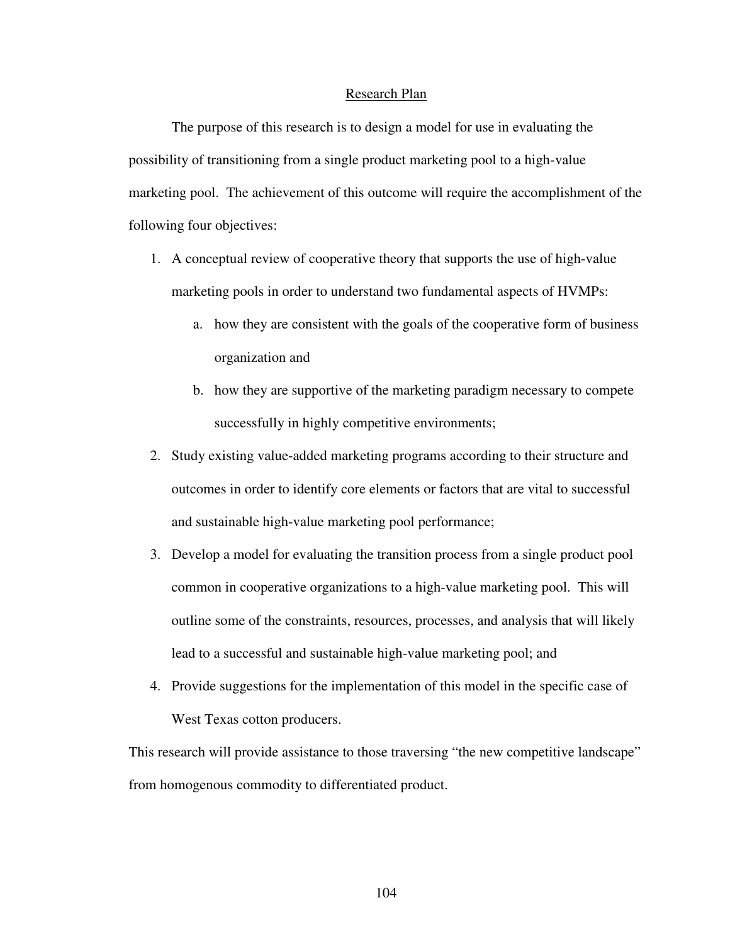#### Research Plan

The purpose of this research is to design a model for use in evaluating the possibility of transitioning from a single product marketing pool to a high-value marketing pool. The achievement of this outcome will require the accomplishment of the following four objectives:

- 1. A conceptual review of cooperative theory that supports the use of high-value marketing pools in order to understand two fundamental aspects of HVMPs:
	- a. how they are consistent with the goals of the cooperative form of business organization and
	- b. how they are supportive of the marketing paradigm necessary to compete successfully in highly competitive environments;
- 2. Study existing value-added marketing programs according to their structure and outcomes in order to identify core elements or factors that are vital to successful and sustainable high-value marketing pool performance;
- 3. Develop a model for evaluating the transition process from a single product pool common in cooperative organizations to a high-value marketing pool. This will outline some of the constraints, resources, processes, and analysis that will likely lead to a successful and sustainable high-value marketing pool; and
- 4. Provide suggestions for the implementation of this model in the specific case of West Texas cotton producers.

This research will provide assistance to those traversing "the new competitive landscape" from homogenous commodity to differentiated product.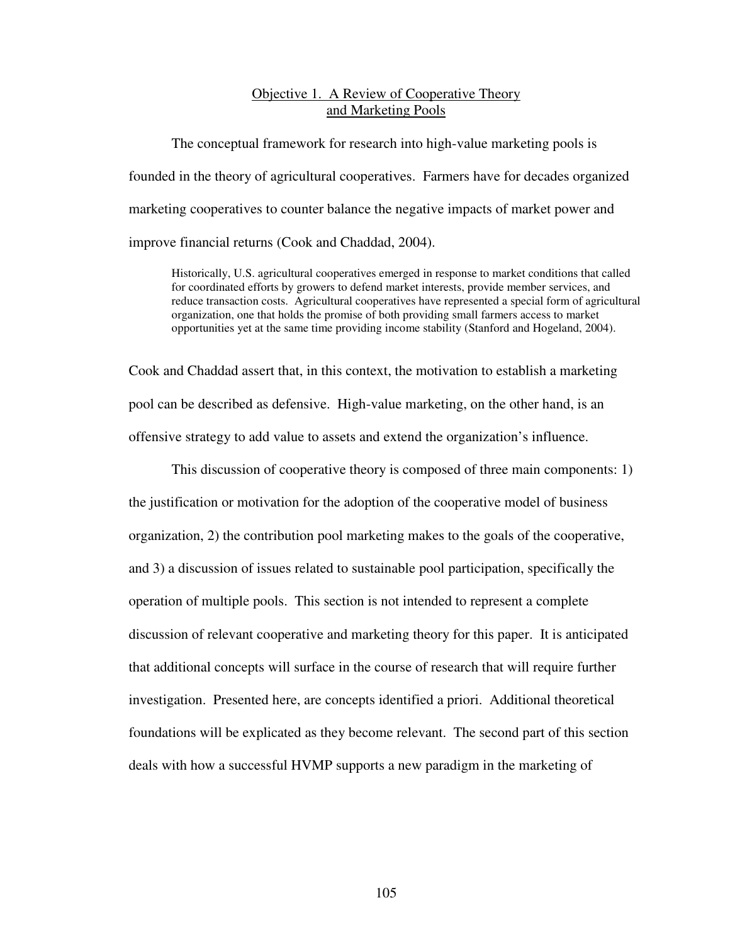# Objective 1. A Review of Cooperative Theory and Marketing Pools

The conceptual framework for research into high-value marketing pools is founded in the theory of agricultural cooperatives. Farmers have for decades organized marketing cooperatives to counter balance the negative impacts of market power and improve financial returns (Cook and Chaddad, 2004).

Historically, U.S. agricultural cooperatives emerged in response to market conditions that called for coordinated efforts by growers to defend market interests, provide member services, and reduce transaction costs. Agricultural cooperatives have represented a special form of agricultural organization, one that holds the promise of both providing small farmers access to market opportunities yet at the same time providing income stability (Stanford and Hogeland, 2004).

Cook and Chaddad assert that, in this context, the motivation to establish a marketing pool can be described as defensive. High-value marketing, on the other hand, is an offensive strategy to add value to assets and extend the organization's influence.

This discussion of cooperative theory is composed of three main components: 1) the justification or motivation for the adoption of the cooperative model of business organization, 2) the contribution pool marketing makes to the goals of the cooperative, and 3) a discussion of issues related to sustainable pool participation, specifically the operation of multiple pools. This section is not intended to represent a complete discussion of relevant cooperative and marketing theory for this paper. It is anticipated that additional concepts will surface in the course of research that will require further investigation. Presented here, are concepts identified a priori. Additional theoretical foundations will be explicated as they become relevant. The second part of this section deals with how a successful HVMP supports a new paradigm in the marketing of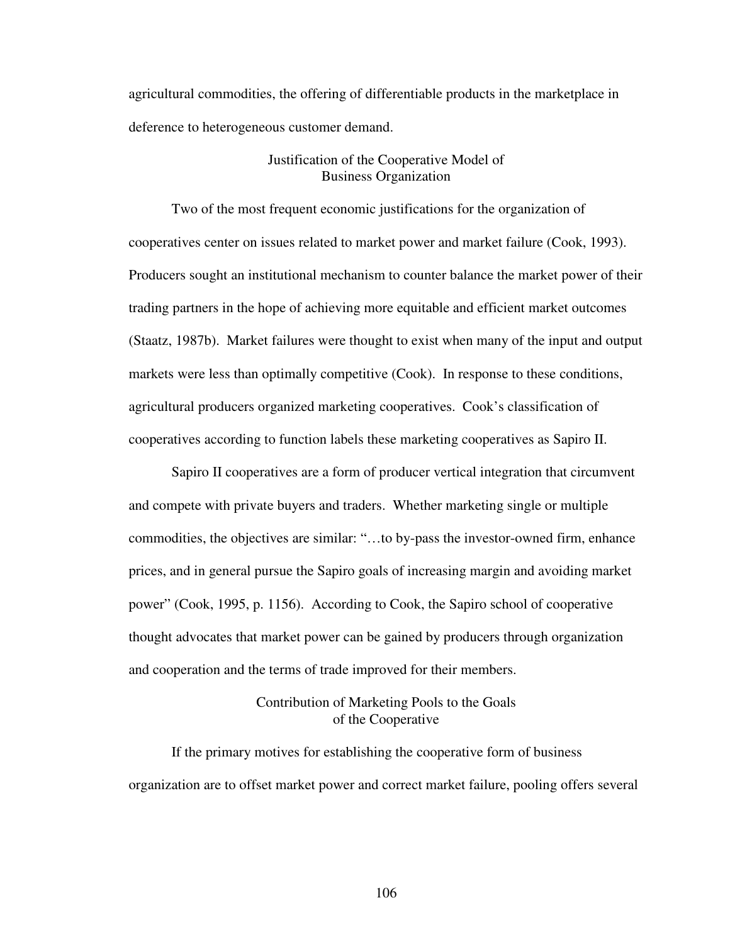agricultural commodities, the offering of differentiable products in the marketplace in deference to heterogeneous customer demand.

## Justification of the Cooperative Model of Business Organization

Two of the most frequent economic justifications for the organization of cooperatives center on issues related to market power and market failure (Cook, 1993). Producers sought an institutional mechanism to counter balance the market power of their trading partners in the hope of achieving more equitable and efficient market outcomes (Staatz, 1987b). Market failures were thought to exist when many of the input and output markets were less than optimally competitive (Cook). In response to these conditions, agricultural producers organized marketing cooperatives. Cook's classification of cooperatives according to function labels these marketing cooperatives as Sapiro II.

Sapiro II cooperatives are a form of producer vertical integration that circumvent and compete with private buyers and traders. Whether marketing single or multiple commodities, the objectives are similar: "…to by-pass the investor-owned firm, enhance prices, and in general pursue the Sapiro goals of increasing margin and avoiding market power" (Cook, 1995, p. 1156). According to Cook, the Sapiro school of cooperative thought advocates that market power can be gained by producers through organization and cooperation and the terms of trade improved for their members.

# Contribution of Marketing Pools to the Goals of the Cooperative

If the primary motives for establishing the cooperative form of business organization are to offset market power and correct market failure, pooling offers several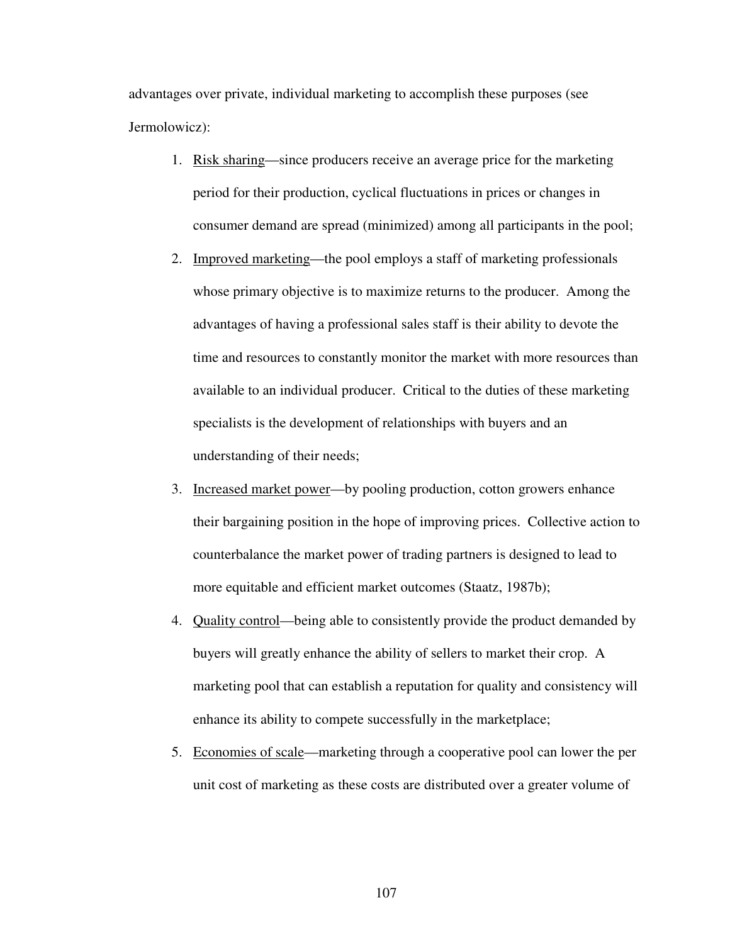advantages over private, individual marketing to accomplish these purposes (see Jermolowicz):

- 1. Risk sharing—since producers receive an average price for the marketing period for their production, cyclical fluctuations in prices or changes in consumer demand are spread (minimized) among all participants in the pool;
- 2. Improved marketing—the pool employs a staff of marketing professionals whose primary objective is to maximize returns to the producer. Among the advantages of having a professional sales staff is their ability to devote the time and resources to constantly monitor the market with more resources than available to an individual producer. Critical to the duties of these marketing specialists is the development of relationships with buyers and an understanding of their needs;
- 3. Increased market power—by pooling production, cotton growers enhance their bargaining position in the hope of improving prices. Collective action to counterbalance the market power of trading partners is designed to lead to more equitable and efficient market outcomes (Staatz, 1987b);
- 4. Quality control—being able to consistently provide the product demanded by buyers will greatly enhance the ability of sellers to market their crop. A marketing pool that can establish a reputation for quality and consistency will enhance its ability to compete successfully in the marketplace;
- 5. Economies of scale—marketing through a cooperative pool can lower the per unit cost of marketing as these costs are distributed over a greater volume of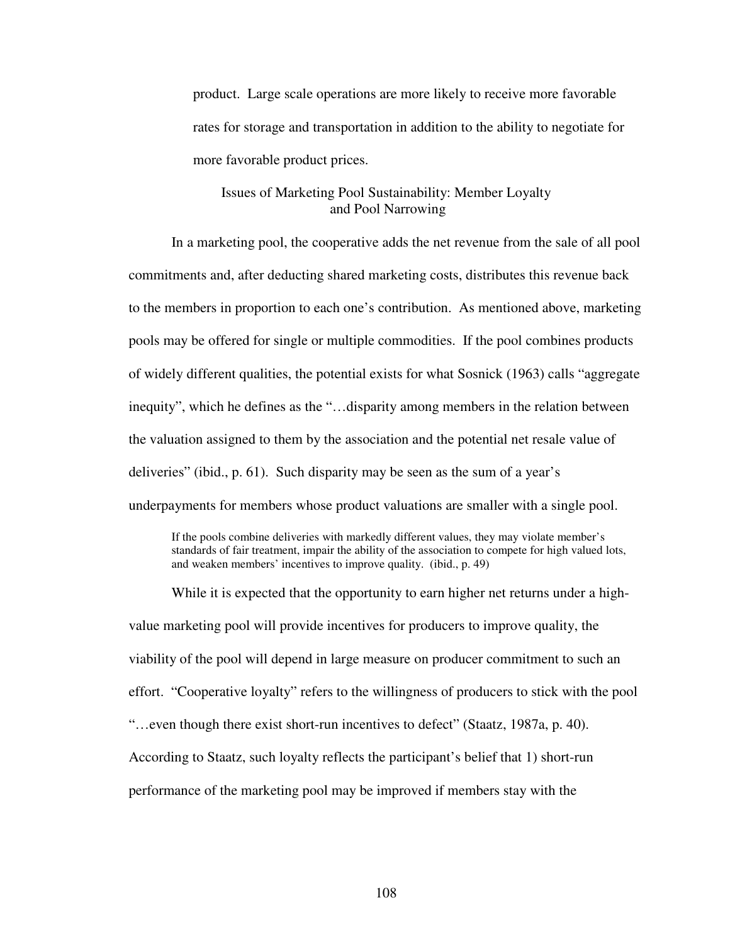product. Large scale operations are more likely to receive more favorable rates for storage and transportation in addition to the ability to negotiate for more favorable product prices.

# Issues of Marketing Pool Sustainability: Member Loyalty and Pool Narrowing

In a marketing pool, the cooperative adds the net revenue from the sale of all pool commitments and, after deducting shared marketing costs, distributes this revenue back to the members in proportion to each one's contribution. As mentioned above, marketing pools may be offered for single or multiple commodities. If the pool combines products of widely different qualities, the potential exists for what Sosnick (1963) calls "aggregate inequity", which he defines as the "…disparity among members in the relation between the valuation assigned to them by the association and the potential net resale value of deliveries" (ibid., p. 61). Such disparity may be seen as the sum of a year's underpayments for members whose product valuations are smaller with a single pool.

If the pools combine deliveries with markedly different values, they may violate member's standards of fair treatment, impair the ability of the association to compete for high valued lots, and weaken members' incentives to improve quality. (ibid., p. 49)

While it is expected that the opportunity to earn higher net returns under a highvalue marketing pool will provide incentives for producers to improve quality, the viability of the pool will depend in large measure on producer commitment to such an effort. "Cooperative loyalty" refers to the willingness of producers to stick with the pool "…even though there exist short-run incentives to defect" (Staatz, 1987a, p. 40). According to Staatz, such loyalty reflects the participant's belief that 1) short-run performance of the marketing pool may be improved if members stay with the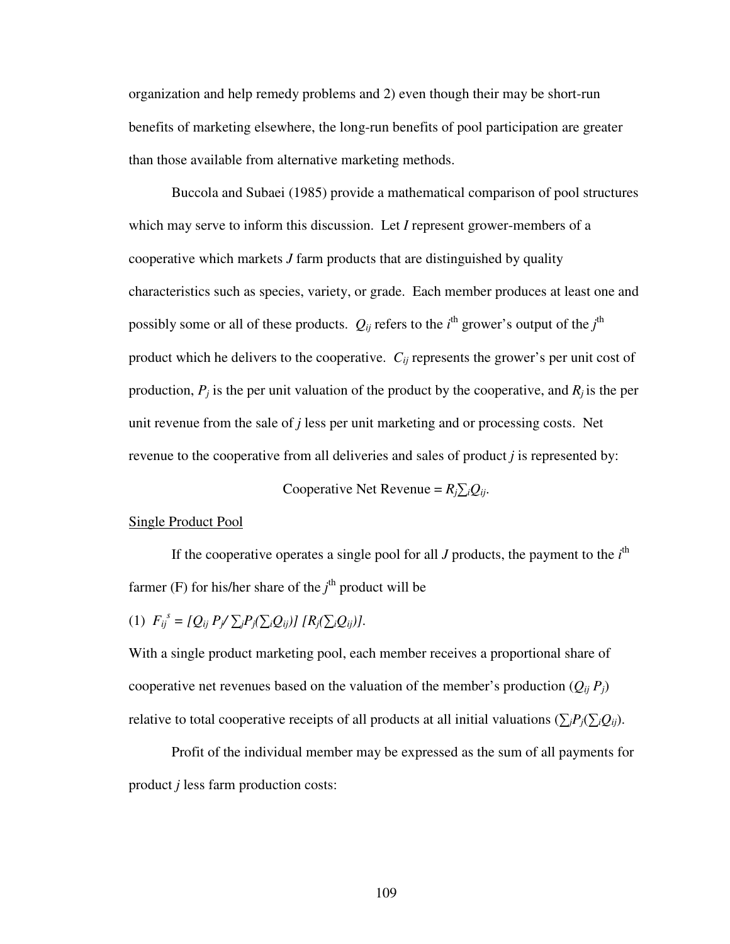organization and help remedy problems and 2) even though their may be short-run benefits of marketing elsewhere, the long-run benefits of pool participation are greater than those available from alternative marketing methods.

Buccola and Subaei (1985) provide a mathematical comparison of pool structures which may serve to inform this discussion. Let *I* represent grower-members of a cooperative which markets *J* farm products that are distinguished by quality characteristics such as species, variety, or grade. Each member produces at least one and possibly some or all of these products.  $Q_{ij}$  refers to the *i*<sup>th</sup> grower's output of the *j*<sup>th</sup> product which he delivers to the cooperative.  $C_{ii}$  represents the grower's per unit cost of production,  $P_j$  is the per unit valuation of the product by the cooperative, and  $R_j$  is the per unit revenue from the sale of *j* less per unit marketing and or processing costs. Net revenue to the cooperative from all deliveries and sales of product *j* is represented by:

Cooperative Net Revenue =  $R_j \sum_i Q_{ij}$ .

#### Single Product Pool

If the cooperative operates a single pool for all  $J$  products, the payment to the  $i<sup>th</sup>$ farmer (F) for his/her share of the *j*<sup>th</sup> product will be

(1) 
$$
F_{ij}^s = [Q_{ij} P_j / \sum_i P_j (\sum_i Q_{ij})] [R_j (\sum_i Q_{ij})].
$$

With a single product marketing pool, each member receives a proportional share of cooperative net revenues based on the valuation of the member's production  $(Q_{ij} P_j)$ relative to total cooperative receipts of all products at all initial valuations ( $\sum_j P_j(\sum_i Q_{ij})$ .

 Profit of the individual member may be expressed as the sum of all payments for product *j* less farm production costs: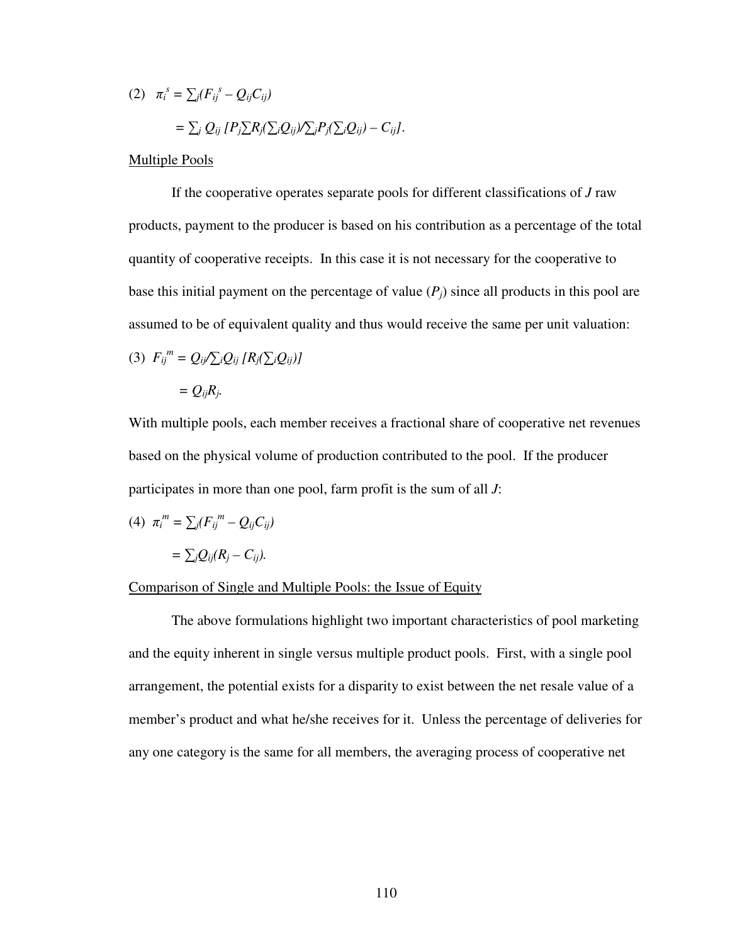(2) 
$$
\pi_i^s = \sum_j (F_{ij}^s - Q_{ij}C_{ij})
$$

$$
= \sum_j Q_{ij} [P_j \sum R_j (\sum_i Q_{ij}) / \sum_j P_j (\sum_i Q_{ij}) - C_{ij}].
$$

Multiple Pools

 If the cooperative operates separate pools for different classifications of *J* raw products, payment to the producer is based on his contribution as a percentage of the total quantity of cooperative receipts. In this case it is not necessary for the cooperative to base this initial payment on the percentage of value (*Pj*) since all products in this pool are assumed to be of equivalent quality and thus would receive the same per unit valuation:

(3) 
$$
F_{ij}^{\ m} = Q_{ij} / \sum_{i} Q_{ij} [R_j (\sum_{i} Q_{ij})]
$$

$$
= Q_{ij} R_j.
$$

With multiple pools, each member receives a fractional share of cooperative net revenues based on the physical volume of production contributed to the pool. If the producer participates in more than one pool, farm profit is the sum of all *J*:

(4) 
$$
\pi_i^m = \sum_j (F_{ij}^m - Q_{ij}C_{ij})
$$

$$
= \sum_j Q_{ij}(R_j - C_{ij}).
$$

## Comparison of Single and Multiple Pools: the Issue of Equity

 The above formulations highlight two important characteristics of pool marketing and the equity inherent in single versus multiple product pools. First, with a single pool arrangement, the potential exists for a disparity to exist between the net resale value of a member's product and what he/she receives for it. Unless the percentage of deliveries for any one category is the same for all members, the averaging process of cooperative net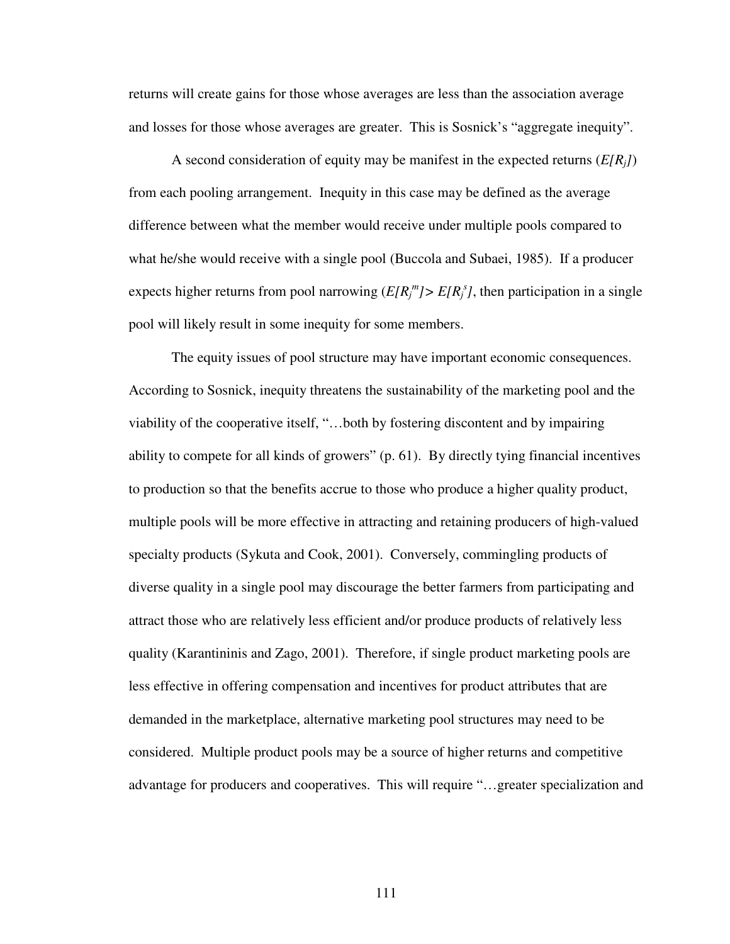returns will create gains for those whose averages are less than the association average and losses for those whose averages are greater. This is Sosnick's "aggregate inequity".

A second consideration of equity may be manifest in the expected returns  $(E[R_i])$ from each pooling arrangement. Inequity in this case may be defined as the average difference between what the member would receive under multiple pools compared to what he/she would receive with a single pool (Buccola and Subaei, 1985). If a producer expects higher returns from pool narrowing  $(E[R_j^m] > E[R_j^s]$ , then participation in a single pool will likely result in some inequity for some members.

 The equity issues of pool structure may have important economic consequences. According to Sosnick, inequity threatens the sustainability of the marketing pool and the viability of the cooperative itself, "…both by fostering discontent and by impairing ability to compete for all kinds of growers" (p. 61). By directly tying financial incentives to production so that the benefits accrue to those who produce a higher quality product, multiple pools will be more effective in attracting and retaining producers of high-valued specialty products (Sykuta and Cook, 2001). Conversely, commingling products of diverse quality in a single pool may discourage the better farmers from participating and attract those who are relatively less efficient and/or produce products of relatively less quality (Karantininis and Zago, 2001). Therefore, if single product marketing pools are less effective in offering compensation and incentives for product attributes that are demanded in the marketplace, alternative marketing pool structures may need to be considered. Multiple product pools may be a source of higher returns and competitive advantage for producers and cooperatives. This will require "…greater specialization and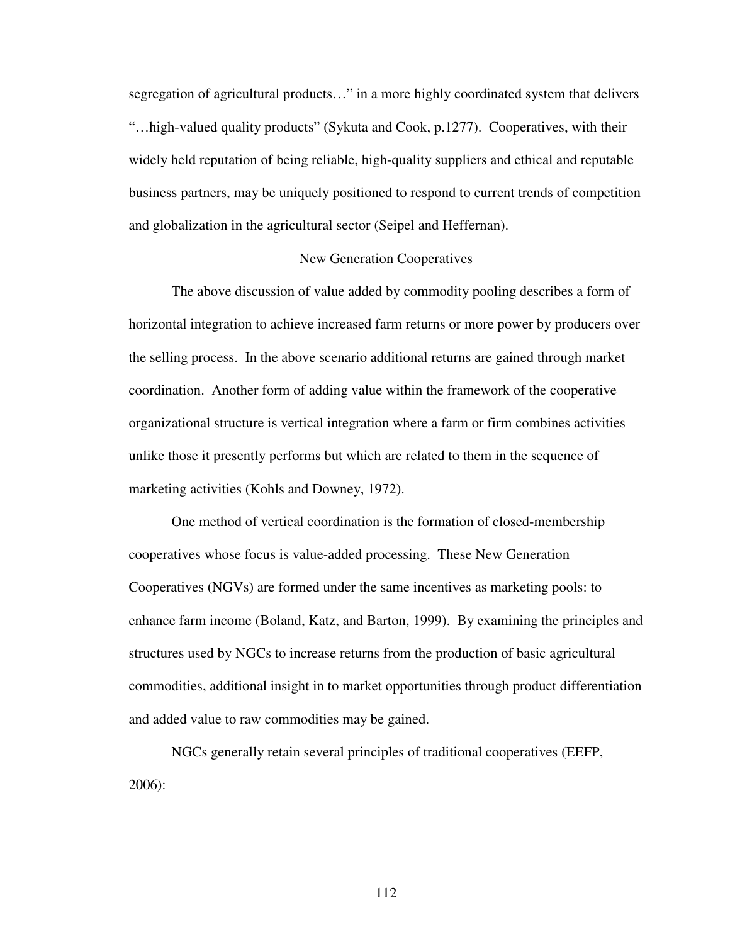segregation of agricultural products…" in a more highly coordinated system that delivers "…high-valued quality products" (Sykuta and Cook, p.1277). Cooperatives, with their widely held reputation of being reliable, high-quality suppliers and ethical and reputable business partners, may be uniquely positioned to respond to current trends of competition and globalization in the agricultural sector (Seipel and Heffernan).

### New Generation Cooperatives

 The above discussion of value added by commodity pooling describes a form of horizontal integration to achieve increased farm returns or more power by producers over the selling process. In the above scenario additional returns are gained through market coordination. Another form of adding value within the framework of the cooperative organizational structure is vertical integration where a farm or firm combines activities unlike those it presently performs but which are related to them in the sequence of marketing activities (Kohls and Downey, 1972).

One method of vertical coordination is the formation of closed-membership cooperatives whose focus is value-added processing. These New Generation Cooperatives (NGVs) are formed under the same incentives as marketing pools: to enhance farm income (Boland, Katz, and Barton, 1999). By examining the principles and structures used by NGCs to increase returns from the production of basic agricultural commodities, additional insight in to market opportunities through product differentiation and added value to raw commodities may be gained.

NGCs generally retain several principles of traditional cooperatives (EEFP, 2006):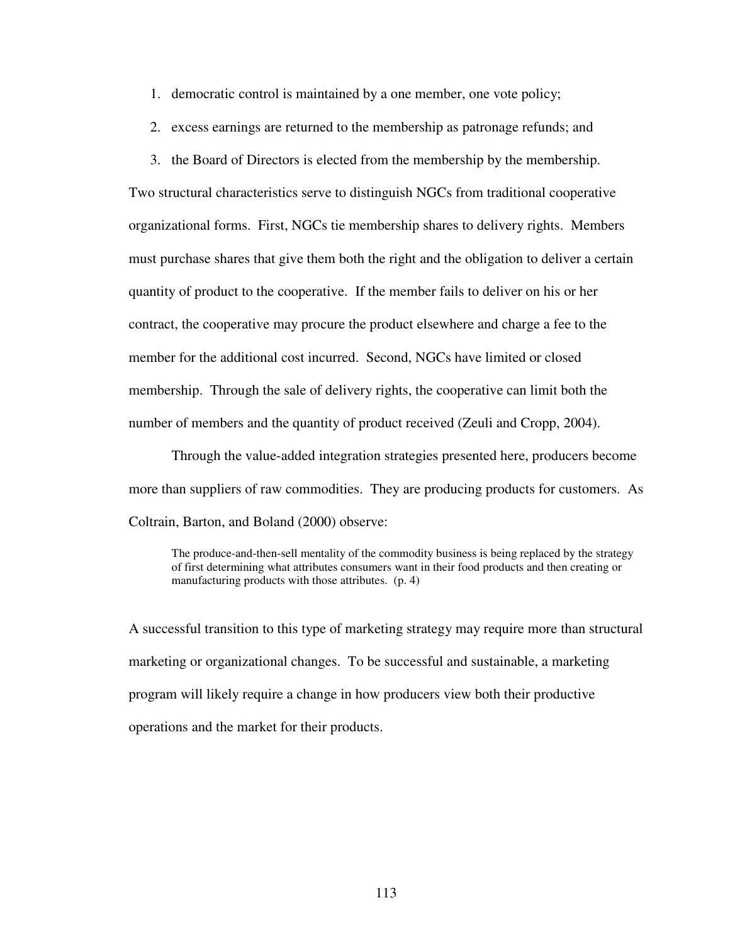- 1. democratic control is maintained by a one member, one vote policy;
- 2. excess earnings are returned to the membership as patronage refunds; and
- 3. the Board of Directors is elected from the membership by the membership.

Two structural characteristics serve to distinguish NGCs from traditional cooperative organizational forms. First, NGCs tie membership shares to delivery rights. Members must purchase shares that give them both the right and the obligation to deliver a certain quantity of product to the cooperative. If the member fails to deliver on his or her contract, the cooperative may procure the product elsewhere and charge a fee to the member for the additional cost incurred. Second, NGCs have limited or closed membership. Through the sale of delivery rights, the cooperative can limit both the number of members and the quantity of product received (Zeuli and Cropp, 2004).

 Through the value-added integration strategies presented here, producers become more than suppliers of raw commodities. They are producing products for customers. As Coltrain, Barton, and Boland (2000) observe:

The produce-and-then-sell mentality of the commodity business is being replaced by the strategy of first determining what attributes consumers want in their food products and then creating or manufacturing products with those attributes. (p. 4)

A successful transition to this type of marketing strategy may require more than structural marketing or organizational changes. To be successful and sustainable, a marketing program will likely require a change in how producers view both their productive operations and the market for their products.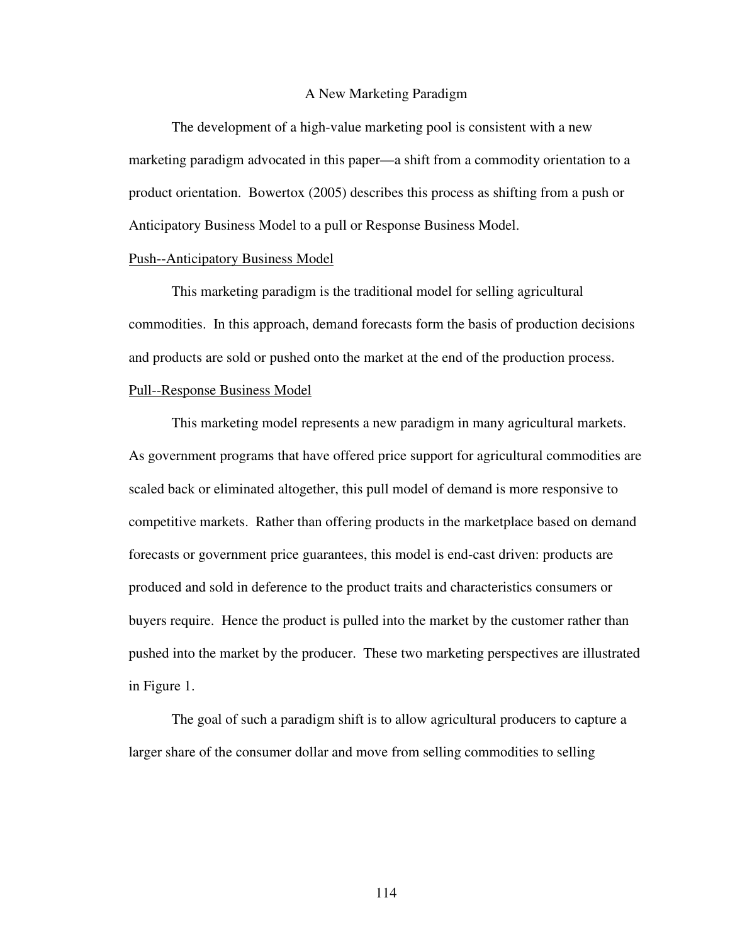#### A New Marketing Paradigm

The development of a high-value marketing pool is consistent with a new marketing paradigm advocated in this paper—a shift from a commodity orientation to a product orientation. Bowertox (2005) describes this process as shifting from a push or Anticipatory Business Model to a pull or Response Business Model.

#### Push--Anticipatory Business Model

This marketing paradigm is the traditional model for selling agricultural commodities. In this approach, demand forecasts form the basis of production decisions and products are sold or pushed onto the market at the end of the production process.

# Pull--Response Business Model

This marketing model represents a new paradigm in many agricultural markets. As government programs that have offered price support for agricultural commodities are scaled back or eliminated altogether, this pull model of demand is more responsive to competitive markets. Rather than offering products in the marketplace based on demand forecasts or government price guarantees, this model is end-cast driven: products are produced and sold in deference to the product traits and characteristics consumers or buyers require. Hence the product is pulled into the market by the customer rather than pushed into the market by the producer. These two marketing perspectives are illustrated in Figure 1.

The goal of such a paradigm shift is to allow agricultural producers to capture a larger share of the consumer dollar and move from selling commodities to selling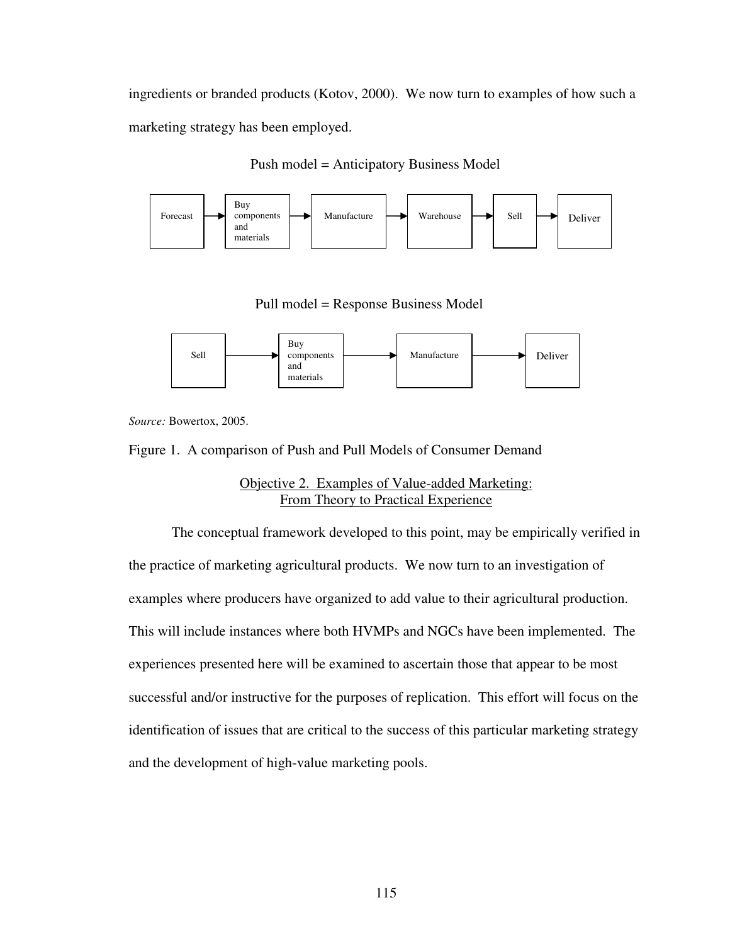ingredients or branded products (Kotov, 2000). We now turn to examples of how such a marketing strategy has been employed.





Pull model = Response Business Model



*Source:* Bowertox, 2005.

Figure 1. A comparison of Push and Pull Models of Consumer Demand

Objective 2. Examples of Value-added Marketing: From Theory to Practical Experience

The conceptual framework developed to this point, may be empirically verified in the practice of marketing agricultural products. We now turn to an investigation of examples where producers have organized to add value to their agricultural production. This will include instances where both HVMPs and NGCs have been implemented. The experiences presented here will be examined to ascertain those that appear to be most successful and/or instructive for the purposes of replication. This effort will focus on the identification of issues that are critical to the success of this particular marketing strategy and the development of high-value marketing pools.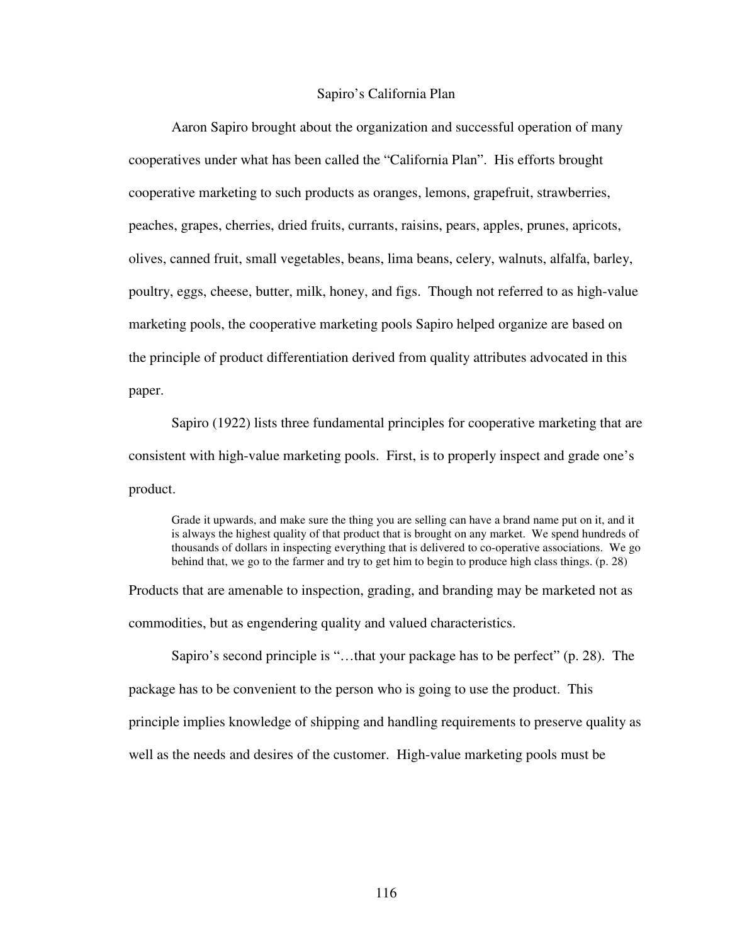### Sapiro's California Plan

Aaron Sapiro brought about the organization and successful operation of many cooperatives under what has been called the "California Plan". His efforts brought cooperative marketing to such products as oranges, lemons, grapefruit, strawberries, peaches, grapes, cherries, dried fruits, currants, raisins, pears, apples, prunes, apricots, olives, canned fruit, small vegetables, beans, lima beans, celery, walnuts, alfalfa, barley, poultry, eggs, cheese, butter, milk, honey, and figs. Though not referred to as high-value marketing pools, the cooperative marketing pools Sapiro helped organize are based on the principle of product differentiation derived from quality attributes advocated in this paper.

 Sapiro (1922) lists three fundamental principles for cooperative marketing that are consistent with high-value marketing pools. First, is to properly inspect and grade one's product.

Grade it upwards, and make sure the thing you are selling can have a brand name put on it, and it is always the highest quality of that product that is brought on any market. We spend hundreds of thousands of dollars in inspecting everything that is delivered to co-operative associations. We go behind that, we go to the farmer and try to get him to begin to produce high class things. (p. 28)

Products that are amenable to inspection, grading, and branding may be marketed not as commodities, but as engendering quality and valued characteristics.

Sapiro's second principle is "…that your package has to be perfect" (p. 28). The package has to be convenient to the person who is going to use the product. This principle implies knowledge of shipping and handling requirements to preserve quality as well as the needs and desires of the customer. High-value marketing pools must be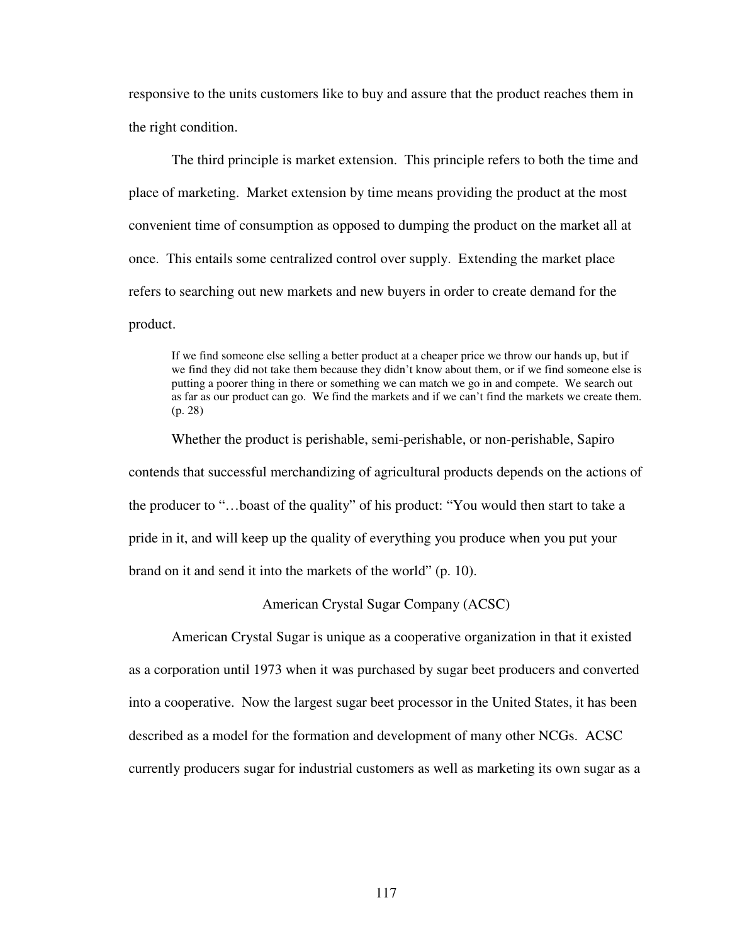responsive to the units customers like to buy and assure that the product reaches them in the right condition.

The third principle is market extension. This principle refers to both the time and place of marketing. Market extension by time means providing the product at the most convenient time of consumption as opposed to dumping the product on the market all at once. This entails some centralized control over supply. Extending the market place refers to searching out new markets and new buyers in order to create demand for the product.

If we find someone else selling a better product at a cheaper price we throw our hands up, but if we find they did not take them because they didn't know about them, or if we find someone else is putting a poorer thing in there or something we can match we go in and compete. We search out as far as our product can go. We find the markets and if we can't find the markets we create them. (p. 28)

Whether the product is perishable, semi-perishable, or non-perishable, Sapiro contends that successful merchandizing of agricultural products depends on the actions of the producer to "…boast of the quality" of his product: "You would then start to take a pride in it, and will keep up the quality of everything you produce when you put your brand on it and send it into the markets of the world" (p. 10).

## American Crystal Sugar Company (ACSC)

 American Crystal Sugar is unique as a cooperative organization in that it existed as a corporation until 1973 when it was purchased by sugar beet producers and converted into a cooperative. Now the largest sugar beet processor in the United States, it has been described as a model for the formation and development of many other NCGs. ACSC currently producers sugar for industrial customers as well as marketing its own sugar as a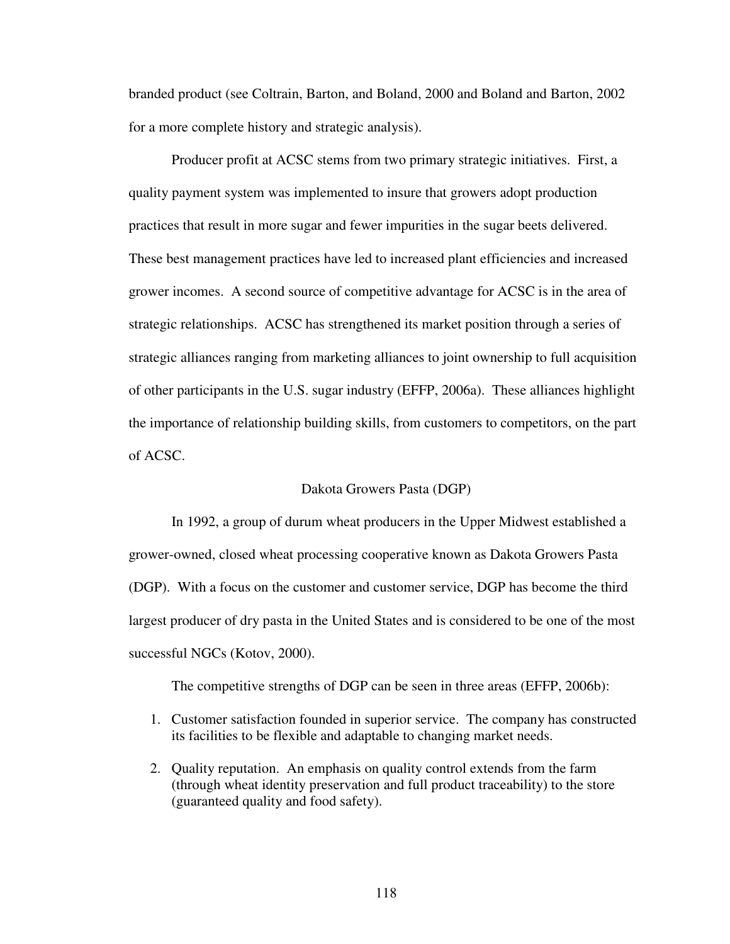branded product (see Coltrain, Barton, and Boland, 2000 and Boland and Barton, 2002 for a more complete history and strategic analysis).

 Producer profit at ACSC stems from two primary strategic initiatives. First, a quality payment system was implemented to insure that growers adopt production practices that result in more sugar and fewer impurities in the sugar beets delivered. These best management practices have led to increased plant efficiencies and increased grower incomes. A second source of competitive advantage for ACSC is in the area of strategic relationships. ACSC has strengthened its market position through a series of strategic alliances ranging from marketing alliances to joint ownership to full acquisition of other participants in the U.S. sugar industry (EFFP, 2006a). These alliances highlight the importance of relationship building skills, from customers to competitors, on the part of ACSC.

## Dakota Growers Pasta (DGP)

 In 1992, a group of durum wheat producers in the Upper Midwest established a grower-owned, closed wheat processing cooperative known as Dakota Growers Pasta (DGP). With a focus on the customer and customer service, DGP has become the third largest producer of dry pasta in the United States and is considered to be one of the most successful NGCs (Kotov, 2000).

The competitive strengths of DGP can be seen in three areas (EFFP, 2006b):

- 1. Customer satisfaction founded in superior service. The company has constructed its facilities to be flexible and adaptable to changing market needs.
- 2. Quality reputation. An emphasis on quality control extends from the farm (through wheat identity preservation and full product traceability) to the store (guaranteed quality and food safety).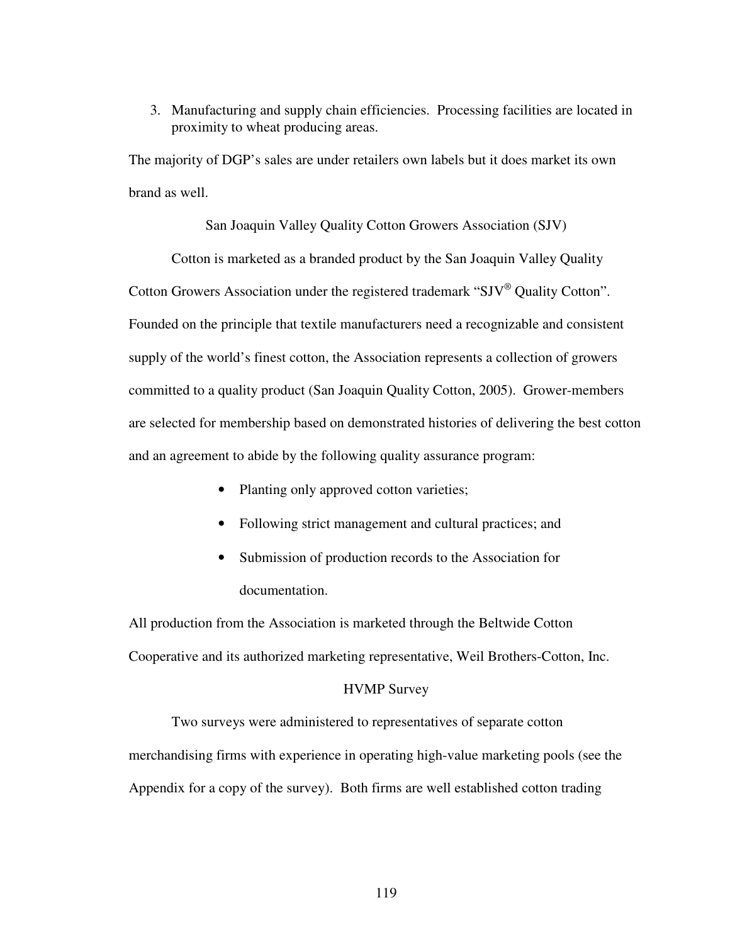3. Manufacturing and supply chain efficiencies. Processing facilities are located in proximity to wheat producing areas.

The majority of DGP's sales are under retailers own labels but it does market its own brand as well.

San Joaquin Valley Quality Cotton Growers Association (SJV)

Cotton is marketed as a branded product by the San Joaquin Valley Quality Cotton Growers Association under the registered trademark "SJV® Quality Cotton". Founded on the principle that textile manufacturers need a recognizable and consistent supply of the world's finest cotton, the Association represents a collection of growers committed to a quality product (San Joaquin Quality Cotton, 2005). Grower-members are selected for membership based on demonstrated histories of delivering the best cotton and an agreement to abide by the following quality assurance program:

- Planting only approved cotton varieties;
- Following strict management and cultural practices; and
- Submission of production records to the Association for documentation.

All production from the Association is marketed through the Beltwide Cotton Cooperative and its authorized marketing representative, Weil Brothers-Cotton, Inc.

### HVMP Survey

Two surveys were administered to representatives of separate cotton merchandising firms with experience in operating high-value marketing pools (see the Appendix for a copy of the survey). Both firms are well established cotton trading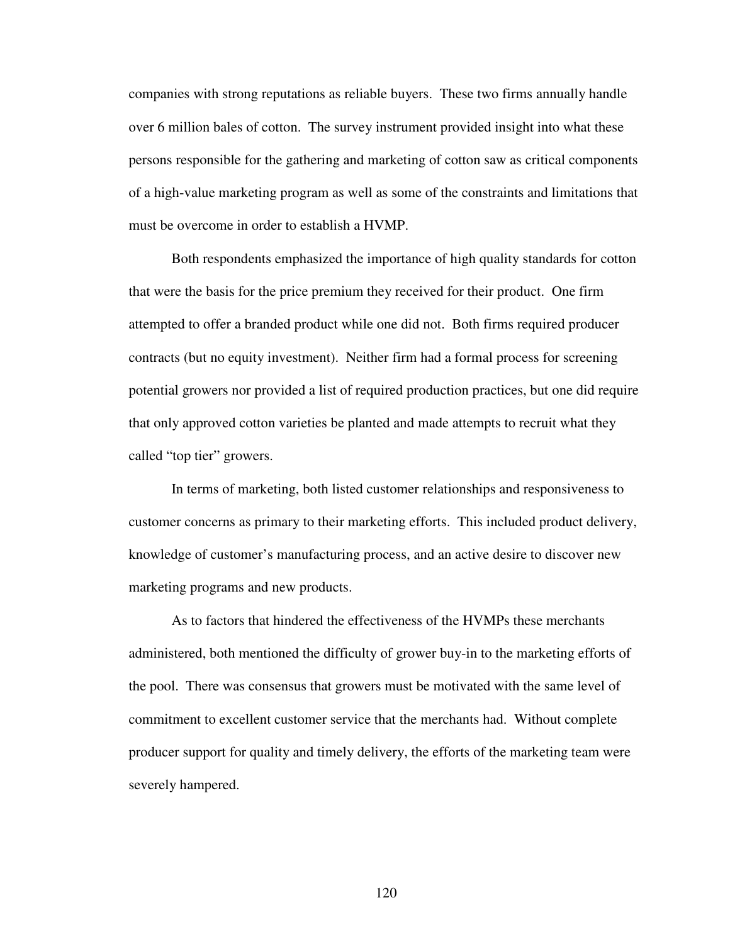companies with strong reputations as reliable buyers. These two firms annually handle over 6 million bales of cotton. The survey instrument provided insight into what these persons responsible for the gathering and marketing of cotton saw as critical components of a high-value marketing program as well as some of the constraints and limitations that must be overcome in order to establish a HVMP.

Both respondents emphasized the importance of high quality standards for cotton that were the basis for the price premium they received for their product. One firm attempted to offer a branded product while one did not. Both firms required producer contracts (but no equity investment). Neither firm had a formal process for screening potential growers nor provided a list of required production practices, but one did require that only approved cotton varieties be planted and made attempts to recruit what they called "top tier" growers.

In terms of marketing, both listed customer relationships and responsiveness to customer concerns as primary to their marketing efforts. This included product delivery, knowledge of customer's manufacturing process, and an active desire to discover new marketing programs and new products.

As to factors that hindered the effectiveness of the HVMPs these merchants administered, both mentioned the difficulty of grower buy-in to the marketing efforts of the pool. There was consensus that growers must be motivated with the same level of commitment to excellent customer service that the merchants had. Without complete producer support for quality and timely delivery, the efforts of the marketing team were severely hampered.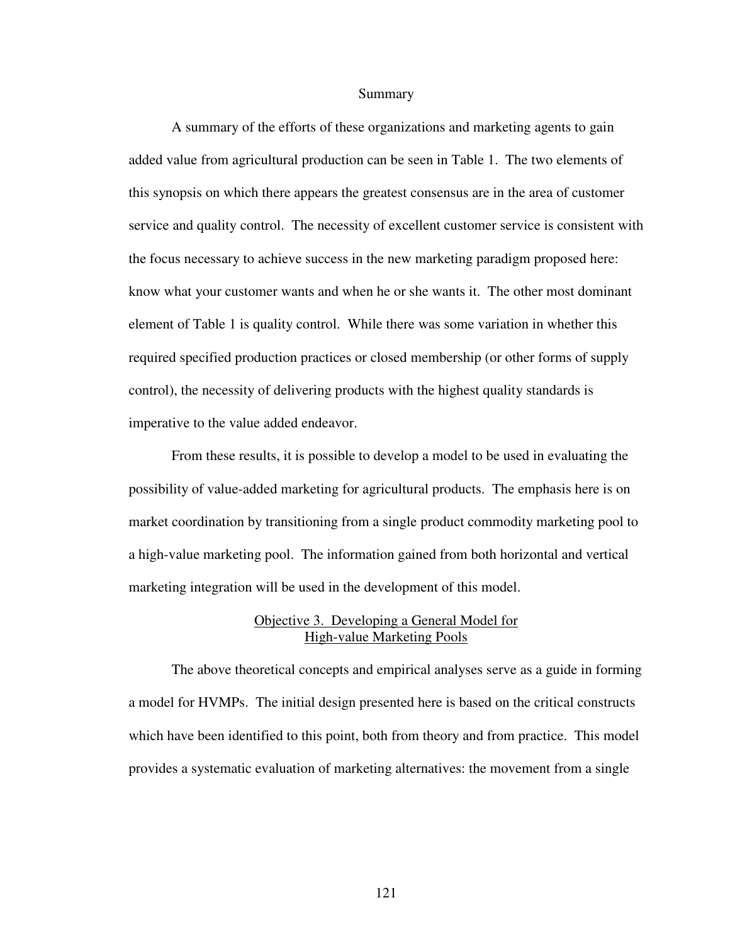#### Summary

 A summary of the efforts of these organizations and marketing agents to gain added value from agricultural production can be seen in Table 1. The two elements of this synopsis on which there appears the greatest consensus are in the area of customer service and quality control. The necessity of excellent customer service is consistent with the focus necessary to achieve success in the new marketing paradigm proposed here: know what your customer wants and when he or she wants it. The other most dominant element of Table 1 is quality control. While there was some variation in whether this required specified production practices or closed membership (or other forms of supply control), the necessity of delivering products with the highest quality standards is imperative to the value added endeavor.

 From these results, it is possible to develop a model to be used in evaluating the possibility of value-added marketing for agricultural products. The emphasis here is on market coordination by transitioning from a single product commodity marketing pool to a high-value marketing pool. The information gained from both horizontal and vertical marketing integration will be used in the development of this model.

## Objective 3. Developing a General Model for High-value Marketing Pools

The above theoretical concepts and empirical analyses serve as a guide in forming a model for HVMPs. The initial design presented here is based on the critical constructs which have been identified to this point, both from theory and from practice. This model provides a systematic evaluation of marketing alternatives: the movement from a single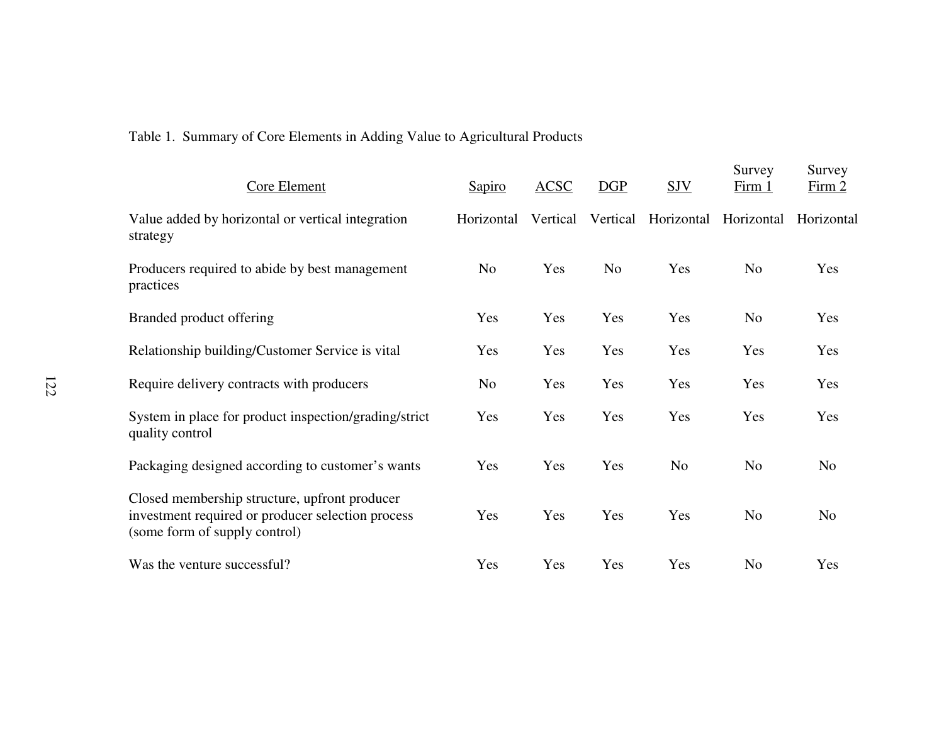# Table 1. Summary of Core Elements in Adding Value to Agricultural Products

| Core Element                                                                                                                        | Sapiro         | <b>ACSC</b> | <b>DGP</b>     | <b>SJV</b>     | Survey<br>Firm 1 | Survey<br>Firm 2 |
|-------------------------------------------------------------------------------------------------------------------------------------|----------------|-------------|----------------|----------------|------------------|------------------|
| Value added by horizontal or vertical integration<br>strategy                                                                       | Horizontal     | Vertical    | Vertical       | Horizontal     | Horizontal       | Horizontal       |
| Producers required to abide by best management<br>practices                                                                         | N <sub>0</sub> | Yes         | N <sub>0</sub> | Yes            | No               | Yes              |
| Branded product offering                                                                                                            | Yes            | Yes         | Yes            | Yes            | N <sub>o</sub>   | Yes              |
| Relationship building/Customer Service is vital                                                                                     | Yes            | Yes         | Yes            | Yes            | Yes              | Yes              |
| Require delivery contracts with producers                                                                                           | N <sub>o</sub> | Yes         | Yes            | Yes            | Yes              | Yes              |
| System in place for product inspection/grading/strict<br>quality control                                                            | Yes            | Yes         | Yes            | Yes            | Yes              | Yes              |
| Packaging designed according to customer's wants                                                                                    | Yes            | Yes         | Yes            | N <sub>o</sub> | N <sub>o</sub>   | N <sub>o</sub>   |
| Closed membership structure, upfront producer<br>investment required or producer selection process<br>(some form of supply control) | Yes            | Yes         | Yes            | Yes            | N <sub>o</sub>   | N <sub>o</sub>   |
| Was the venture successful?                                                                                                         | Yes            | Yes         | Yes            | Yes            | N <sub>o</sub>   | Yes              |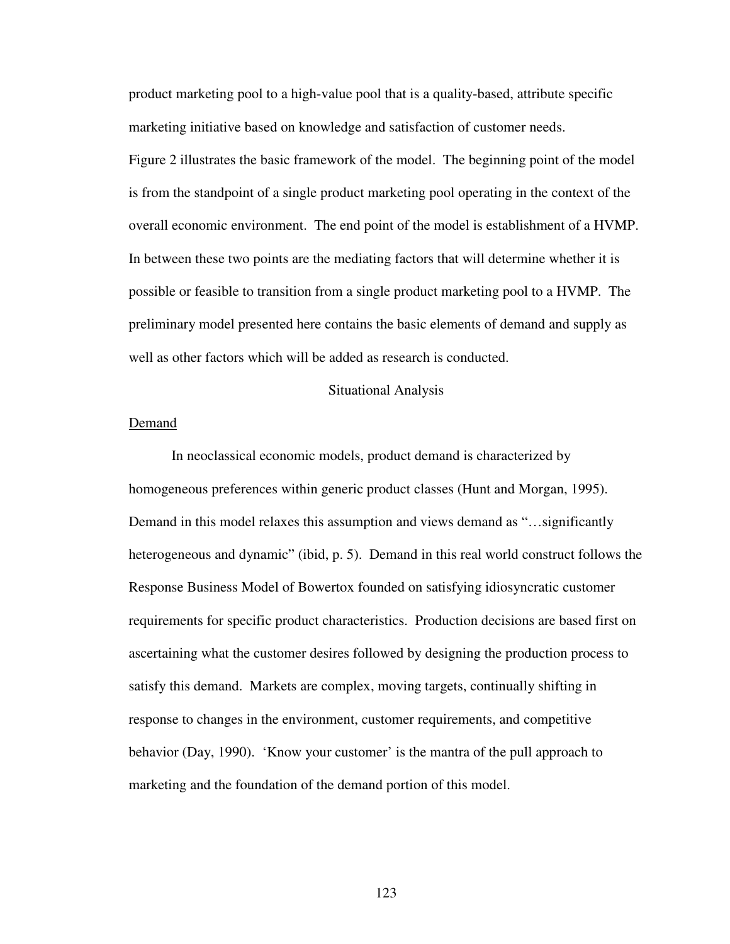product marketing pool to a high-value pool that is a quality-based, attribute specific marketing initiative based on knowledge and satisfaction of customer needs.

Figure 2 illustrates the basic framework of the model. The beginning point of the model is from the standpoint of a single product marketing pool operating in the context of the overall economic environment. The end point of the model is establishment of a HVMP. In between these two points are the mediating factors that will determine whether it is possible or feasible to transition from a single product marketing pool to a HVMP. The preliminary model presented here contains the basic elements of demand and supply as well as other factors which will be added as research is conducted.

#### Situational Analysis

### Demand

In neoclassical economic models, product demand is characterized by homogeneous preferences within generic product classes (Hunt and Morgan, 1995). Demand in this model relaxes this assumption and views demand as "…significantly heterogeneous and dynamic" (ibid, p. 5). Demand in this real world construct follows the Response Business Model of Bowertox founded on satisfying idiosyncratic customer requirements for specific product characteristics. Production decisions are based first on ascertaining what the customer desires followed by designing the production process to satisfy this demand. Markets are complex, moving targets, continually shifting in response to changes in the environment, customer requirements, and competitive behavior (Day, 1990). 'Know your customer' is the mantra of the pull approach to marketing and the foundation of the demand portion of this model.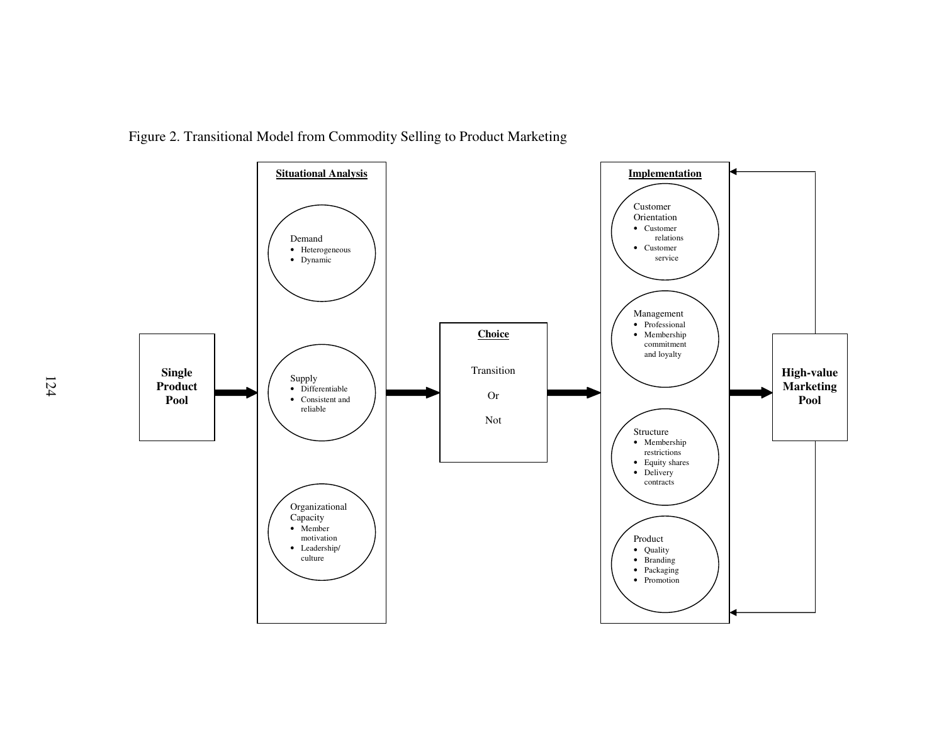

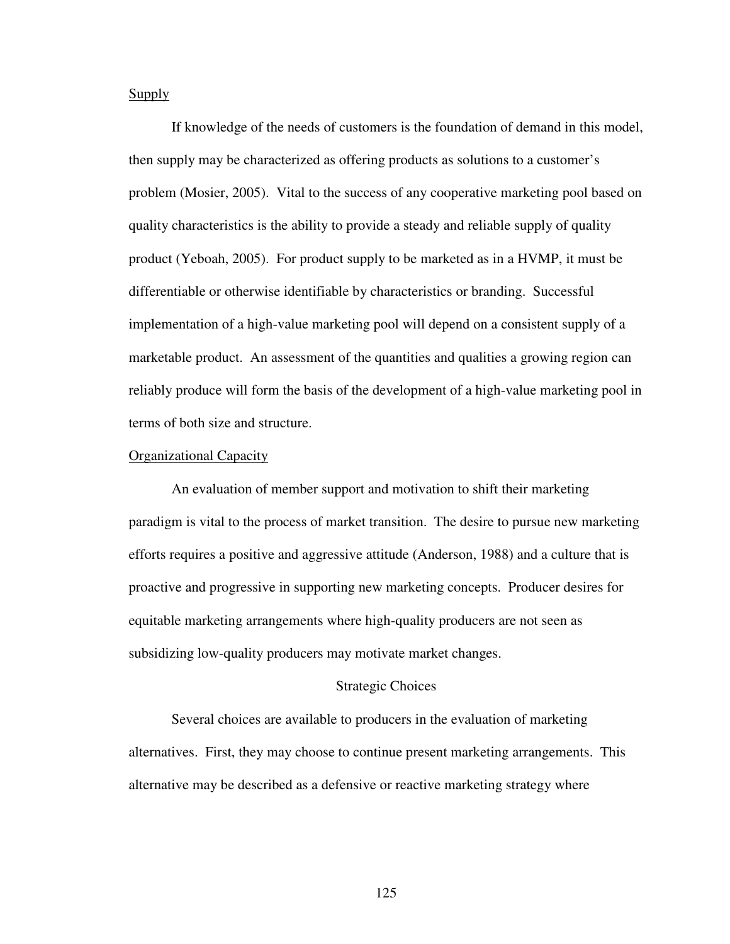Supply

If knowledge of the needs of customers is the foundation of demand in this model, then supply may be characterized as offering products as solutions to a customer's problem (Mosier, 2005). Vital to the success of any cooperative marketing pool based on quality characteristics is the ability to provide a steady and reliable supply of quality product (Yeboah, 2005). For product supply to be marketed as in a HVMP, it must be differentiable or otherwise identifiable by characteristics or branding. Successful implementation of a high-value marketing pool will depend on a consistent supply of a marketable product. An assessment of the quantities and qualities a growing region can reliably produce will form the basis of the development of a high-value marketing pool in terms of both size and structure.

#### Organizational Capacity

An evaluation of member support and motivation to shift their marketing paradigm is vital to the process of market transition. The desire to pursue new marketing efforts requires a positive and aggressive attitude (Anderson, 1988) and a culture that is proactive and progressive in supporting new marketing concepts. Producer desires for equitable marketing arrangements where high-quality producers are not seen as subsidizing low-quality producers may motivate market changes.

#### Strategic Choices

 Several choices are available to producers in the evaluation of marketing alternatives. First, they may choose to continue present marketing arrangements. This alternative may be described as a defensive or reactive marketing strategy where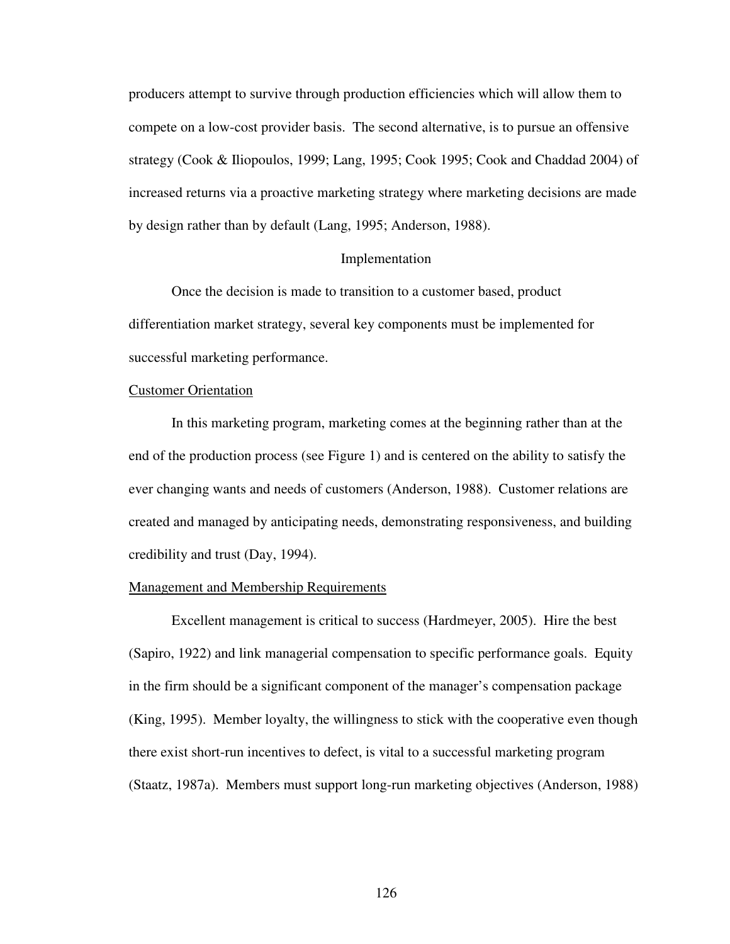producers attempt to survive through production efficiencies which will allow them to compete on a low-cost provider basis. The second alternative, is to pursue an offensive strategy (Cook & Iliopoulos, 1999; Lang, 1995; Cook 1995; Cook and Chaddad 2004) of increased returns via a proactive marketing strategy where marketing decisions are made by design rather than by default (Lang, 1995; Anderson, 1988).

#### Implementation

 Once the decision is made to transition to a customer based, product differentiation market strategy, several key components must be implemented for successful marketing performance.

### Customer Orientation

In this marketing program, marketing comes at the beginning rather than at the end of the production process (see Figure 1) and is centered on the ability to satisfy the ever changing wants and needs of customers (Anderson, 1988). Customer relations are created and managed by anticipating needs, demonstrating responsiveness, and building credibility and trust (Day, 1994).

#### Management and Membership Requirements

Excellent management is critical to success (Hardmeyer, 2005). Hire the best (Sapiro, 1922) and link managerial compensation to specific performance goals. Equity in the firm should be a significant component of the manager's compensation package (King, 1995). Member loyalty, the willingness to stick with the cooperative even though there exist short-run incentives to defect, is vital to a successful marketing program (Staatz, 1987a). Members must support long-run marketing objectives (Anderson, 1988)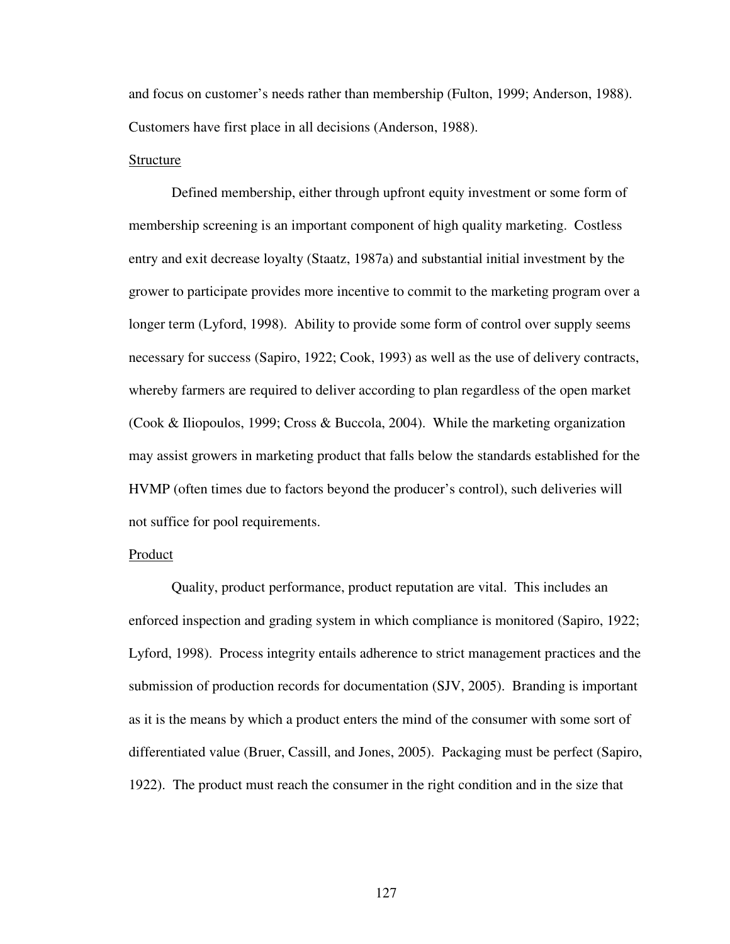and focus on customer's needs rather than membership (Fulton, 1999; Anderson, 1988). Customers have first place in all decisions (Anderson, 1988).

#### Structure

Defined membership, either through upfront equity investment or some form of membership screening is an important component of high quality marketing. Costless entry and exit decrease loyalty (Staatz, 1987a) and substantial initial investment by the grower to participate provides more incentive to commit to the marketing program over a longer term (Lyford, 1998). Ability to provide some form of control over supply seems necessary for success (Sapiro, 1922; Cook, 1993) as well as the use of delivery contracts, whereby farmers are required to deliver according to plan regardless of the open market (Cook & Iliopoulos, 1999; Cross & Buccola, 2004). While the marketing organization may assist growers in marketing product that falls below the standards established for the HVMP (often times due to factors beyond the producer's control), such deliveries will not suffice for pool requirements.

### Product

Quality, product performance, product reputation are vital. This includes an enforced inspection and grading system in which compliance is monitored (Sapiro, 1922; Lyford, 1998). Process integrity entails adherence to strict management practices and the submission of production records for documentation (SJV, 2005). Branding is important as it is the means by which a product enters the mind of the consumer with some sort of differentiated value (Bruer, Cassill, and Jones, 2005). Packaging must be perfect (Sapiro, 1922). The product must reach the consumer in the right condition and in the size that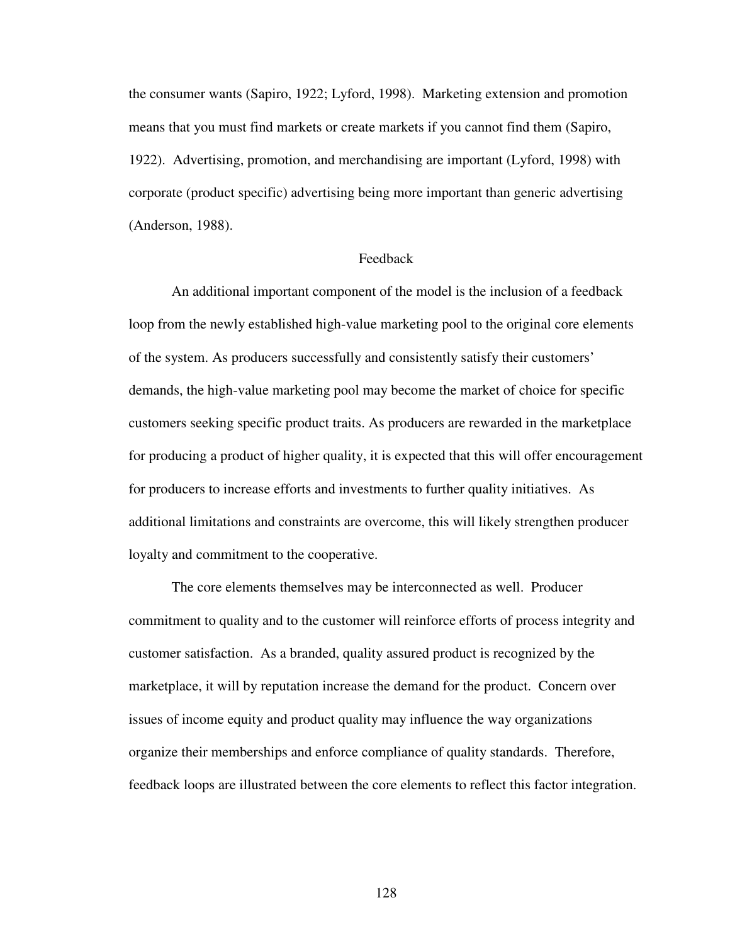the consumer wants (Sapiro, 1922; Lyford, 1998). Marketing extension and promotion means that you must find markets or create markets if you cannot find them (Sapiro, 1922). Advertising, promotion, and merchandising are important (Lyford, 1998) with corporate (product specific) advertising being more important than generic advertising (Anderson, 1988).

### Feedback

An additional important component of the model is the inclusion of a feedback loop from the newly established high-value marketing pool to the original core elements of the system. As producers successfully and consistently satisfy their customers' demands, the high-value marketing pool may become the market of choice for specific customers seeking specific product traits. As producers are rewarded in the marketplace for producing a product of higher quality, it is expected that this will offer encouragement for producers to increase efforts and investments to further quality initiatives. As additional limitations and constraints are overcome, this will likely strengthen producer loyalty and commitment to the cooperative.

The core elements themselves may be interconnected as well. Producer commitment to quality and to the customer will reinforce efforts of process integrity and customer satisfaction. As a branded, quality assured product is recognized by the marketplace, it will by reputation increase the demand for the product. Concern over issues of income equity and product quality may influence the way organizations organize their memberships and enforce compliance of quality standards. Therefore, feedback loops are illustrated between the core elements to reflect this factor integration.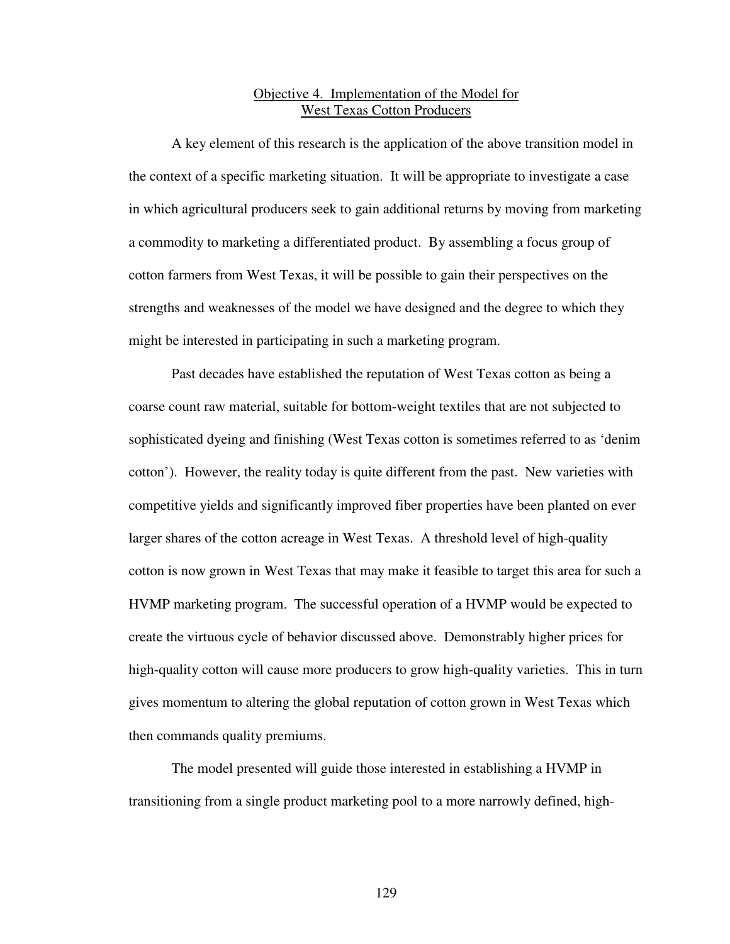# Objective 4. Implementation of the Model for West Texas Cotton Producers

A key element of this research is the application of the above transition model in the context of a specific marketing situation. It will be appropriate to investigate a case in which agricultural producers seek to gain additional returns by moving from marketing a commodity to marketing a differentiated product. By assembling a focus group of cotton farmers from West Texas, it will be possible to gain their perspectives on the strengths and weaknesses of the model we have designed and the degree to which they might be interested in participating in such a marketing program.

 Past decades have established the reputation of West Texas cotton as being a coarse count raw material, suitable for bottom-weight textiles that are not subjected to sophisticated dyeing and finishing (West Texas cotton is sometimes referred to as 'denim cotton'). However, the reality today is quite different from the past. New varieties with competitive yields and significantly improved fiber properties have been planted on ever larger shares of the cotton acreage in West Texas. A threshold level of high-quality cotton is now grown in West Texas that may make it feasible to target this area for such a HVMP marketing program. The successful operation of a HVMP would be expected to create the virtuous cycle of behavior discussed above. Demonstrably higher prices for high-quality cotton will cause more producers to grow high-quality varieties. This in turn gives momentum to altering the global reputation of cotton grown in West Texas which then commands quality premiums.

The model presented will guide those interested in establishing a HVMP in transitioning from a single product marketing pool to a more narrowly defined, high-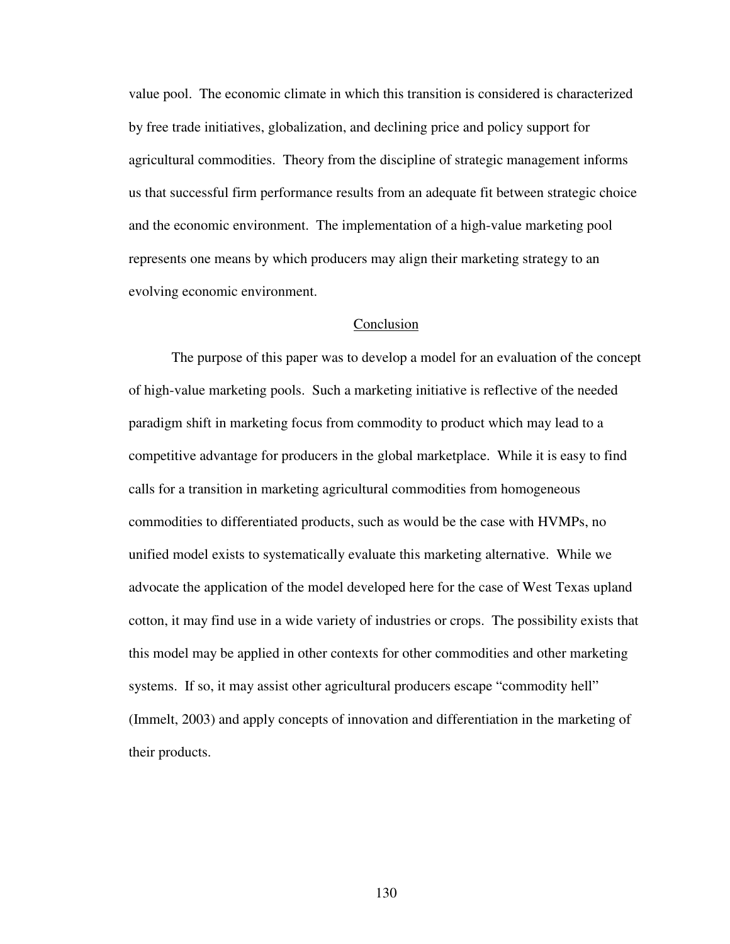value pool. The economic climate in which this transition is considered is characterized by free trade initiatives, globalization, and declining price and policy support for agricultural commodities. Theory from the discipline of strategic management informs us that successful firm performance results from an adequate fit between strategic choice and the economic environment. The implementation of a high-value marketing pool represents one means by which producers may align their marketing strategy to an evolving economic environment.

### Conclusion

The purpose of this paper was to develop a model for an evaluation of the concept of high-value marketing pools. Such a marketing initiative is reflective of the needed paradigm shift in marketing focus from commodity to product which may lead to a competitive advantage for producers in the global marketplace. While it is easy to find calls for a transition in marketing agricultural commodities from homogeneous commodities to differentiated products, such as would be the case with HVMPs, no unified model exists to systematically evaluate this marketing alternative. While we advocate the application of the model developed here for the case of West Texas upland cotton, it may find use in a wide variety of industries or crops. The possibility exists that this model may be applied in other contexts for other commodities and other marketing systems. If so, it may assist other agricultural producers escape "commodity hell" (Immelt, 2003) and apply concepts of innovation and differentiation in the marketing of their products.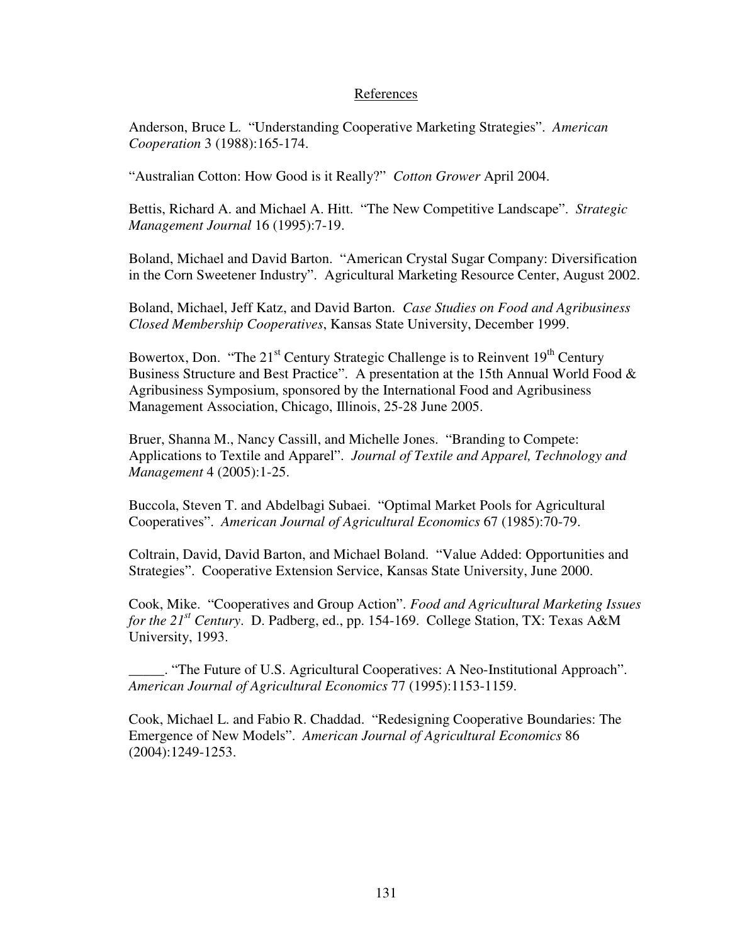## References

Anderson, Bruce L. "Understanding Cooperative Marketing Strategies". *American Cooperation* 3 (1988):165-174.

"Australian Cotton: How Good is it Really?" *Cotton Grower* April 2004.

Bettis, Richard A. and Michael A. Hitt. "The New Competitive Landscape". *Strategic Management Journal* 16 (1995):7-19.

Boland, Michael and David Barton. "American Crystal Sugar Company: Diversification in the Corn Sweetener Industry". Agricultural Marketing Resource Center, August 2002.

Boland, Michael, Jeff Katz, and David Barton. *Case Studies on Food and Agribusiness Closed Membership Cooperatives*, Kansas State University, December 1999.

Bowertox, Don. "The  $21<sup>st</sup>$  Century Strategic Challenge is to Reinvent  $19<sup>th</sup>$  Century Business Structure and Best Practice". A presentation at the 15th Annual World Food & Agribusiness Symposium, sponsored by the International Food and Agribusiness Management Association, Chicago, Illinois, 25-28 June 2005.

Bruer, Shanna M., Nancy Cassill, and Michelle Jones. "Branding to Compete: Applications to Textile and Apparel". *Journal of Textile and Apparel, Technology and Management* 4 (2005):1-25.

Buccola, Steven T. and Abdelbagi Subaei. "Optimal Market Pools for Agricultural Cooperatives". *American Journal of Agricultural Economics* 67 (1985):70-79.

Coltrain, David, David Barton, and Michael Boland. "Value Added: Opportunities and Strategies". Cooperative Extension Service, Kansas State University, June 2000.

Cook, Mike. "Cooperatives and Group Action". *Food and Agricultural Marketing Issues for the 21st Century*. D. Padberg, ed., pp. 154-169. College Station, TX: Texas A&M University, 1993.

\_\_\_\_\_. "The Future of U.S. Agricultural Cooperatives: A Neo-Institutional Approach". *American Journal of Agricultural Economics* 77 (1995):1153-1159.

Cook, Michael L. and Fabio R. Chaddad. "Redesigning Cooperative Boundaries: The Emergence of New Models". *American Journal of Agricultural Economics* 86 (2004):1249-1253.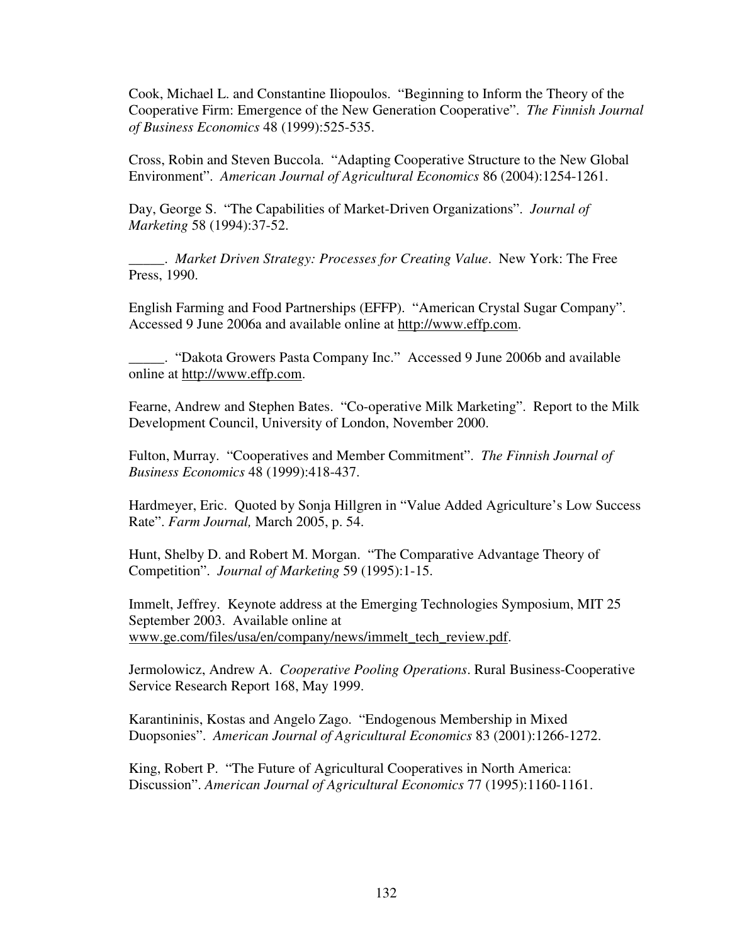Cook, Michael L. and Constantine Iliopoulos. "Beginning to Inform the Theory of the Cooperative Firm: Emergence of the New Generation Cooperative". *The Finnish Journal of Business Economics* 48 (1999):525-535.

Cross, Robin and Steven Buccola. "Adapting Cooperative Structure to the New Global Environment". *American Journal of Agricultural Economics* 86 (2004):1254-1261.

Day, George S. "The Capabilities of Market-Driven Organizations". *Journal of Marketing* 58 (1994):37-52.

\_\_\_\_\_. *Market Driven Strategy: Processes for Creating Value*. New York: The Free Press, 1990.

English Farming and Food Partnerships (EFFP). "American Crystal Sugar Company". Accessed 9 June 2006a and available online at http://www.effp.com.

\_\_\_\_\_. "Dakota Growers Pasta Company Inc." Accessed 9 June 2006b and available online at http://www.effp.com.

Fearne, Andrew and Stephen Bates. "Co-operative Milk Marketing". Report to the Milk Development Council, University of London, November 2000.

Fulton, Murray. "Cooperatives and Member Commitment". *The Finnish Journal of Business Economics* 48 (1999):418-437.

Hardmeyer, Eric. Quoted by Sonja Hillgren in "Value Added Agriculture's Low Success Rate". *Farm Journal,* March 2005, p. 54.

Hunt, Shelby D. and Robert M. Morgan. "The Comparative Advantage Theory of Competition". *Journal of Marketing* 59 (1995):1-15.

Immelt, Jeffrey. Keynote address at the Emerging Technologies Symposium, MIT 25 September 2003. Available online at www.ge.com/files/usa/en/company/news/immelt\_tech\_review.pdf.

Jermolowicz, Andrew A. *Cooperative Pooling Operations*. Rural Business-Cooperative Service Research Report 168, May 1999.

Karantininis, Kostas and Angelo Zago. "Endogenous Membership in Mixed Duopsonies". *American Journal of Agricultural Economics* 83 (2001):1266-1272.

King, Robert P. "The Future of Agricultural Cooperatives in North America: Discussion". *American Journal of Agricultural Economics* 77 (1995):1160-1161.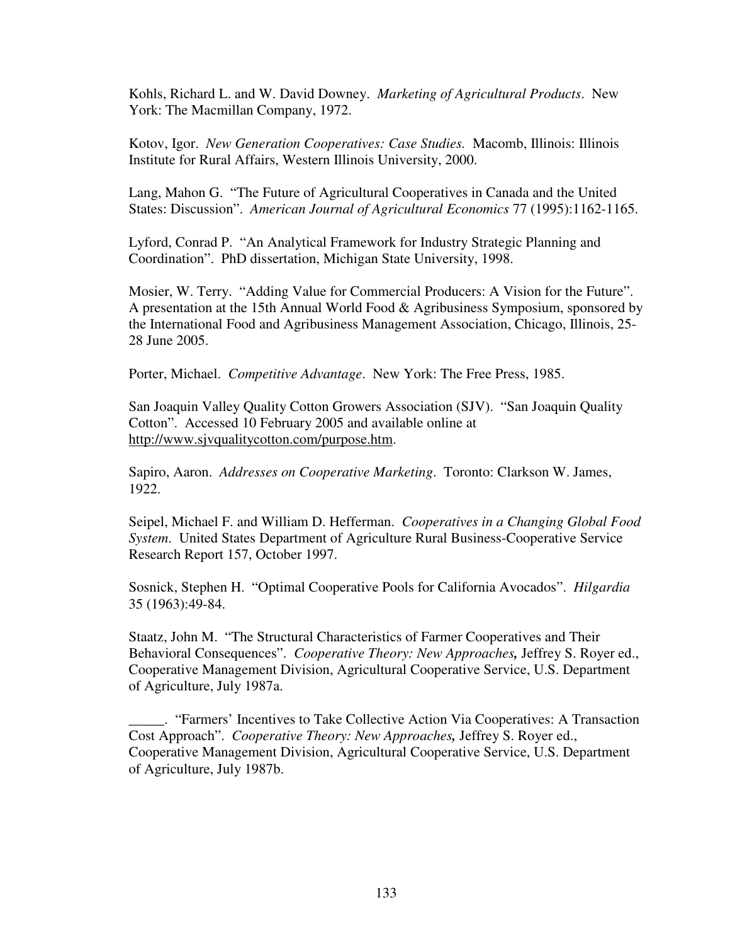Kohls, Richard L. and W. David Downey. *Marketing of Agricultural Products*. New York: The Macmillan Company, 1972.

Kotov, Igor. *New Generation Cooperatives: Case Studies.* Macomb, Illinois: Illinois Institute for Rural Affairs, Western Illinois University, 2000.

Lang, Mahon G. "The Future of Agricultural Cooperatives in Canada and the United States: Discussion". *American Journal of Agricultural Economics* 77 (1995):1162-1165.

Lyford, Conrad P. "An Analytical Framework for Industry Strategic Planning and Coordination". PhD dissertation, Michigan State University, 1998.

Mosier, W. Terry. "Adding Value for Commercial Producers: A Vision for the Future". A presentation at the 15th Annual World Food & Agribusiness Symposium, sponsored by the International Food and Agribusiness Management Association, Chicago, Illinois, 25- 28 June 2005.

Porter, Michael. *Competitive Advantage*. New York: The Free Press, 1985.

San Joaquin Valley Quality Cotton Growers Association (SJV). "San Joaquin Quality Cotton". Accessed 10 February 2005 and available online at http://www.sjvqualitycotton.com/purpose.htm.

Sapiro, Aaron. *Addresses on Cooperative Marketing*. Toronto: Clarkson W. James, 1922.

Seipel, Michael F. and William D. Hefferman. *Cooperatives in a Changing Global Food System*. United States Department of Agriculture Rural Business-Cooperative Service Research Report 157, October 1997.

Sosnick, Stephen H. "Optimal Cooperative Pools for California Avocados". *Hilgardia* 35 (1963):49-84.

Staatz, John M. "The Structural Characteristics of Farmer Cooperatives and Their Behavioral Consequences". *Cooperative Theory: New Approaches,* Jeffrey S. Royer ed., Cooperative Management Division, Agricultural Cooperative Service, U.S. Department of Agriculture, July 1987a.

\_\_\_\_\_. "Farmers' Incentives to Take Collective Action Via Cooperatives: A Transaction Cost Approach". *Cooperative Theory: New Approaches,* Jeffrey S. Royer ed., Cooperative Management Division, Agricultural Cooperative Service, U.S. Department of Agriculture, July 1987b.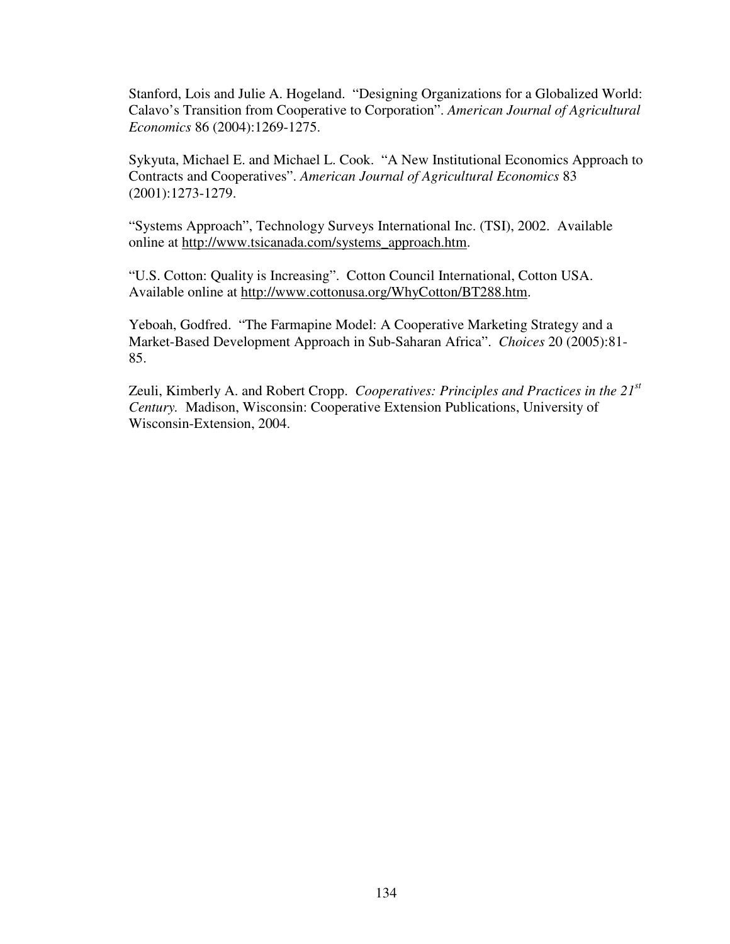Stanford, Lois and Julie A. Hogeland. "Designing Organizations for a Globalized World: Calavo's Transition from Cooperative to Corporation". *American Journal of Agricultural Economics* 86 (2004):1269-1275.

Sykyuta, Michael E. and Michael L. Cook. "A New Institutional Economics Approach to Contracts and Cooperatives". *American Journal of Agricultural Economics* 83 (2001):1273-1279.

"Systems Approach", Technology Surveys International Inc. (TSI), 2002. Available online at http://www.tsicanada.com/systems\_approach.htm.

"U.S. Cotton: Quality is Increasing". Cotton Council International, Cotton USA. Available online at http://www.cottonusa.org/WhyCotton/BT288.htm.

Yeboah, Godfred. "The Farmapine Model: A Cooperative Marketing Strategy and a Market-Based Development Approach in Sub-Saharan Africa". *Choices* 20 (2005):81- 85.

Zeuli, Kimberly A. and Robert Cropp. *Cooperatives: Principles and Practices in the 21st Century.* Madison, Wisconsin: Cooperative Extension Publications, University of Wisconsin-Extension, 2004.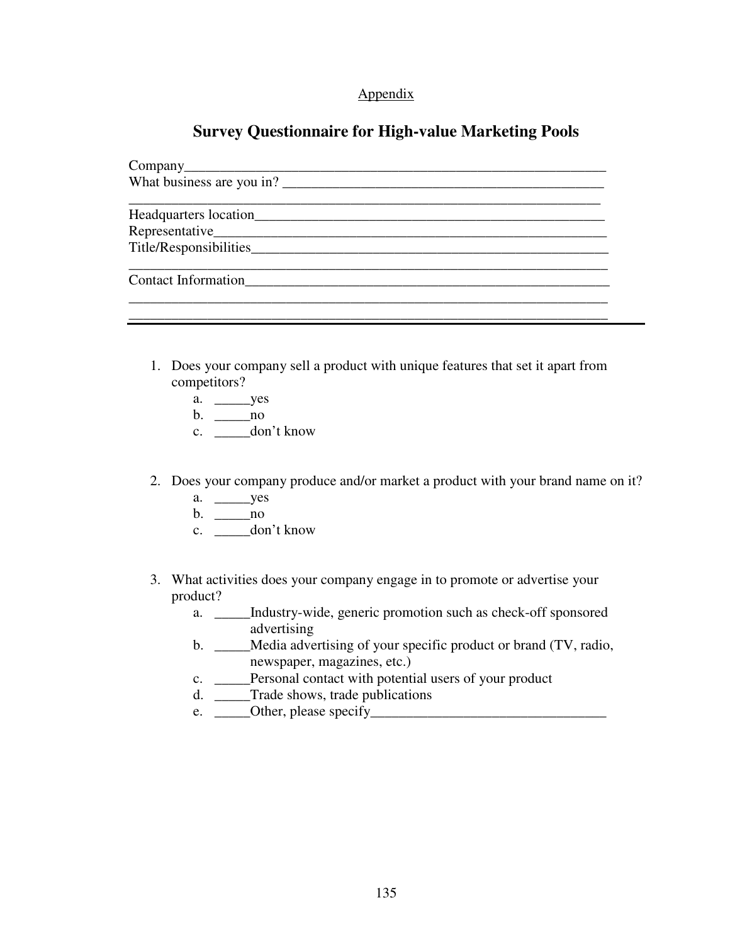## Appendix

## **Survey Questionnaire for High-value Marketing Pools**

| Contact Information |  |
|---------------------|--|
|                     |  |

\_\_\_\_\_\_\_\_\_\_\_\_\_\_\_\_\_\_\_\_\_\_\_\_\_\_\_\_\_\_\_\_\_\_\_\_\_\_\_\_\_\_\_\_\_\_\_\_\_\_\_\_\_\_\_\_\_\_\_\_\_\_\_\_\_\_\_

- 1. Does your company sell a product with unique features that set it apart from competitors?
	- a. \_\_\_\_\_yes
	- b.  $\frac{\ }{\ }$ no
	- c. \_\_\_\_\_don't know
- 2. Does your company produce and/or market a product with your brand name on it?
	- a. \_\_\_\_\_yes
	- b. \_\_\_\_\_no
	- c. \_\_\_\_\_don't know
- 3. What activities does your company engage in to promote or advertise your product?
	- a. \_\_\_\_\_Industry-wide, generic promotion such as check-off sponsored advertising
	- b. \_\_\_\_\_Media advertising of your specific product or brand (TV, radio, newspaper, magazines, etc.)
	- c. \_\_\_\_\_Personal contact with potential users of your product
	- d. \_\_\_\_\_Trade shows, trade publications
	- e.  $\_\_$ Other, please specify $\_\_$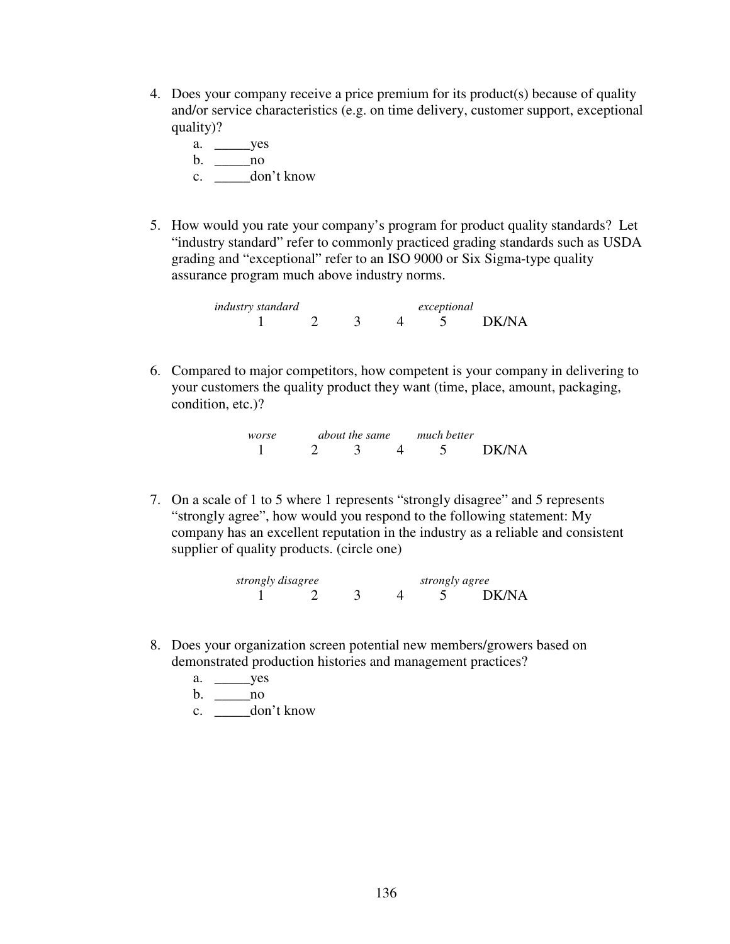- 4. Does your company receive a price premium for its product(s) because of quality and/or service characteristics (e.g. on time delivery, customer support, exceptional quality)?
	- a. \_\_\_\_\_yes b. \_\_\_\_\_no c. \_\_\_\_\_\_ don't know
- 5. How would you rate your company's program for product quality standards? Let "industry standard" refer to commonly practiced grading standards such as USDA grading and "exceptional" refer to an ISO 9000 or Six Sigma-type quality assurance program much above industry norms.

*industry standard exceptional*  1 2 3 4 5 DK/NA

6. Compared to major competitors, how competent is your company in delivering to your customers the quality product they want (time, place, amount, packaging, condition, etc.)?

> *worse about the same much better*  1 2 3 4 5 DK/NA

7. On a scale of 1 to 5 where 1 represents "strongly disagree" and 5 represents "strongly agree", how would you respond to the following statement: My company has an excellent reputation in the industry as a reliable and consistent supplier of quality products. (circle one)

| strongly disagree |  |  | strongly agree |  |       |
|-------------------|--|--|----------------|--|-------|
|                   |  |  |                |  | DK/NA |

- 8. Does your organization screen potential new members/growers based on demonstrated production histories and management practices?
	- a. \_\_\_\_\_yes
	- b. \_\_\_\_\_no
	- c. \_\_\_\_\_don't know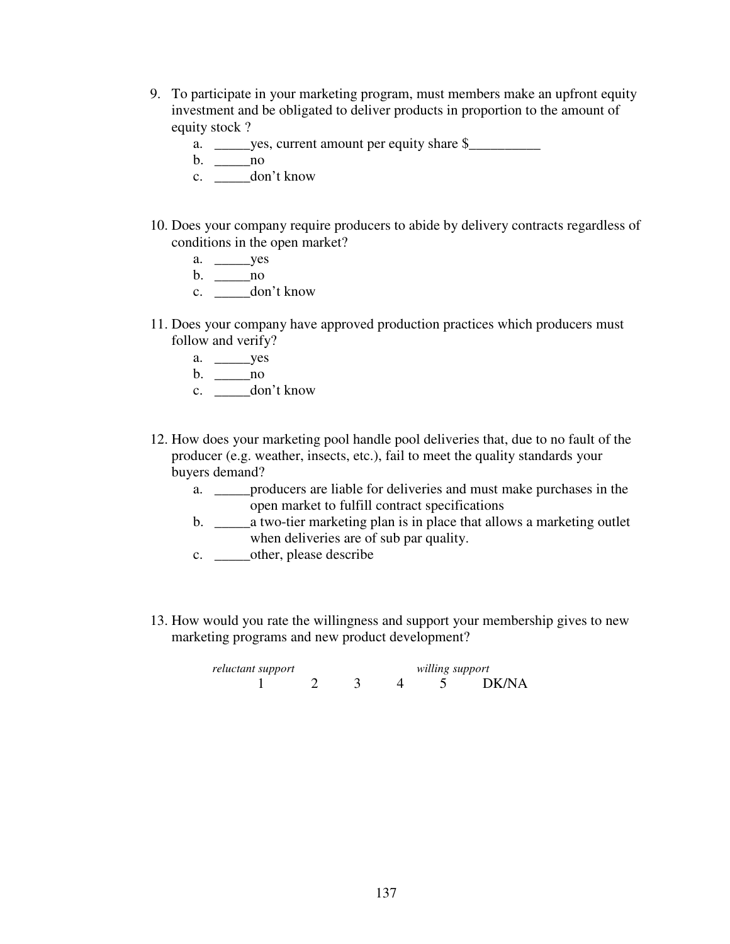- 9. To participate in your marketing program, must members make an upfront equity investment and be obligated to deliver products in proportion to the amount of equity stock ?
	- a. \_\_\_\_\_yes, current amount per equity share \$\_\_\_\_\_\_\_\_\_\_\_\_\_\_\_\_\_\_\_\_\_\_\_\_\_\_\_\_\_\_\_\_\_\_
	- b. \_\_\_\_\_no
	- c. \_\_\_\_\_don't know
- 10. Does your company require producers to abide by delivery contracts regardless of conditions in the open market?
	- a. \_\_\_\_\_yes
	- b. \_\_\_\_\_no
	- c. \_\_\_\_\_don't know
- 11. Does your company have approved production practices which producers must follow and verify?
	- a. \_\_\_\_\_yes
	- b. \_\_\_\_\_no
	- c. \_\_\_\_\_don't know
- 12. How does your marketing pool handle pool deliveries that, due to no fault of the producer (e.g. weather, insects, etc.), fail to meet the quality standards your buyers demand?
	- a. \_\_\_\_\_producers are liable for deliveries and must make purchases in the open market to fulfill contract specifications
	- b. \_\_\_\_\_a two-tier marketing plan is in place that allows a marketing outlet when deliveries are of sub par quality.
	- c. \_\_\_\_\_other, please describe
- 13. How would you rate the willingness and support your membership gives to new marketing programs and new product development?

 *reluctant support willing support*  4 5 DK/NA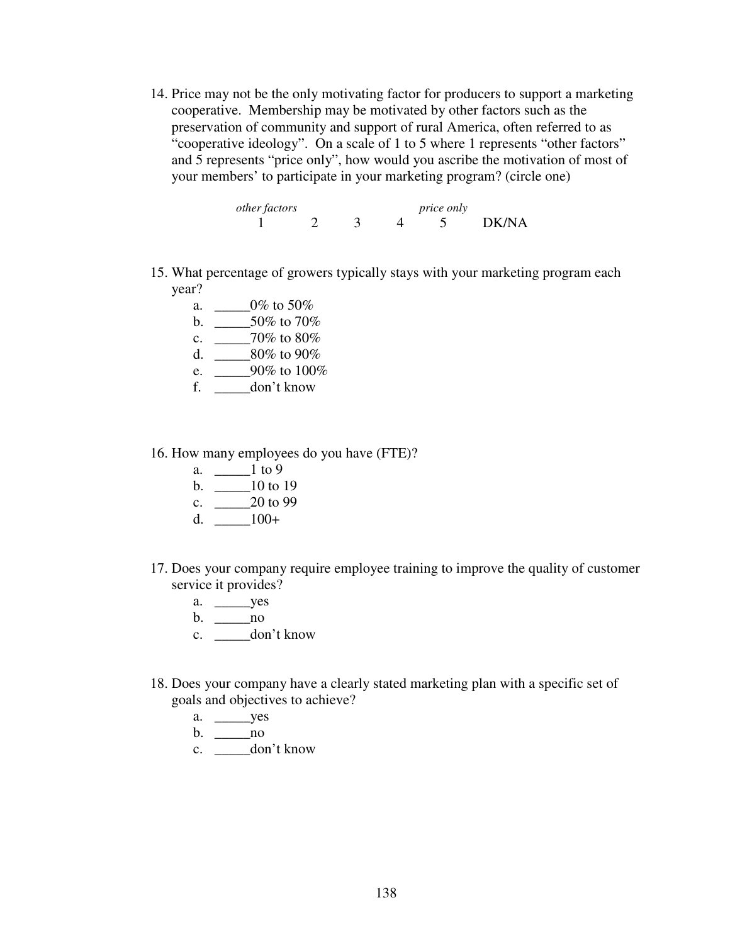14. Price may not be the only motivating factor for producers to support a marketing cooperative. Membership may be motivated by other factors such as the preservation of community and support of rural America, often referred to as "cooperative ideology". On a scale of 1 to 5 where 1 represents "other factors" and 5 represents "price only", how would you ascribe the motivation of most of your members' to participate in your marketing program? (circle one)

*other factors price only* 1 2 3 4 5 DK/NA

- 15. What percentage of growers typically stays with your marketing program each year?
	- a. \_\_\_\_\_0% to 50% b. \_\_\_\_\_50% to 70%
	- c. \_\_\_\_\_70% to 80%
	- d. \_\_\_\_\_80% to 90%
	- e. \_\_\_\_\_90% to 100%
	- f. \_\_\_\_\_don't know
- 16. How many employees do you have (FTE)?
	- a.  $\_\_1$  to 9
	- b. \_\_\_\_\_10 to 19
	- c.  $\_\_2$  20 to 99
	- d.  $\_\_100+$
- 17. Does your company require employee training to improve the quality of customer service it provides?
	- a. \_\_\_\_\_yes
	- b. \_\_\_\_\_no
	- c. \_\_\_\_\_don't know
- 18. Does your company have a clearly stated marketing plan with a specific set of goals and objectives to achieve?
	- a. \_\_\_\_\_yes
	- b. \_\_\_\_\_no
	- c. \_\_\_\_\_don't know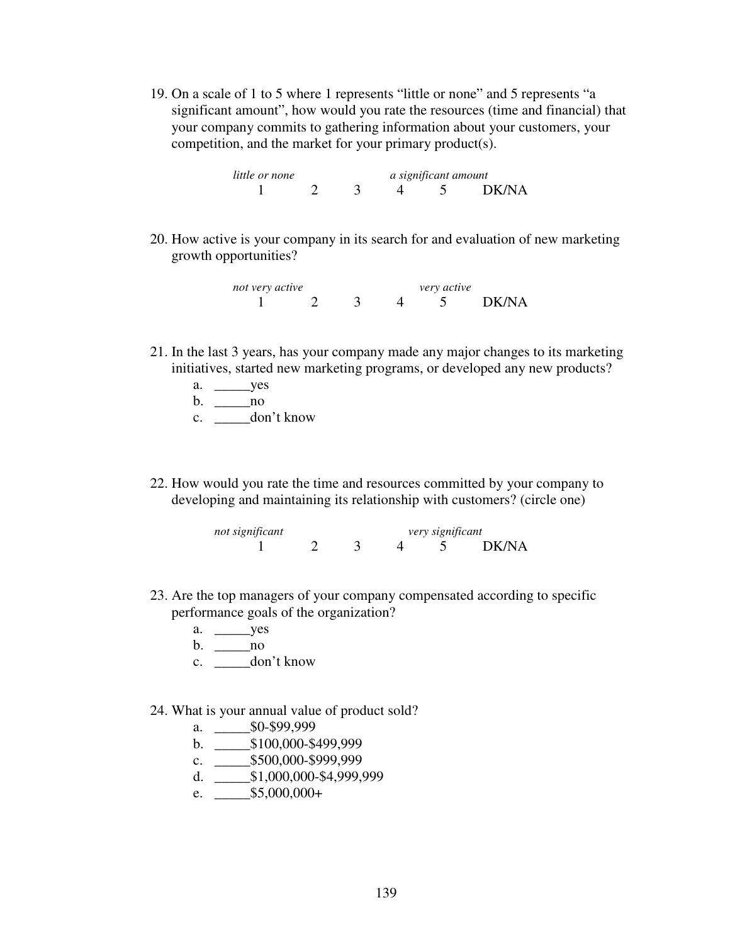19. On a scale of 1 to 5 where 1 represents "little or none" and 5 represents "a significant amount", how would you rate the resources (time and financial) that your company commits to gathering information about your customers, your competition, and the market for your primary product(s).

 *little or none a significant amount*  1 2 3 4 5 DK/NA

20. How active is your company in its search for and evaluation of new marketing growth opportunities?

*not very active* very *active* 1 2 3 4 5 DK/NA

- 21. In the last 3 years, has your company made any major changes to its marketing initiatives, started new marketing programs, or developed any new products?
	- a. \_\_\_\_\_yes
	- b. \_\_\_\_\_no
	- c. \_\_\_\_\_don't know
- 22. How would you rate the time and resources committed by your company to developing and maintaining its relationship with customers? (circle one)

*not significant very significant*  1 2 3 4 5 DK/NA

- 23. Are the top managers of your company compensated according to specific performance goals of the organization?
	- a. \_\_\_\_\_yes
	- b. \_\_\_\_\_no
	- c. \_\_\_\_\_don't know
- 24. What is your annual value of product sold?
	- a. \_\_\_\_\_\$0-\$99,999
	- b. \_\_\_\_\_\$100,000-\$499,999
	- c. \_\_\_\_\_\$500,000-\$999,999
	- d. \_\_\_\_\_\$1,000,000-\$4,999,999
	- e.  $$5,000,000+$